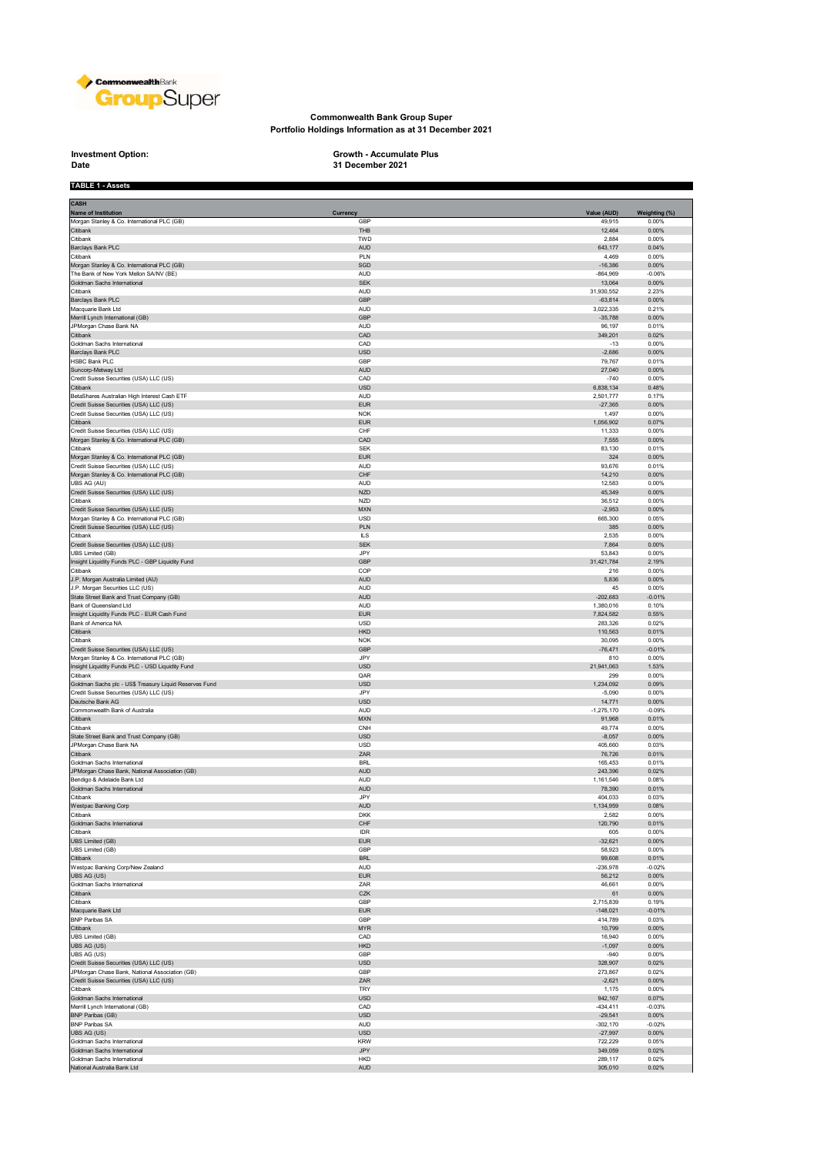

## **Commonwealth Bank Group Super Portfolio Holdings Information as at 31 December 2021**

## **Investment Option:**<br>Date

**TABLE 1 - Assets**

**Investment Option: Growth - Accumulate Plus 31 December 2021**

| <b>CASH</b><br>Name of Institution                                                              | Currency                 | Value (AUD)            | Weighting (%)     |
|-------------------------------------------------------------------------------------------------|--------------------------|------------------------|-------------------|
| Morgan Stanley & Co. International PLC (GB)<br>Citibank                                         | GBP<br>THB               | 49,915<br>12,464       | 0.00%<br>0.00%    |
| Citibank                                                                                        | TWD                      | 2,884                  | 0.00%             |
| Barclays Bank PLC                                                                               | <b>AUD</b>               | 643,177                | 0.04%             |
| Citibank                                                                                        | PLN                      | 4,469                  | 0.00%             |
| Morgan Stanley & Co. International PLC (GB)                                                     | SGD                      | $-16,386$              | 0.00%             |
| The Bank of New York Mellon SA/NV (BE)<br>Goldman Sachs International                           | <b>AUD</b><br><b>SEK</b> | $-864,969$<br>13,064   | $-0.06%$<br>0.00% |
| Citibank                                                                                        | AUD                      | 31,930,552             | 2.23%             |
| <b>Barclays Bank PLC</b>                                                                        | GBP                      | $-63,814$              | 0.00%             |
| Macquarie Bank Ltd                                                                              | <b>AUD</b>               | 3,022,335              | 0.21%             |
| Merrill Lynch International (GB)                                                                | GBP<br><b>AUD</b>        | $-35,788$              | 0.00%<br>0.01%    |
| JPMorgan Chase Bank NA<br>Citibank                                                              | CAD                      | 96,197<br>349,201      | 0.02%             |
| Goldman Sachs International                                                                     | CAD                      | $-13$                  | 0.00%             |
| <b>Barclays Bank PLC</b>                                                                        | <b>USD</b>               | $-2,686$               | 0.00%             |
| <b>HSBC Bank PLC</b>                                                                            | GBP                      | 79,767                 | 0.01%             |
| Suncorp-Metway Ltd<br>Credit Suisse Securities (USA) LLC (US)                                   | <b>AUD</b><br>CAD        | 27,040<br>$-740$       | 0.00%<br>0.00%    |
| Citibank                                                                                        | <b>USD</b>               | 6,838,134              | 0.48%             |
| BetaShares Australian High Interest Cash ETF                                                    | <b>AUD</b>               | 2,501,777              | 0.17%             |
| Credit Suisse Securities (USA) LLC (US)                                                         | <b>EUR</b>               | $-27,365$              | 0.00%             |
| Credit Suisse Securities (USA) LLC (US)                                                         | <b>NOK</b>               | 1,497                  | 0.00%             |
| Citibank<br>Credit Suisse Securities (USA) LLC (US)                                             | <b>EUR</b><br>CHF        | 1,056,902<br>11,333    | 0.07%<br>0.00%    |
| Morgan Stanley & Co. International PLC (GB)                                                     | CAD                      | 7,555                  | 0.00%             |
| Citibank                                                                                        | <b>SEK</b>               | 83,130                 | 0.01%             |
| Morgan Stanley & Co. International PLC (GB)                                                     | <b>EUR</b>               | 324                    | 0.00%             |
| Credit Suisse Securities (USA) LLC (US)<br>Morgan Stanley & Co. International PLC (GB)          | <b>AUD</b><br>CHF        | 93,676<br>14,210       | 0.01%<br>0.00%    |
| UBS AG (AU)                                                                                     | <b>AUD</b>               | 12,583                 | 0.00%             |
| Credit Suisse Securities (USA) LLC (US)                                                         | <b>NZD</b>               | 45,349                 | 0.00%             |
| Citibank                                                                                        | <b>NZD</b>               | 36,512                 | 0.00%             |
| Credit Suisse Securities (USA) LLC (US)                                                         | <b>MXN</b>               | $-2,953$               | 0.00%             |
| Morgan Stanley & Co. International PLC (GB)<br>Credit Suisse Securities (USA) LLC (US)          | <b>USD</b><br>PLN        | 665,300<br>385         | 0.05%<br>0.00%    |
| Citibank                                                                                        | <b>ILS</b>               | 2,535                  | 0.00%             |
| Credit Suisse Securities (USA) LLC (US)                                                         | <b>SEK</b>               | 7,864                  | 0.00%             |
| UBS Limited (GB)                                                                                | JPY                      | 53,843                 | 0.00%             |
| Insight Liquidity Funds PLC - GBP Liquidity Fund<br>Citibank                                    | GBP<br>COP               | 31,421,784<br>216      | 2.19%<br>0.00%    |
| J.P. Morgan Australia Limited (AU)                                                              | <b>AUD</b>               | 5,836                  | 0.00%             |
| J.P. Morgan Securities LLC (US)                                                                 | <b>AUD</b>               | 45                     | 0.00%             |
| State Street Bank and Trust Company (GB)                                                        | <b>AUD</b>               | $-202,683$             | $-0.01%$          |
| Bank of Queensland Ltd                                                                          | <b>AUD</b>               | 1,380,016              | 0.10%             |
| Insight Liquidity Funds PLC - EUR Cash Fund<br>Bank of America NA                               | <b>EUR</b><br><b>USD</b> | 7,824,582<br>283,326   | 0.55%<br>0.02%    |
| Citibank                                                                                        | <b>HKD</b>               | 110,563                | 0.01%             |
| Citibank                                                                                        | <b>NOK</b>               | 30,095                 | 0.00%             |
| Credit Suisse Securities (USA) LLC (US)                                                         | GBP                      | $-76,471$              | $-0.01%$          |
| Morgan Stanley & Co. International PLC (GB)<br>Insight Liquidity Funds PLC - USD Liquidity Fund | JPY<br><b>USD</b>        | 810<br>21,941,063      | 0.00%<br>1.53%    |
| Citibank                                                                                        | QAR                      | 299                    | 0.00%             |
| Goldman Sachs plc - US\$ Treasury Liquid Reserves Fund                                          | <b>USD</b>               | 1,234,092              | 0.09%             |
| Credit Suisse Securities (USA) LLC (US)                                                         | JPY                      | $-5,090$               | 0.00%             |
| Deutsche Bank AG<br>Commonwealth Bank of Australia                                              | <b>USD</b><br><b>AUD</b> | 14,771                 | 0.00%<br>$-0.09%$ |
| Citibank                                                                                        | <b>MXN</b>               | $-1,275,170$<br>91,968 | 0.01%             |
| Citibank                                                                                        | CNH                      | 49,774                 | 0.00%             |
| State Street Bank and Trust Company (GB)                                                        | <b>USD</b>               | $-8,057$               | 0.00%             |
| JPMorgan Chase Bank NA                                                                          | <b>USD</b>               | 405,660                | 0.03%             |
| Citibank<br>Goldman Sachs International                                                         | ZAR<br><b>BRL</b>        | 76,726<br>165,453      | 0.01%<br>0.01%    |
| JPMorgan Chase Bank, National Association (GB)                                                  | <b>AUD</b>               | 243,396                | 0.02%             |
| Bendigo & Adelaide Bank Ltd                                                                     | AUD                      | 1,161,546              | 0.08%             |
| Goldman Sachs International                                                                     | <b>AUD</b>               | 78,390                 | 0.01%             |
| Citibank<br>Westpac Banking Corp                                                                | JPY.<br><b>AUD</b>       | 404.033<br>1,134,959   | 0.03%<br>0.08%    |
| Citibank                                                                                        | <b>DKK</b>               | 2,582                  | 0.00%             |
| Goldman Sachs International                                                                     | CHF                      | 120,790                | 0.01%             |
| Citibank                                                                                        | IDR                      | 605                    | 0.00%             |
| <b>UBS Limited (GB)</b>                                                                         | <b>EUR</b>               | $-32,621$              | 0.00%             |
| UBS Limited (GB)<br>Citibank                                                                    | GBP<br><b>BRL</b>        | 58,923<br>99,608       | 0.00%<br>0.01%    |
| Westpac Banking Corp/New Zealand                                                                | AUD                      | $-236,978$             | $-0.02%$          |
| UBS AG (US)                                                                                     | <b>EUR</b>               | 56,212                 | 0.00%             |
| Goldman Sachs International                                                                     | ZAR                      | 46,661                 | 0.00%             |
| Citibank<br>Citibank                                                                            | CZK<br>GBP               | 61<br>2,715,839        | 0.00%<br>0.19%    |
| Macquarie Bank Ltd                                                                              | <b>EUR</b>               | $-148,021$             | $-0.01%$          |
| <b>BNP Paribas SA</b>                                                                           | GBP                      | 414,789                | 0.03%             |
| Citibank                                                                                        | <b>MYR</b>               | 10,799                 | 0.00%             |
| UBS Limited (GB)                                                                                | CAD                      | 16,940                 | 0.00%             |
| UBS AG (US)<br>UBS AG (US)                                                                      | <b>HKD</b><br>GBP        | $-1,097$<br>$-940$     | 0.00%<br>0.00%    |
| Credit Suisse Securities (USA) LLC (US)                                                         | <b>USD</b>               | 328,907                | 0.02%             |
| JPMorgan Chase Bank, National Association (GB)                                                  | GBP                      | 273,867                | 0.02%             |
| Credit Suisse Securities (USA) LLC (US)                                                         | ZAR                      | $-2,621$               | 0.00%             |
| Citibank<br>Goldman Sachs International                                                         | TRY<br><b>USD</b>        | 1,175<br>942,167       | 0.00%<br>0.07%    |
| Merrill Lynch International (GB)                                                                | CAD                      | $-434,411$             | $-0.03%$          |
| <b>BNP Paribas (GB)</b>                                                                         | <b>USD</b>               | $-29,541$              | $0.00\%$          |
| <b>BNP Paribas SA</b>                                                                           | AUD                      | $-302,170$             | $-0.02%$          |
| UBS AG (US)<br>Goldman Sachs International                                                      | <b>USD</b><br><b>KRW</b> | $-27,997$<br>722,229   | $0.00\%$<br>0.05% |
| Goldman Sachs International                                                                     | <b>JPY</b>               | 349,059                | 0.02%             |
| Goldman Sachs International                                                                     | <b>HKD</b>               | 289,117                | 0.02%             |
| National Australia Bank Ltd                                                                     | <b>AUD</b>               | 305,010                | 0.02%             |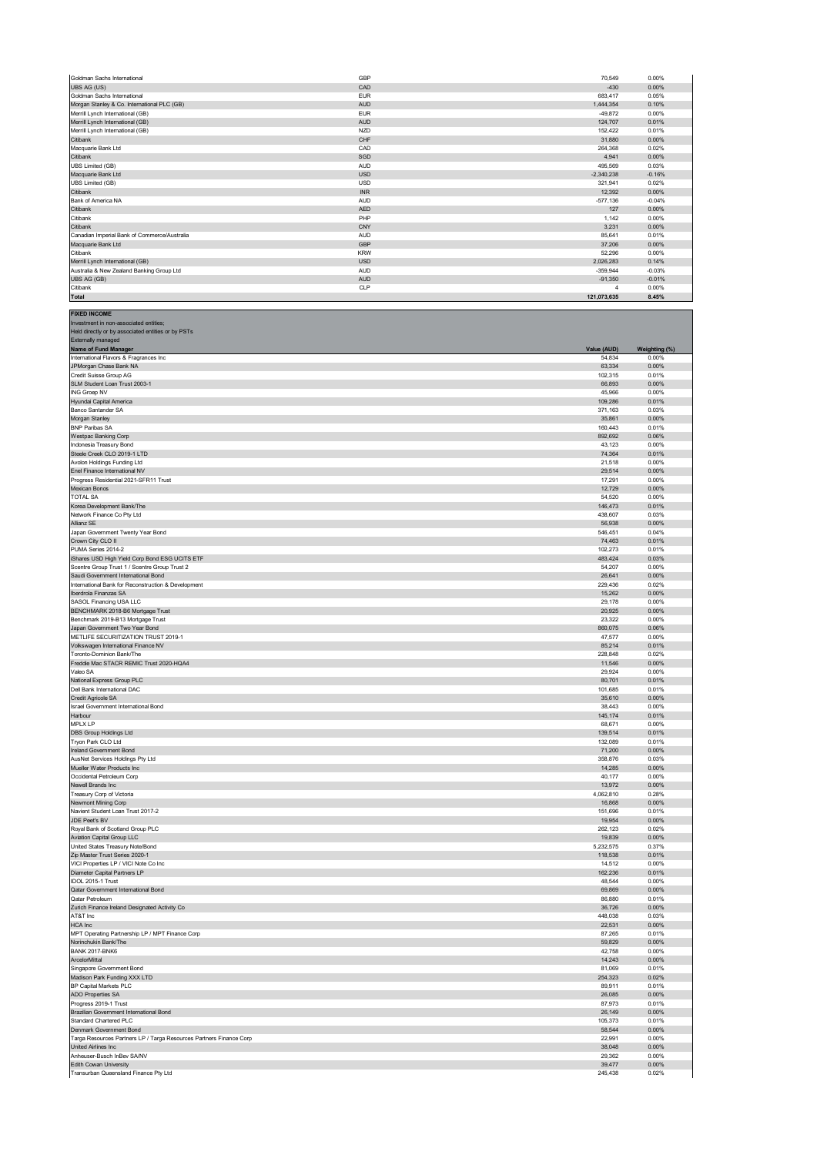| Goldman Sachs International                  | GBP        | 70.549       | 0.00%    |
|----------------------------------------------|------------|--------------|----------|
| UBS AG (US)                                  | CAD        | $-430$       | 0.00%    |
| Goldman Sachs International                  | <b>EUR</b> | 683,417      | 0.05%    |
| Morgan Stanley & Co. International PLC (GB)  | <b>AUD</b> | 1,444,354    | 0.10%    |
| Merrill Lynch International (GB)             | <b>EUR</b> | $-49,872$    | 0.00%    |
| Merrill Lynch International (GB)             | <b>AUD</b> | 124,707      | 0.01%    |
| Merrill Lynch International (GB)             | <b>NZD</b> | 152,422      | 0.01%    |
| Citibank                                     | CHF        | 31.880       | 0.00%    |
| Macquarie Bank Ltd                           | CAD        | 264,368      | 0.02%    |
| Citibank                                     | SGD        | 4,941        | 0.00%    |
| UBS Limited (GB)                             | <b>AUD</b> | 495,569      | 0.03%    |
| Macquarie Bank Ltd                           | <b>USD</b> | $-2,340,238$ | $-0.16%$ |
| UBS Limited (GB)                             | <b>USD</b> | 321,941      | 0.02%    |
| Citibank                                     | <b>INR</b> | 12.392       | 0.00%    |
| Bank of America NA                           | <b>AUD</b> | $-577.136$   | $-0.04%$ |
| Citibank                                     | <b>AED</b> | 127          | 0.00%    |
| Citibank                                     | PHP        | 1,142        | 0.00%    |
| Citibank                                     | CNY        | 3,231        | 0.00%    |
| Canadian Imperial Bank of Commerce/Australia | <b>AUD</b> | 85,641       | 0.01%    |
| Macquarie Bank Ltd                           | GBP        | 37,206       | 0.00%    |
| Citibank                                     | <b>KRW</b> | 52.296       | 0.00%    |
| Merrill Lynch International (GB)             | <b>USD</b> | 2,026,283    | 0.14%    |
| Australia & New Zealand Banking Group Ltd    | <b>AUD</b> | $-359.944$   | $-0.03%$ |
| UBS AG (GB)                                  | <b>AUD</b> | $-91,350$    | $-0.01%$ |
| Citibank                                     | CLP        | 4            | 0.00%    |
| <b>Total</b>                                 |            | 121.073.635  | 8.45%    |

| <b>FIXED INCOME</b>                                                                             |                    |                   |
|-------------------------------------------------------------------------------------------------|--------------------|-------------------|
| Investment in non-associated entities;<br>Held directly or by associated entities or by PSTs    |                    |                   |
| <b>Externally managed</b>                                                                       |                    |                   |
| Name of Fund Manager                                                                            | Value (AUD)        | Weighting (%)     |
| International Flavors & Fragrances Inc                                                          | 54,834             | 0.00%             |
| JPMorgan Chase Bank NA                                                                          | 63,334             | 0.00%             |
| Credit Suisse Group AG<br>SLM Student Loan Trust 2003-1                                         | 102,315<br>66,893  | 0.01%<br>$0.00\%$ |
| <b>ING Groep NV</b>                                                                             | 45,966             | 0.00%             |
| Hyundai Capital America                                                                         | 109,286            | 0.01%             |
| Banco Santander SA                                                                              | 371,163            | 0.03%             |
| Morgan Stanley                                                                                  | 35,861             | 0.00%             |
| <b>BNP Paribas SA</b>                                                                           | 160,443            | 0.01%             |
| Westpac Banking Corp<br>Indonesia Treasury Bond                                                 | 892,692<br>43,123  | 0.06%<br>0.00%    |
| Steele Creek CLO 2019-1 LTD                                                                     | 74,364             | 0.01%             |
| Avolon Holdings Funding Ltd                                                                     | 21,518             | 0.00%             |
| Enel Finance International NV                                                                   | 29,514             | 0.00%             |
| Progress Residential 2021-SFR11 Trust                                                           | 17,291             | 0.00%             |
| <b>Mexican Bonos</b>                                                                            | 12,729             | 0.00%             |
| <b>TOTAL SA</b>                                                                                 | 54,520             | 0.00%<br>0.01%    |
| Korea Development Bank/The<br>Network Finance Co Pty Ltd                                        | 146,473<br>438,607 | 0.03%             |
| Allianz SE                                                                                      | 56,938             | $0.00\%$          |
| Japan Government Twenty Year Bond                                                               | 546,451            | 0.04%             |
| Crown City CLO II                                                                               | 74,463             | 0.01%             |
| PUMA Series 2014-2                                                                              | 102,273            | 0.01%             |
| iShares USD High Yield Corp Bond ESG UCITS ETF<br>Scentre Group Trust 1 / Scentre Group Trust 2 | 483,424            | 0.03%             |
| Saudi Government International Bond                                                             | 54,207<br>26,641   | 0.00%<br>$0.00\%$ |
| International Bank for Reconstruction & Development                                             | 229,436            | 0.02%             |
| Iberdrola Finanzas SA                                                                           | 15,262             | $0.00\%$          |
| SASOL Financing USA LLC                                                                         | 29,178             | 0.00%             |
| BENCHMARK 2018-B6 Mortgage Trust                                                                | 20,925             | 0.00%             |
| Benchmark 2019-B13 Mortgage Trust                                                               | 23,322             | 0.00%             |
| Japan Government Two Year Bond                                                                  | 860,075<br>47,577  | 0.06%<br>0.00%    |
| METLIFE SECURITIZATION TRUST 2019-1<br>Volkswagen International Finance NV                      | 85,214             | 0.01%             |
| Toronto-Dominion Bank/The                                                                       | 228,848            | 0.02%             |
| Freddie Mac STACR REMIC Trust 2020-HQA4                                                         | 11,546             | $0.00\%$          |
| Valeo SA                                                                                        | 29,924             | 0.00%             |
| National Express Group PLC                                                                      | 80,701             | 0.01%             |
| Dell Bank International DAC                                                                     | 101,685            | 0.01%             |
| Credit Agricole SA<br>Israel Government International Bond                                      | 35,610<br>38,443   | 0.00%<br>0.00%    |
| Harbour                                                                                         | 145,174            | 0.01%             |
| <b>MPLX LP</b>                                                                                  | 68,671             | 0.00%             |
| DBS Group Holdings Ltd                                                                          | 139,514            | 0.01%             |
| Tryon Park CLO Ltd                                                                              | 132,089            | 0.01%             |
| Ireland Government Bond                                                                         | 71,200             | 0.00%             |
| AusNet Services Holdings Pty Ltd                                                                | 358,876            | 0.03%             |
| Mueller Water Products Inc<br>Occidental Petroleum Corp                                         | 14,285<br>40,177   | $0.00\%$<br>0.00% |
| Newell Brands Inc                                                                               | 13,972             | 0.00%             |
| Treasury Corp of Victoria                                                                       | 4,062,810          | 0.28%             |
| Newmont Mining Corp                                                                             | 16,868             | 0.00%             |
| Navient Student Loan Trust 2017-2                                                               | 151,696            | 0.01%             |
| JDE Peet's BV                                                                                   | 19,954             | $0.00\%$          |
| Royal Bank of Scotland Group PLC<br>Aviation Capital Group LLC                                  | 262,123<br>19,839  | 0.02%<br>0.00%    |
| United States Treasury Note/Bond                                                                | 5,232,575          | 0.37%             |
| Zip Master Trust Series 2020-1                                                                  | 118,538            | 0.01%             |
| VICI Properties LP / VICI Note Co Inc                                                           | 14,512             | 0.00%             |
| Diameter Capital Partners LP                                                                    | 162,236            | 0.01%             |
| IDOL 2015-1 Trust                                                                               | 48,544             | 0.00%             |
| Qatar Government International Bond<br>Qatar Petroleum                                          | 69,869<br>86,880   | 0.00%<br>0.01%    |
| Zurich Finance Ireland Designated Activity Co                                                   | 36,726             | 0.00%             |
| AT&T Inc                                                                                        | 448,038            | 0.03%             |
| <b>HCA</b> Inc                                                                                  | 22,531             | 0.00%             |
| MPT Operating Partnership LP / MPT Finance Corp                                                 | 87,265             | 0.01%             |
| Norinchukin Bank/The                                                                            | 59,829             | 0.00%             |
| <b>BANK 2017-BNK6</b><br>ArcelorMittal                                                          | 42,758             | 0.00%             |
| Singapore Government Bond                                                                       | 14,243<br>81,069   | $0.00\%$<br>0.01% |
| Madison Park Funding XXX LTD                                                                    | 254,323            | 0.02%             |
| BP Capital Markets PLC                                                                          | 89,911             | 0.01%             |
| ADO Properties SA                                                                               | 26,085             | $0.00\%$          |
| Progress 2019-1 Trust                                                                           | 87,973             | 0.01%             |
| Brazilian Government International Bond                                                         | 26,149             | 0.00%             |
| Standard Chartered PLC<br>Denmark Government Bond                                               | 105,373<br>58,544  | 0.01%<br>0.00%    |
| Targa Resources Partners LP / Targa Resources Partners Finance Corp                             | 22,991             | 0.00%             |
| United Airlines Inc                                                                             | 38,048             | 0.00%             |
| Anheuser-Busch InBev SA/NV                                                                      | 29,362             | 0.00%             |
| Edith Cowan University                                                                          | 39,477             | $0.00\%$          |
| Transurban Queensland Finance Pty Ltd                                                           | 245,438            | 0.02%             |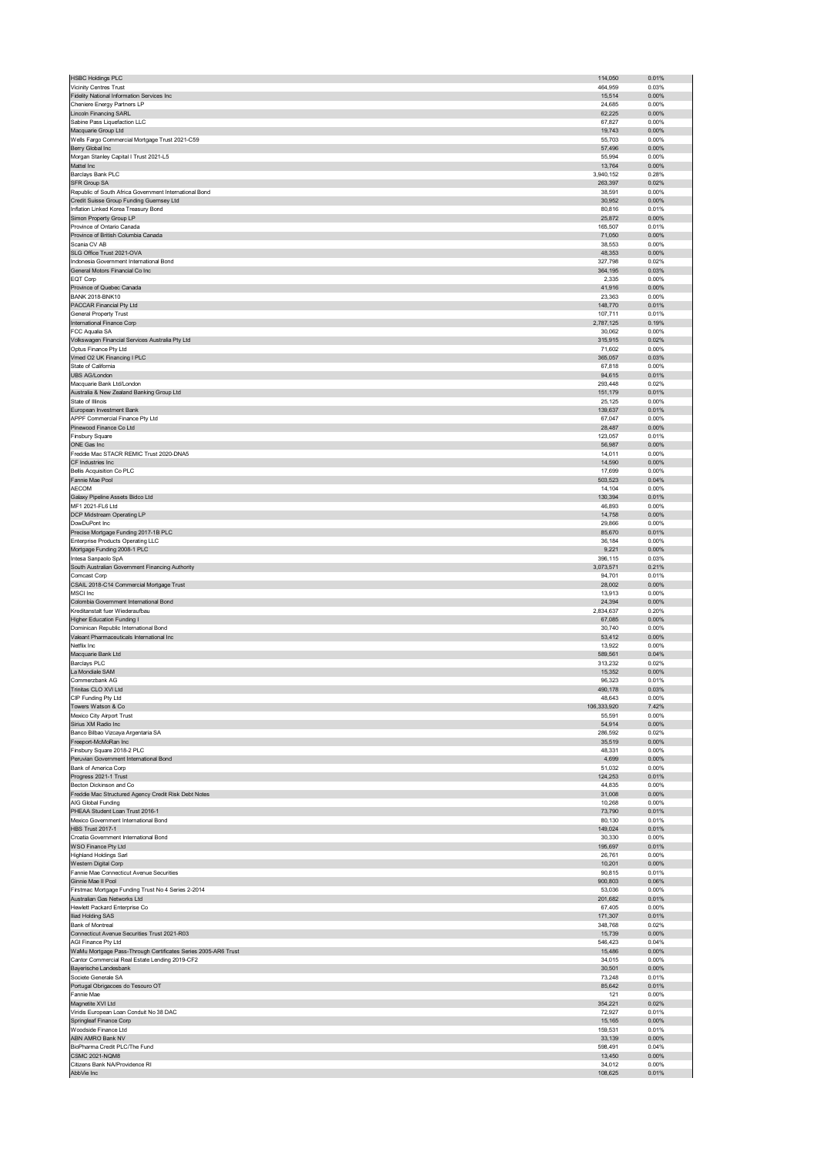| <b>HSBC Holdings PLC</b>                                                          | 114,050             | 0.01%          |
|-----------------------------------------------------------------------------------|---------------------|----------------|
| Vicinity Centres Trust                                                            | 464,959             | 0.03%          |
| Fidelity National Information Services Inc                                        | 15,514              | 0.00%          |
| Cheniere Energy Partners LP<br><b>Lincoln Financing SARL</b>                      | 24,685<br>62,225    | 0.00%<br>0.00% |
| Sabine Pass Liquefaction LLC                                                      | 67,827              | 0.00%          |
| Macquarie Group Ltd                                                               | 19,743              | 0.00%          |
| Wells Fargo Commercial Mortgage Trust 2021-C59                                    | 55,703              | 0.00%          |
| Berry Global Inc                                                                  | 57,496              | 0.00%          |
| Morgan Stanley Capital I Trust 2021-L5                                            | 55,994              | 0.00%          |
| Mattel Inc                                                                        | 13,764<br>3,940,152 | 0.00%          |
| Barclays Bank PLC<br>SFR Group SA                                                 | 263,397             | 0.28%<br>0.02% |
| Republic of South Africa Government International Bond                            | 38,591              | 0.00%          |
| Credit Suisse Group Funding Guernsey Ltd                                          | 30,952              | 0.00%          |
| Inflation Linked Korea Treasury Bond                                              | 80,816              | 0.01%          |
| Simon Property Group LP                                                           | 25,872              | 0.00%          |
| Province of Ontario Canada                                                        | 165,507             | 0.01%          |
| Province of British Columbia Canada                                               | 71,050              | 0.00%          |
| Scania CV AB                                                                      | 38,553              | 0.00%          |
| SLG Office Trust 2021-OVA                                                         | 48,353<br>327,798   | 0.00%<br>0.02% |
| Indonesia Government International Bond<br>General Motors Financial Co Inc        | 364,195             | 0.03%          |
| EQT Corp                                                                          | 2,335               | 0.00%          |
| Province of Quebec Canada                                                         | 41,916              | 0.00%          |
| <b>BANK 2018-BNK10</b>                                                            | 23,363              | 0.00%          |
| PACCAR Financial Pty Ltd                                                          | 148,770             | 0.01%          |
| General Property Trust                                                            | 107,711             | 0.01%          |
| International Finance Corp                                                        | 2,787,125           | 0.19%          |
| FCC Aqualia SA                                                                    | 30,062              | 0.00%<br>0.02% |
| Volkswagen Financial Services Australia Pty Ltd<br>Optus Finance Pty Ltd          | 315,915<br>71,602   | 0.00%          |
| Vmed O2 UK Financing I PLC                                                        | 365,057             | 0.03%          |
| State of California                                                               | 67,818              | 0.00%          |
| <b>UBS AG/London</b>                                                              | 94,615              | 0.01%          |
| Macquarie Bank Ltd/London                                                         | 293,448             | 0.02%          |
| Australia & New Zealand Banking Group Ltd                                         | 151,179             | 0.01%          |
| State of Illinois                                                                 | 25,125              | 0.00%          |
| European Investment Bank                                                          | 139,637             | 0.01%          |
| APPF Commercial Finance Pty Ltd                                                   | 67,047              | 0.00%          |
| Pinewood Finance Co Ltd<br>Finsbury Square                                        | 28,487<br>123,057   | 0.00%<br>0.01% |
| ONE Gas Inc                                                                       | 56,987              | 0.00%          |
| Freddie Mac STACR REMIC Trust 2020-DNA5                                           | 14,011              | 0.00%          |
| CF Industries Inc                                                                 | 14,590              | 0.00%          |
| Bellis Acquisition Co PLC                                                         | 17,699              | 0.00%          |
| Fannie Mae Pool                                                                   | 503,523             | 0.04%          |
| <b>AECOM</b>                                                                      | 14,104              | 0.00%          |
| Galaxy Pipeline Assets Bidco Ltd                                                  | 130,394             | 0.01%          |
| MF1 2021-FL6 Ltd                                                                  | 46,893              | 0.00%          |
| DCP Midstream Operating LP                                                        | 14,758              | 0.00%          |
| DowDuPont Inc<br>Precise Mortgage Funding 2017-1B PLC                             | 29,866              | 0.00%<br>0.01% |
| <b>Enterprise Products Operating LLC</b>                                          | 85,670<br>36,184    | 0.00%          |
| Mortgage Funding 2008-1 PLC                                                       | 9,221               | 0.00%          |
|                                                                                   | 396,115             | 0.03%          |
|                                                                                   |                     |                |
| Intesa Sanpaolo SpA<br>South Australian Government Financing Authority            | 3,073,571           | 0.21%          |
| Comcast Corp                                                                      | 94,701              | 0.01%          |
| CSAIL 2018-C14 Commercial Mortgage Trust                                          | 28,002              | 0.00%          |
| MSCI Inc                                                                          | 13,913              | 0.00%          |
| Colombia Government International Bond                                            | 24,394              | 0.00%          |
| Kreditanstalt fuer Wiederaufbau                                                   | 2,834,637           | 0.20%          |
| Higher Education Funding I                                                        | 67,085              | 0.00%          |
| Dominican Republic International Bond                                             | 30,740              | 0.00%          |
| Valeant Pharmaceuticals International Inc                                         | 53,412              | 0.00%          |
| Netflix Inc<br>Macquarie Bank Ltd                                                 | 13,922<br>589,561   | 0.00%<br>0.04% |
| Barclays PLC                                                                      | 313,232             | 0.02%          |
| La Mondiale SAM                                                                   | 15,352              | 0.00%          |
| Commerzbank AG                                                                    | 96,323              | 0.01%          |
| Trinitas CLO XVLLtd                                                               | 490 178             | 0.03%          |
| CIP Funding Pty Ltd                                                               | 48,643              | 0.00%          |
| Towers Watson & Co                                                                | 106,333,920         | 7.42%          |
| Mexico City Airport Trust                                                         | 55,591<br>54.914    | 0.00%          |
| Sirius XM Radio Inc                                                               |                     | 0.00%          |
| Banco Bilbao Vizcaya Argentaria SA<br>Freeport-McMoRan Inc                        | 286,592<br>35,519   | 0.02%<br>0.00% |
| Finsbury Square 2018-2 PLC                                                        | 48,331              | 0.00%          |
| Peruvian Government International Bond                                            | 4,699               | 0.00%          |
| Bank of America Corp                                                              | 51,032              | 0.00%          |
| Progress 2021-1 Trust                                                             | 124,253             | 0.01%          |
| Becton Dickinson and Co                                                           | 44,835              | 0.00%          |
| Freddie Mac Structured Agency Credit Risk Debt Notes                              | 31,008              | 0.00%          |
| AIG Global Funding                                                                | 10,268              | 0.00%          |
| PHEAA Student Loan Trust 2016-1<br>Mexico Government International Bond           | 73,790<br>80,130    | 0.01%<br>0.01% |
| <b>HBS Trust 2017-1</b>                                                           | 149,024             | 0.01%          |
| Croatia Government International Bond                                             | 30,330              | 0.00%          |
| WSO Finance Pty Ltd                                                               | 195,697             | 0.01%          |
| <b>Highland Holdings Sarl</b>                                                     | 26,761              | 0.00%          |
| Western Digital Corp                                                              | 10,201              | $0.00\%$       |
| Fannie Mae Connecticut Avenue Securities                                          | 90,815              | 0.01%          |
| Ginnie Mae II Pool                                                                | 900,803             | 0.06%<br>0.00% |
| Firstmac Mortgage Funding Trust No 4 Series 2-2014<br>Australian Gas Networks Ltd | 53,036<br>201,682   | 0.01%          |
| Hewlett Packard Enterprise Co                                                     | 67,405              | 0.00%          |
| Iliad Holding SAS                                                                 | 171,307             | 0.01%          |
| Bank of Montreal                                                                  | 348,768             | 0.02%          |
| Connecticut Avenue Securities Trust 2021-R03                                      | 15,739              | 0.00%          |
| AGI Finance Pty Ltd                                                               | 546,423             | 0.04%          |
| WaMu Mortgage Pass-Through Certificates Series 2005-AR6 Trust                     | 15,486              | 0.00%          |
| Cantor Commercial Real Estate Lending 2019-CF2<br>Bayerische Landesbank           | 34,015<br>30,501    | 0.00%<br>0.00% |
| Societe Generale SA                                                               | 73,248              | 0.01%          |
| Portugal Obrigacoes do Tesouro OT                                                 | 85,642              | 0.01%          |
| Fannie Mae                                                                        | 121                 | 0.00%          |
| Magnetite XVI Ltd                                                                 | 354,221             | 0.02%          |
| Viridis European Loan Conduit No 38 DAC                                           | 72,927              | 0.01%          |
| Springleaf Finance Corp                                                           | 15,165              | 0.00%          |
| Woodside Finance Ltd                                                              | 159,531             | 0.01%          |
| ABN AMRO Bank NV<br>BioPharma Credit PLC/The Fund                                 | 33,139              | 0.00%<br>0.04% |
| <b>CSMC 2021-NQM8</b>                                                             | 598,491<br>13,450   | 0.00%          |
| Citizens Bank NA/Providence RI<br>AbbVie Inc                                      | 34,012<br>108,625   | 0.00%<br>0.01% |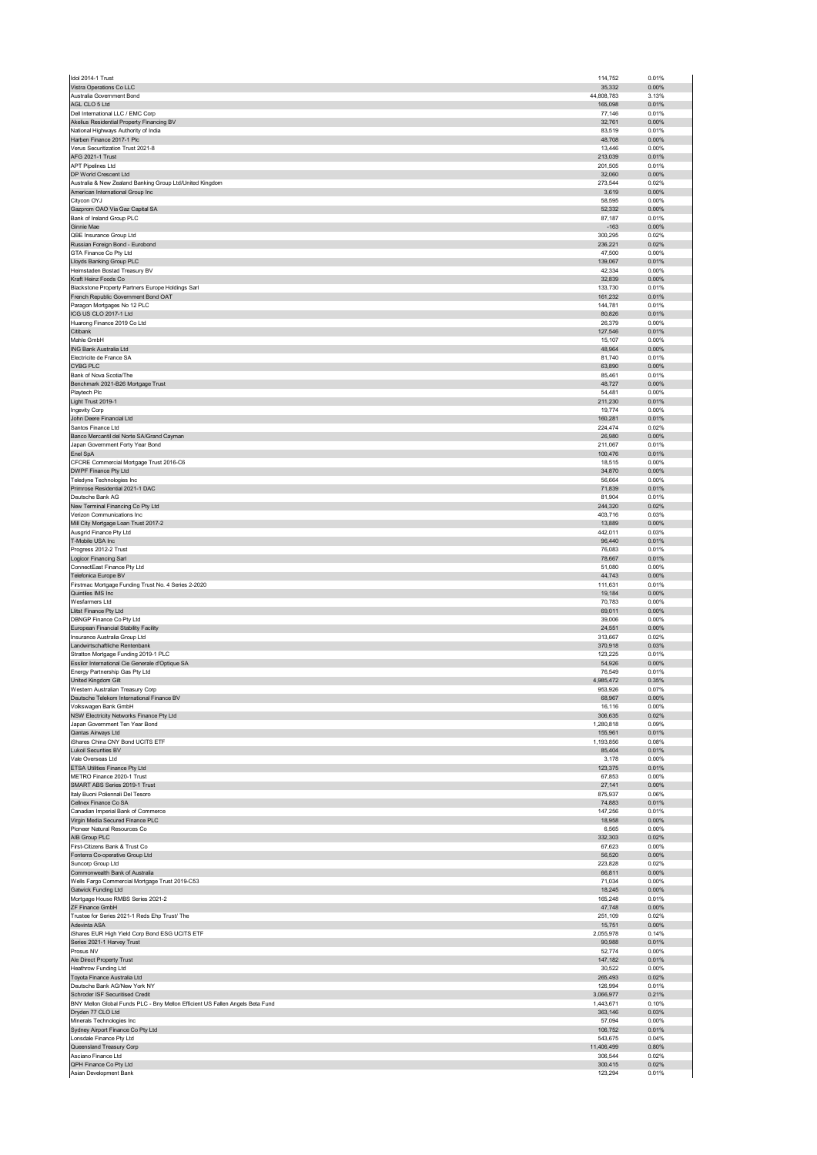| Idol 2014-1 Trust                                                                                                | 114,752                | 0.01%          |
|------------------------------------------------------------------------------------------------------------------|------------------------|----------------|
| Vistra Operations Co LLC<br>Australia Government Bond                                                            | 35,332<br>44,808,783   | 0.00%<br>3.13% |
| AGL CLO 5 Ltd                                                                                                    | 165,098                | 0.01%          |
| Dell International LLC / EMC Corp                                                                                | 77,146                 | 0.01%          |
| Akelius Residential Property Financing BV                                                                        | 32,761                 | 0.00%          |
| National Highways Authority of India<br>Harben Finance 2017-1 Plc                                                | 83,519<br>48,708       | 0.01%<br>0.00% |
| Verus Securitization Trust 2021-8                                                                                | 13,446                 | 0.00%          |
| AFG 2021-1 Trust                                                                                                 | 213,039                | 0.01%          |
| <b>APT Pipelines Ltd</b>                                                                                         | 201,505                | 0.01%          |
| DP World Crescent Ltd                                                                                            | 32,060                 | 0.00%<br>0.02% |
| Australia & New Zealand Banking Group Ltd/United Kingdom<br>American International Group Inc                     | 273,544<br>3,619       | 0.00%          |
| Citycon OYJ                                                                                                      | 58,595                 | 0.00%          |
| Gazprom OAO Via Gaz Capital SA                                                                                   | 52,332                 | 0.00%          |
| Bank of Ireland Group PLC                                                                                        | 87,187                 | 0.01%          |
| Ginnie Mae<br>QBE Insurance Group Ltd                                                                            | $-163$<br>300,295      | 0.00%<br>0.02% |
| Russian Foreign Bond - Eurobond                                                                                  | 236,221                | 0.02%          |
| GTA Finance Co Pty Ltd                                                                                           | 47,500                 | 0.00%          |
| Lloyds Banking Group PLC                                                                                         | 139,067                | 0.01%          |
| Heimstaden Bostad Treasury BV<br>Kraft Heinz Foods Co                                                            | 42,334<br>32,839       | 0.00%<br>0.00% |
| Blackstone Property Partners Europe Holdings Sarl                                                                | 133,730                | 0.01%          |
| French Republic Government Bond OAT                                                                              | 161,232                | 0.01%          |
| Paragon Mortgages No 12 PLC                                                                                      | 144,781                | 0.01%          |
| ICG US CLO 2017-1 Ltd<br>Huarong Finance 2019 Co Ltd                                                             | 80,826<br>26,379       | 0.01%<br>0.00% |
| Citibank                                                                                                         | 127,546                | 0.01%          |
| Mahle GmbH                                                                                                       | 15,107                 | 0.00%          |
| ING Bank Australia Ltd                                                                                           | 48,964                 | 0.00%          |
| Electricite de France SA                                                                                         | 81,740                 | 0.01%          |
| CYBG PLC<br>Bank of Nova Scotia/The                                                                              | 63,890<br>85,461       | 0.00%<br>0.01% |
| Benchmark 2021-B26 Mortgage Trust                                                                                | 48,727                 | 0.00%          |
| Playtech Plc                                                                                                     | 54,481                 | 0.00%          |
| Light Trust 2019-1                                                                                               | 211,230                | 0.01%          |
| Ingevity Corp                                                                                                    | 19,774                 | 0.00%          |
| John Deere Financial Ltd<br>Santos Finance Ltd                                                                   | 160,281<br>224,474     | 0.01%<br>0.02% |
| Banco Mercantil del Norte SA/Grand Cayman                                                                        | 26,980                 | 0.00%          |
| Japan Government Forty Year Bond                                                                                 | 211,067                | 0.01%          |
| Enel SpA                                                                                                         | 100,476                | 0.01%          |
| CFCRE Commercial Mortgage Trust 2016-C6<br>DWPF Finance Pty Ltd                                                  | 18,515<br>34,870       | 0.00%<br>0.00% |
| Teledyne Technologies Inc                                                                                        | 56,664                 | 0.00%          |
| Primrose Residential 2021-1 DAC                                                                                  | 71,839                 | 0.01%          |
| Deutsche Bank AG                                                                                                 | 81,904                 | 0.01%          |
| New Terminal Financing Co Pty Ltd                                                                                | 244,320                | 0.02%          |
| Verizon Communications Inc                                                                                       | 403,716                | 0.03%<br>0.00% |
| Mill City Mortgage Loan Trust 2017-2<br>Ausgrid Finance Pty Ltd                                                  | 13,889<br>442,011      | 0.03%          |
| T-Mobile USA Inc                                                                                                 | 96,440                 | 0.01%          |
| Progress 2012-2 Trust                                                                                            | 76,083                 | 0.01%          |
| Logicor Financing Sarl                                                                                           | 78,667                 | 0.01%          |
| ConnectEast Finance Pty Ltd<br>Telefonica Europe BV                                                              | 51,080<br>44,743       | 0.00%<br>0.00% |
| Firstmac Mortgage Funding Trust No. 4 Series 2-2020                                                              | 111,631                | 0.01%          |
|                                                                                                                  |                        |                |
| Quintiles IMS Inc                                                                                                | 19,184                 | 0.00%          |
| Wesfarmers Ltd                                                                                                   | 70,783                 | 0.00%          |
| Llitst Finance Pty Ltd                                                                                           | 69,011                 | 0.00%          |
| DBNGP Finance Co Pty Ltd                                                                                         | 39,006                 | 0.00%          |
| European Financial Stability Facility<br>Insurance Australia Group Ltd                                           | 24,551<br>313,667      | 0.00%<br>0.02% |
| Landwirtschaftliche Rentenbank                                                                                   | 370,918                | 0.03%          |
| Stratton Mortgage Funding 2019-1 PLC                                                                             | 123,225                | 0.01%          |
| Essilor International Cie Generale d'Optique SA                                                                  | 54,926                 | 0.00%          |
| Energy Partnership Gas Pty Ltd                                                                                   | 76,549                 | 0.01%          |
| United Kingdom Gilt<br>Western Australian Treasury Corn                                                          | 4,985,472<br>953 926   | 0.35%<br>0.07% |
| Deutsche Telekom International Finance BV                                                                        | 68,967                 | 0.00%          |
| Volkswagen Bank GmbH                                                                                             | 16,116                 | 0.00%          |
| NSW Electricity Networks Finance Pty Ltd<br>Japan Government Ten Year Bond                                       | 306,635<br>1,280,818   | 0.02%<br>0.09% |
| Qantas Airways Ltd                                                                                               | 155,961                | 0.01%          |
| iShares China CNY Bond UCITS ETF                                                                                 | 1,193,856              | 0.08%          |
| Lukoil Securities BV                                                                                             | 85,404                 | 0.01%          |
| Vale Overseas Ltd                                                                                                | 3,178                  | 0.00%          |
| ETSA Utilities Finance Pty Ltd<br>METRO Finance 2020-1 Trust                                                     | 123,375<br>67,853      | 0.01%<br>0.00% |
| SMART ABS Series 2019-1 Trust                                                                                    | 27,141                 | 0.00%          |
| Italy Buoni Poliennali Del Tesoro                                                                                | 875,937                | 0.06%          |
| Cellnex Finance Co SA                                                                                            | 74,883                 | 0.01%          |
| Canadian Imperial Bank of Commerce<br>Virgin Media Secured Finance PLC                                           | 147,256<br>18,958      | 0.01%<br>0.00% |
| Pioneer Natural Resources Co                                                                                     | 6,565                  | 0.00%          |
| AIB Group PLC                                                                                                    | 332,303                | 0.02%          |
| First-Citizens Bank & Trust Co                                                                                   | 67,623                 | 0.00%          |
| Fonterra Co-operative Group Ltd<br>Suncorp Group Ltd                                                             | 56,520<br>223,828      | 0.00%<br>0.02% |
| Commonwealth Bank of Australia                                                                                   | 66,811                 | 0.00%          |
| Wells Fargo Commercial Mortgage Trust 2019-C53                                                                   | 71,034                 | 0.00%          |
| Gatwick Funding Ltd                                                                                              | 18,245                 | 0.00%          |
| Mortgage House RMBS Series 2021-2<br>ZF Finance GmbH                                                             | 165,248<br>47,748      | 0.01%<br>0.00% |
| Trustee for Series 2021-1 Reds Ehp Trust/ The                                                                    | 251,109                | 0.02%          |
| Adevinta ASA                                                                                                     | 15,751                 | 0.00%          |
| iShares EUR High Yield Corp Bond ESG UCITS ETF                                                                   | 2,055,978              | 0.14%          |
| Series 2021-1 Harvey Trust                                                                                       | 90,988                 | 0.01%          |
| Prosus NV<br>Ale Direct Property Trust                                                                           | 52,774<br>147,182      | 0.00%<br>0.01% |
| Heathrow Funding Ltd                                                                                             | 30,522                 | 0.00%          |
| Toyota Finance Australia Ltd                                                                                     | 265,493                | 0.02%          |
| Deutsche Bank AG/New York NY                                                                                     | 126,994                | 0.01%          |
| Schroder ISF Securitised Credit<br>BNY Mellon Global Funds PLC - Bny Mellon Efficient US Fallen Angels Beta Fund | 3,066,977<br>1,443,671 | 0.21%<br>0.10% |
| Dryden 77 CLO Ltd                                                                                                | 363,146                | 0.03%          |
| Minerals Technologies Inc                                                                                        | 57,094                 | 0.00%          |
| Sydney Airport Finance Co Pty Ltd                                                                                | 106,752                | 0.01%          |
| Lonsdale Finance Pty Ltd                                                                                         | 543,675                | 0.04%          |
| Queensland Treasury Corp<br>Asciano Finance Ltd                                                                  | 11,406,499<br>306,544  | 0.80%<br>0.02% |
| QPH Finance Co Pty Ltd<br>Asian Development Bank                                                                 | 300,415<br>123,294     | 0.02%<br>0.01% |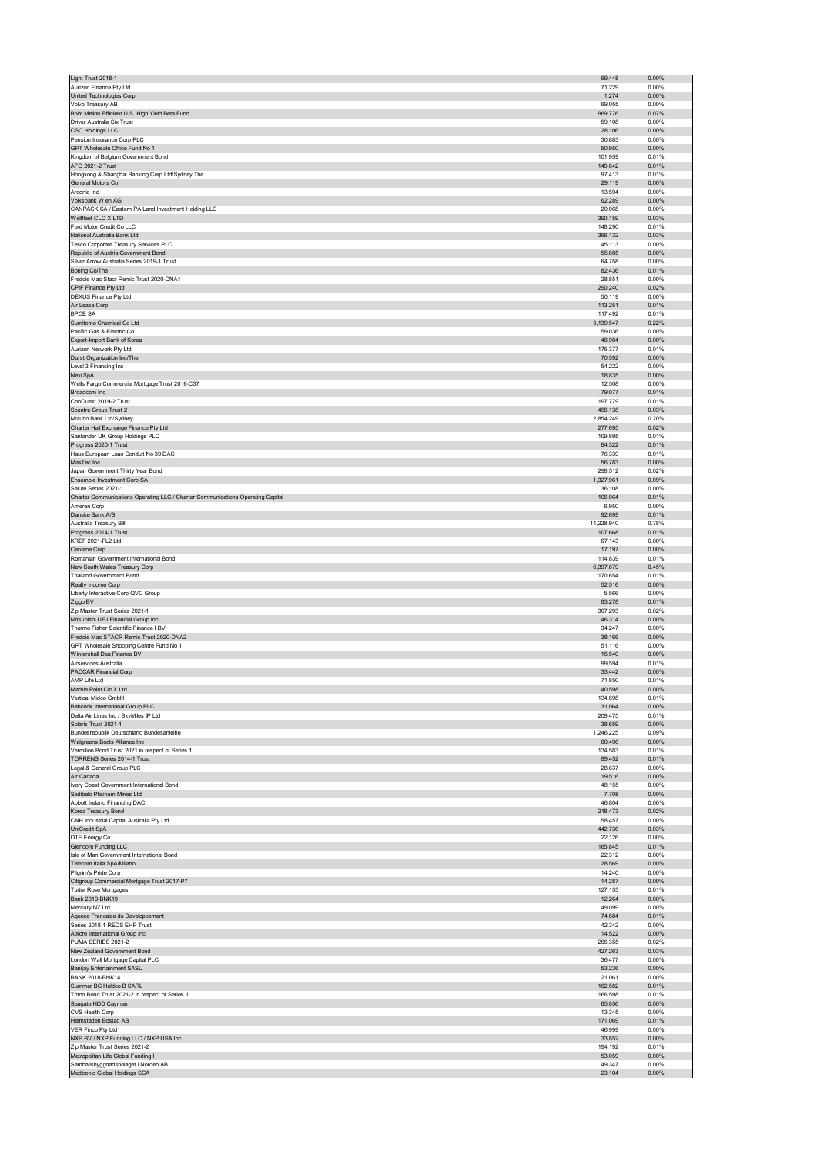| Light Trust 2018-1                                                               | 69,448               | 0.00%             |
|----------------------------------------------------------------------------------|----------------------|-------------------|
| Aurizon Finance Pty Ltd                                                          | 71,229               | 0.00%             |
| United Technologies Corp                                                         | 1,274                | 0.00%             |
| Volvo Treasury AB<br>BNY Mellon Efficient U.S. High Yield Beta Fund              | 69,055<br>969,776    | 0.00%<br>0.07%    |
| Driver Australia Six Trust                                                       | 59,108               | 0.00%             |
| <b>CSC Holdings LLC</b>                                                          | 28,106               | 0.00%             |
| Pension Insurance Corp PLC                                                       | 30,883               | 0.00%             |
| GPT Wholesale Office Fund No 1                                                   | 50,950               | 0.00%             |
| Kingdom of Belgium Government Bond                                               | 101,959              | 0.01%             |
| AFG 2021-2 Trust                                                                 | 149,642              | 0.01%             |
| Hongkong & Shanghai Banking Corp Ltd/Sydney The<br>General Motors Co             | 97,413<br>29,119     | 0.01%<br>0.00%    |
| Arconic Inc                                                                      | 13,594               | 0.00%             |
| Volksbank Wien AG                                                                | 62,289               | 0.00%             |
| CANPACK SA / Eastern PA Land Investment Holding LLC                              | 20,068               | 0.00%             |
| Wellfleet CLO X LTD                                                              | 390,159              | 0.03%             |
| Ford Motor Credit Co LLC                                                         | 148,290              | 0.01%             |
| National Australia Bank Ltd                                                      | 366,132              | 0.03%             |
| Tesco Corporate Treasury Services PLC<br>Republic of Austria Government Bond     | 45,113<br>55,885     | 0.00%<br>0.00%    |
| Silver Arrow Australia Series 2019-1 Trust                                       | 64,758               | 0.00%             |
| Boeing Co/The                                                                    | 82,436               | 0.01%             |
| Freddie Mac Stacr Remic Trust 2020-DNA1                                          | 28,851               | 0.00%             |
| CPIF Finance Pty Ltd                                                             | 290,240              | 0.02%             |
| DEXUS Finance Pty Ltd                                                            | 50,119               | 0.00%             |
| Air Lease Corp<br><b>BPCE SA</b>                                                 | 113,251<br>117,492   | 0.01%<br>0.01%    |
| Sumitomo Chemical Co Ltd                                                         | 3,139,547            | 0.22%             |
| Pacific Gas & Electric Co                                                        | 59,036               | 0.00%             |
| Export-Import Bank of Korea                                                      | 48,984               | 0.00%             |
| Aurizon Network Pty Ltd                                                          | 175,377              | 0.01%             |
| Durst Organization Inc/The                                                       | 70,592               | $0.00\%$          |
| Level 3 Financing Inc                                                            | 54,222               | 0.00%             |
| Nexi SpA<br>Wells Fargo Commercial Mortgage Trust 2016-C37                       | 18,835<br>12,508     | 0.00%<br>0.00%    |
| Broadcom Inc                                                                     | 79,077               | 0.01%             |
| ConQuest 2019-2 Trust                                                            | 197,779              | 0.01%             |
| Scentre Group Trust 2                                                            | 456,138              | 0.03%             |
| Mizuho Bank Ltd/Sydney                                                           | 2,854,249            | 0.20%             |
| Charter Hall Exchange Finance Pty Ltd                                            | 277,695              | 0.02%             |
| Santander UK Group Holdings PLC<br>Progress 2020-1 Trust                         | 109,895<br>84,322    | 0.01%<br>0.01%    |
| Haus European Loan Conduit No 39 DAC                                             | 76,339               | 0.01%             |
| MasTec Inc                                                                       | 56,783               | 0.00%             |
| Japan Government Thirty Year Bond                                                | 298,512              | 0.02%             |
| Ensemble Investment Corp SA                                                      | 1,327,961            | 0.09%             |
| Salute Series 2021-1                                                             | 36,108               | 0.00%             |
| Charter Communications Operating LLC / Charter Communications Operating Capital  | 106,064              | 0.01%             |
| Ameren Corp                                                                      | 6,950                | 0.00%             |
| Danske Bank A/S<br>Australia Treasury Bill                                       | 92,699<br>11,228,940 | 0.01%<br>0.78%    |
| Progress 2014-1 Trust                                                            | 107,668              | 0.01%             |
| KREF 2021-FL2 Ltd                                                                | 67,143               | 0.00%             |
| Centene Corp                                                                     | 17,197               | 0.00%             |
| Romanian Government International Bond                                           | 114,839              | 0.01%             |
| New South Wales Treasury Corp                                                    | 6,397,879            | 0.45%             |
| <b>Thailand Government Bond</b>                                                  | 170,654<br>52,516    | 0.01%<br>0.00%    |
| Realty Income Corp                                                               | 5,566                | 0.00%             |
|                                                                                  |                      |                   |
| Liberty Interactive Corp QVC Group                                               |                      |                   |
| Ziggo BV<br>Zip Master Trust Series 2021-1                                       | 83,278<br>307,293    | 0.01%<br>0.02%    |
| Mitsubishi UFJ Financial Group Inc                                               | 46,314               | 0.00%             |
| Thermo Fisher Scientific Finance I BV                                            | 34,247               | 0.00%             |
| Freddie Mac STACR Remic Trust 2020-DNA2                                          | 38,166               | 0.00%             |
| GPT Wholesale Shopping Centre Fund No 1                                          | 51,116               | 0.00%             |
| Wintershall Dea Finance BV                                                       | 15,540               | 0.00%             |
| Airservices Australia<br>PACCAR Financial Corp                                   | 99,594               | 0.01%             |
| AMP Life Ltd                                                                     | 33,442<br>71,850     | 0.00%<br>0.01%    |
| Marble Point Clo X Ltd                                                           | 40.598               | 0.00%             |
| Vertical Midco GmbH                                                              | 134,698              | 0.01%             |
| Babcock International Group PLC                                                  | 31,064               | 0.00%             |
| Delta Air Lines Inc / SkyMiles IP Ltd                                            | 209,475              | 0.01%             |
| Solaris Trust 2021-1                                                             | 38,659               | 0.00%             |
| Bundesrepublik Deutschland Bundesanleihe                                         | 1,246,225            | 0.09%             |
| Walgreens Boots Alliance Inc<br>Vermilion Bond Trust 2021 in respect of Series 1 | 60,496<br>134,583    | 0.00%<br>0.01%    |
| <b>TORRENS Series 2014-1 Trust</b>                                               | 89,452               | 0.01%             |
| Legal & General Group PLC                                                        | 28,637               | 0.00%             |
| Air Canada                                                                       | 19,516               | 0.00%             |
| Ivory Coast Government International Bond                                        | 48,155               | 0.00%             |
| Sedibelo Platinum Mines Ltd                                                      | 7,708                | 0.00%             |
| Abbott Ireland Financing DAC                                                     | 46,804               | 0.00%             |
| Korea Treasury Bond<br>CNH Industrial Capital Australia Pty Ltd                  | 218,473<br>58,457    | 0.02%<br>0.00%    |
| UniCredit SpA                                                                    | 442,736              | 0.03%             |
| DTE Energy Co                                                                    | 22,126               | 0.00%             |
| Glencore Funding LLC                                                             | 165,845              | 0.01%             |
| Isle of Man Government International Bond                                        | 22,312               | 0.00%             |
| Telecom Italia SpA/Milano                                                        | 28,569               | $0.00\%$          |
| Pilgrim's Pride Corp                                                             | 14,240               | 0.00%<br>0.00%    |
| Citigroup Commercial Mortgage Trust 2017-P7<br>Tudor Rose Mortgages              | 14,287<br>127,153    | 0.01%             |
| Bank 2019-BNK19                                                                  | 12,264               | $0.00\%$          |
| Mercury NZ Ltd                                                                   | 49,099               | 0.00%             |
| Agence Francaise de Developpement                                                | 74,684               | 0.01%             |
| Series 2018-1 REDS EHP Trust                                                     | 42,342               | 0.00%             |
| Atkore International Group Inc<br>PUMA SERIES 2021-2                             | 14,522<br>266,355    | $0.00\%$<br>0.02% |
| New Zealand Government Bond                                                      | 427,263              | 0.03%             |
| London Wall Mortgage Capital PLC                                                 | 36,477               | 0.00%             |
| Banijay Entertainment SASU                                                       | 53,236               | $0.00\%$          |
| <b>BANK 2018-BNK14</b>                                                           | 21,061               | 0.00%             |
| Summer BC Holdco B SARL                                                          | 162,582              | 0.01%             |
| Triton Bond Trust 2021-2 in respect of Series 1                                  | 166,598              | 0.01%             |
| Seagate HDD Cayman<br>CVS Health Corp                                            | 65,856<br>13,345     | $0.00\%$<br>0.00% |
| Heimstaden Bostad AB                                                             | 171,069              | 0.01%             |
| VER Finco Pty Ltd                                                                | 46,999               | 0.00%             |
| NXP BV / NXP Funding LLC / NXP USA Inc                                           | 33,852               | $0.00\%$          |
| Zip Master Trust Series 2021-2                                                   | 194,192              | 0.01%             |
| Metropolitan Life Global Funding I                                               | 53,059               | 0.00%             |
| Samhallsbyggnadsbolaget i Norden AB<br>Medtronic Global Holdings SCA             | 49,347<br>23,104     | 0.00%<br>$0.00\%$ |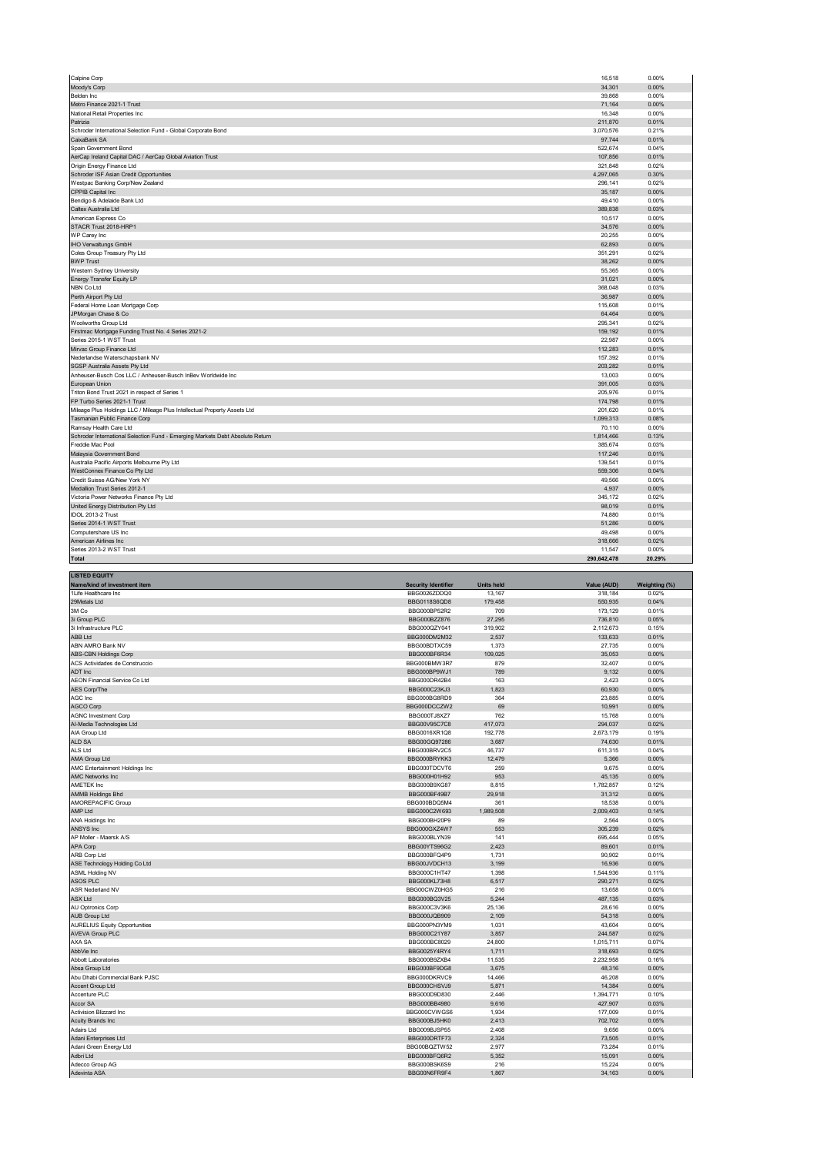| Calpine Corp                                                                  | 16,518      | 0.00%  |
|-------------------------------------------------------------------------------|-------------|--------|
| Moody's Corp                                                                  | 34,301      | 0.00%  |
| Belden Inc                                                                    | 39,868      | 0.00%  |
| Metro Finance 2021-1 Trust                                                    | 71,164      | 0.00%  |
| National Retail Properties Inc                                                | 16,348      | 0.00%  |
| Patrizia                                                                      | 211,870     | 0.01%  |
| Schroder International Selection Fund - Global Corporate Bond                 | 3,070,576   | 0.21%  |
| CaixaBank SA                                                                  | 97,744      | 0.01%  |
| Spain Government Bond                                                         | 522,674     | 0.04%  |
| AerCap Ireland Capital DAC / AerCap Global Aviation Trust                     | 107,856     | 0.01%  |
| Origin Energy Finance Ltd                                                     | 321,848     | 0.02%  |
| Schroder ISF Asian Credit Opportunities                                       | 4,297,065   | 0.30%  |
| Westpac Banking Corp/New Zealand                                              | 296,141     | 0.02%  |
| CPPIB Capital Inc                                                             | 35,187      | 0.00%  |
| Bendigo & Adelaide Bank Ltd                                                   | 49,410      | 0.00%  |
| Caltex Australia Ltd                                                          | 389,838     | 0.03%  |
| American Express Co                                                           | 10,517      | 0.00%  |
| STACR Trust 2018-HRP1                                                         | 34,576      | 0.00%  |
| WP Carey Inc                                                                  | 20,255      | 0.00%  |
| <b>IHO Verwaltungs GmbH</b>                                                   | 62,893      | 0.00%  |
| Coles Group Treasury Pty Ltd                                                  | 351,291     | 0.02%  |
| <b>BWP Trust</b>                                                              | 38,262      | 0.00%  |
| Western Sydney University                                                     | 55,365      | 0.00%  |
| <b>Energy Transfer Equity LP</b>                                              | 31,021      | 0.00%  |
| NBN Co Ltd                                                                    | 368,048     | 0.03%  |
| Perth Airport Pty Ltd                                                         | 36,987      | 0.00%  |
| Federal Home Loan Mortgage Corp                                               | 115,608     | 0.01%  |
| JPMorgan Chase & Co                                                           | 64,464      | 0.00%  |
| Woolworths Group Ltd                                                          | 295,341     | 0.02%  |
| Firstmac Mortgage Funding Trust No. 4 Series 2021-2                           | 159,192     | 0.01%  |
| Series 2015-1 WST Trust                                                       | 22,987      | 0.00%  |
| Mirvac Group Finance Ltd                                                      | 112,283     | 0.01%  |
| Nederlandse Waterschapsbank NV                                                | 157,392     | 0.01%  |
| SGSP Australia Assets Pty Ltd                                                 | 203.282     | 0.01%  |
| Anheuser-Busch Cos LLC / Anheuser-Busch InBev Worldwide Inc                   | 13,003      | 0.00%  |
| European Union                                                                | 391,005     | 0.03%  |
| Triton Bond Trust 2021 in respect of Series 1                                 | 205,976     | 0.01%  |
| FP Turbo Series 2021-1 Trust                                                  | 174,798     | 0.01%  |
| Mileage Plus Holdings LLC / Mileage Plus Intellectual Property Assets Ltd     | 201,620     | 0.01%  |
| Tasmanian Public Finance Corp                                                 | 1,099,313   | 0.08%  |
| Ramsay Health Care Ltd                                                        | 70,110      | 0.00%  |
| Schroder International Selection Fund - Emerging Markets Debt Absolute Return | 1,814,466   | 0.13%  |
| Freddie Mac Pool                                                              | 385,674     | 0.03%  |
| Malaysia Government Bond                                                      | 117,246     | 0.01%  |
| Australia Pacific Airports Melbourne Pty Ltd                                  | 139,541     | 0.01%  |
| WestConnex Finance Co Pty Ltd                                                 | 559,306     | 0.04%  |
| Credit Suisse AG/New York NY                                                  | 49,566      | 0.00%  |
| Medallion Trust Series 2012-1                                                 | 4,937       | 0.00%  |
| Victoria Power Networks Finance Pty Ltd                                       | 345,172     | 0.02%  |
| United Energy Distribution Pty Ltd                                            | 98,019      | 0.01%  |
| IDOL 2013-2 Trust                                                             | 74,880      | 0.01%  |
| Series 2014-1 WST Trust                                                       | 51,286      | 0.00%  |
| Computershare US Inc                                                          | 49,498      | 0.00%  |
| American Airlines Inc                                                         | 318,666     | 0.02%  |
| Series 2013-2 WST Trust                                                       | 11,547      | 0.00%  |
| Total                                                                         | 290.642.478 | 20.29% |
|                                                                               |             |        |

| <b>LISTED EQUITY</b>                 |                            |                   |             |               |
|--------------------------------------|----------------------------|-------------------|-------------|---------------|
| Name/kind of investment item         | <b>Security Identifier</b> | <b>Units held</b> | Value (AUD) | Weighting (%) |
| 1Life Healthcare Inc                 | BBG0026ZDDQ0               | 13,167            | 318,184     | 0.02%         |
| 29Metals Ltd                         | BBG0118S6QD8               | 179.458           | 550,935     | 0.04%         |
| 3M Co                                | BBG000BP52R2               | 709               | 173,129     | 0.01%         |
| 3i Group PLC                         | BBG000BZZ876               | 27,295            | 736,810     | 0.05%         |
| 3i Infrastructure PLC                | BBG000QZY041               | 319,902           | 2,112,673   | 0.15%         |
| ABB Ltd                              | BBG000DM2M32               | 2,537             | 133,633     | 0.01%         |
| ABN AMRO Bank NV                     | BBG00BDTXC59               | 1,373             | 27,735      | 0.00%         |
| ABS-CBN Holdings Corp                | BBG000BF6R34               | 109,025           | 35,053      | 0.00%         |
| ACS Actividades de Construccio       | BBG000BMW3R7               | 879               | 32,407      | 0.00%         |
| ADT Inc                              | BBG000BP9WJ1               | 789               | 9,132       | 0.00%         |
| AEON Financial Service Co Ltd        | BBG000DR42B4               | 163               | 2,423       | 0.00%         |
| AES Corp/The                         | BBG000C23KJ3               | 1,823             | 60,930      | 0.00%         |
| AGC Inc                              | BBG000BG8RD9               | 364               | 23,885      | 0.00%         |
| AGCO Corp                            | BBG000DCCZW2               | 69                | 10,991      | 0.00%         |
| <b>AGNC Investment Corp</b>          | BBG000TJ8XZ7               | 762               | 15,768      | 0.00%         |
| Al-Media Technologies Ltd            | BBG00V95C7C8               | 417,073           | 294,037     | 0.02%         |
| AIA Group Ltd                        | BBG0016XR1Q8               | 192,778           | 2,673,179   | 0.19%         |
| ALD SA                               | BBG00GQ97286               | 3,687             | 74,630      | 0.01%         |
| ALS Ltd                              | BBG000BRV2C5               | 46,737            |             | 0.04%         |
|                                      |                            |                   | 611,315     |               |
| AMA Group Ltd                        | BBG000BRYKK3               | 12,479            | 5,366       | 0.00%         |
| AMC Entertainment Holdings Inc       | BBG000TDCVT6               | 259               | 9,675       | 0.00%         |
| <b>AMC Networks Inc</b>              | BBG000H01H92               | 953               | 45,135      | 0.00%         |
| AMETEK Inc                           | BBG000B9XG87               | 8,815             | 1,782,857   | 0.12%         |
| <b>AMMB Holdings Bhd</b>             | BBG000BF49B7               | 29,918            | 31,312      | 0.00%         |
| AMOREPACIFIC Group                   | BBG000BDQ5M4               | 361               | 18,538      | 0.00%         |
| AMP Ltd                              | BBG000C2W693               | 1,989,508         | 2,009,403   | 0.14%         |
| ANA Holdings Inc                     | BBG000BH20P9               | 89                | 2,564       | 0.00%         |
| ANSYS Inc                            | BBG000GXZ4W7               | 553               | 305,239     | 0.02%         |
| AP Moller - Maersk A/S               | BBG000BLYN39               | 141               | 695,444     | 0.05%         |
| APA Corp                             | BBG00YTS96G2               | 2,423             | 89,601      | 0.01%         |
| ARB Corp Ltd                         | BBG000BFQ4P9               | 1,731             | 90,902      | 0.01%         |
| ASE Technology Holding Co Ltd        | BBG00JVDCH13               | 3,199             | 16,936      | 0.00%         |
| <b>ASML Holding NV</b>               | BBG000C1HT47               | 1,398             | 1,544,936   | 0.11%         |
| <b>ASOS PLC</b>                      | BBG000KL73H8               | 6,517             | 290,271     | 0.02%         |
| ASR Nederland NV                     | BBG00CWZ0HG5               | 216               | 13,658      | 0.00%         |
| <b>ASX Ltd</b>                       | BBG000BQ3V25               | 5,244             | 487,135     | 0.03%         |
| AU Optronics Corp                    | BBG000C3V3K6               | 25,136            | 28,616      | 0.00%         |
| <b>AUB Group Ltd</b>                 | BBG000JQB909               | 2,109             | 54,318      | 0.00%         |
| <b>AURELIUS Equity Opportunities</b> | BBG000PN3YM9               | 1,031             | 43,604      | 0.00%         |
| <b>AVEVA Group PLC</b>               | BBG000C21Y87               | 3,857             | 244,587     | 0.02%         |
| AXA SA                               | BBG000BC8029               | 24,800            | 1,015,711   | 0.07%         |
| AbbVie Inc                           | BBG0025Y4RY4               | 1,711             | 318,693     | 0.02%         |
| Abbott Laboratories                  | BBG000B9ZXB4               | 11,535            | 2,232,958   | 0.16%         |
| Absa Group Ltd                       | BBG000BF9DG8               | 3,675             | 48,316      | 0.00%         |
| Abu Dhabi Commercial Bank PJSC       | BBG000DKRVC9               | 14,466            | 46,208      | 0.00%         |
| Accent Group Ltd                     | BBG000CHSVJ9               | 5,871             | 14,384      | 0.00%         |
| Accenture PLC                        | BBG000D9D830               | 2,446             | 1,394,771   | 0.10%         |
| Accor SA                             |                            |                   |             | 0.03%         |
|                                      | BBG000BB4980               | 9,616             | 427,907     |               |
| Activision Blizzard Inc              | BBG000CVWGS6               | 1,934             | 177,009     | 0.01%         |
| <b>Acuity Brands Inc</b>             | BBG000BJ5HK0               | 2.413             | 702,702     | 0.05%         |
| Adairs Ltd                           | BBG009BJSP55               | 2,408             | 9,656       | 0.00%         |
| Adani Enterprises Ltd                | BBG000DRTF73               | 2,324             | 73,505      | 0.01%         |
| Adani Green Energy Ltd               | BBG00BQZTW52               | 2,977             | 73,284      | 0.01%         |
| Adbri Ltd                            | BBG000BFQ6R2               | 5,352             | 15,091      | 0.00%         |
| Adecco Group AG                      | BBG000BSK6S9               | 216               | 15,224      | 0.00%         |
| Adevinta ASA                         | BBG00N6FR9F4               | 1,867             | 34,163      | 0.00%         |
|                                      |                            |                   |             |               |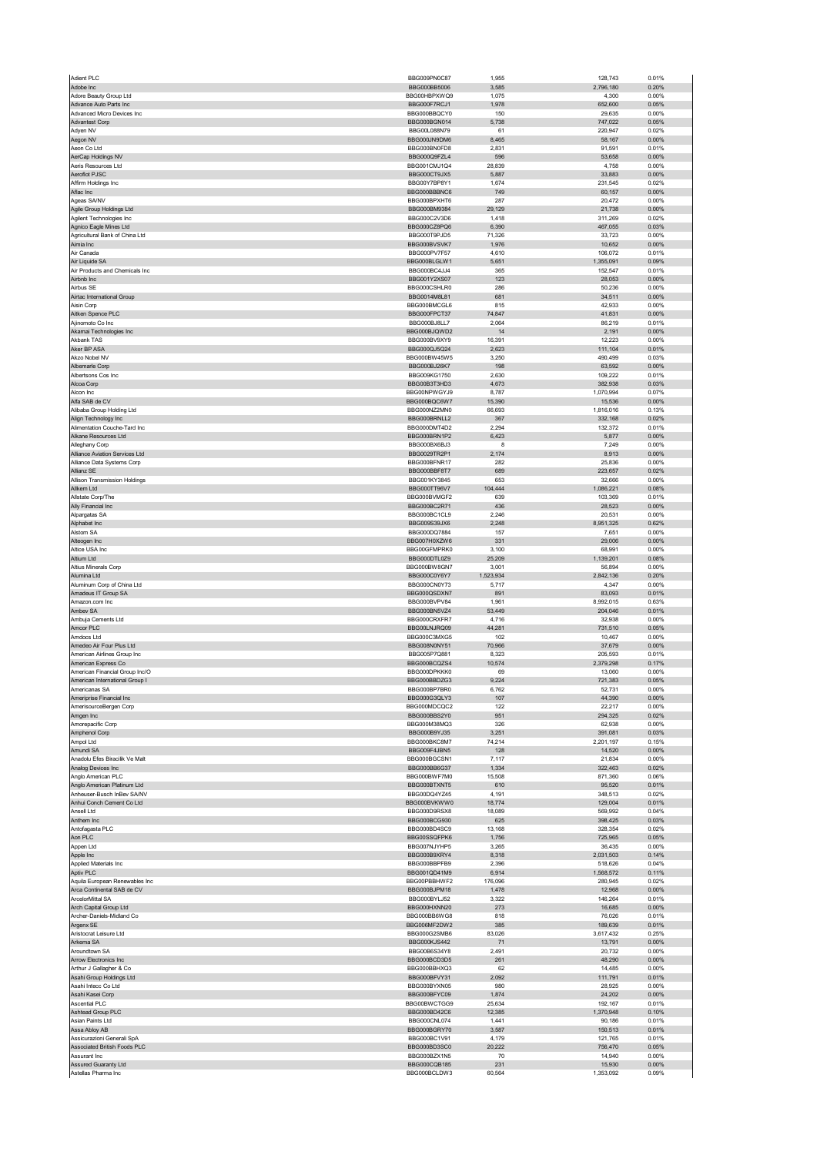| Adient PLC                                               | BBG009PN0C87                        | 1,955           | 128,743             | 0.01%          |
|----------------------------------------------------------|-------------------------------------|-----------------|---------------------|----------------|
| Adobe Inc<br>Adore Beauty Group Ltd                      | BBG000BB5006<br>BBG00HBPXWQ9        | 3,585<br>1,075  | 2,796,180<br>4,300  | 0.20%<br>0.00% |
| Advance Auto Parts Inc                                   | BBG000F7RCJ1                        | 1,978           | 652,600             | 0.05%          |
| Advanced Micro Devices Inc                               | BBG000BBQCY0                        | 150             | 29,635              | 0.00%          |
| Advantest Corp                                           | BBG000BGN014                        | 5,738           | 747,022             | 0.05%          |
| Adyen NV                                                 | BBG00L088N79<br>BBG000JN9DM6        | 61<br>8,465     | 220,947             | 0.02%<br>0.00% |
| Aegon NV<br>Aeon Co Ltd                                  | BBG000BN0FD8                        | 2,831           | 58,167<br>91,591    | 0.01%          |
| AerCap Holdings NV                                       | BBG000Q9FZL4                        | 596             | 53,658              | 0.00%          |
| Aeris Resources Ltd                                      | BBG001CMJ1Q4                        | 28,839          | 4,758               | 0.00%          |
| Aeroflot PJSC                                            | BBG000CT9JX5                        | 5.887           | 33,883              | 0.00%          |
| Affirm Holdings Inc<br>Aflac Inc                         | BBG00Y7BP8Y1<br>BBG000BBBNC6        | 1,674<br>749    | 231,545<br>60,157   | 0.02%<br>0.00% |
| Ageas SA/NV                                              | BBG000BPXHT6                        | 287             | 20,472              | 0.00%          |
| Agile Group Holdings Ltd                                 | BBG000BM9384                        | 29,129          | 21,738              | 0.00%          |
| Agilent Technologies Inc                                 | BBG000C2V3D6                        | 1,418           | 311,269             | 0.02%          |
| Agnico Eagle Mines Ltd<br>Agricultural Bank of China Ltd | BBG000CZ8PQ6<br>BBG000T9PJD5        | 6,390<br>71,326 | 467,055<br>33,723   | 0.03%<br>0.00% |
| Aimia Inc.                                               | BBG000BVSVK7                        | 1,976           | 10,652              | 0.00%          |
| Air Canada                                               | BBG000PV7F57                        | 4,610           | 106,072             | 0.01%          |
| Air Liquide SA                                           | BBG000BLGLW1                        | 5,651           | 1,355,091           | 0.09%          |
| Air Products and Chemicals Inc<br>Airbnb Inc             | BBG000BC4JJ4<br>BBG001Y2XS07        | 365<br>123      | 152,547<br>28,053   | 0.01%<br>0.00% |
| Airbus SE                                                | BBG000CSHLR0                        | 286             | 50,236              | 0.00%          |
| Airtac International Group                               | BBG0014M8L81                        | 681             | 34,511              | 0.00%          |
| Aisin Corp                                               | BBG000BMCGL6                        | 815             | 42,933              | 0.00%          |
| Aitken Spence PLC                                        | BBG000FPCT37<br>BBG000BJ8LL7        | 74,847<br>2,064 | 41,831<br>86,219    | 0.00%<br>0.01% |
| Ajinomoto Co Inc<br>Akamai Technologies Inc              | BBG000BJQWD2                        | 14              | 2,191               | 0.00%          |
| Akbank TAS                                               | BBG000BV9XY9                        | 16,391          | 12,223              | 0.00%          |
| Aker BP ASA                                              | BBG000QJ5Q24                        | 2,623           | 111,104             | 0.01%          |
| Akzo Nobel NV                                            | BBG000BW45W5                        | 3,250           | 490,499             | 0.03%          |
| Albemarle Corp                                           | BBG000BJ26K7<br>BBG009KG1750        | 198<br>2,630    | 63,592<br>109,222   | 0.00%<br>0.01% |
| Albertsons Cos Inc<br>Alcoa Corp                         | BBG00B3T3HD3                        | 4,673           | 382,938             | 0.03%          |
| Alcon Inc                                                | BBG00NPWGY.I9                       | 8,787           | 1,070,994           | 0.07%          |
| Alfa SAB de CV                                           | BBG000BQC6W7                        | 15,390          | 15,536              | 0.00%          |
| Alibaba Group Holding Ltd                                | BBG000NZ2MN0                        | 66,693          | 1,816,016           | 0.13%          |
| Align Technology Inc                                     | BBG000BRNLL2                        | 367             | 332,168             | 0.02%          |
| Alimentation Couche-Tard Inc.<br>Alkane Resources Ltd    | BBG000DMT4D2<br>BBG000BRN1P2        | 2,294<br>6,423  | 132,372<br>5,877    | 0.01%<br>0.00% |
| Alleghany Corp                                           | BBG000BX6BJ3                        | 8               | 7,249               | 0.00%          |
| <b>Alliance Aviation Services Ltd</b>                    | BBG0029TR2P1                        | 2,174           | 8,913               | 0.00%          |
| Alliance Data Systems Corp                               | BBG000BFNR17                        | 282             | 25,836              | 0.00%          |
| Allianz SE                                               | BBG000BBF8T7                        | 689             | 223,657             | 0.02%          |
| Allison Transmission Holdings<br>Allkem Ltd              | BBG001KY3845<br>BBG000TT96V7        | 653<br>104,444  | 32,666<br>1,086,221 | 0.00%<br>0.08% |
| Allstate Corp/The                                        | BBG000BVMGF2                        | 639             | 103,369             | 0.01%          |
| Ally Financial Inc                                       | BBG000BC2R71                        | 436             | 28,523              | 0.00%          |
| Alpargatas SA                                            | BBG000BC1CL9                        | 2,246           | 20,531              | 0.00%          |
| Alphabet Inc                                             | BBG009S39JX6                        | 2,248           | 8,951,325           | 0.62%          |
| Alstom SA<br>Alteogen Inc                                | BBG000DQ7884<br>BBG007H0XZW6        | 157<br>331      | 7,651<br>29,006     | 0.00%<br>0.00% |
| Altice USA Inc                                           | BBG00GFMPRK0                        | 3,100           | 68,991              | 0.00%          |
| Altium Ltd                                               | BBG000DTL0Z9                        | 25,209          | 1,139,201           | 0.08%          |
| Altius Minerals Corp                                     | BBG000BW8GN7                        | 3,001           | 56,894              | 0.00%          |
| Alumina Ltd                                              | BBG000C0Y6Y7                        | 1,523,934       | 2,842,136           | 0.20%          |
| Aluminum Corp of China Ltd                               | BBG000CN0Y73<br>BBG000QSDXN7        | 5,717<br>891    | 4,347<br>83,093     | 0.00%<br>0.01% |
| Amadeus IT Group SA<br>Amazon.com Inc                    | BBG000BVPV84                        | 1,961           | 8,992,015           | 0.63%          |
| Ambev SA                                                 | BBG000BN5VZ4                        | 53,449          | 204,046             | 0.01%          |
| Ambuja Cements Ltd                                       | BBG000CRXFR7                        | 4,716           | 32,938              | 0.00%          |
| Amcor PLC                                                | BBG00LNJRQ09                        | 44,281          | 731,510             | 0.05%          |
| Amdocs Ltd<br>Amedeo Air Four Plus I td                  | BBG000C3MXG5<br>BBG008N0NY51        | 102             | 10,467              | 0.00%<br>0.00% |
| American Airlines Group Inc                              | BBG005P7Q881                        | 70,966<br>8,323 | 37,679<br>205,593   | 0.01%          |
| American Express Co                                      | BBG000BCQZS4                        | 10,574          | 2,379,298           | 0.17%          |
| American Financial Group Inc/O                           | <b>BBG000DPKKK0</b>                 | 69              | 13,060              | 0.00%          |
| American International Group I                           | BBG000BBDZG3                        | 9,224           | 721,383             | 0.05%          |
| anas SA                                                  | <b>BRC000BD7BPC</b><br>BBG000G3QLY3 | 6,762           | 52731<br>44,390     | n nn%<br>0.00% |
| Ameriprise Financial Inc<br>AmerisourceBergen Corp       | BBG000MDCQC2                        | 107<br>122      | 22,217              | 0.00%          |
| Amgen Inc                                                | BBG000BBS2Y0                        | 951             | 294,325             | 0.02%          |
| Amorepacific Corp                                        | BBG000M38MQ3                        | 326             | 62,938              | 0.00%          |
| Amphenol Corp                                            | BBG000B9YJ35                        | 3,251           | 391,081             | 0.03%          |
| Ampol Ltd                                                | BBG000BKC8M7<br>BBG009F4JBN5        | 74,214          | 2,201,197           | 0.15%<br>0.00% |
| Amundi SA<br>Anadolu Efes Biracilik Ve Malt              | BBG000BGCSN1                        | 128<br>7,117    | 14,520<br>21,834    | 0.00%          |
| Analog Devices Inc                                       | BBG000BB6G37                        | 1,334           | 322,463             | 0.02%          |
| Anglo American PLC                                       | BBG000BWF7M0                        | 15,508          | 871,360             | 0.06%          |
| Anglo American Platinum Ltd                              | BBG000BTXNT5                        | 610             | 95,520              | 0.01%          |
| Anheuser-Busch InBev SA/NV<br>Anhui Conch Cement Co Ltd  | BBG00DQ4YZ45<br>BBG000BVKWW0        | 4,191<br>18,774 | 348,513<br>129,004  | 0.02%<br>0.01% |
| Ansell Ltd                                               | BBG000D9RSX8                        | 18,089          | 569,992             | 0.04%          |
| Anthem Inc                                               | BBG000BCG930                        | 625             | 398,425             | 0.03%          |
| Antofagasta PLC                                          | BBG000BD4SC9                        | 13,168          | 328,354             | 0.02%          |
| Aon PLC                                                  | BBG00SSQFPK6                        | 1,756           | 725,965             | 0.05%          |
| Appen Ltd<br>Apple Inc                                   | BBG007NJYHP5                        | 3,265           | 36,435<br>2,031,503 | 0.00%<br>0.14% |
| Applied Materials Inc                                    |                                     |                 |                     |                |
| <b>Aptiv PLC</b>                                         | BBG000B9XRY4<br>BBG000BBPFB9        | 8,318<br>2,396  | 518,626             | 0.04%          |
| Aquila European Renewables Inc                           | BBG001QD41M9                        | 6,914           | 1,568,572           | 0.11%          |
| Arca Continental SAB de CV                               | BBG00PBBHWF2                        | 176,096         | 280,945             | 0.02%          |
|                                                          | BBG000BJPM18                        | 1,478           | 12,968              | 0.00%          |
| ArcelorMittal SA                                         | BBG000BYLJ52                        | 3,322           | 146,264             | 0.01%          |
| Arch Capital Group Ltd<br>Archer-Daniels-Midland Co      | BBG000HXNN20<br>BBG000BB6WG8        | 273<br>818      | 16,685<br>76,026    | 0.00%<br>0.01% |
| Argenx SE                                                | BBG006MF2DW2                        | 385             | 189,639             | 0.01%          |
| Aristocrat Leisure Ltd                                   | BBG000G2SMB6                        | 83,026          | 3,617,432           | 0.25%          |
| Arkema SA                                                | BBG000KJS442                        | 71              | 13,791              | 0.00%          |
| Aroundtown SA                                            | BBG00B6S34Y8                        | 2,491           | 20,732              | 0.00%          |
| Arrow Electronics Inc<br>Arthur J Gallagher & Co         | BBG000BCD3D5<br>BBG000BBHXQ3        | 261<br>62       | 48,290<br>14,485    | 0.00%<br>0.00% |
| Asahi Group Holdings Ltd                                 | BBG000BFVY31                        | 2,092           | 111,791             | 0.01%          |
| Asahi Intecc Co Ltd                                      | BBG000BYXN05                        | 980             | 28,925              | 0.00%          |
| Asahi Kasei Corp                                         | BBG000BFYC09                        | 1,874           | 24,202              | $0.00\%$       |
| <b>Ascential PLC</b>                                     | BBG00BWCTGG9                        | 25,634          | 192,167             | 0.01%          |
| Ashtead Group PLC<br>Asian Paints Ltd                    | BBG000BD42C6<br>BBG000CNL074        | 12,385          | 1,370,948           | 0.10%<br>0.01% |
| Assa Abloy AB                                            | BBG000BGRY70                        | 1,441<br>3,587  | 90,186<br>150,513   | 0.01%          |
| Assicurazioni Generali SpA                               | BBG000BC1V91                        | 4,179           | 121,765             | 0.01%          |
| Associated British Foods PLC                             | BBG000BD3SC0                        | 20,222          | 756,470             | 0.05%          |
| Assurant Inc                                             | BBG000BZX1N5                        | 70              | 14,940              | 0.00%          |
| Assured Guaranty Ltd<br>Astellas Pharma Inc              | BBG000CQB185<br>BBG000BCLDW3        | 231<br>60,564   | 15,930<br>1,353,092 | 0.00%<br>0.09% |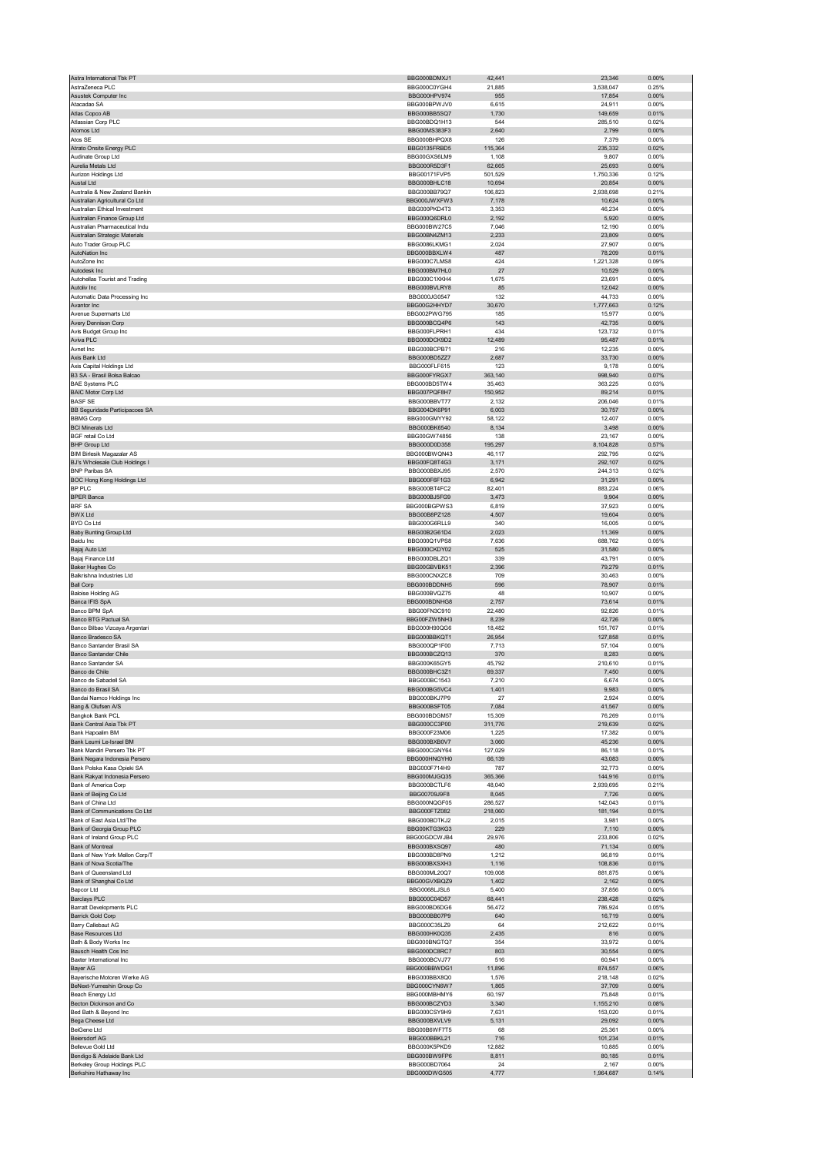| Astra International Tbk PT                                       | BBG000BDMXJ1                 | 42,441            | 23,346                | 0.00%          |
|------------------------------------------------------------------|------------------------------|-------------------|-----------------------|----------------|
| AstraZeneca PLC<br>Asustek Computer Inc                          | BBG000C0YGH4<br>BBG000HPV974 | 21,885<br>955     | 3,538,047<br>17,854   | 0.25%<br>0.00% |
| Atacadao SA                                                      | BBG000BPWJV0                 | 6,615             | 24,911                | 0.00%          |
| Atlas Copco AB                                                   | BBG000BB5SQ7                 | 1,730             | 149,659               | 0.01%          |
| Atlassian Corp PLC<br>Atomos Ltd                                 | BBG00BDQ1H13<br>BBG00MS383F3 | 544<br>2,640      | 285,510<br>2,799      | 0.02%<br>0.00% |
| Atos SE                                                          | BBG000BHPQX8                 | 126               | 7,379                 | 0.00%          |
| Atrato Onsite Energy PLC                                         | BBG0135FRBD5                 | 115,364           | 235,332               | 0.02%          |
| Audinate Group Ltd<br>Aurelia Metals Ltd                         | BBG00GXS6LM9<br>BBG000R5D3F1 | 1,108<br>62,665   | 9,807<br>25,693       | 0.00%<br>0.00% |
| Aurizon Holdings Ltd                                             | BBG00171FVP5                 | 501,529           | 1,750,336             | 0.12%          |
| Austal Ltd                                                       | BBG000BHLC18                 | 10,694            | 20,854                | 0.00%          |
| Australia & New Zealand Bankin<br>Australian Agricultural Co Ltd | BBG000BB79Q7<br>BBG000JWXFW3 | 106,823<br>7,178  | 2,938,698<br>10,624   | 0.21%<br>0.00% |
| Australian Ethical Investment                                    | BBG000PKD4T3                 | 3,353             | 46,234                | 0.00%          |
| Australian Finance Group Ltd                                     | BBG000Q6DRL0                 | 2,192             | 5,920                 | 0.00%          |
| Australian Pharmaceutical Indu<br>Australian Strategic Materials | BBG000BW27C5<br>BBG00BN4ZM13 | 7,046<br>2,233    | 12,190<br>23,809      | 0.00%<br>0.00% |
| Auto Trader Group PLC                                            | BBG0086LKMG1                 | 2,024             | 27,907                | 0.00%          |
| AutoNation Inc                                                   | BBG000BBXLW4                 | 487               | 78,209                | 0.01%          |
| AutoZone Inc<br>Autodesk Inc                                     | BBG000C7LMS8<br>BBG000BM7HL0 | 424<br>27         | 1,221,328<br>10,529   | 0.09%<br>0.00% |
| Autohellas Tourist and Trading                                   | BBG000C1XKH4                 | 1,675             | 23,691                | 0.00%          |
| Autoliv Inc.                                                     | BBG000BVLRY8                 | 85                | 12,042                | 0.00%          |
| Automatic Data Processing Inc<br>Avantor Inc                     | BBG000JG0547<br>BBG00G2HHYD7 | 132<br>30,670     | 44,733<br>1,777,663   | 0.00%<br>0.12% |
| Avenue Supermarts Ltd                                            | BBG002PWG795                 | 185               | 15,977                | 0.00%          |
| Avery Dennison Corp                                              | BBG000BCQ4P6                 | 143               | 42,735                | 0.00%          |
| Avis Budget Group Inc                                            | BBG000FLPRH1<br>BBG000DCK9D2 | 434<br>12,489     | 123,732<br>95,487     | 0.01%<br>0.01% |
| Aviva PLC<br>Avnet Inc                                           | BBG000BCPB71                 | 216               | 12,235                | 0.00%          |
| Axis Bank Ltd                                                    | BBG000BD5ZZ7                 | 2,687             | 33,730                | 0.00%          |
| Axis Capital Holdings Ltd                                        | BBG000FLF615<br>BBG000FYRGX7 | 123               | 9,178                 | 0.00%          |
| B3 SA - Brasil Bolsa Balcao<br><b>BAE Systems PLC</b>            | BBG000BD5TW4                 | 363,140<br>35,463 | 998,940<br>363,225    | 0.07%<br>0.03% |
| <b>BAIC Motor Corp Ltd</b>                                       | BBG007PQF8H7                 | 150,952           | 89,214                | 0.01%          |
| <b>BASF SE</b>                                                   | BBG000BBVT77                 | 2,132             | 206,046               | 0.01%          |
| BB Seguridade Participacoes SA<br><b>BBMG Corp</b>               | BBG004DK6P91<br>BBG000GMYY92 | 6,003<br>58,122   | 30,757<br>12,407      | 0.00%<br>0.00% |
| <b>BCI Minerals Ltd</b>                                          | BBG000BK6540                 | 8,134             | 3,498                 | 0.00%          |
| <b>BGF</b> retail Co Ltd                                         | BBG00GW74856                 | 138               | 23,167                | 0.00%          |
| <b>BHP Group Ltd</b><br><b>BIM Birlesik Magazalar AS</b>         | BBG000D0D358<br>BBG000BWQN43 | 195,297<br>46,117 | 8,104,828<br>292,795  | 0.57%<br>0.02% |
| BJ's Wholesale Club Holdings I                                   | BBG00FQ8T4G3                 | 3,171             | 292,107               | 0.02%          |
| <b>BNP Paribas SA</b>                                            | BBG000BBXJ95                 | 2,570             | 244,313               | 0.02%          |
| BOC Hong Kong Holdings Ltd                                       | BBG000F6F1G3                 | 6,942             | 31,291                | 0.00%          |
| BP PLC<br><b>BPER Banca</b>                                      | BBG000BT4FC2<br>BBG000BJ5FG9 | 82,401<br>3,473   | 883,224<br>9,904      | 0.06%<br>0.00% |
| <b>BRF SA</b>                                                    | BBG000BGPWS3                 | 6,819             | 37,923                | 0.00%          |
| <b>BWX Ltd</b>                                                   | BBG00B8PZ128                 | 4,507             | 19,604                | 0.00%          |
| BYD Co Ltd<br>Baby Bunting Group Ltd                             | BBG000G6RLL9<br>BBG00B2G61D4 | 340<br>2,023      | 16,005<br>11,369      | 0.00%<br>0.00% |
| Baidu Inc                                                        | BBG000Q1VPS8                 | 7,636             | 688,762               | 0.05%          |
| Bajaj Auto Ltd                                                   | BBG000CKDY02                 | 525               | 31,580                | 0.00%          |
| Bajaj Finance Ltd<br>Baker Hughes Co                             | BBG000DBLZQ1<br>BBG00GBVBK51 | 339<br>2,396      | 43,791<br>79,279      | 0.00%<br>0.01% |
| Balkrishna Industries Ltd                                        | BBG000CNXZC8                 | 709               | 30,463                | 0.00%          |
| <b>Ball Corp</b>                                                 | BBG000BDDNH5                 | 596               | 78,907                | 0.01%          |
| <b>Baloise Holding AG</b><br>Banca IFIS SpA                      | BBG000BVQZ75<br>BBG000BDNHG8 | 48<br>2,757       | 10,907<br>73,614      | 0.00%<br>0.01% |
| Banco BPM SpA                                                    | BBG00FN3C910                 | 22,480            | 92,826                | 0.01%          |
| Banco BTG Pactual SA                                             | BBG00FZW5NH3                 | 8,239             | 42,726                | 0.00%          |
| Banco Bilbao Vizcaya Argentari                                   | BBG000H90QG6<br>BBG000BBKQT1 | 18,482<br>26,954  | 151,767               | 0.01%<br>0.01% |
| Banco Bradesco SA<br>Banco Santander Brasil SA                   | BBG000QP1F00                 | 7,713             | 127,858<br>57,104     | 0.00%          |
| Banco Santander Chile                                            | BBG000BCZQ13                 | 370               | 8,283                 | 0.00%          |
| Banco Santander SA                                               | BBG000K65GY5                 | 45,792            | 210,610               | 0.01%          |
| Banco de Chile<br>Banco de Sabadell SA                           | BBG000BHC3Z1<br>BBG000BC1543 | 69,337<br>7,210   | 7,450<br>6,674        | 0.00%<br>0.00% |
| do Brasil SA                                                     | RRG000RG5VC                  | 1.40 <sup>1</sup> | $Q$ $QR$ <sup>3</sup> | n nn%          |
| Bandai Namco Holdings Inc                                        | BBG000BKJ7P9                 | 27                | 2,924                 | 0.00%          |
| Bang & Olufsen A/S<br>Bangkok Bank PCL                           | BBG000BSFT05<br>BBG000BDGM57 | 7,084<br>15,309   | 41,567<br>76,269      | 0.00%<br>0.01% |
| Bank Central Asia Tbk PT                                         | BBG000CC3P00                 | 311,776           | 219,639               | 0.02%          |
| Bank Hapoalim BM                                                 | BBG000F23M06                 | 1,225             | 17,382                | 0.00%          |
| Bank Leumi Le-Israel BM<br>Bank Mandiri Persero Tbk PT           | BBG000BXB0V7<br>BBG000CGNY64 | 3,060<br>127,029  | 45,236<br>86,118      | 0.00%<br>0.01% |
| Bank Negara Indonesia Persero                                    | BBG000HNGYH0                 | 66,139            | 43,083                | 0.00%          |
| Bank Polska Kasa Opieki SA                                       | BBG000F714H9                 | 787               | 32,773                | 0.00%          |
| Bank Rakyat Indonesia Persero<br>Bank of America Corp            | BBG000MJGQ35<br>BBG000BCTLF6 | 365,366<br>48,040 | 144,916<br>2,939,695  | 0.01%<br>0.21% |
| Bank of Beijing Co Ltd                                           | BBG00709J9F8                 | 8,045             | 7,726                 | 0.00%          |
| Bank of China Ltd                                                | BBG000NQGF05                 | 286,527           | 142,043               | 0.01%          |
| Bank of Communications Co Ltd<br>Bank of East Asia Ltd/The       | BBG000FTZ082<br>BBG000BDTKJ2 | 218,060<br>2,015  | 181,194<br>3,981      | 0.01%<br>0.00% |
| Bank of Georgia Group PLC                                        | BBG00KTG3KG3                 | 229               | 7,110                 | 0.00%          |
| Bank of Ireland Group PLC                                        | BBG00GDCWJB4                 | 29,976            | 233,806               | 0.02%          |
| Bank of Montreal<br>Bank of New York Mellon Corp/T               | BBG000BXSQ97                 | 480               | 71,134                | 0.00%          |
| Bank of Nova Scotia/The                                          | BBG000BD8PN9<br>BBG000BXSXH3 | 1,212<br>1,116    | 96,819<br>108,836     | 0.01%<br>0.01% |
| Bank of Queensland Ltd                                           | BBG000ML20Q7                 | 109,008           | 881,875               | 0.06%          |
| Bank of Shanghai Co Ltd<br>Bapcor Ltd                            | BBG00GVXBQZ9<br>BBG0068LJSL6 | 1,402<br>5,400    | 2,162<br>37,856       | 0.00%<br>0.00% |
| Barclays PLC                                                     | BBG000C04D57                 | 68,441            | 238,428               | 0.02%          |
| Barratt Developments PLC                                         | BBG000BD6DG6                 | 56,472            | 786,924               | 0.05%          |
| <b>Barrick Gold Corp</b><br>Barry Callebaut AG                   | BBG000BB07P9<br>BBG000C35LZ9 | 640<br>64         | 16,719<br>212,622     | 0.00%<br>0.01% |
| Base Resources Ltd                                               | BBG000HK0Q35                 | 2,435             | 816                   | 0.00%          |
| Bath & Body Works Inc                                            | BBG000BNGTQ7                 | 354               | 33,972                | 0.00%          |
| Bausch Health Cos Inc<br>Baxter International Inc                | BBG000DC8RC7<br>BBG000BCVJ77 | 803<br>516        | 30,554<br>60,941      | 0.00%<br>0.00% |
| Bayer AG                                                         | BBG000BBWDG1                 | 11,896            | 874,557               | 0.06%          |
| Bayerische Motoren Werke AG                                      |                              | 1,576             | 218,148               | 0.02%          |
| BeNext-Yumeshin Group Co<br>Beach Energy Ltd                     | BBG000BBX8Q0                 |                   |                       | 0.00%          |
|                                                                  | BBG000CYN6W7                 | 1,865             | 37,709                |                |
| Becton Dickinson and Co                                          | BBG000MBHMY6<br>BBG000BCZYD3 | 60,197<br>3,340   | 75,848<br>1,155,210   | 0.01%<br>0.08% |
| Bed Bath & Beyond Inc                                            | BBG000CSY9H9                 | 7,631             | 153,020               | 0.01%          |
| Bega Cheese Ltd                                                  | BBG000BXVLV9                 | 5,131             | 29,092                | 0.00%          |
| BeiGene Ltd<br><b>Beiersdorf AG</b>                              | BBG00B6WF7T5<br>BBG000BBKL21 | 68<br>716         | 25,361<br>101,234     | 0.00%<br>0.01% |
| Bellevue Gold Ltd                                                | BBG000K5PKD9                 | 12,882            | 10,885                | 0.00%          |
| Bendigo & Adelaide Bank Ltd<br>Berkeley Group Holdings PLC       | BBG000BW9FP6<br>BBG000BD7064 | 8,811<br>24       | 80,185<br>2,167       | 0.01%<br>0.00% |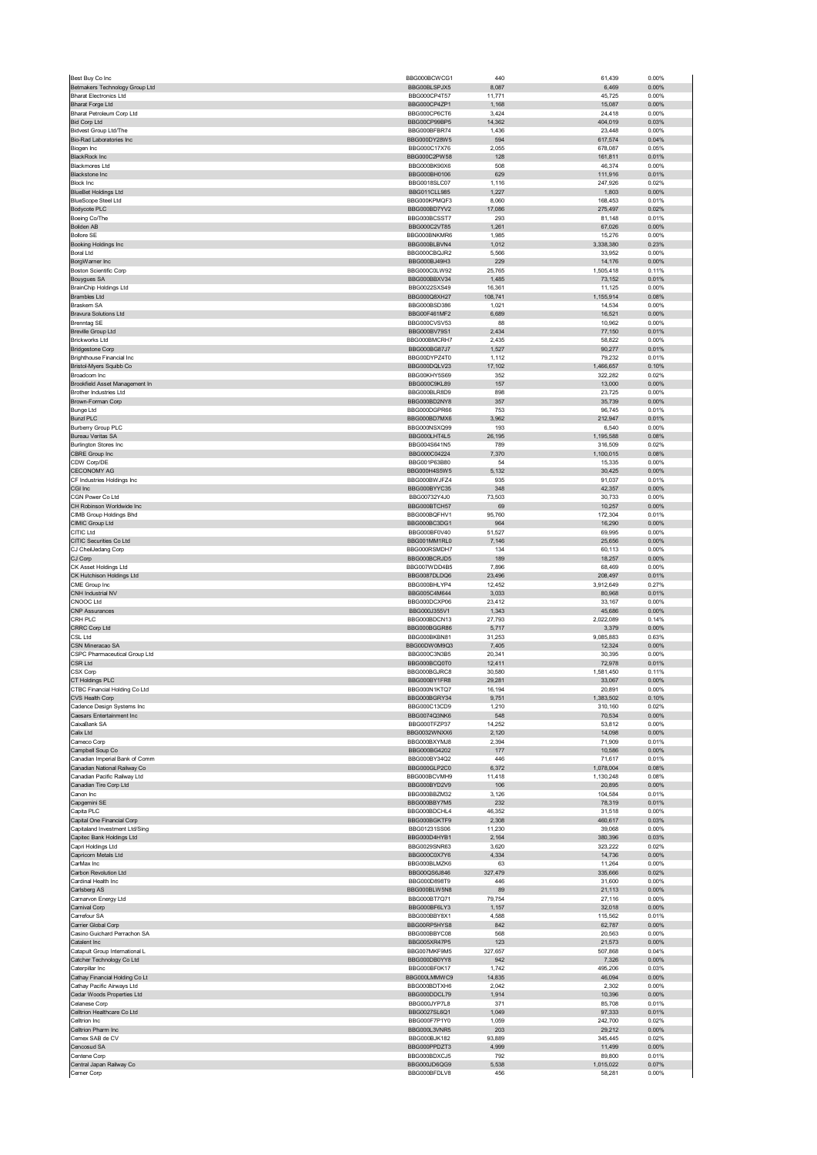| Best Buy Co Inc                                                 | BBG000BCWCG1                        | 440              | 61,439               | 0.00%          |
|-----------------------------------------------------------------|-------------------------------------|------------------|----------------------|----------------|
| Betmakers Technology Group Ltd<br><b>Bharat Electronics Ltd</b> | BBG00BLSPJX5<br>BBG000CP4T57        | 8,087<br>11,771  | 6,469<br>45,725      | 0.00%<br>0.00% |
| <b>Bharat Forge Ltd</b>                                         | BBG000CP4ZP1                        | 1,168            | 15,087               | 0.00%          |
| Bharat Petroleum Corp Ltd                                       | BBG000CP6CT6                        | 3,424            | 24,418               | 0.00%          |
| <b>Bid Corp Ltd</b><br><b>Bidvest Group Ltd/The</b>             | BBG00CP99BP5<br>BBG000BFBR74        | 14,362<br>1,436  | 404,019<br>23,448    | 0.03%<br>0.00% |
| Bio-Rad Laboratories Inc                                        | BBG000DY28W5                        | 594              | 617,574              | 0.04%          |
| Biogen Inc                                                      | BBG000C17X76<br>BBG000C2PW58        | 2,055            | 678,087              | 0.05%          |
| <b>BlackRock Inc</b><br><b>Blackmores Ltd</b>                   | BBG000BK90X6                        | 128<br>508       | 161,811<br>46,374    | 0.01%<br>0.00% |
| <b>Blackstone Inc</b>                                           | BBG000BH0106                        | 629              | 111,916              | 0.01%          |
| <b>Block Inc</b>                                                | BBG0018SLC07                        | 1,116            | 247,926              | 0.02%          |
| <b>BlueBet Holdings Ltd</b><br><b>BlueScope Steel Ltd</b>       | <b>BBG011CLL985</b><br>BBG000KPMQF3 | 1,227<br>8,060   | 1,803<br>168,453     | 0.00%<br>0.01% |
| Bodycote PLC                                                    | BBG000BD7YV2                        | 17,086           | 275,497              | 0.02%          |
| Boeing Co/The                                                   | BBG000BCSST7                        | 293              | 81,148               | 0.01%          |
| <b>Boliden AB</b><br><b>Bollore SE</b>                          | BBG000C2VT85<br>BBG000BNKMR6        | 1,261<br>1,985   | 67,026<br>15,276     | 0.00%<br>0.00% |
| Booking Holdings Inc                                            | BBG000BLBVN4                        | 1,012            | 3,338,380            | 0.23%          |
| Boral Ltd                                                       | BBG000CBQJR2                        | 5,566            | 33,952               | 0.00%          |
| BorgWarner Inc<br><b>Boston Scientific Corp</b>                 | BBG000BJ49H3<br>BBG000C0LW92        | 229<br>25,765    | 14,176<br>1,505,418  | 0.00%<br>0.11% |
| Bouygues SA                                                     | BBG000BBXV34                        | 1,485            | 73,152               | 0.01%          |
| <b>BrainChip Holdings Ltd</b>                                   | BBG0022SXS49                        | 16,361           | 11,125               | 0.00%          |
| <b>Brambles Ltd</b><br>Braskem SA                               | BBG000Q8XH27<br>BBG000BSD386        | 108,741<br>1,021 | 1,155,914<br>14,534  | 0.08%<br>0.00% |
| <b>Bravura Solutions Ltd</b>                                    | BBG00F461MF2                        | 6,689            | 16,521               | 0.00%          |
| <b>Brenntag SE</b>                                              | BBG000CVSV53                        | 88               | 10,962               | 0.00%          |
| Breville Group Ltd<br><b>Brickworks Ltd</b>                     | BBG000BV79S1<br>BBG000BMCRH7        | 2.434<br>2,435   | 77,150<br>58,822     | 0.01%<br>0.00% |
| <b>Bridgestone Corp</b>                                         | BBG000BG87J7                        | 1,527            | 90,277               | 0.01%          |
| <b>Brighthouse Financial Inc.</b>                               | BBG00DYPZ4T0                        | 1,112            | 79,232               | 0.01%          |
| Bristol-Myers Squibb Co                                         | BBG000DQLV23                        | 17,102           | 1,466,657            | 0.10%          |
| Broadcom Inc<br>Brookfield Asset Management In                  | BBG00KHY5S69<br>BBG000C9KL89        | 352<br>157       | 322,282<br>13,000    | 0.02%<br>0.00% |
| Brother Industries Ltd                                          | BBG000BLR8D9                        | 898              | 23,725               | 0.00%          |
| Brown-Forman Corp                                               | BBG000BD2NY8                        | 357              | 35,739               | 0.00%          |
| <b>Bunge Ltd</b><br><b>Bunzl PLC</b>                            | BBG000DGPR66<br>BBG000BD7MX6        | 753<br>3,962     | 96,745<br>212,947    | 0.01%<br>0.01% |
| <b>Burberry Group PLC</b>                                       | BBG000NSXQ99                        | 193              | 6,540                | 0.00%          |
| <b>Bureau Veritas SA</b>                                        | BBG000LHT4L5                        | 26,195           | 1,195,588            | 0.08%          |
| <b>Burlington Stores Inc</b><br>CBRE Group Inc                  | BBG004S641N5                        | 789<br>7,370     | 316,509              | 0.02%          |
| CDW Corp/DE                                                     | BBG000C04224<br>BBG001P63B80        | 54               | 1,100,015<br>15,335  | 0.08%<br>0.00% |
| <b>CECONOMY AG</b>                                              | BBG000H4S5W5                        | 5,132            | 30,425               | 0.00%          |
| CF Industries Holdings Inc                                      | BBG000BWJFZ4                        | 935              | 91,037               | 0.01%          |
| CGI Inc<br>CGN Power Co Ltd                                     | BBG000BYYC35<br>BBG00732Y4J0        | 348<br>73,503    | 42,357<br>30,733     | 0.00%<br>0.00% |
| CH Robinson Worldwide Inc                                       | BBG000BTCH57                        | 69               | 10,257               | 0.00%          |
| CIMB Group Holdings Bhd                                         | BBG000BQFHV1                        | 95,760           | 172,304              | 0.01%          |
| CIMIC Group Ltd<br>CITIC Ltd                                    | BBG000BC3DG1<br>BBG000BF0V40        | 964<br>51,527    | 16,290<br>69,995     | 0.00%<br>0.00% |
| CITIC Securities Co Ltd                                         | BBG001MM1RL0                        | 7,146            | 25,656               | 0.00%          |
| CJ CheilJedang Corp                                             | BBG000RSMDH7                        | 134              | 60,113               | 0.00%          |
| CJ Corp<br>CK Asset Holdings Ltd                                | BBG000BCRJD5<br>BBG007WDD4B5        | 189<br>7,896     | 18,257<br>68,469     | 0.00%<br>0.00% |
|                                                                 |                                     |                  |                      |                |
|                                                                 | BBG0087DLDQ6                        | 23.496           |                      | 0.01%          |
| CK Hutchison Holdings Ltd<br>CME Group Inc                      | BBG000BHLYP4                        | 12,452           | 208,497<br>3,912,649 | 0.27%          |
| CNH Industrial NV                                               | BBG005C4M644                        | 3,033            | 80,968               | 0.01%          |
| CNOOC Ltd<br><b>CNP Assurances</b>                              | BBG000DCXP06                        | 23,412           | 33,167               | 0.00%          |
| CRH PLC                                                         | BBG000J355V1<br>BBG000BDCN13        | 1,343<br>27,793  | 45,686<br>2,022,089  | 0.00%<br>0.14% |
| CRRC Corp Ltd                                                   | BBG000BGGR86                        | 5,717            | 3,379                | 0.00%          |
| CSL Ltd                                                         | BBG000BKBN81                        | 31,253           | 9,085,883            | 0.63%          |
| CSN Mineracao SA<br>CSPC Pharmaceutical Group Ltd               | BBG00DW0M9Q3<br>BBG000C3N3B5        | 7,405<br>20,341  | 12,324<br>30,395     | 0.00%<br>0.00% |
| CSR Ltd                                                         | BBG000BCQ0T0                        | 12,411           | 72,978               | 0.01%          |
| CSX Corp                                                        | BBG000BGJRC8                        | 30,580           | 1,581,450            | 0.11%          |
| CT Holdings PLC                                                 | BBG000BY1FR8<br>BRG000N1KTO7        | 29,281<br>16 194 | 33,067<br>20.891     | 0.00%<br>n nn% |
| <b>TBC Financial Holding Co Ltd</b><br>CVS Health Corp          | BBG000BGRY34                        | 9,751            | 1,383,502            | 0.10%          |
| Cadence Design Systems Inc.                                     | BBG000C13CD9                        | 1,210            | 310,160              | 0.02%          |
| Caesars Entertainment Inc<br>CaixaBank SA                       | BBG0074Q3NK6<br>BBG000TFZP37        | 548              | 70,534               | 0.00%<br>0.00% |
| Calix Ltd                                                       | BBG0032WNXX6                        | 14,252<br>2,120  | 53,812<br>14,098     | 0.00%          |
| Cameco Corp                                                     | BBG000BXYMJ8                        | 2,394            | 71,909               | 0.01%          |
| Campbell Soup Co                                                | BBG000BG4202                        | 177              | 10,586               | 0.00%          |
| Canadian Imperial Bank of Comm<br>Canadian National Railway Co  | BBG000BY34Q2<br>BBG000GLP2C0        | 446<br>6,372     | 71,617<br>1,078,004  | 0.01%<br>0.08% |
| Canadian Pacific Railway Ltd                                    | BBG000BCVMH9                        | 11,418           | 1,130,248            | 0.08%          |
| Canadian Tire Corp Ltd                                          | BBG000BYD2V9<br>BBG000BBZM32        | 106              | 20,895               | 0.00%          |
| Canon Inc<br>Capgemini SE                                       | BBG000BBY7M5                        | 3,126<br>232     | 104,584<br>78,319    | 0.01%<br>0.01% |
| Capita PLC                                                      | BBG000BDCHL4                        | 46,352           | 31,518               | 0.00%          |
| Capital One Financial Corp                                      | BBG000BGKTF9                        | 2,308            | 460,617              | 0.03%          |
| Capitaland Investment Ltd/Sing<br>Capitec Bank Holdings Ltd     | BBG01231SS06<br>BBG000D4HYB1        | 11,230<br>2,164  | 39,068<br>380,396    | 0.00%<br>0.03% |
| Capri Holdings Ltd                                              | BBG0029SNR63                        | 3,620            | 323,222              | 0.02%          |
| Capricorn Metals Ltd<br>CarMax Inc                              | BBG000C0X7Y6                        | 4,334<br>63      | 14,736               | $0.00\%$       |
| Carbon Revolution Ltd                                           | BBG000BLMZK6<br>BBG00QS6J846        | 327,479          | 11,264<br>335,666    | 0.00%<br>0.02% |
| Cardinal Health Inc                                             | BBG000D898T9                        | 446              | 31,600               | 0.00%          |
| Carlsberg AS                                                    | BBG000BLW5N8                        | 89               | 21,113               | 0.00%          |
| Carnarvon Energy Ltd<br>Carnival Corp                           | BBG000BT7Q71<br>BBG000BF6LY3        | 79,754<br>1,157  | 27,116<br>32,018     | 0.00%<br>0.00% |
| Carrefour SA                                                    | BBG000BBY8X1                        | 4,588            | 115,562              | 0.01%          |
| Carrier Global Corp                                             | BBG00RP5HYS8                        | 842              | 62,787               | $0.00\%$       |
| Casino Guichard Perrachon SA<br>Catalent Inc                    | BBG000BBYC08<br>BBG005XR47P5        | 568<br>123       | 20,563<br>21,573     | 0.00%<br>0.00% |
| Catapult Group International L                                  | BBG007MKF9M5                        | 327,657          | 507,868              | 0.04%          |
| Catcher Technology Co Ltd                                       | BBG000DB0YY8                        | 942              | 7,326                | 0.00%          |
| Caterpillar Inc                                                 | BBG000BF0K17                        | 1,742            | 495,206              | 0.03%          |
| Cathay Financial Holding Co Lt<br>Cathay Pacific Airways Ltd    | BBG000LMMWC9<br>BBG000BDTXH6        | 14,835<br>2,042  | 46,094<br>2,302      | 0.00%<br>0.00% |
| Cedar Woods Properties Ltd                                      | BBG000DDCL79                        | 1,914            | 10,396               | $0.00\%$       |
| Celanese Corp                                                   | BBG000JYP7L8                        | 371              | 85,708               | 0.01%          |
| Celltrion Healthcare Co Ltd<br>Celltrion Inc                    | BBG0027SL6Q1<br>BBG000F7P1Y0        | 1,049<br>1,059   | 97,333<br>242,700    | 0.01%<br>0.02% |
| Celltrion Pharm Inc                                             | BBG000L3VNR5                        | 203              | 29,212               | 0.00%          |
| Cemex SAB de CV                                                 | BBG000BJK182                        | 93,889           | 345,445              | 0.02%          |
| Cencosud SA<br>Centene Corp                                     | BBG000PPDZT3<br>BBG000BDXCJ5        | 4,999<br>792     | 11,499<br>89,800     | 0.00%<br>0.01% |
| Central Japan Railway Co<br>Cerner Corp                         | BBG000JD6QG9<br>BBG000BFDLV8        | 5,538<br>456     | 1,015,022<br>58,281  | 0.07%<br>0.00% |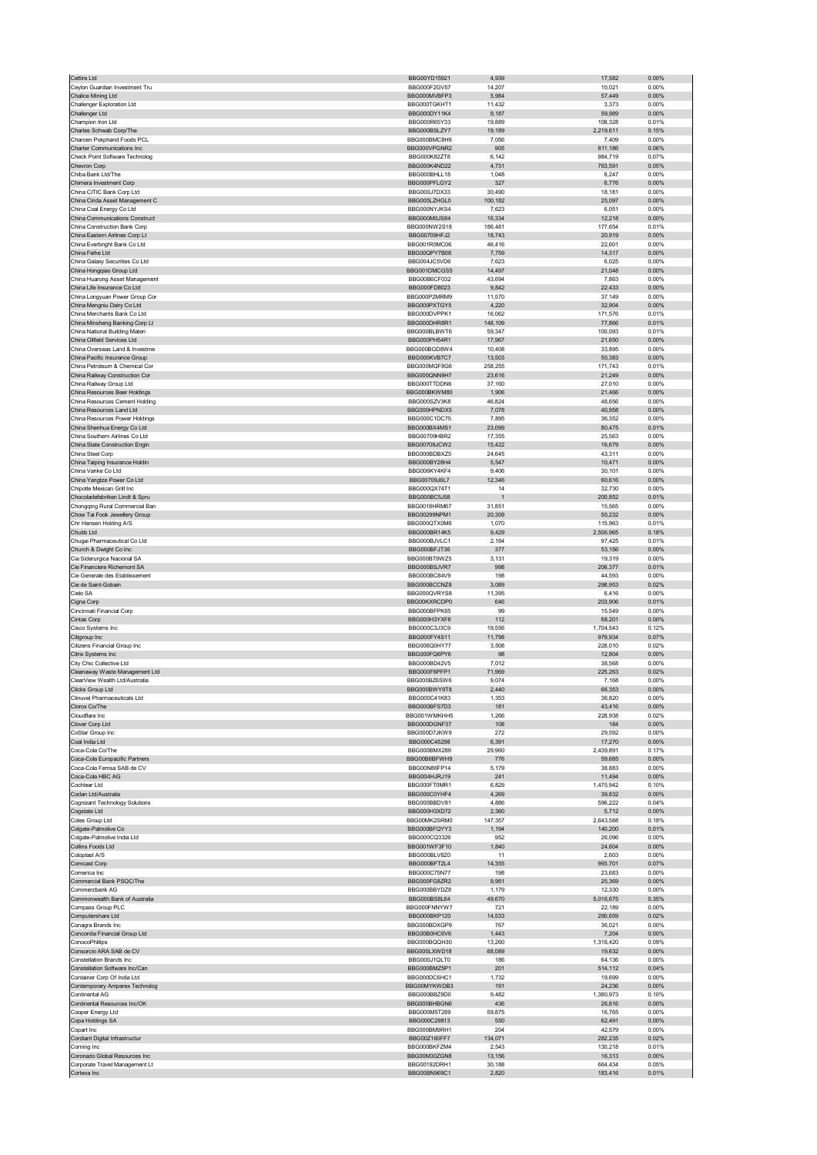| <b>Cettire Ltd</b>                                              | BBG00YD15921                 | 4,939             | 17,582               | 0.00%             |
|-----------------------------------------------------------------|------------------------------|-------------------|----------------------|-------------------|
| Ceylon Guardian Investment Tru                                  | BBG000F2GV57                 | 14,207            | 10,021               | 0.00%             |
| Chalice Mining Ltd                                              | BBG000MVBFP3                 | 5,984             | 57,449               | 0.00%             |
| Challenger Exploration Ltd                                      | BBG000TGKHT1                 | 11,432            | 3,373                | 0.00%             |
| Challenger Ltd                                                  | BBG000DY11K4                 | 9,187             | 59,989               | 0.00%             |
| Champion Iron Ltd                                               | BBG000R65Y33                 | 19,889            | 108,328              | 0.01%             |
| Charles Schwab Corp/The                                         | BBG000BSLZY7                 | 19,189            | 2,219,611            | 0.15%             |
| Charoen Pokphand Foods PCL<br>Charter Communications Inc.       | BBG000BMC8H9                 | 7,056             | 7,409                | 0.00%             |
|                                                                 | BBG000VPGNR2                 | 905               | 811,186              | 0.06%             |
| Check Point Software Technolog<br>Chevron Corp                  | BBG000K82ZT8<br>BBG000K4ND22 | 6,142             | 984,719<br>763,591   | 0.07%<br>0.05%    |
| Chiba Bank Ltd/The                                              | BBG000BHLL18                 | 4,731<br>1,048    | 8,247                | 0.00%             |
| Chimera Investment Corp                                         | BBG000PFLGY2                 | 327               | 6,776                | 0.00%             |
| China CITIC Bank Corp Ltd                                       | BBG000J7DX33                 | 30,490            | 18,181               | 0.00%             |
| China Cinda Asset Management C                                  | BBG005LZHGL0                 | 100,182           | 25,097               | 0.00%             |
| China Coal Energy Co Ltd                                        | BBG000NYJKS4                 | 7,623             | 6,051                | 0.00%             |
| China Communications Construct                                  | BBG000M0JS84                 | 16,334            | 12,218               | 0.00%             |
| China Construction Bank Corp                                    | BBG000NW2S18                 | 186,481           | 177,654              | 0.01%             |
| China Eastern Airlines Corp Lt                                  | BBG00709HFJ2                 | 18,743            | 20,919               | 0.00%             |
| China Everbright Bank Co Ltd                                    | BBG001R0MC06                 | 46,416            | 22,601               | 0.00%             |
| China Feihe Ltd                                                 | BBG00QPY7B08                 | 7,759             | 14,317               | $0.00\%$          |
| China Galaxy Securities Co Ltd                                  | BBG004JC5VD6                 | 7,623             | 6,025                | 0.00%             |
| China Hongqiao Group Ltd                                        | BBG001DMCGS5                 | 14,497            | 21,048               | 0.00%             |
| China Huarong Asset Management                                  | BBG00B6CF032                 | 43,694            | 7,863                | 0.00%             |
| China Life Insurance Co Ltd                                     | BBG000FD8023                 | 9,842             | 22,433               | 0.00%             |
| China Longyuan Power Group Cor                                  | BBG000P2MRM9                 | 11,570            | 37,149               | 0.00%             |
| China Mengniu Dairy Co Ltd                                      | BBG000PXTGY5                 | 4,220             | 32,904               | 0.00%             |
| China Merchants Bank Co Ltd                                     | BBG000DVPPK1                 | 16,062            | 171,576              | 0.01%             |
| China Minsheng Banking Corp Lt                                  | BBG000DHR8R1                 | 148,109           | 77,866               | 0.01%             |
| China National Building Materi                                  | BBG000BLBWT6                 | 59,347            | 100,093              | 0.01%             |
| China Oilfield Services Ltd                                     | BBG000PH54R1                 | 17,967            | 21,650               | 0.00%             |
| China Overseas Land & Investme                                  | BBG000BGD8W4                 | 10,408            | 33,895               | 0.00%             |
| China Pacific Insurance Group<br>China Petroleum & Chemical Cor | BBG000KVB7C7<br>BBG000MQF8G6 | 13,503<br>258,255 | 50,383<br>171,743    | $0.00\%$<br>0.01% |
| China Railway Construction Cor                                  | BBG000QNN9H7                 | 23,616            | 21,249               | 0.00%             |
| China Railway Group Ltd                                         | BBG000TTDDN6                 | 37,160            | 27,010               | 0.00%             |
| China Resources Beer Holdings                                   | BBG000BKWM80                 | 1,906             | 21,466               | 0.00%             |
| China Resources Cement Holding                                  | BBG000SZV3K8                 | 46,824            | 48,656               | 0.00%             |
| China Resources Land Ltd                                        | BBG000HPNDX5                 | 7,078             | 40,958               | 0.00%             |
| China Resources Power Holdings                                  | BBG000C1DC75                 | 7,895             | 36,352               | 0.00%             |
| China Shenhua Energy Co Ltd                                     | BBG000BX4MS1                 | 23,099            | 80,475               | 0.01%             |
| China Southern Airlines Co Ltd                                  | BBG00709HBR2                 | 17,355            | 25,563               | 0.00%             |
| China State Construction Engin                                  | BBG00709JCW2                 | 15,422            | 16,679               | 0.00%             |
| China Steel Corp                                                | BBG000BDBXZ5                 | 24,645            | 43,311               | 0.00%             |
| China Taiping Insurance Holdin                                  | BBG000BY28H4                 | 5,547             | 10,471               | 0.00%             |
| China Vanke Co Ltd                                              | BBG006KY4KF4                 | 9,406             | 30,101               | 0.00%             |
| China Yangtze Power Co Ltd                                      | BBG00709J6L7                 | 12,346            | 60,616               | 0.00%             |
| Chipotle Mexican Grill Inc                                      | BBG000QX74T1                 | 14                | 32,730               | 0.00%             |
| Chocoladefabriken Lindt & Spru                                  | BBG000BC5J58                 |                   | 200,852              | 0.01%             |
| Chongqing Rural Commercial Ban                                  | BBG0018HRM67                 | 31,851            | 15,565               | 0.00%             |
| Chow Tai Fook Jewellery Group                                   | BBG00299NPM1                 | 20,309            | 50,232               | 0.00%             |
| Chr Hansen Holding A/S<br>Chubb Ltd                             | BBG000QTX0M6<br>BBG000BR14K5 | 1,070<br>9,429    | 115,963<br>2,506,965 | 0.01%<br>0.18%    |
| Chugai Pharmaceutical Co Ltd                                    | BBG000BJVLC1                 | 2,184             | 97,425               | 0.01%             |
| Church & Dwight Co Inc                                          | BBG000BFJT36                 | 377               | 53,156               | $0.00\%$          |
| Cia Siderurgica Nacional SA                                     | BBG000BT9WZ5                 | 3,131             | 19,319               | 0.00%             |
| Cie Financiere Richemont SA                                     | BBG000BSJVR7                 | 998               | 206,377              | 0.01%             |
| Cie Generale des Etablissement                                  |                              |                   |                      | 0.00%             |
|                                                                 |                              |                   |                      |                   |
| Cie de Saint-Gobain                                             | BBG000BC84V9<br>BBG000BCCNZ8 | 198<br>3,089      | 44,593               | 0.02%             |
| Cielo SA                                                        | BBG000QVRYS8                 | 11,395            | 298,953<br>6,416     | 0.00%             |
| Cigna Corp                                                      | BBG00KXRCDP0                 | 646               | 203,906              | 0.01%             |
| Cincinnati Financial Corp                                       | BBG000BFPK65                 | 99                | 15,549               | 0.00%             |
| Cintas Corp                                                     | BBG000H3YXF8                 | 112               | 68,201               | 0.00%             |
| Cisco Systems Inc                                               | BBG000C3J3C9                 | 19,556            | 1,704,543            | 0.12%             |
| Citigroup Inc                                                   | BBG000FY4S11                 | 11,798            | 979,934              | 0.07%             |
| Citizens Financial Group Inc                                    | BBG006Q0HY77                 | 3,508             | 228,010              | 0.02%             |
| Citrix Systems Inc                                              | BBG000FO6PY6                 | 98                | 12,804               | 0.00%             |
| City Chic Collective Ltd                                        | BBG000BD42V5                 | 7,012             | 38,568               | 0.00%             |
| Cleanaway Waste Management Ltd                                  | BBG000F6PFP1                 | 71,969            | 225,263              | 0.02%             |
| ClearView Wealth Ltd/Australia                                  | BBG000BZ6SW6                 | 9,074             | 7,168                | 0.00%             |
| Clicks Group Ltd.                                               | BBG000BWY9T8                 | 2440              | 66.353               | 0.00%             |
| Clinuvel Pharmaceuticals Ltd                                    | BBG000C41K83                 | 1,353             | 36,820               | 0.00%             |
| Clorox Co/The<br>Cloudflare Inc                                 | BBG000BFS7D3<br>BBG001WMKHH5 | 181<br>1,266      | 43,416<br>228,938    | 0.00%<br>0.02%    |
| Clover Corp Ltd                                                 | BBG000DGNF37                 | 108               | 184                  | 0.00%             |
| CoStar Group Inc                                                | BBG000D7JKW9                 | 272               | 29,592               | 0.00%             |
| Coal India Ltd                                                  | BBG000C45298                 | 6,391             | 17,270               | 0.00%             |
| Coca-Cola Co/The                                                | BBG000BMX289                 | 29,960            | 2,439,891            | 0.17%             |
| Coca-Cola Europacific Partners                                  | BBG00B6BFWH9                 | 776               | 59,685               | 0.00%             |
| Coca-Cola Femsa SAB de CV                                       | BBG00N86FP14                 | 5,179             | 38,883               | 0.00%             |
| Coca-Cola HBC AG                                                | BBG004HJRJ19                 | 241               | 11,494               | 0.00%             |
| Cochlear Ltd                                                    | BBG000FT0MR1                 | 6,829             | 1,475,942            | 0.10%             |
| Codan Ltd/Australia                                             | BBG000C0YHF4                 | 4,269             | 39,832               | 0.00%             |
| Cognizant Technology Solutions                                  | BBG000BBDV81                 | 4,886             | 596,222              | 0.04%             |
| Cogstate Ltd<br>Coles Group Ltd                                 | BBG000H3XD72<br>BBG00MK2SRM0 | 2,360             | 5,712                | 0.00%             |
| Colgate-Palmolive Co                                            | BBG000BFQYY3                 | 147,357<br>1,194  | 2,643,588<br>140,200 | 0.18%<br>0.01%    |
| Colgate-Palmolive India Ltd                                     | BBG000CQ3326                 | 952               | 26,096               | 0.00%             |
| Collins Foods Ltd                                               | BBG001WF3F10                 | 1,840             | 24,604               | 0.00%             |
| Coloplast A/S                                                   | BBG000BLV8Z0                 | 11                | 2,603                | 0.00%             |
| Comcast Corp                                                    | BBG000BFT2L4                 | 14,355            | 993,701              | 0.07%             |
| Comerica Inc.                                                   | BBG000C75N77                 | 198               | 23.683               | 0.00%             |
| Commercial Bank PSQC/The                                        | BBG000FG8ZR2                 | 9,951             | 25,369               | 0.00%             |
| Commerzbank AG                                                  | BBG000BBYDZ8                 | 1,179             | 12,330               | 0.00%             |
| Commonwealth Bank of Australia                                  | BBG000BS8L64                 | 49,670            | 5,016,675            | 0.35%             |
| Compass Group PLC                                               | BBG000FNNYW7                 | 721               | 22,189               | 0.00%             |
| Computershare Ltd                                               | BBG000BKP120                 | 14,533            | 290,659              | 0.02%             |
| Conagra Brands Inc                                              | BBG000BDXGP9                 | 767               | 36,021               | 0.00%             |
| Concordia Financial Group Ltd                                   | BBG00B0HC6V6                 | 1,443             | 7,204                | $0.00\%$          |
| ConocoPhillips                                                  | BBG000BQQH30                 | 13,260            | 1,316,420            | 0.09%             |
| Consorcio ARA SAB de CV                                         | BBG000LXWD18                 | 68,089            | 19,632               | 0.00%             |
| <b>Constellation Brands Inc</b>                                 | BBG000J1QLT0                 | 186               | 64,136               | 0.00%             |
| Constellation Software Inc/Can                                  | BBG000BMZ5P1<br>BBG000DC6HC1 | 201<br>1,732      | 514,112<br>19,699    | 0.04%<br>0.00%    |
| Container Corp Of India Ltd<br>Contemporary Amperex Technolog   | BBG00MYKWDB3                 | 191               | 24,236               | 0.00%             |
| Continental AG                                                  | BBG000BBZ9D0                 | 9,482             | 1,380,973            | 0.10%             |
| Continental Resources Inc/OK                                    | BBG000BHBGN6                 | 436               | 26,816               | 0.00%             |
| Cooper Energy Ltd                                               | BBG000M5T289                 | 59,875            | 16,765               | 0.00%             |
| Copa Holdings SA                                                | BBG000C29813                 | 550               | 62,491               | 0.00%             |
| Copart Inc                                                      | BBG000BM9RH1                 | 204               | 42,579               | 0.00%             |
| Cordiant Digital Infrastructur                                  | BBG00Z160FF7                 | 134,071           | 282,235              | 0.02%             |
| Corning Inc                                                     | BBG000BKFZM4                 | 2.543             | 130,218              | 0.01%             |
| Coronado Global Resources Inc                                   | BBG00M30ZGN8                 | 13,156            | 16,313               | 0.00%             |
| Corporate Travel Management Lt<br>Corteva Inc                   | BBG00192DRH1<br>BBG00BN969C1 | 30,188<br>2,820   | 664,434<br>183,416   | 0.05%<br>0.01%    |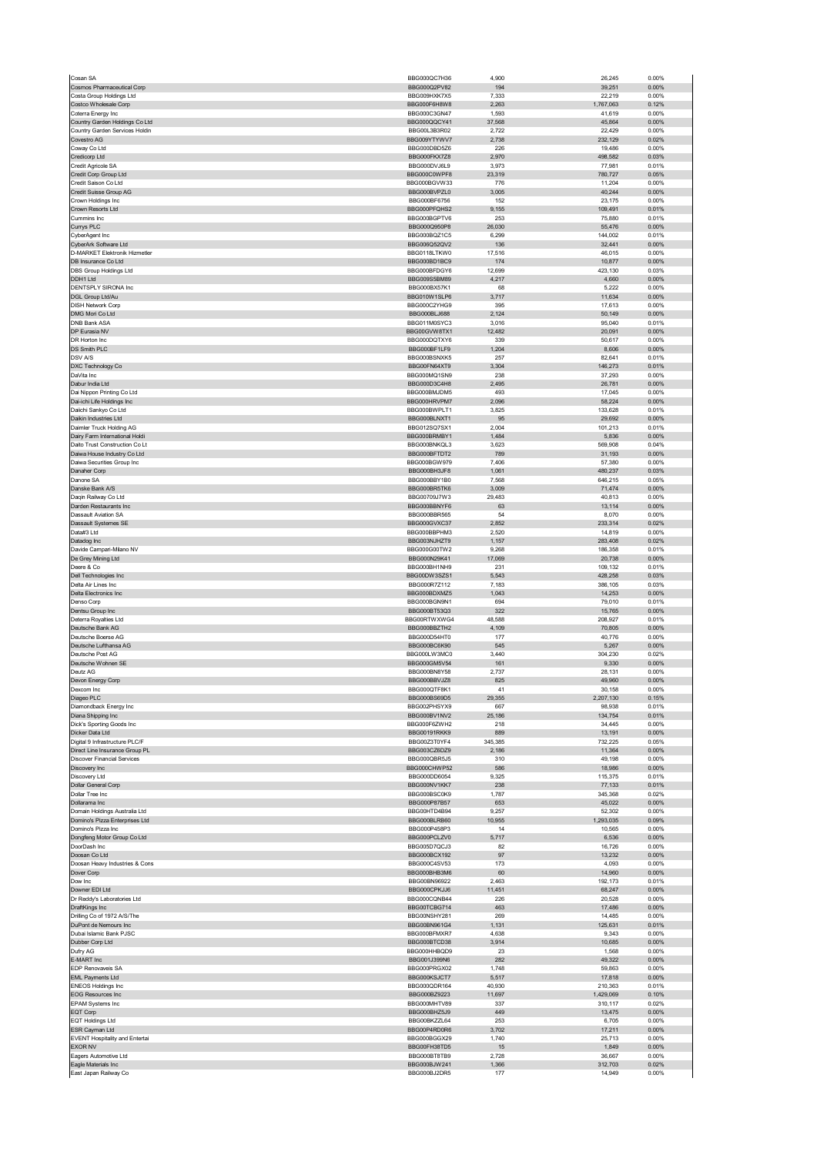| Cosan SA                                                              | BBG000QC7H36                                 | 4,900                 | 26,245                      | 0.00%                   |
|-----------------------------------------------------------------------|----------------------------------------------|-----------------------|-----------------------------|-------------------------|
| Cosmos Pharmaceutical Corp<br>Costa Group Holdings Ltd                | BBG000Q2PV82<br>BBG009HXK7X5                 | 194<br>7,333          | 39,251<br>22,219            | 0.00%<br>0.00%          |
| Costco Wholesale Corp                                                 | BBG000F6H8W8                                 | 2,263                 | 1,767,063                   | 0.12%                   |
| Coterra Energy Inc                                                    | BBG000C3GN47                                 | 1,593                 | 41,619                      | 0.00%                   |
| Country Garden Holdings Co Ltd<br>Country Garden Services Holdin      | BBG000QQCY41<br>BBG00L3B3R02                 | 37,568<br>2,722       | 45,864<br>22,429            | 0.00%<br>0.00%          |
| Covestro AG                                                           | BBG009YTYWV7                                 | 2,738                 | 232,129                     | 0.02%                   |
| Coway Co Ltd                                                          | BBG000DBD5Z6                                 | 226                   | 19,486                      | 0.00%                   |
| Credicorp Ltd                                                         | BBG000FKX7Z8                                 | 2,970                 | 498,582                     | 0.03%                   |
| Credit Agricole SA<br>Credit Corp Group Ltd                           | BBG000DVJ6L9<br>BBG000C0WPF8                 | 3,973<br>23,319       | 77,981<br>780,727           | 0.01%<br>0.05%          |
| Credit Saison Co Ltd                                                  | BBG000BGVW33                                 | 776                   | 11,204                      | 0.00%                   |
| Credit Suisse Group AG                                                | BBG000BVPZL0                                 | 3,005                 | 40,244                      | 0.00%                   |
| Crown Holdings Inc<br>Crown Resorts Ltd                               | BBG000BF6756<br>BBG000PFQHS2                 | 152<br>9,155          | 23,175<br>109,491           | 0.00%<br>0.01%          |
| Cummins Inc                                                           | BBG000BGPTV6                                 | 253                   | 75,880                      | 0.01%                   |
| Currys PLC                                                            | BBG000Q950P8                                 | 26,030                | 55,476                      | 0.00%                   |
| CyberAgent Inc<br>CyberArk Software Ltd                               | BBG000BQZ1C5<br>BBG006Q52QV2                 | 6,299<br>136          | 144,002<br>32,441           | 0.01%<br>0.00%          |
| D-MARKET Elektronik Hizmetler                                         | BBG0118LTKW0                                 | 17,516                | 46,015                      | 0.00%                   |
| DB Insurance Co Ltd                                                   | BBG000BD1BC9                                 | 174                   | 10,877                      | 0.00%                   |
| DBS Group Holdings Ltd                                                | BBG000BFDGY6                                 | 12,699                | 423,130<br>4,660            | 0.03%<br>0.00%          |
| DDH1 Ltd<br>DENTSPLY SIRONA Inc                                       | BBG009S5BM89<br>BBG000BX57K1                 | 4,217<br>68           | 5,222                       | 0.00%                   |
| DGL Group Ltd/Au                                                      | BBG010W1SLP6                                 | 3,717                 | 11,634                      | 0.00%                   |
| <b>DISH Network Corp</b>                                              | BBG000C2YHG9                                 | 395                   | 17,613                      | 0.00%                   |
| DMG Mori Co Ltd<br><b>DNB Bank ASA</b>                                | BBG000BLJ688<br>BBG011M0SYC3                 | 2,124<br>3,016        | 50,149<br>95,040            | 0.00%<br>0.01%          |
| DP Eurasia NV                                                         | BBG00GVW8TX1                                 | 12,482                | 20,091                      | 0.00%                   |
| DR Horton Inc                                                         | BBG000DQTXY6                                 | 339                   | 50,617                      | 0.00%                   |
| DS Smith PLC<br><b>DSV A/S</b>                                        | BBG000BF1LF9<br>BBG000BSNXK5                 | 1,204<br>257          | 8,606<br>82,641             | 0.00%<br>0.01%          |
| DXC Technology Co                                                     | BBG00FN64XT9                                 | 3,304                 | 146,273                     | 0.01%                   |
| DaVita Inc                                                            | BBG000MQ1SN9                                 | 238                   | 37,293                      | 0.00%                   |
| Dabur India Ltd<br>Dai Nippon Printing Co Ltd                         | BBG000D3C4H8<br>BBG000BMJDM5                 | 2,495<br>493          | 26,781<br>17,045            | 0.00%<br>0.00%          |
| Dai-ichi Life Holdings Inc                                            | BBG000HRVPM7                                 | 2,096                 | 58,224                      | 0.00%                   |
| Daiichi Sankyo Co Ltd                                                 | BBG000BWPLT1                                 | 3,825                 | 133,628                     | 0.01%                   |
| Daikin Industries Ltd                                                 | BBG000BLNXT1                                 | 95                    | 29,692                      | 0.00%                   |
| Daimler Truck Holding AG<br>Dairy Farm International Holdi            | BBG012SQ7SX1<br>BBG000BRMBY1                 | 2,004<br>1,484        | 101,213<br>5,836            | 0.01%<br>0.00%          |
| Daito Trust Construction Co Lt                                        | BBG000BNKQL3                                 | 3,623                 | 569,908                     | 0.04%                   |
| Daiwa House Industry Co Ltd                                           | BBG000BFTDT2                                 | 789                   | 31,193                      | 0.00%                   |
| Daiwa Securities Group Inc<br>Danaher Corp                            | BBG000BGW979<br>BBG000BH3JF8                 | 7,406<br>1,061        | 57,380<br>480,237           | 0.00%<br>0.03%          |
| Danone SA                                                             | BBG000BBY1B0                                 | 7,568                 | 646,215                     | 0.05%                   |
| Danske Bank A/S                                                       | BBG000BR5TK6                                 | 3,009                 | 71,474                      | 0.00%                   |
| Daqin Railway Co Ltd<br>Darden Restaurants Inc                        | BBG00709J7W3<br>BBG000BBNYF6                 | 29,483<br>63          | 40,813<br>13,114            | 0.00%<br>0.00%          |
| Dassault Aviation SA                                                  | BBG000BBR565                                 | 54                    | 8,070                       | 0.00%                   |
| Dassault Systemes SE                                                  | BBG000GVXC37                                 | 2,852                 | 233,314                     | 0.02%                   |
| Data#3 Ltd<br>Datadog Inc                                             | BBG000BBPHM3<br>BBG003NJHZT9                 | 2,520<br>1,157        | 14,819<br>283,408           | 0.00%<br>0.02%          |
| Davide Campari-Milano NV                                              | BBG000G00TW2                                 | 9,268                 | 186,358                     | 0.01%                   |
| De Grey Mining Ltd                                                    | BBG000N29K41                                 | 17,069                | 20,738                      | 0.00%                   |
| Deere & Co                                                            | BBG000BH1NH9                                 | 231<br>5,543          | 109,132                     | 0.01%<br>0.03%          |
| Dell Technologies Inc<br>Delta Air Lines Inc                          | BBG00DW3SZS1<br>BBG000R7Z112                 | 7,183                 | 428,258<br>386,105          | 0.03%                   |
| Delta Electronics Inc                                                 | BBG000BDXMZ5                                 | 1,043                 | 14,253                      | 0.00%                   |
| Denso Corp                                                            | BBG000BGN9N1                                 | 694                   | 79,010                      | 0.01%                   |
| Dentsu Group Inc<br>Deterra Royalties Ltd                             | BBG000BT53Q3<br>BBG00RTWXWG4                 | 322<br>48,588         | 15,765<br>208,927           | 0.00%<br>0.01%          |
| Deutsche Bank AG                                                      | BBG000BBZTH2                                 | 4,109                 | 70,805                      | 0.00%                   |
| Deutsche Boerse AG                                                    | BBG000D54HT0                                 | 177                   | 40,776                      | 0.00%                   |
| Deutsche Lufthansa AG<br>Deutsche Post AG                             | BBG000BC6K90<br>BBG000LW3MC0                 | 545<br>3,440          | 5,267<br>304,230            | 0.00%<br>0.02%          |
| Deutsche Wohnen SE                                                    | BBG000GM5V54                                 | 161                   | 9,330                       |                         |
| Deutz AG                                                              | BBG000BN8Y58                                 |                       |                             | 0.00%                   |
| Devon Energy Corp                                                     |                                              | 2,737                 | 28,131                      | 0.00%                   |
|                                                                       | BBG000BBVJZ8                                 | 825                   | 49,960                      | 0.00%                   |
|                                                                       | <b>RRG000OTE8K*</b><br>BBG000BS69D5          |                       | 30 158                      | n nn%                   |
| Diageo PLC<br>Diamondback Energy Inc                                  | BBG002PHSYX9                                 | 29,355<br>667         | 2,207,130<br>98,938         | 0.15%<br>0.01%          |
| Diana Shipping Inc                                                    | BBG000BV1NV2                                 | 25,186                | 134,754                     | 0.01%                   |
| Dick's Sporting Goods Inc<br>Dicker Data Ltd                          | BBG000F6ZWH2<br><b>BBG00191RKK9</b>          | 218<br>889            | 34,445<br>13,191            | 0.00%<br>0.00%          |
| Digital 9 Infrastructure PLC/F                                        | BBG00Z3T0YF4                                 | 345,385               | 732,225                     | 0.05%                   |
| Direct Line Insurance Group PL                                        | BBG003CZ6DZ9                                 | 2,186                 | 11,364                      | 0.00%                   |
| <b>Discover Financial Services</b><br>Discovery Inc                   | BBG000QBR5J5<br>BBG000CHWP52                 | 310<br>586            | 49,198<br>18,986            | 0.00%<br>0.00%          |
| Discovery Ltd                                                         | BBG000DD6054                                 | 9,325                 | 115,375                     | 0.01%                   |
| Dollar General Corp                                                   | BBG000NV1KK7                                 | 238                   | 77,133                      | 0.01%                   |
| Dollar Tree Inc<br>Dollarama Inc                                      | BBG000BSC0K9<br>BBG000P87B57                 | 1,787<br>653          | 345,368<br>45,022           | 0.02%<br>0.00%          |
| Domain Holdings Australia Ltd                                         | BBG00HTD4B94                                 | 9,257                 | 52,302                      | 0.00%                   |
| Domino's Pizza Enterprises Ltd                                        | BBG000BLRB60                                 | 10,955                | 1,293,035                   | 0.09%                   |
| Domino's Pizza Inc.                                                   | BBG000P458P3                                 | 14                    | 10,565                      | 0.00%                   |
| Dongfeng Motor Group Co Ltd<br>DoorDash Inc                           | BBG000PCLZV0<br>BBG005D7QCJ3                 | 5,717<br>82           | 6,536<br>16,726             | 0.00%<br>0.00%          |
| Doosan Co Ltd                                                         | BBG000BCX192                                 | 97                    | 13,232                      | 0.00%                   |
| Doosan Heavy Industries & Cons                                        | BBG000C4SV53                                 | 173                   | 4,093                       | 0.00%                   |
| Dover Corp<br>Dow Inc                                                 | BBG000BHB3M6<br>BBG00BN96922                 | 60<br>2,463           | 14,960<br>192,173           | 0.00%<br>0.01%          |
| Downer EDI Ltd                                                        | BBG000CPKJJ6                                 | 11,451                | 68,247                      | 0.00%                   |
| Dr Reddy's Laboratories Ltd                                           | BBG000CQNB44                                 | 226                   | 20,528                      | 0.00%                   |
| DraftKings Inc<br>Drilling Co of 1972 A/S/The                         | BBG00TCBG714<br>BBG00NSHY281                 | 463<br>269            | 17,486<br>14,485            | 0.00%<br>0.00%          |
| DuPont de Nemours Inc                                                 | BBG00BN961G4                                 | 1,131                 | 125,631                     | 0.01%                   |
| Dubai Islamic Bank PJSC                                               | BBG000BFMXR7                                 | 4,638                 | 9,343                       | 0.00%                   |
| Dubber Corp Ltd<br>Dufry AG                                           | BBG000BTCD38<br>BBG000HHBQD9                 | 3,914<br>23           | 10,685<br>1,568             | 0.00%<br>0.00%          |
| E-MART Inc                                                            | BBG001J399N6                                 | 282                   | 49,322                      | 0.00%                   |
| <b>EDP Renovaveis SA</b>                                              | BBG000PRGX02                                 | 1,748                 | 59,863                      | 0.00%                   |
| <b>EML Payments Ltd</b><br><b>ENEOS Holdings Inc</b>                  | BBG000KSJCT7<br>BBG000QDR164                 | 5,517<br>40,930       | 17,818<br>210,363           | 0.00%<br>0.01%          |
| <b>EOG Resources Inc</b>                                              | BBG000BZ9223                                 | 11,697                | 1,429,069                   | 0.10%                   |
| <b>EPAM Systems Inc</b>                                               | BBG000MHTV89                                 | 337                   | 310,117                     | 0.02%                   |
| EQT Corp                                                              | BBG000BHZ5J9                                 | 449                   | 13,475                      | 0.00%                   |
| EQT Holdings Ltd<br>ESR Cayman Ltd                                    | BBG00BKZZL64<br>BBG00P4RD0R6                 | 253<br>3,702          | 6,705<br>17,211             | 0.00%<br>0.00%          |
| <b>EVENT Hospitality and Entertai</b>                                 | BBG000BGGX29                                 | 1,740                 | 25,713                      | 0.00%                   |
| <b>EXOR NV</b>                                                        | BBG00FH38TD5                                 | 15                    | 1,849                       | 0.00%                   |
| Eagers Automotive Ltd<br>Eagle Materials Inc<br>East Japan Railway Co | BBG000BT8TB9<br>BBG000BJW241<br>BBG000BJ2DR5 | 2,728<br>1,366<br>177 | 36,667<br>312,703<br>14,949 | 0.00%<br>0.02%<br>0.00% |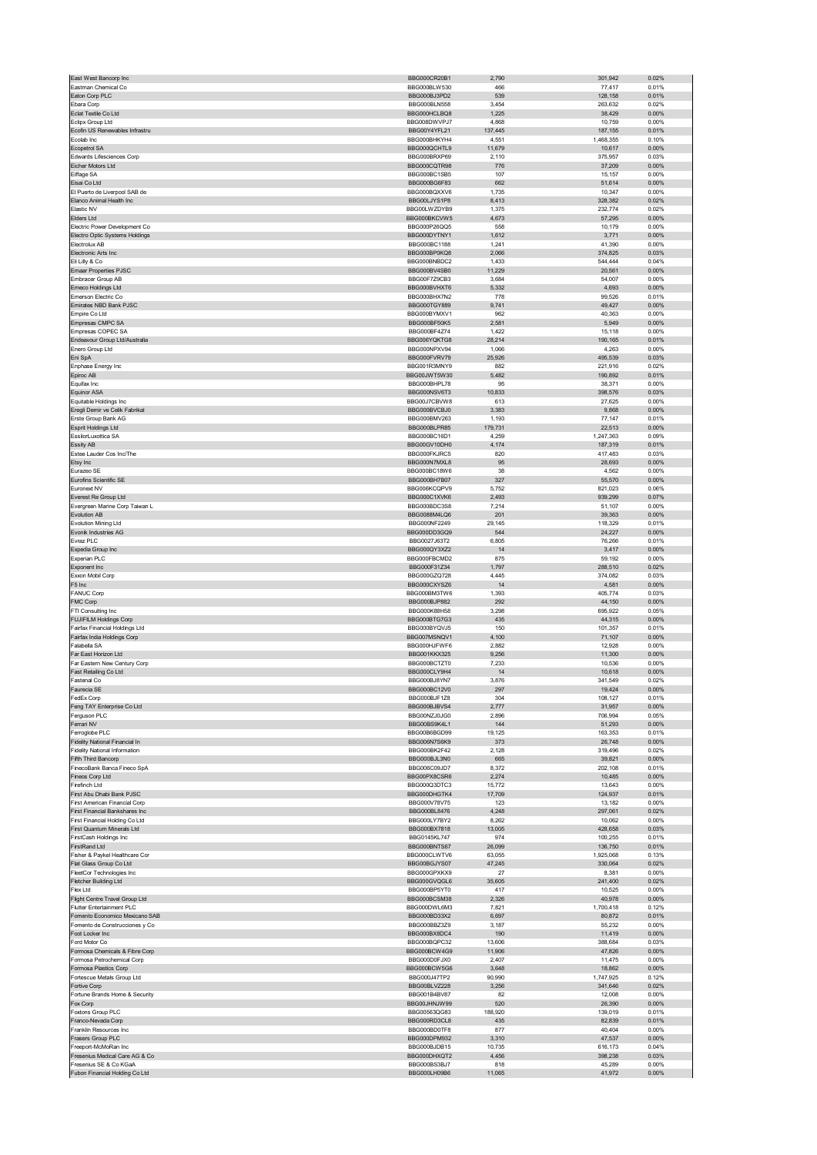| East West Bancorp Inc                                           | BBG000CR20B1                 | 2,790            | 301,942             | 0.02%          |
|-----------------------------------------------------------------|------------------------------|------------------|---------------------|----------------|
| Eastman Chemical Co                                             | BBG000BLW530                 | 466              | 77,417              | 0.01%          |
| Eaton Corp PLC                                                  | BBG000BJ3PD2                 | 539              | 128,158             | 0.01%          |
| Ebara Corp                                                      | BBG000BLN558                 | 3,454            | 263,632             | 0.02%          |
| Eclat Textile Co Ltd                                            | BBG000HCLBQ8                 | 1,225            | 38,429              | 0.00%          |
| Eclipx Group Ltd<br>Ecofin US Renewables Infrastru              | BBG008DWVPJ7<br>BBG00Y4YFL21 | 4,868<br>137,445 | 10,759<br>187,155   | 0.00%<br>0.01% |
| Ecolab Inc                                                      | BBG000BHKYH4                 | 4,551            | 1,468,355           | 0.10%          |
| Ecopetrol SA                                                    | BBG000QCHTL9                 | 11,679           | 10,617              | 0.00%          |
| Edwards Lifesciences Corp                                       | BBG000BRXP69                 | 2,110            | 375,957             | 0.03%          |
| Eicher Motors Ltd                                               | BBG000CQTR98                 | 776              | 37,209              | 0.00%          |
| Eiffage SA                                                      | BBG000BC1SB5                 | 107              | 15,157              | 0.00%          |
| Eisai Co Ltd                                                    | BBG000BG6F83                 | 662              | 51,614              | 0.00%          |
| El Puerto de Liverpool SAB de                                   | BBG000BQXXV6                 | 1,735            | 10,347              | 0.00%          |
| Elanco Animal Health Inc                                        | BBG00LJYS1P8                 | 8,413            | 328,382             | 0.02%          |
| Elastic NV                                                      | BBG00LWZDYB9                 | 1,375            | 232,774             | 0.02%          |
| Elders Ltd                                                      | BBG000BKCVW5                 | 4,673            | 57,295              | 0.00%          |
| Electric Power Development Co<br>Electro Optic Systems Holdings | BBG000P26QQ5<br>BBG000DYTNY1 | 558<br>1,612     | 10,179<br>3,771     | 0.00%<br>0.00% |
| Electrolux AB                                                   | BBG000BC1188                 | 1,241            | 41,390              | 0.00%          |
| Electronic Arts Inc                                             | BBG000BP0KQ8                 | 2,066            | 374,825             | 0.03%          |
| Eli Lilly & Co                                                  | BBG000BNBDC2                 | 1,433            | 544,444             | 0.04%          |
| <b>Emaar Properties PJSC</b>                                    | BBG000BV4SB0                 | 11,229           | 20,561              | 0.00%          |
| Embracer Group AB                                               | BBG00F7Z9CB3                 | 3,684            | 54,007              | 0.00%          |
| Emeco Holdings Ltd                                              | BBG000BVHXT6                 | 5,332            | 4,693               | 0.00%          |
| Emerson Electric Co                                             | BBG000BHX7N2                 | 778              | 99,526              | 0.01%          |
| Emirates NBD Bank PJSC                                          | BBG000TGY889                 | 9,741            | 49,427              | 0.00%          |
| Empire Co Ltd                                                   | BBG000BYMXV1                 | 962              | 40,363              | 0.00%          |
| Empresas CMPC SA                                                | BBG000BF50K5                 | 2,581            | 5,949               | 0.00%          |
| Empresas COPEC SA<br>Endeavour Group Ltd/Australia              | BBG000BF4Z74<br>BBG006YQKTG8 | 1,422<br>28,214  | 15,118<br>190,165   | 0.00%<br>0.01% |
| Enero Group Ltd                                                 | BBG000NPXV94                 | 1,066            | 4,263               | 0.00%          |
| Eni SpA                                                         | BBG000FVRV79                 | 25,926           | 495,539             | 0.03%          |
| Enphase Energy Inc                                              | BBG001R3MNY9                 | 882              | 221,916             | 0.02%          |
| Epiroc AB                                                       | BBG00JWT5W30                 | 5,482            | 190,892             | 0.01%          |
| Equifax Inc                                                     | BBG000BHPL78                 | 95               | 38,371              | 0.00%          |
| <b>Equinor ASA</b>                                              | BBG000NSV6T3                 | 10,833           | 398,576             | 0.03%          |
| Equitable Holdings Inc                                          | BBG00J7CBVW8                 | 613              | 27,625              | 0.00%          |
| Eregli Demir ve Celik Fabrikal                                  | BBG000BVCBJ0                 | 3,383            | 9,868               | 0.00%          |
| Erste Group Bank AG                                             | BBG000BMV263                 | 1,193            | 77,147              | 0.01%          |
| Esprit Holdings Ltd                                             | BBG000BLPR85                 | 179,731          | 22,513              | 0.00%          |
| EssilorLuxottica SA                                             | BBG000BC16D1                 | 4,259            | 1,247,363           | 0.09%          |
| <b>Essity AB</b>                                                | BBG00GV10DH0                 | 4,174            | 187,319             | 0.01%          |
| Estee Lauder Cos Inc/The                                        | BBG000FKJRC5<br>BBG000N7MXL8 | 820              | 417,483             | 0.03%<br>0.00% |
| Etsy Inc<br>Eurazeo SE                                          | BBG000BC18W6                 | 95<br>38         | 28,693<br>4,562     | 0.00%          |
| Eurofins Scientific SE                                          | BBG000BH7B07                 | 327              | 55,570              | $0.00\%$       |
| Euronext NV                                                     | BBG006KCQPV9                 | 5,752            | 821,023             | 0.06%          |
| Everest Re Group Ltd                                            | BBG000C1XVK6                 | 2,493            | 939,299             | 0.07%          |
| Evergreen Marine Corp Taiwan L                                  | BBG000BDC3S8                 | 7,214            | 51,107              | 0.00%          |
| <b>Evolution AB</b>                                             | BBG0088M4LQ6                 | 201              | 39,363              | $0.00\%$       |
| Evolution Mining Ltd                                            | BBG000NF2249                 | 29,145           | 118,329             | 0.01%          |
| Evonik Industries AG                                            | BBG000DD3GQ9                 | 544              | 24,227              | $0.00\%$       |
| Evraz PLC                                                       | BBG0027J63T2                 | 6,805            | 76,266              | 0.01%          |
| Expedia Group Inc                                               | BBG000QY3XZ2                 | 14               | 3,417               | 0.00%          |
| Experian PLC                                                    | BBG000FBCMD2                 | 875              | 59,192              | 0.00%          |
| Exponent Inc<br>Exxon Mobil Corp                                | BBG000F31Z34<br>BBG000GZQ728 | 1,797<br>4,445   | 288,510<br>374,082  | 0.02%<br>0.03% |
| F5 Inc                                                          | BBG000CXYSZ6                 | 14               | 4,581               | 0.00%          |
| <b>FANUC Corp</b>                                               | BBG000BM3TW6                 | 1,393            | 405,774             | 0.03%          |
| FMC Corp                                                        | BBG000BJP882                 | 292              | 44,150              | 0.00%          |
| FTI Consulting Inc                                              | BBG000K88H58                 | 3,298            | 695,922             | 0.05%          |
| FUJIFILM Holdings Corp                                          | BBG000BTG7G3                 | 435              | 44,315              | 0.00%          |
| Fairfax Financial Holdings Ltd                                  | BBG000BYQVJ5                 | 150              | 101,357             | 0.01%          |
| Fairfax India Holdings Corp                                     | BBG007MSNQV1                 | 4,100            | 71,107              | 0.00%          |
| Falabella SA                                                    | BBG000HJFWF6                 | 2,882            | 12,928              | 0.00%          |
| Far East Horizon Ltd                                            | BBG001KKX325                 | 9,256            | 11,300              | 0.00%          |
| Far Eastern New Century Corp                                    | BBG000BCTZT0                 | 7,233            | 10,536              | 0.00%          |
| Fast Retailing Co Ltd<br>Fastenal Co                            | BBG000CLY9H4<br>BBG000BJ8YN7 | 14               | 10,618<br>341,549   | 0.00%<br>0.02% |
|                                                                 | BBG000BC12V0                 | 3,876            | 19,424              | 0.00%          |
| FedEx Corp                                                      | BBG000BJF1Z8                 | 304              | 108,127             | 0.01%          |
| Feng TAY Enterprise Co Ltd                                      | BBG000BJBVS4                 | 2,777            | 31,957              | 0.00%          |
| Ferguson PLC                                                    | BBG00NZJ0JG0                 | 2,896            | 706,994             | 0.05%          |
| Ferrari NV                                                      | BBG00BS9K4L1                 | 144              | 51,293              | 0.00%          |
| Ferroglobe PLC                                                  | BBG00B6BGD99                 | 19,125           | 163,353             | 0.01%          |
| Fidelity National Financial In                                  | BBG006N7S6K9                 | 373              | 26,748              | 0.00%          |
| Fidelity National Information                                   | BBG000BK2F42                 | 2,128            | 319,496             | 0.02%          |
| Fifth Third Bancorp                                             | BBG000BJL3N0                 | 665              | 39,821              | 0.00%          |
| FinecoBank Banca Fineco SpA                                     | BBG006C09JD7<br>BBG00PX8CSR6 | 8,372            | 202,108             | 0.01%<br>0.00% |
| Fineos Corp Ltd<br>Firefinch Ltd                                |                              |                  | 10,485              |                |
| First Abu Dhabi Bank PJSC                                       |                              | 2,274            |                     |                |
|                                                                 | BBG000Q3DTC3<br>BBG000DHGTK4 | 15,772           | 13,643              | 0.00%          |
| First American Financial Corp                                   | BBG000V78V75                 | 17,709<br>123    | 124,937<br>13,182   | 0.01%<br>0.00% |
| First Financial Bankshares Inc                                  | BBG000BL8476                 | 4,248            | 297,061             | 0.02%          |
| First Financial Holding Co Ltd                                  | BBG000LY7BY2                 | 8,262            | 10,062              | 0.00%          |
| First Quantum Minerals Ltd                                      | BBG000BX7818                 | 13,005           | 428,658             | 0.03%          |
| FirstCash Holdings Inc                                          | BBG0145KL747                 | 974              | 100,255             | 0.01%          |
| FirstRand Ltd                                                   | BBG000BNTS67                 | 26,099           | 136,750             | 0.01%          |
| Fisher & Paykel Healthcare Cor                                  | BBG000CLWTV6                 | 63,055           | 1,925,068           | 0.13%          |
| Flat Glass Group Co Ltd                                         | BBG00BGJYS07                 | 47,245           | 330,064             | 0.02%          |
| FleetCor Technologies Inc<br>Fletcher Building Ltd              | BBG000GPXKX9<br>BBG000GVQGL6 | 27<br>35,605     | 8,381<br>241,400    | 0.00%<br>0.02% |
| <b>Flex Ltd</b>                                                 | BBG000BP5YT0                 | 417              | 10,525              | 0.00%          |
| Flight Centre Travel Group Ltd                                  | BBG000BCSM38                 | 2,326            | 40,978              | 0.00%          |
| Flutter Entertainment PLC                                       | BBG000DWL6M3                 | 7,821            | 1,700,418           | 0.12%          |
| Fomento Economico Mexicano SAB                                  | BBG000BD33X2                 | 6,697            | 80,872              | 0.01%          |
| Fomento de Construcciones y Co                                  | BBG000BBZ3Z9                 | 3,187            | 55,232              | 0.00%          |
| Foot Locker Inc                                                 | BBG000BX8DC4                 | 190              | 11,419              | 0.00%          |
| Ford Motor Co                                                   | BBG000BQPC32                 | 13,606           | 388,684             | 0.03%          |
| Formosa Chemicals & Fibre Corp                                  | BBG000BCW4G9                 | 11,906           | 47,826              | 0.00%          |
| Formosa Petrochemical Corp                                      | BBG000D0FJX0                 | 2,407            | 11,475              | 0.00%          |
| Formosa Plastics Corp<br>Fortescue Metals Group Ltd             | BBG000BCW5G6<br>BBG000J47TP2 | 3,648<br>90,990  | 18,862<br>1,747,925 | 0.00%<br>0.12% |
| Fortive Corp                                                    | BBG00BLVZ228                 | 3,256            | 341,646             | 0.02%          |
| Fortune Brands Home & Security                                  | BBG001B4BV87                 | 82               | 12,008              | 0.00%          |
| Fox Corp                                                        | BBG00JHNJW99                 | 520              | 26,390              | 0.00%          |
| Foxtons Group PLC                                               | BBG00563QG83                 | 188,920          | 139,019             | 0.01%          |
| Franco-Nevada Corp                                              | BBG000RD3CL8                 | 435              | 82,839              | 0.01%          |
| Franklin Resources Inc                                          | BBG000BD0TF8                 | 877              | 40,404              | 0.00%          |
| Frasers Group PLC                                               | BBG000DPM932                 | 3,310            | 47,537              | 0.00%          |
| Freeport-McMoRan Inc                                            | BBG000BJDB15                 | 10,735           | 616,173             | 0.04%          |
| Fresenius Medical Care AG & Co<br>Fresenius SE & Co KGaA        | BBG000DHXQT2<br>BBG000BS3BJ7 | 4,456<br>818     | 398,238<br>45,289   | 0.03%<br>0.00% |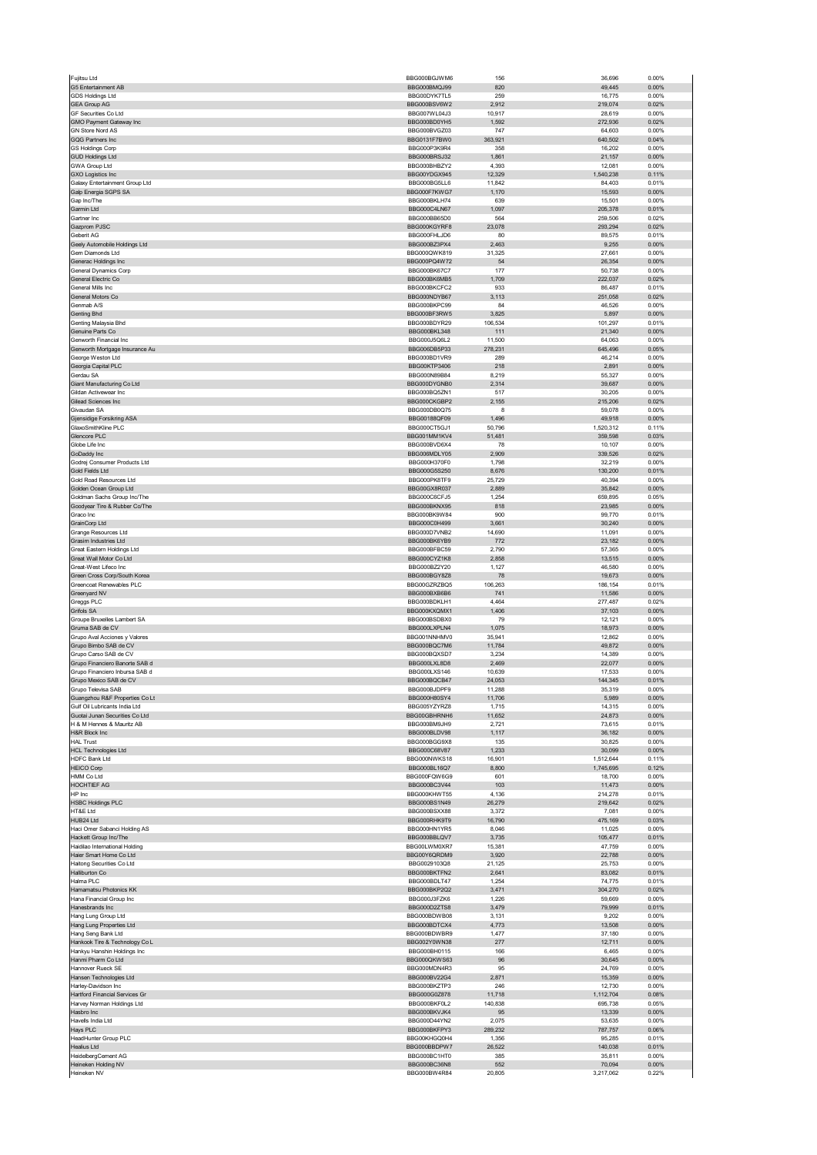| G5 Entertainment AB<br><b>GDS Holdings Ltd</b>           | BBG000BGJWM6                 | 156              | 36,696              | 0.00%             |
|----------------------------------------------------------|------------------------------|------------------|---------------------|-------------------|
|                                                          | BBG000BMQJ99                 | 820              | 49,445              | 0.00%             |
|                                                          | BBG00DYK7TL5                 | 259              | 16,775              | 0.00%             |
| <b>GEA Group AG</b>                                      | BBG000BSV6W2                 | 2,912            | 219,074             | 0.02%             |
| GF Securities Co Ltd                                     | BBG007WL04J3<br>BBG000BD0YH5 | 10,917           | 28,619              | 0.00%             |
| GMO Payment Gateway Inc<br>GN Store Nord AS              | BBG000BVGZ03                 | 1,592<br>747     | 272,936<br>64,603   | 0.02%<br>0.00%    |
| GQG Partners Inc                                         | BBG0131F7BW0                 | 363,921          | 640,502             | 0.04%             |
| <b>GS Holdings Corp</b>                                  | BBG000P3K9R4                 | 358              | 16,202              | 0.00%             |
| <b>GUD Holdings Ltd</b>                                  | BBG000BRSJ32                 | 1,861            | 21,157              | 0.00%             |
| GWA Group Ltd                                            | BBG000BHBZY2                 | 4,393            | 12,081              | 0.00%             |
| <b>GXO Logistics Inc</b>                                 | BBG00YDGX945                 | 12,329           | 1,540,238           | 0.11%             |
| Galaxy Entertainment Group Ltd                           | BBG000BG5LL6                 | 11,842           | 84,403              | 0.01%             |
| Galp Energia SGPS SA                                     | BBG000F7KWG7                 | 1,170            | 15,593              | 0.00%             |
| Gap Inc/The                                              | BBG000BKLH74                 | 639              | 15,501              | 0.00%             |
| Garmin Ltd<br>Gartner Inc                                | BBG000C4LN67<br>BBG000BB65D0 | 1,097<br>564     | 205,378<br>259,506  | 0.01%<br>0.02%    |
| Gazprom PJSC                                             | BBG000KGYRF8                 | 23,078           | 293,294             | 0.02%             |
| Geberit AG                                               | BBG000FHLJD6                 | 80               | 89,575              | 0.01%             |
| Geely Automobile Holdings Ltd                            | BBG000BZ3PX4                 | 2,463            | 9,255               | 0.00%             |
| Gem Diamonds I td                                        | BBG000QWK819                 | 31,325           | 27,661              | 0.00%             |
| Generac Holdings Inc                                     | BBG000PQ4W72                 | 54               | 26,354              | 0.00%             |
| General Dynamics Corp                                    | <b>BBG000BK67C7</b>          | 177              | 50,738              | 0.00%             |
| General Electric Co                                      | BBG000BK6MB5                 | 1,709            | 222,037             | 0.02%             |
| General Mills Inc                                        | BBG000BKCFC2                 | 933              | 86,487              | 0.01%             |
| General Motors Co                                        | BBG000NDYB67                 | 3,113            | 251,058             | 0.02%             |
| Genmab A/S<br>Genting Bhd                                | BBG000BKPC99<br>BBG000BF3RW5 | 84<br>3,825      | 46,526<br>5,897     | 0.00%<br>0.00%    |
| Genting Malaysia Bhd                                     | BBG000BDYR29                 | 106,534          | 101,297             | 0.01%             |
| Genuine Parts Co                                         | BBG000BKL348                 | 111              | 21,340              | 0.00%             |
| Genworth Financial Inc                                   | BBG000J5Q6L2                 | 11,500           | 64,063              | 0.00%             |
| Genworth Mortgage Insurance Au                           | BBG006DB5P33                 | 278,231          | 645,496             | 0.05%             |
| George Weston Ltd                                        | BBG000BD1VR9                 | 289              | 46,214              | 0.00%             |
| Georgia Capital PLC                                      | BBG00KTP3406                 | 218              | 2,891               | 0.00%             |
| Gerdau SA                                                | BBG000N89B84                 | 8,219            | 55,327              | 0.00%             |
| Giant Manufacturing Co Ltd<br>Gildan Activewear Inc      | BBG000DYGNB0<br>BBG000BQ5ZN1 | 2,314            | 39,687              | 0.00%             |
| Gilead Sciences Inc                                      | BBG000CKGBP2                 | 517<br>2,155     | 30,205<br>215,206   | 0.00%<br>0.02%    |
| Givaudan SA                                              | BBG000DB0Q75                 | 8                | 59,078              | 0.00%             |
| Gjensidige Forsikring ASA                                | BBG00188QF09                 | 1,496            | 49,918              | 0.00%             |
| GlaxoSmithKline PLC                                      | BBG000CT5GJ1                 | 50,796           | 1,520,312           | 0.11%             |
| Glencore PLC                                             | BBG001MM1KV4                 | 51,481           | 359,598             | 0.03%             |
| Globe Life Inc                                           | BBG000BVD6X4                 | 78               | 10,107              | 0.00%             |
| GoDaddy Inc                                              | BBG006MDLY05                 | 2,909            | 339,526             | 0.02%             |
| Godrej Consumer Products Ltd                             | BBG000H370F0                 | 1,798            | 32,219              | 0.00%             |
| Gold Fields Ltd                                          | BBG000G5S250                 | 8.676            | 130,200             | 0.01%             |
| Gold Road Resources Ltd                                  | BBG000PK8TF9                 | 25,729           | 40,394              | 0.00%             |
| Golden Ocean Group Ltd<br>Goldman Sachs Group Inc/The    | BBG00GX8R037<br>BBG000C6CFJ5 | 2,889<br>1,254   | 35,842<br>659,895   | 0.00%<br>0.05%    |
| Goodyear Tire & Rubber Co/The                            | BBG000BKNX95                 | 818              | 23,985              | 0.00%             |
| Graco Inc                                                | BBG000BK9W84                 | 900              | 99,770              | 0.01%             |
| GrainCorp Ltd                                            | BBG000C0H499                 | 3,661            | 30,240              | 0.00%             |
| Grange Resources Ltd                                     | BBG000D7VNB2                 | 14,690           | 11,091              | 0.00%             |
| Grasim Industries Ltd                                    | BBG000BK6YB9                 | 772              | 23,182              | 0.00%             |
| Great Eastern Holdings Ltd                               | BBG000BFBC59                 | 2,790            | 57,365              | 0.00%             |
| Great Wall Motor Co Ltd<br>Great-West Lifeco Inc         | BBG000CYZ1K8<br>BBG000BZ2Y20 | 2,858<br>1,127   | 13,515<br>46,580    | 0.00%<br>0.00%    |
| Green Cross Corp/South Korea                             | BBG000BGY8Z8                 | 78               | 19,673              | 0.00%             |
| Greencoat Renewables PLC                                 | BBG00GZRZBQ5                 | 106,263          | 186,154             | 0.01%             |
| Greenyard NV                                             | BBG000BXB6B6                 | 741              | 11,586              | 0.00%             |
| Greggs PLC                                               | BBG000BDKLH1                 | 4,464            | 277,487             | 0.02%             |
| Grifols SA                                               | BBG000KXQMX1                 | 1,406            | 37,103              | 0.00%             |
| Groupe Bruxelles Lambert SA                              |                              |                  |                     |                   |
|                                                          | BBG000BSDBX0                 | 79               | 12,121              | 0.00%             |
| Gruma SAB de CV                                          | BBG000LXPLN4                 | 1,075            | 18,973              | 0.00%             |
| Grupo Aval Acciones y Valores                            | BBG001NNHMV0                 | 35,941           | 12,862              | 0.00%             |
| Grupo Bimbo SAB de CV                                    | BBG000BQC7M6                 | 11,784           | 49,872              | 0.00%             |
| Grupo Carso SAB de CV                                    | BBG000BQXSD7                 | 3,234            | 14,389              | 0.00%             |
| Grupo Financiero Banorte SAB d                           | BBG000LXL8D8                 | 2,469            | 22,077              | 0.00%             |
| Grupo Financiero Inbursa SAB d<br>Grupo Mexico SAB de CV | BBG000LXS146<br>BBG000BQCB47 | 10,639<br>24,053 | 17,533<br>144,345   | 0.00%<br>0.01%    |
| Grupo Televisa SAB                                       | BBG000BJDPF9                 | 11.288           | 35 319              | 0.00%             |
| Guangzhou R&F Properties Co Lt                           | BBG000H80SY4                 | 11,706           | 5,989               | 0.00%             |
| Gulf Oil Lubricants India Ltd                            | BBG005YZYRZ8                 | 1,715            | 14,315              | 0.00%             |
| Guotai Junan Securities Co Ltd                           | BBG00GBHRNH6                 | 11,652           | 24,873              | 0.00%             |
| H & M Hennes & Mauritz AB                                | BBG000BM9JH9                 | 2,721            | 73,615              | 0.01%             |
| H&R Block Inc                                            | BBG000BLDV98                 | 1,117            | 36,182              | 0.00%             |
| <b>HAL Trust</b><br><b>HCL Technologies Ltd</b>          | BBG000BGG9X8<br>BBG000C68V87 | 135<br>1,233     | 30,825<br>30,099    | 0.00%<br>$0.00\%$ |
| <b>HDFC Bank Ltd</b>                                     | BBG000NWKS18                 | 16,901           | 1,512,644           | 0.11%             |
| <b>HEICO Corp</b>                                        | BBG000BL16Q7                 | 8,800            | 1,745,695           | 0.12%             |
| HMM Co Ltd                                               | BBG000FQW6G9                 | 601              | 18,700              | 0.00%             |
| HOCHTIEF AG                                              | BBG000BC3V44                 | 103              | 11,473              | $0.00\%$          |
| HP Inc                                                   | BBG000KHWT55                 | 4,136            | 214,278             | 0.01%             |
| <b>HSBC Holdings PLC</b>                                 | BBG000BS1N49                 | 26,279           | 219,642             | 0.02%             |
| HT&E Ltd<br>HUB24 Ltd                                    | BBG000BSXX88<br>BBG000RHK9T9 | 3,372<br>16,790  | 7,081<br>475,169    | 0.00%<br>0.03%    |
| Haci Omer Sabanci Holding AS                             | BBG000HN1YR5                 | 8,046            | 11,025              | 0.00%             |
| Hackett Group Inc/The                                    | BBG000BBLQV7                 | 3,735            | 105,477             | 0.01%             |
| Haidilao International Holding                           | BBG00LWM0XR7                 | 15,381           | 47,759              | 0.00%             |
| Haier Smart Home Co Ltd                                  | BBG00Y6QRDM9                 | 3,920            | 22,788              | 0.00%             |
| Haitong Securities Co Ltd                                | BBG0029103Q8                 | 21,125           | 25,753              | 0.00%             |
| Halliburton Co                                           | BBG000BKTFN2                 | 2,641            | 83,082              | 0.01%             |
| Halma PLC                                                | BBG000BDLT47                 | 1,254            | 74,775              | 0.01%             |
| Hamamatsu Photonics KK<br>Hana Financial Group Inc       | BBG000BKP2Q2<br>BBG000J3FZK6 | 3,471<br>1,226   | 304,270<br>59,669   | 0.02%<br>0.00%    |
| Hanesbrands Inc.                                         | BBG000D2ZTS8                 | 3,479            | 79,999              | 0.01%             |
| Hang Lung Group Ltd                                      | BBG000BDWB08                 | 3,131            | 9,202               | 0.00%             |
| Hang Lung Properties Ltd                                 | BBG000BDTCX4                 | 4,773            | 13,508              | 0.00%             |
| Hang Seng Bank Ltd                                       | BBG000BDWBR9                 | 1,477            | 37,180              | 0.00%             |
| Hankook Tire & Technology Co L                           | BBG002Y0WN38                 | 277              | 12,711              | 0.00%             |
| Hankyu Hanshin Holdings Inc                              | BBG000BH0115                 | 166              | 6,465               | 0.00%             |
| Hanmi Pharm Co Ltd                                       | BBG000QKWS63                 | 96               | 30,645              | 0.00%             |
| Hannover Rueck SE                                        | BBG000MDN4R3                 | 95               | 24,769              | 0.00%             |
| Hansen Technologies Ltd                                  | BBG000BV22G4                 | 2,871<br>246     | 15,359              | $0.00\%$<br>0.00% |
| Harley-Davidson Inc<br>Hartford Financial Services Gr    | BBG000BKZTP3<br>BBG000G0Z878 | 11,718           | 12,730<br>1,112,704 | 0.08%             |
| Harvey Norman Holdings Ltd                               | BBG000BKF0L2                 | 140,838          | 695,738             | 0.05%             |
| Hasbro Inc                                               | BBG000BKVJK4                 | 95               | 13,339              | 0.00%             |
| Havells India Ltd                                        | BBG000D44YN2                 | 2,075            | 53,635              | 0.00%             |
| Hays PLC                                                 | BBG000BKFPY3                 | 289,232          | 787,757             | 0.06%             |
| HeadHunter Group PLC                                     | BBG00KHGQ0H4                 | 1,356            | 95,285              | 0.01%             |
| <b>Healius Ltd</b>                                       | BBG000BBDPW7                 | 26.522           | 140,038             | 0.01%             |
| HeidelbergCement AG<br>Heineken Holding NV               | BBG000BC1HT0<br>BBG000BC36N8 | 385<br>552       | 35,811<br>70,094    | 0.00%<br>0.00%    |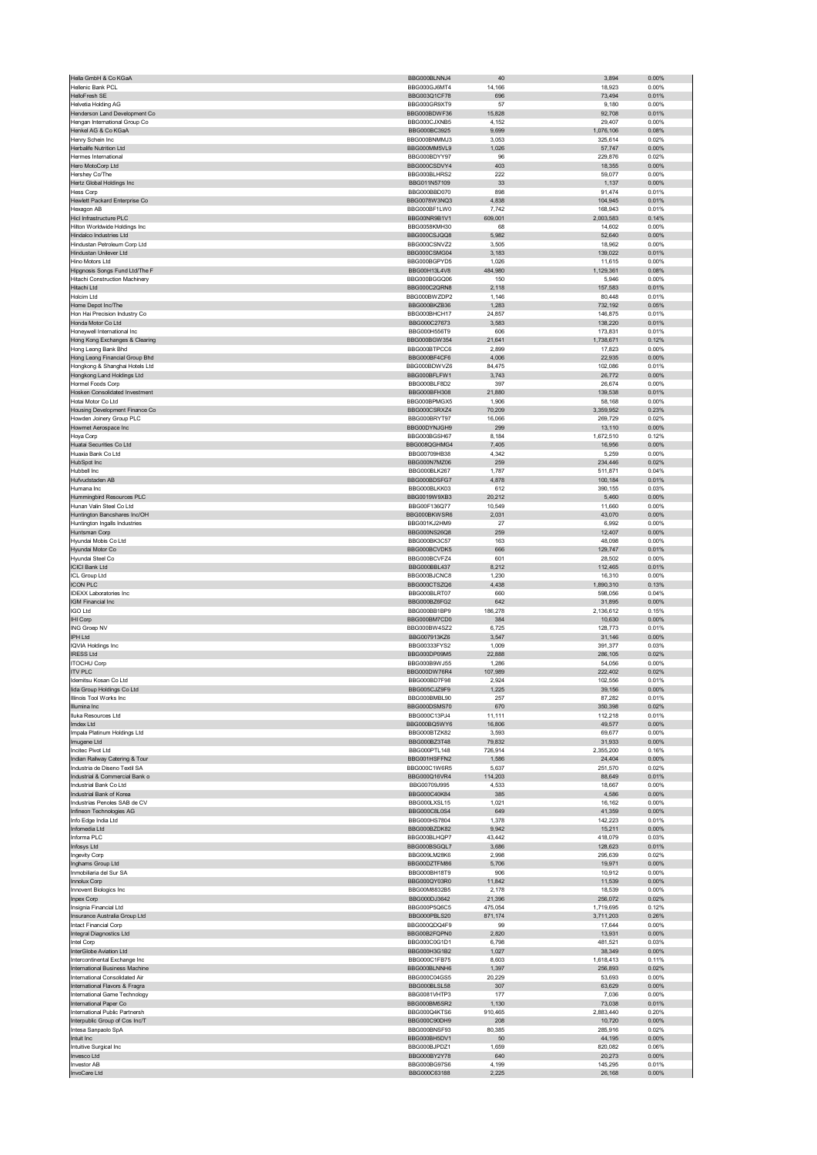|                                                          | BBG000BLNNJ4                        | 40              | 3,894                | 0.00%          |
|----------------------------------------------------------|-------------------------------------|-----------------|----------------------|----------------|
| Hellenic Bank PCL                                        | BBG000GJ6MT4                        | 14,166          | 18,923               | 0.00%          |
| <b>HelloFresh SE</b>                                     | BBG003Q1CF78                        | 696             | 73,494               | 0.01%          |
| Helvetia Holding AG                                      | BBG000GR9XT9                        | 57              | 9,180                | 0.00%          |
| Henderson Land Development Co                            | BBG000BDWF36                        | 15,828          | 92,708               | 0.01%          |
| Hengan International Group Co                            | BBG000CJXNB5                        | 4.152<br>9,699  | 29,407               | 0.00%<br>0.08% |
| Henkel AG & Co KGaA<br>Henry Schein Inc                  | BBG000BC3925<br>BBG000BNMMJ3        | 3,053           | 1,076,106<br>325,614 | 0.02%          |
| Herbalife Nutrition Ltd                                  | BBG000MM5VL9                        | 1,026           | 57,747               | 0.00%          |
| Hermes International                                     | BBG000BDYY97                        | 96              | 229,876              | 0.02%          |
| Hero MotoCorp Ltd                                        | BBG000CSDVY4                        | 403             | 18,355               | 0.00%          |
| Hershey Co/The                                           | BBG000BLHRS2                        | 222             | 59,077               | 0.00%          |
| Hertz Global Holdings Inc                                | BBG011N57109                        | 33              | 1,137                | 0.00%          |
| <b>Hess Corp</b>                                         | BBG000BBD070                        | 898             | 91,474               | 0.01%          |
| Hewlett Packard Enterprise Co                            | BBG0078W3NQ3                        | 4,838           | 104,945              | 0.01%          |
| Hexagon AB                                               | BBG000BF1LW0                        | 7,742           | 168,943              | 0.01%          |
| Hicl Infrastructure PLC                                  | BBG00NR9B1V1                        | 609,001         | 2,003,583            | 0.14%          |
| Hilton Worldwide Holdings Inc                            | BBG0058KMH30                        | 68              | 14,602               | 0.00%          |
| Hindalco Industries Ltd<br>Hindustan Petroleum Corp Ltd  | BBG000CSJQQ8<br>BBG000CSNVZ2        | 5,982<br>3,505  | 52,640<br>18,962     | 0.00%<br>0.00% |
| Hindustan Unilever Ltd                                   | BBG000CSMG04                        | 3,183           | 139,022              | 0.01%          |
| Hino Motors Ltd                                          | BBG000BGPYD5                        | 1,026           | 11,615               | 0.00%          |
| Hipgnosis Songs Fund Ltd/The F                           | BBG00H13L4V8                        | 484,980         | 1,129,361            | 0.08%          |
| Hitachi Construction Machinery                           | BBG000BGGQ06                        | 150             | 5,946                | 0.00%          |
| Hitachi Ltd                                              | BBG000C2QRN8                        | 2,118           | 157,583              | 0.01%          |
| Holcim Ltd                                               | BBG000BWZDP2                        | 1,146           | 80,448               | 0.01%          |
| Home Depot Inc/The                                       | BBG000BKZB36                        | 1,283           | 732,192              | 0.05%          |
| Hon Hai Precision Industry Co                            | BBG000BHCH17                        | 24,857          | 146,875              | 0.01%          |
| Honda Motor Co Ltd                                       | BBG000C27673                        | 3,583           | 138,220              | 0.01%          |
| Honeywell International Inc                              | BBG000H556T9                        | 606             | 173,831              | 0.01%          |
| Hong Kong Exchanges & Clearing                           | BBG000BGW354<br>BBG000BTPCC6        | 21,641<br>2,899 | 1,738,671            | 0.12%<br>0.00% |
| Hong Leong Bank Bhd<br>Hong Leong Financial Group Bhd    | BBG000BF4CF6                        | 4,006           | 17,823<br>22,935     | 0.00%          |
| Hongkong & Shanghai Hotels Ltd                           | BBG000BDWVZ6                        | 84,475          | 102,086              | 0.01%          |
| Hongkong Land Holdings Ltd                               | BBG000BFI FW1                       | 3,743           | 26,772               | 0.00%          |
| Hormel Foods Corp                                        | BBG000BLF8D2                        | 397             | 26,674               | 0.00%          |
| Hosken Consolidated Investment                           | BBG000BFH308                        | 21,880          | 139,538              | 0.01%          |
| Hotai Motor Co Ltd                                       | BBG000BPMGX5                        | 1,906           | 58,168               | 0.00%          |
| Housing Development Finance Co                           | BBG000CSRXZ4                        | 70,209          | 3,359,952            | 0.23%          |
| Howden Joinery Group PLC                                 | BBG000BRYT97                        | 16,066          | 269,729              | 0.02%          |
| Howmet Aerospace Inc                                     | BBG00DYNJGH9                        | 299             | 13,110               | 0.00%          |
| Hoya Corp                                                | BBG000BGSH67                        | 8,184           | 1,672,510            | 0.12%          |
| Huatai Securities Co Ltd                                 | BBG008QGHMG4                        | 7,405           | 16,956               | 0.00%          |
| Huaxia Bank Co Ltd<br>HubSpot Inc                        | BBG00709HB38<br>BBG000N7MZ06        | 4,342<br>259    | 5,259<br>234,446     | 0.00%<br>0.02% |
| Hubbell Inc                                              | BBG000BLK267                        | 1,787           | 511,871              | 0.04%          |
| Hufvudstaden AB                                          | BBG000BDSFG7                        | 4,878           | 100,184              | 0.01%          |
| Humana Inc                                               | BBG000BLKK03                        | 612             | 390,155              | 0.03%          |
| Hummingbird Resources PLC                                | BBG0019W9XB3                        | 20,212          | 5,460                | 0.00%          |
| Hunan Valin Steel Co Ltd                                 | BBG00F136Q77                        | 10,549          | 11,660               | 0.00%          |
| Huntington Bancshares Inc/OH                             | BBG000BKWSR6                        | 2,031           | 43,070               | 0.00%          |
| Huntington Ingalls Industries                            | BBG001KJ2HM9                        | 27              | 6,992                | 0.00%          |
| Huntsman Corp                                            | <b>BBG000NS26Q8</b>                 | 259             | 12,407               | 0.00%          |
| Hyundai Mobis Co Ltd                                     | BBG000BK3C57                        | 163             | 48,098               | 0.00%          |
| Hyundai Motor Co                                         | BBG000BCVDK5                        | 666             | 129,747              | 0.01%          |
| Hyundai Steel Co<br><b>ICICI Bank Ltd</b>                | BBG000BCVFZ4<br>BBG000BBL437        | 601<br>8,212    | 28,502<br>112,465    | 0.00%<br>0.01% |
| ICL Group Ltd                                            | BBG000BJCNC8                        | 1,230           | 16,310               | 0.00%          |
| <b>ICON PLC</b>                                          | BBG000CTSZQ6                        | 4,438           | 1,890,310            | 0.13%          |
| <b>IDEXX Laboratories Inc</b>                            | BBG000BLRT07                        | 660             | 598,056              | 0.04%          |
|                                                          |                                     |                 |                      | 0.00%          |
| IGM Financial Inc                                        | BBG000BZ6FG2                        | 642             |                      |                |
| <b>IGO Ltd</b>                                           | BBG000BB1BP9                        | 186,278         | 31,895<br>2,136,612  | 0.15%          |
| IHI Corp                                                 | BBG000BM7CD0                        | 384             | 10,630               | 0.00%          |
| ING Groep NV                                             | BBG000BW4SZ2                        | 6,725           | 128,773              | 0.01%          |
| IPH Ltd                                                  | BBG007913KZ6                        | 3,547           | 31,146               | 0.00%          |
| <b>IQVIA Holdings Inc</b>                                | BBG00333FYS2                        | 1,009           | 391,377              | 0.03%          |
| <b>IRESS Ltd</b>                                         | BBG000DP09M5                        | 22,888          | 286,105              | 0.02%          |
| <b>ITOCHU Corp</b>                                       | BBG000B9WJ55                        | 1,286           | 54,056               | 0.00%          |
| <b>ITV PLC</b>                                           | BBG000DW76R4                        | 107,989         | 222,402              | 0.02%          |
| Idemitsu Kosan Co Ltd                                    | BBG000BD7F98                        | 2,924           | 102,556              | 0.01%          |
| lida Group Holdings Co Ltd                               | BBG005CJZ9F9                        | 1.225<br>257    | 39.156               | 0.00%          |
| Illinois Tool Works Inc<br>Illumina Inc                  | BBG000BMBL90<br>BBG000DSMS70        | 670             | 87,282<br>350,398    | 0.01%<br>0.02% |
| Iluka Resources Ltd                                      | BBG000C13PJ4                        | 11,111          | 112,218              | 0.01%          |
| Imdex Ltd                                                | BBG000BQ5WY6                        | 16,806          | 49,577               | 0.00%          |
| Impala Platinum Holdings Ltd                             | BBG000BTZK82                        | 3,593           | 69,677               | 0.00%          |
| Imugene Ltd                                              | BBG000BZ3T48                        | 79,832          | 31,933               | $0.00\%$       |
| Incitec Pivot Ltd                                        | BBG000PTL148                        | 726,914         | 2,355,200            | 0.16%          |
| Indian Railway Catering & Tour                           | BBG001HSFFN2                        | 1,586           | 24,404               | 0.00%          |
| Industria de Diseno Textil SA                            | BBG000C1W6R5                        | 5,637           | 251,570              | 0.02%          |
| Industrial & Commercial Bank o<br>Industrial Bank Co Ltd | BBG000Q16VR4<br>BBG00709J995        | 114,203         | 88,649               | 0.01%<br>0.00% |
| Industrial Bank of Korea                                 | BBG000C40K84                        | 4,533<br>385    | 18,667<br>4,586      | 0.00%          |
| Industrias Penoles SAB de CV                             | BBG000LXSL15                        | 1,021           | 16,162               | 0.00%          |
| Infineon Technologies AG                                 | BBG000C8L0S4                        | 649             | 41,359               | 0.00%          |
| Info Edge India Ltd                                      | BBG000HS7804                        | 1,378           | 142,223              | 0.01%          |
| Infomedia Ltd                                            | BBG000BZDK82                        | 9,942           | 15,211               | 0.00%          |
| Informa PLC                                              | BBG000BLHQP7                        | 43,442          | 418,079              | 0.03%          |
| Infosys Ltd                                              | BBG000BSGQL7                        | 3,686<br>2,998  | 128,623              | 0.01%          |
| Ingevity Corp<br>Inghams Group Ltd                       | BBG009LM28K6<br>BBG00DZTFM86        | 5,706           | 295,639<br>19,971    | 0.02%<br>0.00% |
| Inmobiliaria del Sur SA                                  | BBG000BH18T9                        | 906             | 10,912               | 0.00%          |
| <b>Innolux Corp</b>                                      | BBG000QY03R0                        | 11,842          | 11,539               | 0.00%          |
| Innovent Biologics Inc                                   | BBG00M8832B5                        | 2,178           | 18,539               | 0.00%          |
| Inpex Corp                                               | BBG000DJ3642                        | 21,396          | 256,072              | 0.02%          |
| Insignia Financial Ltd                                   | BBG000P5Q6C5                        | 475,054         | 1,719,695            | 0.12%          |
| Insurance Australia Group Ltd                            | BBG000PBLS20                        | 871,174         | 3,711,203            | 0.26%          |
| Intact Financial Corp                                    | BBG000QDQ4F9                        | 99              | 17,644               | 0.00%          |
| Integral Diagnostics Ltd                                 | BBG00B2FQPN0                        | 2,820           | 13,931               | 0.00%          |
| Intel Corp                                               | BBG000C0G1D1<br>BBG000H3G1B2        | 6,798           | 481,521              | 0.03%<br>0.00% |
| InterGlobe Aviation Ltd<br>Intercontinental Exchange Inc | BBG000C1FB75                        | 1,027<br>8,603  | 38,349               | 0.11%          |
| International Business Machine                           | BBG000BLNNH6                        | 1,397           | 1,618,413<br>256,893 | 0.02%          |
| International Consolidated Air                           | BBG000C04GS5                        | 20,229          | 53,693               | 0.00%          |
| International Flavors & Fragra                           | BBG000BLSL58                        | 307             | 63,629               | $0.00\%$       |
| International Game Technology                            | BBG0081VHTP3                        | 177             | 7,036                | 0.00%          |
| International Paper Co                                   | BBG000BM5SR2                        | 1,130           | 73,038               | 0.01%          |
| International Public Partnersh                           | BBG000Q4KTS6                        | 910,465         | 2,883,440            | 0.20%          |
| Interpublic Group of Cos Inc/T                           | BBG000C90DH9                        | 208             | 10,720               | 0.00%          |
| Intesa Sanpaolo SpA                                      | BBG000BNSF93                        | 80,385          | 285,916              | 0.02%          |
| Intuit Inc<br>Intuitive Surgical Inc                     | BBG000BH5DV1<br>BBG000BJPDZ1        | 50<br>1,659     | 44,195<br>820,082    | 0.00%<br>0.06% |
| Invesco Ltd                                              | BBG000BY2Y78                        | 640             | 20,273               | 0.00%          |
| <b>Investor AB</b><br>InvoCare Ltd                       | <b>BBG000BG97S6</b><br>BBG000C63188 | 4,199<br>2,225  | 145,295<br>26,168    | 0.01%<br>0.00% |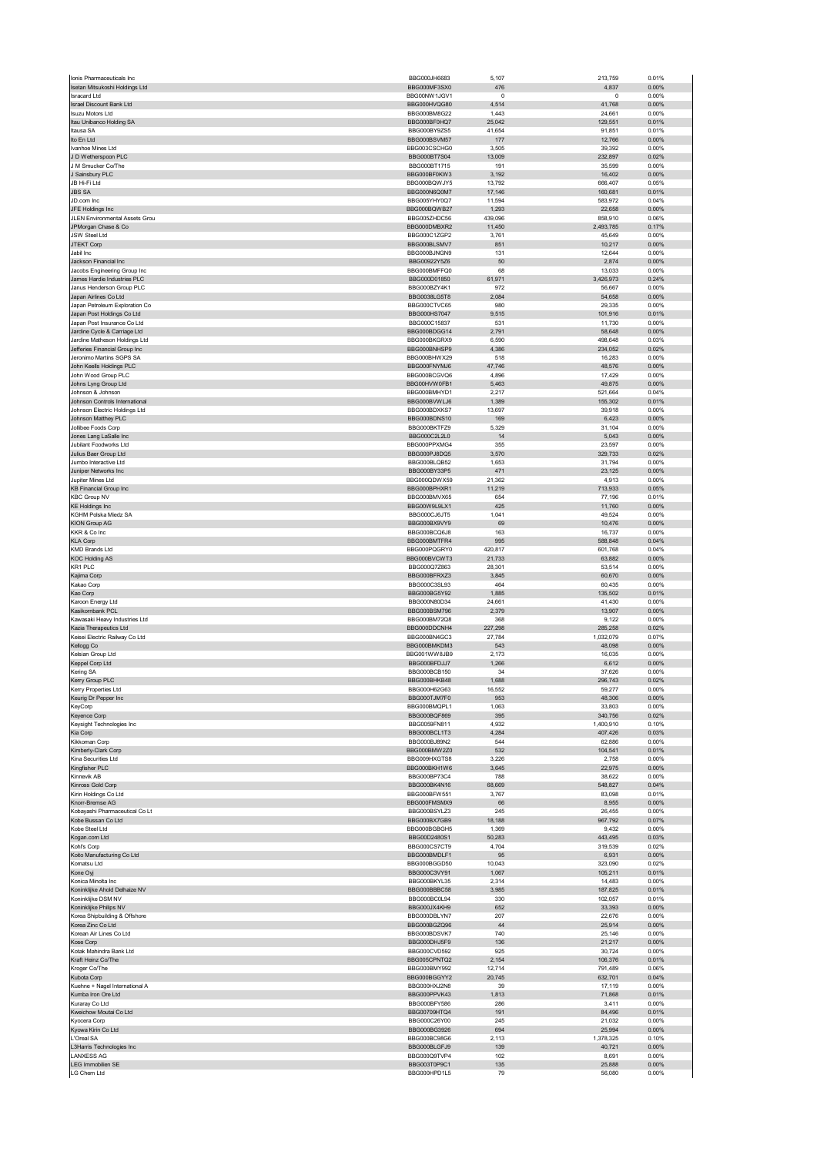|                                                            | BBG000JH6683                 | 5,107            | 213,759             | 0.01%          |
|------------------------------------------------------------|------------------------------|------------------|---------------------|----------------|
| Isetan Mitsukoshi Holdings Ltd                             | BBG000MF3SX0                 | 476              | 4,837               | 0.00%          |
| <b>Isracard Ltd</b>                                        | BBG00NW1JGV1                 | $\Omega$         | 0                   | 0.00%          |
| <b>Israel Discount Bank Ltd</b><br><b>Isuzu Motors Ltd</b> | BBG000HVQG80<br>BBG000BM8G22 | 4,514<br>1,443   | 41,768<br>24,661    | 0.00%<br>0.00% |
| Itau Unibanco Holding SA                                   | BBG000BF0HQ7                 | 25,042           | 129,551             | 0.01%          |
| Itausa SA                                                  | BBG000BY9ZS5                 | 41,654           | 91,851              | 0.01%          |
| Ito En Ltd                                                 | BBG000BSVM57                 | 177              | 12,766              | 0.00%          |
| Ivanhoe Mines Ltd                                          | BBG003CSCHG0                 | 3,505            | 39,392              | 0.00%          |
| J D Wetherspoon PLC                                        | BBG000BT7S04                 | 13,009           | 232,897             | 0.02%          |
| J M Smucker Co/The                                         | BBG000BT1715                 | 191              | 35,599              | 0.00%          |
| J Sainsbury PLC                                            | BBG000BF0KW3                 | 3,192            | 16,402              | 0.00%          |
| JB Hi-Fi Ltd<br><b>JBS SA</b>                              | BBG000BQWJY5<br>BBG000N6Q0M7 | 13,792<br>17,146 | 666,407<br>160,681  | 0.05%<br>0.01% |
| JD.com Inc                                                 | BBG005YHY0Q7                 | 11,594           | 583,972             | 0.04%          |
| JFE Holdings Inc                                           | BBG000BQWB27                 | 1,293            | 22,658              | 0.00%          |
| JLEN Environmental Assets Grou                             | BBG005ZHDC56                 | 439,096          | 858,910             | 0.06%          |
| JPMorgan Chase & Co                                        | BBG000DMBXR2                 | 11,450           | 2,493,785           | 0.17%          |
| JSW Steel Ltd                                              | BBG000C1ZGP2                 | 3,761            | 45,649              | 0.00%          |
| JTEKT Corp                                                 | BBG000BLSMV7                 | 851              | 10,217              | 0.00%          |
| Jabil Inc                                                  | BBG000BJNGN9                 | 131              | 12,644              | 0.00%          |
| Jackson Financial Inc.                                     | BBG00922Y5Z6                 | 50               | 2,874               | 0.00%          |
| Jacobs Engineering Group Inc.                              | BBG000BMFFQ0                 | 68               | 13,033              | 0.00%          |
| James Hardie Industries PLC<br>Janus Henderson Group PLC   | BBG000D01850<br>BBG000BZY4K1 | 61,971<br>972    | 3,426,973<br>56,667 | 0.24%<br>0.00% |
| Japan Airlines Co Ltd                                      | BBG0038LG5T8                 | 2,084            | 54,658              | 0.00%          |
| Japan Petroleum Exploration Co                             | BBG000CTVC65                 | 980              | 29,335              | 0.00%          |
| Japan Post Holdings Co Ltd                                 | BBG000HS7047                 | 9,515            | 101,916             | 0.01%          |
| Japan Post Insurance Co Ltd                                | BBG000C15837                 | 531              | 11,730              | 0.00%          |
| Jardine Cycle & Carriage Ltd                               | BBG000BDGG14                 | 2,791            | 58,648              | 0.00%          |
| Jardine Matheson Holdings Ltd                              | BBG000BKGRX9                 | 6,590            | 498,648             | 0.03%          |
| Jefferies Financial Group Inc                              | BBG000BNHSP9                 | 4,386            | 234,052             | 0.02%          |
| Jeronimo Martins SGPS SA                                   | BBG000BHWX29                 | 518              | 16,283              | 0.00%          |
| John Keells Holdings PLC                                   | BBG000FNYMJ6                 | 47,746           | 48,576              | 0.00%          |
| John Wood Group PLC                                        | BBG000BCGVQ6<br>BBG00HVW0FB1 | 4,896            | 17,429              | 0.00%          |
| Johns Lyng Group Ltd<br>Johnson & Johnson                  | BBG000BMHYD1                 | 5,463<br>2,217   | 49,875<br>521,664   | 0.00%<br>0.04% |
| Johnson Controls International                             | BBG000BVWLJ6                 | 1,389            | 155,302             | 0.01%          |
| Johnson Electric Holdings Ltd                              | BBG000BDXKS7                 | 13,697           | 39,918              | 0.00%          |
| Johnson Matthey PLC                                        | BBG000BDNS10                 | 169              | 6,423               | 0.00%          |
| Jollibee Foods Corp                                        | BBG000BKTFZ9                 | 5,329            | 31,104              | 0.00%          |
| Jones Lang LaSalle Inc                                     | BBG000C2L2L0                 | 14               | 5,043               | 0.00%          |
| Jubilant Foodworks Ltd                                     | BBG000PPXMG4                 | 355              | 23,597              | 0.00%          |
| Julius Baer Group Ltd                                      | BBG000PJ8DQ5                 | 3,570            | 329,733             | 0.02%          |
| Jumbo Interactive Ltd                                      | BBG000BLQB52                 | 1,653            | 31,794              | 0.00%          |
| Juniper Networks Inc                                       | BBG000BY33P5                 | 471              | 23,125              | 0.00%          |
| Jupiter Mines Ltd                                          | BBG000QDWX59                 | 21,362           | 4,913               | 0.00%          |
| KB Financial Group Inc<br><b>KBC Group NV</b>              | BBG000BPHXR1<br>BBG000BMVX65 | 11,219<br>654    | 713,933             | 0.05%<br>0.01% |
| <b>KE Holdings Inc</b>                                     | BBG00W9L9LX1                 | 425              | 77,196<br>11,760    | 0.00%          |
| KGHM Polska Miedz SA                                       | BBG000CJ6JT5                 | 1,041            | 49,524              | 0.00%          |
| <b>KION Group AG</b>                                       | BBG000BX9VY9                 | 69               | 10,476              | 0.00%          |
| KKR & Co Inc                                               | BBG000BCQ6J8                 | 163              | 16,737              | 0.00%          |
| <b>KLA Corp</b>                                            | BBG000BMTFR4                 | 995              | 588,848             | 0.04%          |
| <b>KMD Brands Ltd</b>                                      | BBG000PQGRY0                 | 420,817          | 601,768             | 0.04%          |
| <b>KOC Holding AS</b>                                      | BBG000BVCWT3                 | 21,733           | 63,882              | 0.00%          |
| KR1 PLC                                                    | BBG000Q7Z863                 | 28,301           | 53,514              | 0.00%          |
| Kajima Corp                                                | BBG000BFRXZ3                 | 3,845            | 60,670              | 0.00%          |
| Kakao Corp<br>Kao Corp                                     | BBG000C3SL93<br>BBG000BG5Y92 | 464<br>1,885     | 60,435<br>135,502   | 0.00%<br>0.01% |
| Karoon Energy Ltd                                          | BBG000N80D34                 | 24,661           | 41,430              | 0.00%          |
| Kasikornbank PCL                                           | BBG000BSM796                 | 2,379            | 13,907              | 0.00%          |
| Kawasaki Heavy Industries Ltd                              | BBG000BM72Q8                 | 368              | 9,122               | 0.00%          |
|                                                            |                              |                  | 285,258             | 0.02%          |
| Kazia Therapeutics Ltd                                     | BBG000DDCNH4                 | 227,298          |                     |                |
| Keisei Electric Railway Co Ltd                             | BBG000BN4GC3                 | 27,784           | 1,032,079           | 0.07%          |
| Kellogg Co                                                 | BBG000BMKDM3                 | 543              | 48,098              | 0.00%          |
| Kelsian Group Ltd                                          | BBG001WW8JB9                 | 2,173            | 16,035              | 0.00%          |
| Keppel Corp Ltd                                            | BBG000BFDJJ7                 | 1,266            | 6,612               | 0.00%          |
| Kering SA                                                  | BBG000BCB150                 | 34               | 37,626              | 0.00%          |
| Kerry Group PLC                                            | BBG000BHKB48                 | 1,688            | 296,743             | 0.02%          |
| <b>Kerry Properties Ltd</b>                                | BBG000H62G63                 | 16.552<br>953    | 59.277<br>48,306    | 0.00%<br>0.00% |
| Keurig Dr Pepper Inc<br>KeyCorp                            | BBG000TJM7F0<br>BBG000BMQPL1 | 1,063            | 33,803              | 0.00%          |
| Keyence Corp                                               | BBG000BQF869                 | 395              | 340,756             | 0.02%          |
| Keysight Technologies Inc                                  | BBG0059FN811                 | 4,932            | 1,400,910           | 0.10%          |
| Kia Corp                                                   | BBG000BCL1T3                 | 4,284            | 407,426             | 0.03%          |
| Kikkoman Corp                                              | BBG000BJ89N2                 | 544              | 62,886              | 0.00%          |
| Kimberly-Clark Corp                                        | BBG000BMW2Z0                 | 532              | 104,541             | 0.01%          |
| Kina Securities Ltd                                        | BBG009HXGTS8<br>BBG000BKH1W6 | 3,226            | 2,758               | 0.00%          |
| Kingfisher PLC<br>Kinnevik AB                              |                              | 3,645<br>788     | 22,975              | 0.00%<br>0.00% |
| Kinross Gold Corp                                          | BBG000BP73C4<br>BBG000BK4N16 | 68,669           | 38,622<br>548,827   | 0.04%          |
| Kirin Holdings Co Ltd                                      | BBG000BFW551                 | 3,767            | 83,098              | 0.01%          |
| Knorr-Bremse AG                                            | BBG000FMSMX9                 | 66               | 8,955               | $0.00\%$       |
| Kobayashi Pharmaceutical Co Lt                             | BBG000BSYLZ3                 | 245              | 26,455              | 0.00%          |
| Kobe Bussan Co Ltd                                         | BBG000BX7GB9                 | 18,188           | 967,792             | 0.07%          |
| Kobe Steel Ltd                                             | BBG000BGBGH5                 | 1,369            | 9,432               | 0.00%          |
| Kogan.com Ltd                                              | BBG00D2480S1                 | 50,283           | 443,495             | 0.03%          |
| Kohľ's Corp                                                | BBG000CS7CT9                 | 4,704            | 319,539             | 0.02%          |
| Koito Manufacturing Co Ltd<br>Komatsu Ltd                  | BBG000BMDLF1<br>BBG000BGGD50 | 95<br>10,043     | 6,931<br>323,090    | 0.00%<br>0.02% |
| Kone Oyj                                                   | BBG000C3VY91                 | 1,067            | 105,211             | 0.01%          |
| Konica Minolta Inc                                         | BBG000BKYL35                 | 2,314            | 14,483              | 0.00%          |
| Koninklijke Ahold Delhaize NV                              | BBG000BBBC58                 | 3,985            | 187,825             | 0.01%          |
| Koninklijke DSM NV                                         | BBG000BC0L94                 | 330              | 102,057             | 0.01%          |
| Koninklijke Philips NV                                     | BBG000JX4KH9                 | 652              | 33,393              | 0.00%          |
| Korea Shipbuilding & Offshore                              | BBG000DBLYN7                 | 207              | 22,676              | 0.00%          |
| Korea Zinc Co Ltd<br>Korean Air Lines Co Ltd               | BBG000BGZQ96<br>BBG000BDSVK7 | 44<br>740        | 25,914<br>25,146    | 0.00%<br>0.00% |
| Kose Corp                                                  | BBG000DHJ5F9                 | 136              | 21,217              | $0.00\%$       |
| Kotak Mahindra Bank Ltd                                    | BBG000CVD592                 | 925              | 30,724              | 0.00%          |
| Kraft Heinz Co/The                                         | BBG005CPNTQ2                 | 2,154            | 106,376             | 0.01%          |
| Kroger Co/The                                              | BBG000BMY992                 | 12,714           | 791,489             | 0.06%          |
| Kubota Corp                                                | BBG000BGGYY2                 | 20,745           | 632,701             | 0.04%          |
| Kuehne + Nagel International A                             | BBG000HXJ2N8                 | 39               | 17,119              | 0.00%          |
| Kumba Iron Ore Ltd                                         | BBG000PPVK43                 | 1,813            | 71,868              | 0.01%          |
| Kuraray Co Ltd                                             | BBG000BFY586                 | 286              | 3,411               | 0.00%          |
| Kweichow Moutai Co Ltd<br>Kyocera Corp                     | BBG00709HTQ4<br>BBG000C26Y00 | 191<br>245       | 84,496<br>21,032    | 0.01%<br>0.00% |
| Kyowa Kirin Co Ltd                                         | BBG000BG3926                 | 694              | 25,994              | 0.00%          |
| L'Oreal SA                                                 | BBG000BC98G6                 | 2,113            | 1,378,325           | 0.10%          |
| L3Harris Technologies Inc                                  | BBG000BLGFJ9                 | 139              | 40,721              | 0.00%          |
| <b>LANXESS AG</b>                                          | BBG000Q9TVP4                 | 102              | 8,691               | 0.00%          |
| <b>LEG Immobilien SE</b><br>LG Chem Ltd                    | BBG003T0P9C1<br>BBG000HPD1L5 | 135<br>79        | 25,888<br>56,080    | 0.00%<br>0.00% |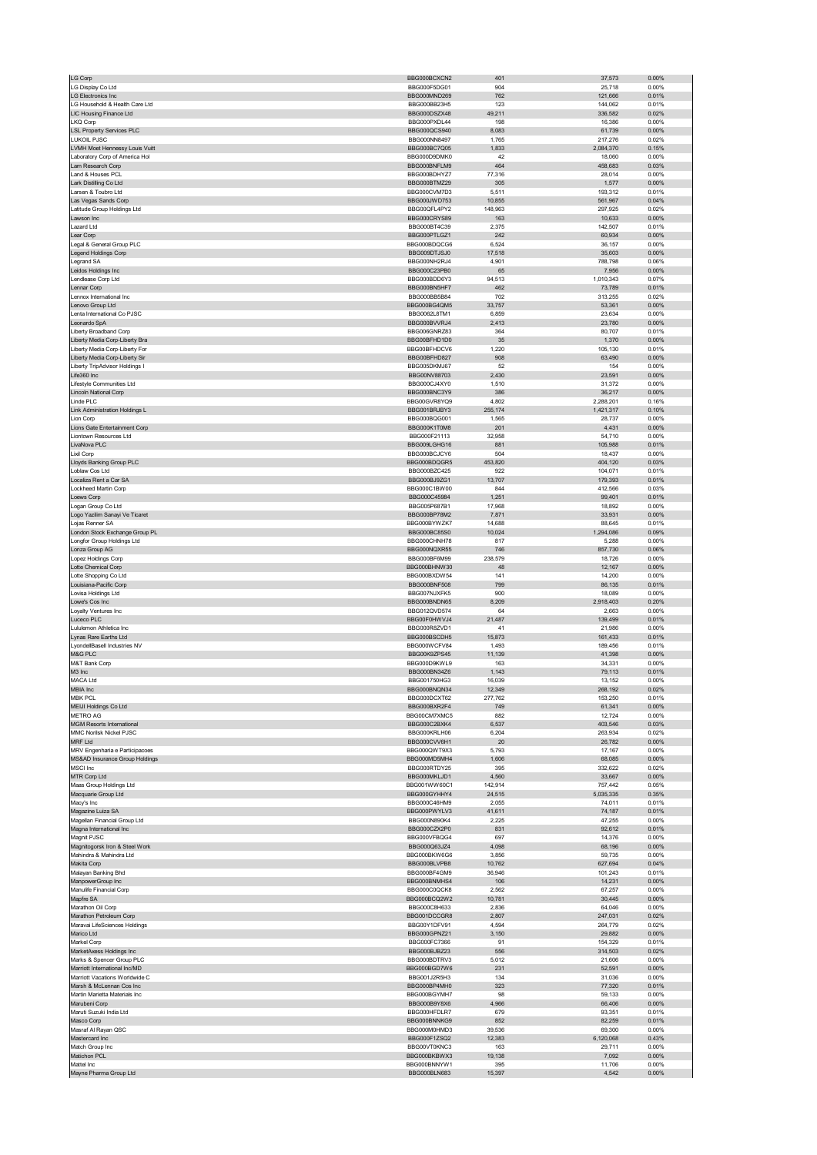| LG Corp                                                    | BBG000BCXCN2                        | 401             | 37,573              | 0.00%             |
|------------------------------------------------------------|-------------------------------------|-----------------|---------------------|-------------------|
| LG Display Co Ltd                                          | BBG000F5DG01                        | 904             | 25,718              | 0.00%             |
| LG Electronics Inc                                         | BBG000MND269                        | 762             | 121,666             | 0.01%             |
| LG Household & Health Care Ltd<br>LIC Housing Finance Ltd  | BBG000BB23H5<br>BBG000DSZX48        | 123<br>49,211   | 144,062<br>336,582  | 0.01%<br>0.02%    |
| LKQ Corp                                                   | BBG000PXDL44                        | 198             | 16,386              | 0.00%             |
| <b>LSL Property Services PLC</b>                           | BBG000QCS940                        | 8,083           | 61,739              | 0.00%             |
| LUKOIL PJSC                                                | BBG000NN8497                        | 1,765           | 217,276             | 0.02%             |
| LVMH Moet Hennessy Louis Vuitt                             | BBG000BC7Q05                        | 1,833           | 2,084,370           | 0.15%             |
| Laboratory Corp of America Hol                             | BBG000D9DMK0                        | 42              | 18,060              | 0.00%             |
| Lam Research Corp                                          | BBG000BNFLM9                        | 464             | 458,683             | 0.03%             |
| Land & Houses PCL<br>Lark Distilling Co Ltd                | BBG000BDHYZ7<br>BBG000BTMZ29        | 77,316<br>305   | 28,014<br>1,577     | 0.00%<br>0.00%    |
| Larsen & Toubro Ltd                                        | BBG000CVM7D3                        | 5,511           | 193,312             | 0.01%             |
| Las Vegas Sands Corp                                       | BBG000JWD753                        | 10,855          | 561,967             | 0.04%             |
| Latitude Group Holdings Ltd                                | BBG00QFL4PY2                        | 148,963         | 297,925             | 0.02%             |
| Lawson Inc                                                 | BBG000CRYS89                        | 163             | 10,633              | 0.00%             |
| Lazard Ltd                                                 | BBG000BT4C39                        | 2,375           | 142,507             | 0.01%             |
| Lear Corp                                                  | BBG000PTLGZ1                        | 242             | 60,934              | 0.00%             |
| Legal & General Group PLC                                  | BBG000BDQCG6                        | 6,524           | 36,157              | 0.00%             |
| <b>Legend Holdings Corp</b><br>Legrand SA                  | BBG009DTJSJ0<br>BBG000NH2RJ4        | 17,518          | 35,603<br>788,798   | 0.00%<br>0.06%    |
| Leidos Holdings Inc                                        | BBG000C23PB0                        | 4,901<br>65     | 7,956               | 0.00%             |
| Lendlease Corp Ltd                                         | BBG000BDD6Y3                        | 94,513          | 1,010,343           | 0.07%             |
| Lennar Corp                                                | BBG000BN5HF7                        | 462             | 73,789              | 0.01%             |
| Lennox International Inc                                   | BBG000BB5B84                        | 702             | 313,255             | 0.02%             |
| Lenovo Group Ltd                                           | BBG000BG4QM5                        | 33,757          | 53,361              | 0.00%             |
| Lenta International Co PJSC                                | BBG0062L8TM1                        | 6,859           | 23,634              | 0.00%             |
| Leonardo SpA                                               | BBG000BVVRJ4                        | 2,413           | 23,780              | $0.00\%$          |
| Liberty Broadband Corp<br>Liberty Media Corp-Liberty Bra   | BBG006GNRZ83<br>BBG00BFHD1D0        | 364<br>35       | 80,707<br>1,370     | 0.01%<br>0.00%    |
| Liberty Media Corp-Liberty For                             | BBG00BFHDCV6                        | 1,220           | 105,130             | 0.01%             |
| Liberty Media Corp-Liberty Sir                             | BBG00BFHD827                        | 908             | 63,490              | $0.00\%$          |
| Liberty TripAdvisor Holdings I                             | BBG005DKMJ67                        | 52              | 154                 | 0.00%             |
| Life360 Inc                                                | BBG00NV88703                        | 2,430           | 23,591              | 0.00%             |
| Lifestyle Communities Ltd                                  | BBG000CJ4XY0                        | 1,510           | 31,372              | 0.00%             |
| Lincoln National Corp                                      | BBG000BNC3Y9                        | 386             | 36,217              | 0.00%             |
| Linde PLC                                                  | BBG00GVR8YQ9                        | 4,802           | 2,288,201           | 0.16%             |
| Link Administration Holdings L                             | BBG001BRJBY3                        | 255,174         | 1,421,317           | 0.10%             |
| Lion Corp<br>Lions Gate Entertainment Corp                 | BBG000BQG001<br>BBG000K1T0M8        | 1,565<br>201    | 28,737<br>4,431     | 0.00%<br>0.00%    |
| Liontown Resources Ltd                                     | BBG000F21113                        | 32,958          | 54,710              | 0.00%             |
| LivaNova PLC                                               | BBG009LGHG16                        | 881             | 105,988             | 0.01%             |
| Lixil Corp                                                 | BBG000BCJCY6                        | 504             | 18,437              | 0.00%             |
| Lloyds Banking Group PLC                                   | BBG000BDQGR5                        | 453,820         | 404,120             | 0.03%             |
| I oblaw Cos I td                                           | BBG000BZC425                        | 922             | 104,071             | 0.01%             |
| Localiza Rent a Car SA                                     | BBG000BJ9ZG1                        | 13,707          | 179,393             | 0.01%             |
| Lockheed Martin Corp<br>Loews Corp                         | BBG000C1BW00<br>BBG000C45984        | 844<br>1,251    | 412,566<br>99,401   | 0.03%<br>0.01%    |
| Logan Group Co Ltd                                         | BBG005P687B1                        | 17,968          | 18,892              | 0.00%             |
| Logo Yazilim Sanayi Ve Ticaret                             | BBG000BP78M2                        | 7,871           | 33,931              | 0.00%             |
| Lojas Renner SA                                            | BBG000BYWZK7                        | 14,688          | 88,645              | 0.01%             |
| London Stock Exchange Group PL                             | BBG000BC85S0                        | 10,024          | 1,294,086           | 0.09%             |
| Longfor Group Holdings Ltd                                 | BBG000CHNH78                        | 817             | 5,288               | 0.00%             |
| Lonza Group AG                                             | BBG000NQXR55                        | 746             | 857,730             | 0.06%             |
| Lopez Holdings Corp                                        | BBG000BF6M99                        | 238,579         | 18,726              | 0.00%<br>0.00%    |
|                                                            |                                     |                 |                     |                   |
| Lotte Chemical Corp                                        | BBG000BHNW30                        | 48              | 12,167              |                   |
| Lotte Shopping Co Ltd                                      | BBG000BXDW54                        | 141             | 14,200              | 0.00%             |
| Louisiana-Pacific Corp<br>Lovisa Holdings Ltd              | <b>BBG000BNF508</b><br>BBG007NJXFK5 | 799<br>900      | 86,135              | 0.01%<br>0.00%    |
| Lowe's Cos Inc                                             | BBG000BNDN65                        | 8,209           | 18,089<br>2,918,403 | 0.20%             |
| Loyalty Ventures Inc                                       | BBG012QVD574                        | 64              | 2,663               | 0.00%             |
| Luceco PLC                                                 | BBG00F0HWVJ4                        | 21,487          | 139,499             | 0.01%             |
| Lululemon Athletica Inc                                    | BBG000R8ZVD1                        | 41              | 21,986              | 0.00%             |
| Lynas Rare Earths Ltd                                      | BBG000BSCDH5                        | 15,873          | 161,433             | 0.01%             |
| LyondellBasell Industries NV                               | BBG000WCFV84                        | 1,493           | 189,456             | 0.01%             |
| M&G PLC                                                    | BBG00K9ZPS45                        | 11,139          | 41,398              | 0.00%             |
| M&T Bank Corp<br>M3 Inc                                    | BBG000D9KWL9<br>BBG000BN34Z6        | 163<br>1,143    | 34,331<br>79,113    | 0.00%<br>0.01%    |
| MACA Ltd                                                   | BBG001750HG3                        | 16,039          | 13,152              | 0.00%             |
| MBIA Inc                                                   | BBG000BNON34                        | 12 349          | 268 192             | 0.02%             |
| <b>MBK PCL</b>                                             | BBG000DCXT62                        | 277,762         | 153,250             | 0.01%             |
| MEIJI Holdings Co Ltd                                      | BBG000BXR2F4                        | 749             | 61,341              | 0.00%             |
| METRO AG                                                   | BBG00CM7XMC5                        | 882             | 12,724              | 0.00%             |
| <b>MGM Resorts International</b>                           | BBG000C2BXK4                        | 6,537           | 403,546             | 0.03%             |
| MMC Norilsk Nickel PJSC                                    | BBG000KRLH06                        | 6,204           | 263,934             | 0.02%             |
| <b>MRF Ltd</b><br>MRV Engenharia e Participacoes           | BBG000CVV6H1<br>BBG000QWT9X3        | 20<br>5,793     | 26,782<br>17,167    | 0.00%<br>0.00%    |
| MS&AD Insurance Group Holdings                             | BBG000MD5MH4                        | 1.606           | 68,085              | 0.00%             |
| MSCI Inc                                                   | BBG000RTDY25                        | 395             | 332,622             | 0.02%             |
| MTR Corp Ltd                                               | BBG000MKLJD1                        | 4,560           | 33,667              | 0.00%             |
| Maas Group Holdings Ltd                                    | BBG001WW60C1                        | 142,914         | 757,442             | 0.05%             |
| Macquarie Group Ltd                                        | BBG000GYHHY4<br>BBG000C46HM9        | 24,515<br>2,055 | 5,035,335           | 0.35%<br>0.01%    |
| Macy's Inc<br>Magazine Luiza SA                            | BBG000PWYLV3                        | 41,611          | 74,011<br>74,187    | 0.01%             |
| Magellan Financial Group Ltd                               | BBG000N890K4                        | 2,225           | 47,255              | 0.00%             |
| Magna International Inc                                    | BBG000CZX2P0                        | 831             | 92,612              | 0.01%             |
| Magnit PJSC                                                | BBG000VFBQG4                        | 697             | 14,376              | 0.00%             |
| Magnitogorsk Iron & Steel Work                             | BBG000Q63JZ4                        | 4,098           | 68,196              | $0.00\%$          |
| Mahindra & Mahindra Ltd                                    | BBG000BKW6G6                        | 3,856           | 59,735              | 0.00%             |
| Makita Corp                                                | BBG000BLVPB8                        | 10,762          | 627,694             | 0.04%             |
| Malayan Banking Bhd                                        | BBG000BF4GM9                        | 36,946          | 101,243             | 0.01%             |
| ManpowerGroup Inc<br>Manulife Financial Corp               | BBG000BNMHS4<br>BBG000C0QCK8        | 106<br>2,562    | 14,231<br>67,257    | 0.00%<br>0.00%    |
| Mapfre SA                                                  | BBG000BCQ2W2                        | 10,781          | 30,445              | 0.00%             |
| Marathon Oil Corp                                          | BBG000C8H633                        | 2,836           | 64,046              | 0.00%             |
| Marathon Petroleum Corp                                    | BBG001DCCGR8                        | 2,807           | 247,031             | 0.02%             |
| Maravai LifeSciences Holdings                              | BBG00Y1DFV91                        | 4,594           | 264,779             | 0.02%             |
| Marico Ltd                                                 | BBG000GPNZ21                        | 3,150           | 29,882              | 0.00%             |
| Markel Corp                                                | BBG000FC7366                        | 91              | 154,329             | 0.01%             |
| MarketAxess Holdings Inc                                   | BBG000BJBZ23                        | 556             | 314,503             | 0.02%             |
| Marks & Spencer Group PLC<br>Marriott International Inc/MD | BBG000BDTRV3<br>BBG000BGD7W6        | 5,012<br>231    | 21,606<br>52,591    | 0.00%<br>$0.00\%$ |
| Marriott Vacations Worldwide C                             | BBG001J2R5H3                        | 134             | 31,036              | 0.00%             |
| Marsh & McLennan Cos Inc                                   | BBG000BP4MH0                        | 323             | 77,320              | 0.01%             |
| Martin Marietta Materials Inc                              | BBG000BGYMH7                        | 98              | 59,133              | 0.00%             |
| Marubeni Corp                                              | BBG000B9Y8X6                        | 4,966           | 66,406              | 0.00%             |
| Maruti Suzuki India Ltd                                    | BBG000HFDLR7                        | 679             | 93,351              | 0.01%             |
| Masco Corp                                                 | BBG000BNNKG9<br>BBG000M0HMD3        | 852<br>39,536   | 82,259<br>69,300    | 0.01%<br>0.00%    |
| Masraf Al Rayan QSC<br>Mastercard Inc                      | BBG000F1ZSQ2                        | 12,383          | 6,120,068           | 0.43%             |
| Match Group Inc                                            | BBG00VT0KNC3                        | 163             | 29,711              | 0.00%             |
| Matichon PCL                                               | BBG000BKBWX3                        | 19,138          | 7,092               | 0.00%             |
| Mattel Inc<br>Mayne Pharma Group Ltd                       | BBG000BNNYW1<br>BBG000BLN683        | 395<br>15,397   | 11,706<br>4,542     | 0.00%<br>0.00%    |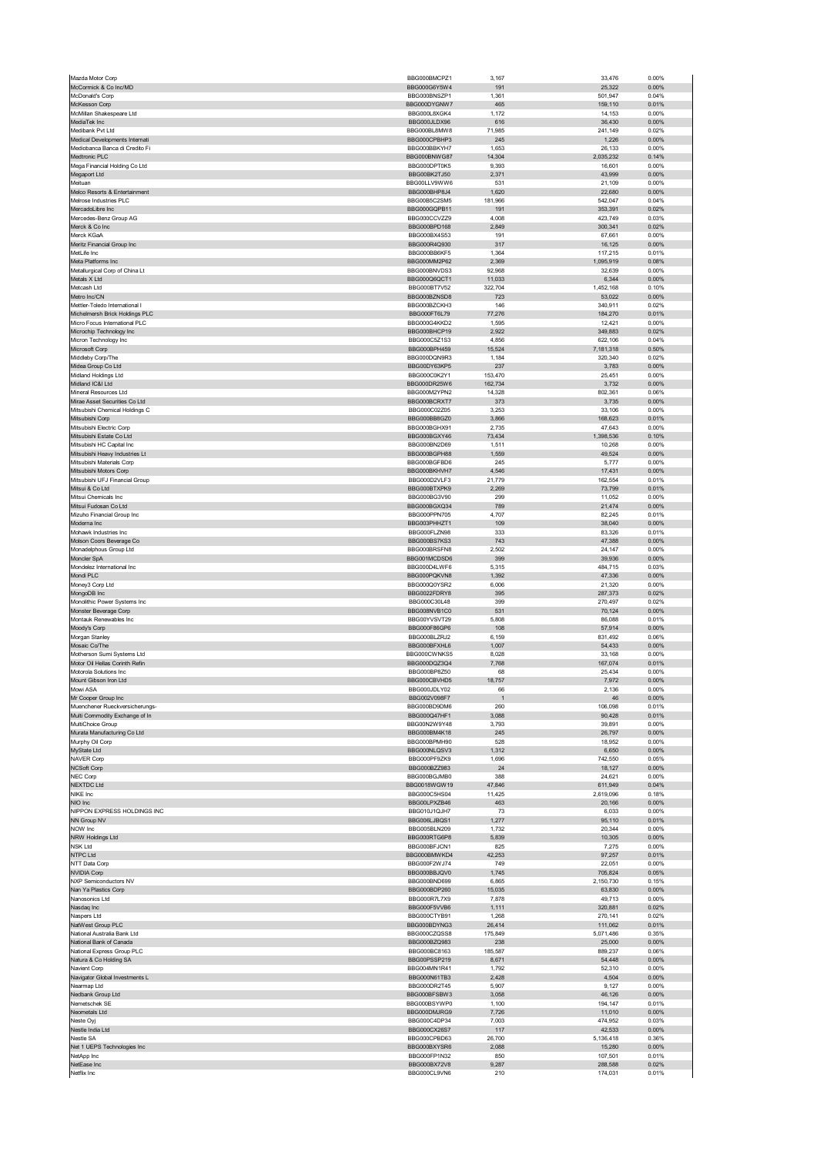| Mazda Motor Corp                                                 | BBG000BMCPZ1                 | 3,167          | 33,476             | 0.00%             |
|------------------------------------------------------------------|------------------------------|----------------|--------------------|-------------------|
| McCormick & Co Inc/MD                                            | BBG000G6Y5W4                 | 191            | 25,322             | 0.00%             |
| McDonald's Corp                                                  | BBG000BNSZP1                 | 1,361          | 501,947            | 0.04%             |
| McKesson Corp                                                    | BBG000DYGNW7                 | 465            | 159,110            | 0.01%             |
| McMillan Shakespeare Ltd                                         | BBG000L8XGK4                 | 1,172          | 14,153             | 0.00%             |
| MediaTek Inc.                                                    | BBG000JLDX96                 | 616            | 36,430             | 0.00%             |
| Medibank Pvt Ltd                                                 | BBG000BL8MW8                 | 71,985         | 241,149            | 0.02%             |
| Medical Developments Internati<br>Mediobanca Banca di Credito Fi | BBG000CPBHP3<br>BBG000BBKYH7 | 245<br>1,653   | 1,226<br>26,133    | 0.00%<br>0.00%    |
| Medtronic PLC                                                    | BBG000BNWG87                 | 14,304         | 2,035,232          | 0.14%             |
| Mega Financial Holding Co Ltd                                    | BBG000DPT0K5                 | 9,393          | 16,601             | 0.00%             |
| Megaport Ltd                                                     | BBG00BK2TJ50                 | 2,371          | 43,999             | 0.00%             |
| Meituan                                                          | BBG00LLV9WW6                 | 531            | 21,109             | 0.00%             |
| Melco Resorts & Entertainment                                    | BBG000BHP8J4                 | 1,620          | 22,680             | 0.00%             |
| Melrose Industries PLC                                           | BBG00B5C2SM5                 | 181,966        | 542,047            | 0.04%             |
| MercadoLibre Inc                                                 | BBG000GQPB11                 | 191            | 353,391            | 0.02%             |
| Mercedes-Benz Group AG                                           | BBG000CCVZZ9                 | 4,008          | 423,749            | 0.03%             |
| Merck & Co Inc                                                   | BBG000BPD168                 | 2,849          | 300,341            | 0.02%             |
| Merck KGaA                                                       | BBG000BX4S53                 | 191            | 67,661             | 0.00%             |
| Meritz Financial Group Inc                                       | BBG000R4Q930                 | 317            | 16,125             | 0.00%             |
| MetLife Inc                                                      | BBG000BB6KF5                 | 1,364          | 117,215            | 0.01%             |
| Meta Platforms Inc                                               | BBG000MM2P62                 | 2,369          | 1,095,919          | 0.08%             |
| Metallurgical Corp of China Lt                                   | BBG000BNVDS3                 | 92,968         | 32,639             | 0.00%             |
| Metals X Ltd                                                     | BBG000Q6QCT1                 | 11,033         | 6,344              | 0.00%             |
| Metcash Ltd                                                      | BBG000BT7V52                 | 322,704        | 1,452,168          | 0.10%             |
| Metro Inc/CN                                                     | BBG000BZNSD8                 | 723            | 53,022             | 0.00%             |
| Mettler-Toledo International I                                   | BBG000BZCKH3                 | 146            | 340,911            | 0.02%             |
| Michelmersh Brick Holdings PLC                                   | BBG000FT6L79                 | 77,276         | 184,270            | 0.01%             |
| Micro Focus International PLC                                    | BBG000G4KKD2                 | 1,595          | 12,421             | 0.00%             |
| Microchip Technology Inc                                         | BBG000BHCP19                 | 2,922          | 349,883            | 0.02%             |
| Micron Technology Inc                                            | BBG000C5Z1S3                 | 4,856          | 622,106            | 0.04%             |
| Microsoft Corp                                                   | BBG000BPH459                 | 15,524         | 7,181,318          | 0.50%             |
| Middleby Corp/The                                                | BBG000DQN9R3                 | 1,184          | 320,340            | 0.02%             |
| Midea Group Co Ltd                                               | BBG00DY63KP5                 | 237            | 3,783              | 0.00%             |
| Midland Holdings Ltd                                             | BBG000C0K2Y1                 | 153,470        | 25,451             | 0.00%             |
| Midland IC&I Ltd                                                 | BBG000DR25W6                 | 162,734        | 3,732              | 0.00%             |
| Mineral Resources Ltd                                            | BBG000M2YPN2                 | 14,328         | 802,361            | 0.06%             |
| Mirae Asset Securities Co Ltd                                    | BBG000BCRXT7                 | 373            | 3,735              | 0.00%             |
| Mitsubishi Chemical Holdings C                                   | BBG000C02Z05                 | 3,253          | 33,106             | 0.00%             |
| Mitsubishi Corp                                                  | BBG000BB8GZ0                 | 3,866          | 168,623            | 0.01%             |
| Mitsubishi Electric Corp                                         | BBG000BGHX91                 | 2,735          | 47,643             | 0.00%             |
| Mitsubishi Estate Co Ltd                                         | BBG000BGXY46                 | 73,434         | 1,398,536          | 0.10%             |
| Mitsubishi HC Capital Inc                                        | BBG000BN2D69                 | 1,511          | 10,268             | 0.00%             |
| Mitsubishi Heavy Industries Lt                                   | BBG000BGPH88                 | 1,559          | 49,524             | 0.00%             |
| Mitsubishi Materials Corp                                        | BBG000BGFBD6                 | 245            | 5,777              | 0.00%             |
| Mitsubishi Motors Corp                                           | BBG000BKHVH7                 | 4,546          | 17,431             | 0.00%             |
| Mitsubishi UFJ Financial Group                                   | BBG000D2VLF3                 | 21,779         | 162,554            | 0.01%             |
| Mitsui & Co Ltd                                                  | BBG000BTXPK9                 | 2,269          | 73,799             | 0.01%             |
| Mitsui Chemicals Inc                                             | BBG000BG3V90                 | 299            | 11,052             | 0.00%             |
| Mitsui Fudosan Co Ltd                                            | BBG000BGXQ34                 | 789            | 21,474             | 0.00%             |
| Mizuho Financial Group Inc                                       | BBG000PPN705                 | 4,707          | 82,245             | 0.01%             |
| Moderna Inc                                                      | BBG003PHHZT1                 | 109            | 38,040             | 0.00%             |
| Mohawk Industries Inc                                            | BBG000FLZN98                 | 333            | 83,326             | 0.01%             |
| Molson Coors Beverage Co                                         | BBG000BS7KS3                 | 743            | 47,388             | 0.00%             |
| Monadelphous Group Ltd                                           | BBG000BRSFN8                 | 2,502          | 24,147             | 0.00%             |
| Moncler SpA                                                      | BBG001MCDSD6                 | 399            | 39,936             | 0.00%             |
| Mondelez International Inc                                       | BBG000D4LWF6                 | 5,315          | 484,715            | 0.03%             |
|                                                                  |                              |                |                    |                   |
| Mondi PLC                                                        | BBG000PQKVN8                 | 1,392          | 47,336             | 0.00%             |
| Money3 Corp Ltd                                                  | BBG000Q0YSR2                 | 6,006          | 21,320             | 0.00%             |
| MongoDB Inc                                                      | BBG0022FDRY8                 | 395            | 287,373            | 0.02%             |
| Monolithic Power Systems Inc                                     | BBG000C30L48                 | 399            | 270,497            | 0.02%             |
| Monster Beverage Corp                                            | BBG008NVB1C0                 | 531            | 70,124             | 0.00%             |
| Montauk Renewables Inc                                           | BBG00YVSVT29                 | 5,808          | 86,088             | 0.01%             |
| Moody's Corp                                                     | BBG000F86GP6                 | 108            | 57,914             | 0.00%             |
| Morgan Stanley                                                   | BBG000BLZRJ2                 | 6,159          | 831,492            | 0.06%             |
| Mosaic Co/The                                                    | BBG000BFXHL6                 | 1,007          | 54,433             | 0.00%             |
| Motherson Sumi Systems Ltd                                       | BBG000CWNKS5                 | 8,028          | 33,168             | 0.00%             |
| Motor Oil Hellas Corinth Refin                                   | BBG000DQZ3Q4                 | 7,768          | 167,074            | 0.01%             |
| Motorola Solutions Inc.                                          | BBG000BP8Z50                 | 68             | 25,434             | 0.00%             |
| Mount Gibson Iron Ltd<br>Mowi ASA                                | BBG000CBVHD5<br>BBG000JDLY02 | 18,757<br>66   | 7,972<br>2.136     | 0.00%<br>0.00%    |
|                                                                  | BBG002V098F7                 | $\mathbf{1}$   |                    |                   |
| Mr Cooper Group Inc                                              |                              | 260            | 46                 | 0.00%             |
| Muenchener Rueckversicherungs-                                   | BBG000BD9DM6<br>BBG000Q47HF1 | 3,088          | 106,098<br>90,428  | 0.01%<br>0.01%    |
| Multi Commodity Exchange of In<br>MultiChoice Group              | BBG00N2W9Y48                 | 3,793          | 39,891             | 0.00%             |
| Murata Manufacturing Co Ltd                                      | BBG000BM4K18                 | 245            | 26,797             | 0.00%             |
| Murphy Oil Corp                                                  | BBG000BPMH90                 | 528            | 18,952             | 0.00%             |
|                                                                  | BBG000NLQSV3                 | 1,312          | 6,650              | 0.00%             |
| MyState Ltd<br><b>NAVER Corp</b>                                 | BBG000PF9ZK9                 | 1,696          | 742,550            | 0.05%             |
| <b>NCSoft Corp</b>                                               | BBG000BZZ983                 | 24             | 18,127             | 0.00%             |
| NEC Corp                                                         | BBG000BGJMB0                 | 388            | 24,621             | 0.00%             |
| <b>NEXTDC Ltd</b>                                                | BBG0018WGW19                 | 47,846         | 611,949            | 0.04%             |
| NIKE Inc                                                         | BBG000C5HS04                 | 11,425         | 2,619,096          | 0.18%             |
| NIO Inc                                                          | BBG00LPXZB46                 | 463            | 20,166             | $0.00\%$          |
| NIPPON EXPRESS HOLDINGS INC                                      | BBG010J1QJH7                 | 73             | 6,033              | 0.00%             |
| NN Group NV                                                      | BBG006LJBQS1                 | 1,277          | 95,110             | 0.01%             |
| NOW Inc                                                          | BBG005BLN209                 | 1,732          | 20,344             | 0.00%             |
| NRW Holdings Ltd                                                 | BBG000RTG6P8                 | 5,839          | 10,305             | $0.00\%$          |
| <b>NSK Ltd</b>                                                   | BBG000BFJCN1                 | 825            | 7,275              | 0.00%             |
| NTPC Ltd                                                         | BBG000BMWKD4                 | 42,253         | 97,257             | 0.01%             |
| NTT Data Corp                                                    | BBG000F2WJ74                 | 749            | 22,051             | 0.00%             |
| <b>NVIDIA Corp</b>                                               | BBG000BBJQV0                 | 1,745          | 705,824            | 0.05%             |
| <b>NXP Semiconductors NV</b>                                     | BBG000BND699                 | 6,865          | 2,150,730          | 0.15%             |
| Nan Ya Plastics Corp                                             | BBG000BDP260                 | 15,035         | 63,830             | 0.00%             |
| Nanosonics Ltd                                                   | BBG000R7L7X9                 | 7,878          | 49,713             | 0.00%             |
| Nasdaq Inc                                                       | BBG000F5VVB6                 | 1,111          | 320,881            | 0.02%             |
| Naspers Ltd                                                      | BBG000CTYB91                 | 1,268          | 270,141            | 0.02%             |
| NatWest Group PLC                                                | BBG000BDYNG3                 | 26,414         | 111,062            | 0.01%             |
| National Australia Bank Ltd                                      | BBG000CZQSS8                 | 175,849        | 5,071,486          | 0.35%             |
| National Bank of Canada                                          | BBG000BZQ983<br>BBG000BC8163 | 238            | 25,000             | $0.00\%$          |
| National Express Group PLC                                       |                              | 185,587        | 889,237            | 0.06%             |
| Natura & Co Holding SA                                           | BBG00PSSP219                 | 8,671          | 54,448             | 0.00%             |
| Navient Corp                                                     | BBG004MN1R41                 | 1,792          | 52,310             | 0.00%             |
| Navigator Global Investments L<br>Nearmap Ltd                    | BBG000N61TB3<br>BBG000DR2T45 | 2,428<br>5,907 | 4,504              | 0.00%<br>0.00%    |
|                                                                  |                              |                | 9,127              |                   |
| Nedbank Group Ltd                                                | BBG000BFSBW3                 | 3,058          | 46,126             | 0.00%             |
| Nemetschek SE                                                    | BBG000BSYWP0                 | 1,100          | 194,147            | 0.01%             |
| Neometals Ltd                                                    | BBG000DMJRG9<br>BBG000C4DP34 | 7,726<br>7,003 | 11,010             | $0.00\%$<br>0.03% |
| Neste Oyj                                                        | BBG000CX26S7                 | 117            | 474,952<br>42,533  | 0.00%             |
| Nestle India Ltd<br>Nestle SA                                    | BBG000CPBD63                 | 26,700         | 5,136,418          | 0.36%             |
| Net 1 UEPS Technologies Inc                                      | BBG000BXYSR6                 | 2,088          | 15,280             | 0.00%             |
| NetApp Inc                                                       | BBG000FP1N32                 | 850            | 107,501            | 0.01%             |
| NetEase Inc<br>Netflix Inc                                       | BBG000BX72V8<br>BBG000CL9VN6 | 9,287<br>210   | 288,588<br>174,031 | 0.02%<br>0.01%    |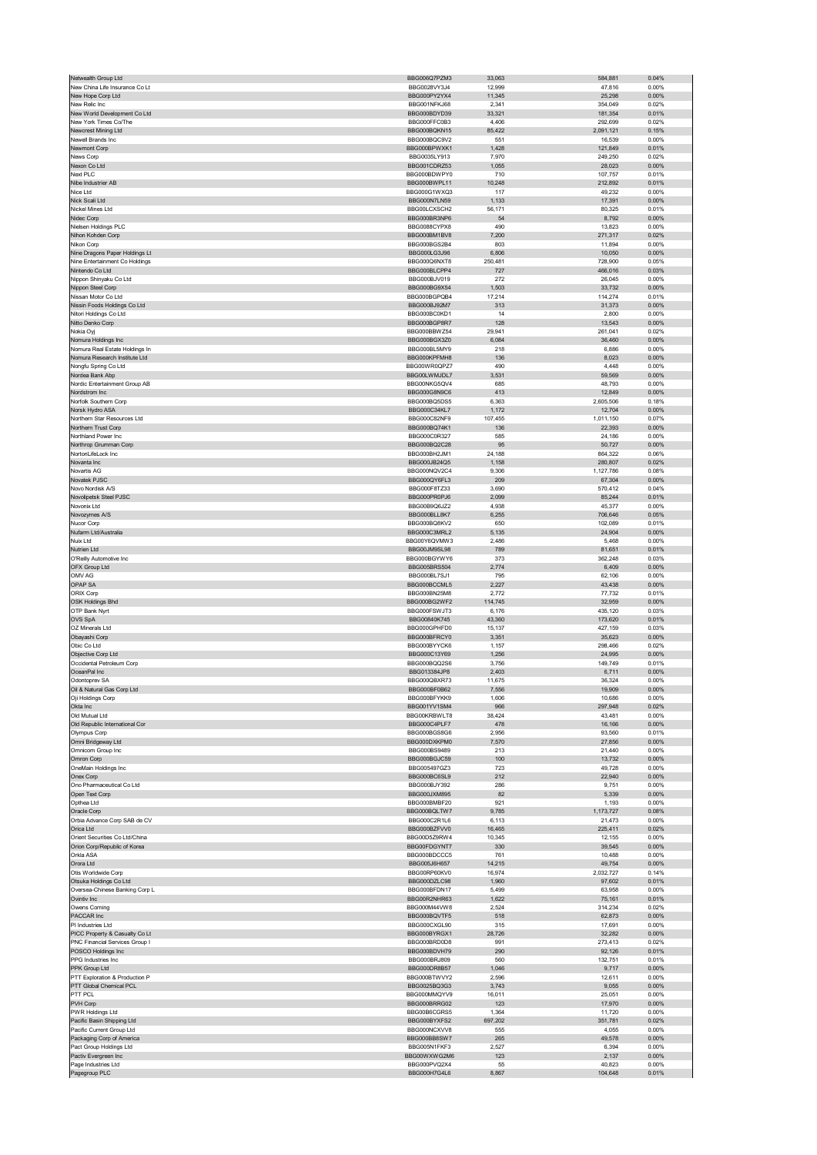| Netwealth Group Ltd                                          | BBG006Q7PZM3                                 | 33,063             | 584,881                    | 0.04%                   |
|--------------------------------------------------------------|----------------------------------------------|--------------------|----------------------------|-------------------------|
| New China Life Insurance Co Lt<br>New Hope Corp Ltd          | BBG0028VY3J4<br>BBG000PY2YX4                 | 12,999<br>11,345   | 47,816<br>25,298           | 0.00%<br>0.00%          |
| New Relic Inc                                                | BBG001NFKJ68                                 | 2,341              | 354,049                    | 0.02%                   |
| New World Development Co Ltd                                 | BBG000BDYD39                                 | 33,321             | 181,354                    | 0.01%                   |
| New York Times Co/The                                        | BBG000FFC0B3                                 | 4,406              | 292,699                    | 0.02%                   |
| Newcrest Mining Ltd<br>Newell Brands Inc                     | BBG000BQKN15<br>BBG000BQC9V2                 | 85,422<br>551      | 2,091,121                  | 0.15%<br>0.00%          |
| Newmont Corp                                                 | BBG000BPWXK1                                 | 1,428              | 16,539<br>121,849          | 0.01%                   |
| News Corp                                                    | BBG0035LY913                                 | 7,970              | 249,250                    | 0.02%                   |
| Nexon Co Ltd                                                 | BBG001CDRZ53                                 | 1,055              | 28,023                     | 0.00%                   |
| Next PLC                                                     | BBG000BDWPY0                                 | 710                | 107,757                    | 0.01%                   |
| Nibe Industrier AB<br>Nice Ltd                               | BBG000BWPL11<br>BBG000G1WXQ3                 | 10,248<br>117      | 212,892<br>49,232          | 0.01%<br>0.00%          |
| Nick Scali Ltd                                               | BBG000N7LN59                                 | 1,133              | 17,391                     | 0.00%                   |
| Nickel Mines Ltd                                             | BBG00LCXSCH2                                 | 56,171             | 80,325                     | 0.01%                   |
| Nidec Corp                                                   | BBG000BR3NP6                                 | 54                 | 8,792                      | 0.00%                   |
| Nielsen Holdings PLC<br>Nihon Kohden Corp                    | BBG0088CYPX8<br>BBG000BM1BV8                 | 490<br>7,200       | 13,823<br>271,317          | 0.00%<br>0.02%          |
| Nikon Corp                                                   | BBG000BGS2B4                                 | 803                | 11,894                     | 0.00%                   |
| Nine Dragons Paper Holdings Lt                               | BBG000LG3J96                                 | 6,806              | 10,050                     | 0.00%                   |
| Nine Entertainment Co Holdings                               | BBG000Q6NXT8                                 | 250,481            | 728,900                    | 0.05%                   |
| Nintendo Co Ltd<br>Nippon Shinyaku Co Ltd                    | BBG000BLCPP4<br>BBG000BJV019                 | 727<br>272         | 466,016<br>26,045          | 0.03%<br>0.00%          |
| Nippon Steel Corp                                            | BBG000BG9X54                                 | 1,503              | 33,732                     | 0.00%                   |
| Nissan Motor Co Ltd                                          | BBG000BGPQB4                                 | 17,214             | 114,274                    | 0.01%                   |
| Nissin Foods Holdings Co Ltd                                 | BBG000BJ92M7                                 | 313                | 31,373                     | 0.00%                   |
| Nitori Holdings Co Ltd                                       | BBG000BC0KD1                                 | 14                 | 2,800                      | 0.00%                   |
| Nitto Denko Corp<br>Nokia Oyj                                | BBG000BGP8R7<br>BBG000BBWZ54                 | 128<br>29,941      | 13,543<br>261,041          | 0.00%<br>0.02%          |
| Nomura Holdings Inc                                          | BBG000BGX3Z0                                 | 6,084              | 36,460                     | 0.00%                   |
| Nomura Real Estate Holdings In                               | BBG000BL5MY9                                 | 218                | 6,886                      | 0.00%                   |
| Nomura Research Institute Ltd                                | BBG000KPFMH8                                 | 136                | 8,023                      | 0.00%                   |
| Nongfu Spring Co Ltd                                         | BBG00WR0QPZ7                                 | 490                | 4,448                      | 0.00%                   |
| Nordea Bank Abp<br>Nordic Entertainment Group AB             | BBG00LWMJDL7<br>BBG00NKG5QV4                 | 3,531<br>685       | 59,569<br>48,793           | 0.00%<br>0.00%          |
| Nordstrom Inc                                                | BBG000G8N9C6                                 | 413                | 12,849                     | 0.00%                   |
| Norfolk Southern Corp                                        | BBG000BQ5DS5                                 | 6,363              | 2,605,506                  | 0.18%                   |
| Norsk Hydro ASA                                              | BBG000C34KL7                                 | 1,172              | 12,704                     | 0.00%                   |
| Northern Star Resources Ltd                                  | BBG000C82NF9                                 | 107,455            | 1,011,150                  | 0.07%                   |
| Northern Trust Corp                                          | BBG000BQ74K1                                 | 136<br>585         | 22,393                     | 0.00%                   |
| Northland Power Inc<br>Northrop Grumman Corp                 | BBG000C0R327<br>BBG000BQ2C28                 | 95                 | 24,186<br>50,727           | 0.00%<br>0.00%          |
| NortonLifeLock Inc                                           | BBG000BH2JM1                                 | 24,188             | 864,322                    | 0.06%                   |
| Novanta Inc                                                  | BBG000JB24Q5                                 | 1,158              | 280,807                    | 0.02%                   |
| Novartis AG                                                  | BBG000NQV2C4                                 | 9,306              | 1,127,786                  | 0.08%                   |
| Novatek PJSC                                                 | BBG000QY6FL3                                 | 209                | 67,304                     | 0.00%                   |
| Novo Nordisk A/S<br>Novolipetsk Steel PJSC                   | BBG000F8TZ33<br>BBG000PR0PJ6                 | 3,690<br>2,099     | 570,412<br>85,244          | 0.04%<br>0.01%          |
| Novonix Ltd                                                  | BBG00B9Q6JZ2                                 | 4,938              | 45,377                     | 0.00%                   |
| Novozymes A/S                                                | BBG000BLL8K7                                 | 6,255              | 706,646                    | 0.05%                   |
| Nucor Corp                                                   | BBG000BQ8KV2                                 | 650                | 102,089                    | 0.01%                   |
| Nufarm Ltd/Australia<br>Nuix Ltd                             | BBG000C3MRL2<br>BBG00Y6QVMW3                 | 5,135              | 24,904<br>5,468            | 0.00%<br>0.00%          |
| Nutrien Ltd                                                  | BBG00JM9SL98                                 | 2,486<br>789       | 81,651                     | 0.01%                   |
| O'Reilly Automotive Inc                                      | BBG000BGYWY6                                 | 373                | 362,248                    | 0.03%                   |
| OFX Group Ltd                                                | BBG005BRS504                                 | 2,774              |                            | 0.00%                   |
|                                                              |                                              |                    | 6,409                      |                         |
| OMV AG                                                       | BBG000BL7SJ1                                 | 795                | 62,106                     | 0.00%                   |
| OPAP SA                                                      | BBG000BCCML5                                 | 2,227              | 43,438                     | 0.00%                   |
| ORIX Corp                                                    | BBG000BN25M8                                 | 2,772              | 77,732                     | 0.01%                   |
| <b>OSK Holdings Bhd</b>                                      | BBG000BG2WF2                                 | 114,745            | 32,959                     | 0.00%                   |
| OTP Bank Nyrt<br><b>OVS SpA</b>                              | BBG000FSWJT3<br>BBG00840K745                 | 6,176<br>43,360    | 435,120<br>173,620         | 0.03%<br>0.01%          |
| OZ Minerals Ltd                                              | BBG000GPHFD0                                 | 15,137             | 427,159                    | 0.03%                   |
| Obayashi Corp                                                | BBG000BFRCY0                                 | 3,351              | 35,623                     | 0.00%                   |
| Obic Co Ltd                                                  | BBG000BYYCK6                                 | 1,157              | 298,466                    | 0.02%                   |
| Objective Corp Ltd<br>Occidental Petroleum Corp              | BBG000C13Y69<br>BBG000BQQ2S6                 | 1,256<br>3,756     | 24,995<br>149,749          | 0.00%<br>0.01%          |
| OceanPal Inc                                                 | BBG013384JP8                                 | 2,403              | 6,711                      | 0.00%                   |
| Odontoprev SA                                                | BBG000QBXR73                                 | 11,675             | 36,324                     | 0.00%                   |
| Oil & Natural Gas Corp Ltd                                   | BBG000BE0B62                                 | 7556               | 19900                      | n nn%                   |
| Oji Holdings Corp                                            | BBG000BFYKK9                                 | 1,606              | 10,686                     | 0.00%                   |
| Okta Inc<br>Old Mutual Ltd                                   | BBG001YV1SM4<br>BBG00KRBWLT8                 | 966<br>38,424      | 297,948<br>43,481          | 0.02%<br>0.00%          |
| Old Republic International Cor                               | BBG000C4PLF7                                 | 478                | 16,166                     | 0.00%                   |
| Olympus Corp                                                 | BBG000BGS8G6                                 | 2,956              | 93,560                     | 0.01%                   |
| Omni Bridgeway Ltd                                           | BBG000DXKPM0                                 | 7,570              | 27,856                     | 0.00%                   |
| Omnicom Group Inc                                            | BBG000BS9489                                 | 213<br>100         | 21,440                     | 0.00%<br>0.00%          |
| Omron Corp<br>OneMain Holdings Inc                           | BBG000BGJC59<br>BBG005497GZ3                 | 723                | 13,732<br>49,728           | 0.00%                   |
| Onex Corp                                                    | BBG000BC6SL9                                 | 212                | 22,940                     | 0.00%                   |
| Ono Pharmaceutical Co Ltd                                    | BBG000BJY392                                 | 286                | 9,751                      | 0.00%                   |
| Open Text Corp<br>Opthea Ltd                                 | BBG000JXM895<br>BBG000BMBF20                 | 82<br>921          | 5,339                      | 0.00%                   |
| Oracle Corp                                                  | BBG000BQLTW7                                 | 9,785              | 1,193<br>1,173,727         | 0.00%<br>0.08%          |
| Orbia Advance Corp SAB de CV                                 | BBG000C2R1L6                                 | 6,113              | 21,473                     | 0.00%                   |
| Orica Ltd                                                    | BBG000BZFVV0                                 | 16,465             | 225,411                    | 0.02%                   |
| Orient Securities Co Ltd/China                               | BBG00D5Z9RW4                                 | 10,345             | 12,155                     | 0.00%                   |
| Orion Corp/Republic of Korea<br>Orkla ASA                    | BBG00FDGYNT7<br>BBG000BDCCC5                 | 330<br>761         | 39,545<br>10,488           | 0.00%<br>0.00%          |
| Orora Ltd                                                    | BBG005J6H657                                 | 14,215             | 49,754                     | 0.00%                   |
| Otis Worldwide Corp                                          | BBG00RP60KV0                                 | 16,974             | 2,032,727                  | 0.14%                   |
| Otsuka Holdings Co Ltd                                       | BBG000DZLC98                                 | 1,960              | 97,602                     | 0.01%                   |
| Oversea-Chinese Banking Corp L<br>Ovintiv Inc                | BBG000BFDN17<br>BBG00R2NHR63                 | 5,499<br>1,622     | 63,958                     | 0.00%                   |
| Owens Corning                                                | BBG000M44VW8                                 | 2,524              | 75,161<br>314,234          | 0.01%<br>0.02%          |
| PACCAR Inc                                                   | BBG000BQVTF5                                 | 518                | 62,873                     | 0.00%                   |
| PI Industries Ltd                                            | BBG000CXGL90                                 | 315                | 17,691                     | 0.00%                   |
| PICC Property & Casualty Co Lt                               | BBG000BYRGX1                                 | 28,726             | 32,282                     | 0.00%                   |
| PNC Financial Services Group I                               | BBG000BRD0D8                                 | 991                | 273,413                    | 0.02%                   |
| POSCO Holdings Inc<br>PPG Industries Inc                     | BBG000BDVH79<br>BBG000BRJ809                 | 290<br>560         | 92,126<br>132,751          | 0.01%<br>0.01%          |
| PPK Group Ltd                                                | BBG000DR8B57                                 | 1,046              | 9,717                      | 0.00%                   |
| PTT Exploration & Production P                               | BBG000BTWVY2                                 | 2,596              | 12,611                     | 0.00%                   |
| PTT Global Chemical PCL                                      | BBG0025BQ3G3                                 | 3,743              | 9,055                      | 0.00%                   |
| PTT PCL                                                      | BBG000MMQYV9                                 | 16,011             | 25,051                     | 0.00%                   |
| PVH Corp<br>PWR Holdings Ltd                                 | BBG000BRRG02<br>BBG00B6CGRS5                 | 123<br>1,364       | 17,970<br>11,720           | 0.00%<br>0.00%          |
| Pacific Basin Shipping Ltd                                   | BBG000BYXFS2                                 | 697,202            | 351,781                    | 0.02%                   |
| Pacific Current Group Ltd                                    | BBG000NCXVV8                                 | 555                | 4,055                      | 0.00%                   |
| Packaging Corp of America                                    | BBG000BB8SW7                                 | 265                | 49,578                     | 0.00%                   |
| Pact Group Holdings Ltd                                      | BBG005N1FKF3                                 | 2,527              | 6,394                      | 0.00%                   |
| Pactiv Evergreen Inc<br>Page Industries Ltd<br>Pagegroup PLC | BBG00WXWG2M6<br>BBG000PVQ2X4<br>BBG000H7G4L6 | 123<br>55<br>8,867 | 2,137<br>40,823<br>104,648 | 0.00%<br>0.00%<br>0.01% |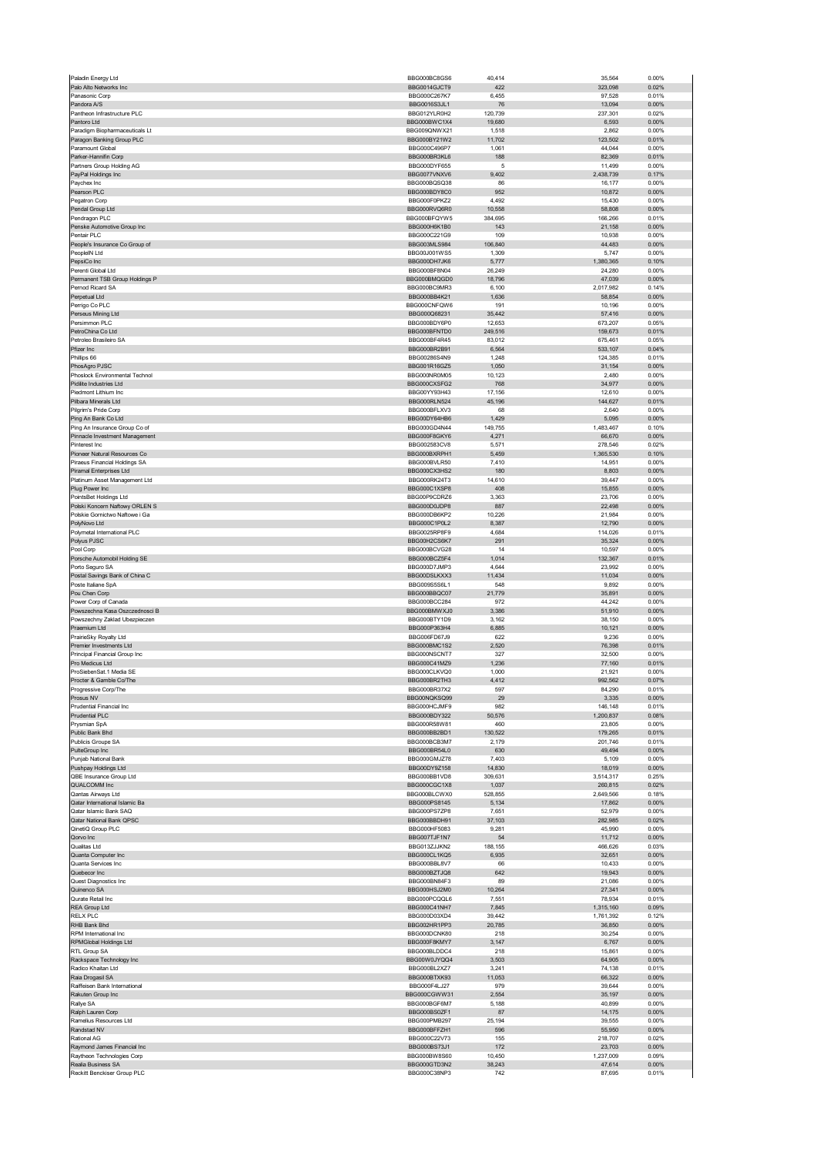| Paladin Energy Ltd                                 | BBG000BC8GS6                 | 40,414            | 35,564               | 0.00%             |
|----------------------------------------------------|------------------------------|-------------------|----------------------|-------------------|
| Palo Alto Networks Inc                             | BBG0014GJCT9                 | 422               | 323,098              | 0.02%             |
| Panasonic Corp                                     | BBG000C267K7                 | 6,455             | 97,528               | 0.01%             |
| Pandora A/S                                        | BBG0016S3JL1                 | 76                | 13,094               | 0.00%             |
| Pantheon Infrastructure PLC                        | BBG012YLR0H2                 | 120,739<br>19,680 | 237,301              | 0.02%             |
| Pantoro Ltd<br>Paradigm Biopharmaceuticals Lt      | BBG000BWC1X4<br>BBG009QNWX21 | 1,518             | 6,593<br>2,862       | 0.00%<br>0.00%    |
| Paragon Banking Group PLC                          | BBG000BY21W2                 | 11,702            | 123,502              | 0.01%             |
| Paramount Globa                                    | BBG000C496P7                 | 1.061             | 44,044               | 0.00%             |
| Parker-Hannifin Corp                               | BBG000BR3KL6                 | 188               | 82,369               | 0.01%             |
| Partners Group Holding AG                          | BBG000DYF655                 | 5                 | 11,499               | 0.00%             |
| PayPal Holdings Inc                                | BBG0077VNXV6                 | 9,402             | 2,438,739            | 0.17%             |
| Paychex Inc                                        | BBG000BQSQ38                 | 86                | 16,177               | 0.00%             |
| Pearson PLC                                        | BBG000BDY8C0                 | 952               | 10,872               | 0.00%             |
| Pegatron Corp<br>Pendal Group Ltd                  | BBG000F0PKZ2<br>BBG000RVQ6R0 | 4,492<br>10,558   | 15,430<br>58,808     | 0.00%<br>0.00%    |
| Pendragon PLC                                      | BBG000BFQYW5                 | 384,695           | 166,266              | 0.01%             |
| Penske Automotive Group Inc                        | BBG000H6K1B0                 | 143               | 21,158               | 0.00%             |
| Pentair PLC                                        | BBG000C221G9                 | 109               | 10,938               | 0.00%             |
| People's Insurance Co Group of                     | BBG003MLS984                 | 106,840           | 44,483               | 0.00%             |
| PeopleIN Ltd                                       | BBG00J001WS5                 | 1,309             | 5,747                | 0.00%             |
| PepsiCo Inc                                        | BBG000DH7JK6                 | 5,777             | 1,380,365            | 0.10%             |
| Perenti Global Ltd                                 | BBG000BF8N04                 | 26,249            | 24,280               | 0.00%             |
| Permanent TSB Group Holdings P<br>Pernod Ricard SA | BBG000BMQGD0<br>BBG000BC9MR3 | 18,796<br>6,100   | 47,039<br>2,017,982  | 0.00%<br>0.14%    |
| Perpetual Ltd                                      | BBG000BB4K21                 | 1,636             | 58,854               | 0.00%             |
| Perrigo Co PLC                                     | BBG000CNFQW6                 | 191               | 10,196               | 0.00%             |
| Perseus Mining Ltd                                 | BBG000Q68231                 | 35,442            | 57,416               | 0.00%             |
| Persimmon PLC                                      | BBG000BDY6P0                 | 12,653            | 673,207              | 0.05%             |
| PetroChina Co Ltd                                  | BBG000BFNTD0                 | 249,516           | 159,673              | 0.01%             |
| Petroleo Brasileiro SA                             | BBG000BF4R45                 | 83,012            | 675,461              | 0.05%             |
| Pfizer Inc                                         | BBG000BR2B91                 | 6,564             | 533,107              | 0.04%             |
| Phillips 66<br>PhosAgro PJSC                       | BBG00286S4N9<br>BBG001R16GZ5 | 1,248             | 124,385              | 0.01%<br>0.00%    |
| Phoslock Environmental Technol                     | BBG000NR0M05                 | 1,050<br>10,123   | 31,154<br>2,480      | 0.00%             |
| Pidilite Industries Ltd                            | BBG000CXSFG2                 | 768               | 34,977               | 0.00%             |
| Piedmont Lithium Inc                               | BBG00YY93H43                 | 17,156            | 12,610               | 0.00%             |
| Pilbara Minerals Ltd                               | BBG000RLN524                 | 45,196            | 144,627              | 0.01%             |
| Pilgrim's Pride Corp                               | BBG000BFLXV3                 | 68                | 2,640                | 0.00%             |
| Ping An Bank Co Ltd                                | BBG00DY64HB6                 | 1,429             | 5,095                | 0.00%             |
| Ping An Insurance Group Co of                      | BBG000GD4N44                 | 149,755           | 1,483,467            | 0.10%             |
| Pinnacle Investment Management                     | BBG000F8GKY6                 | 4,271             | 66,670               | 0.00%             |
| Pinterest Inc<br>Pioneer Natural Resources Co      | BBG002583CV8<br>BBG000BXRPH1 | 5,571<br>5,459    | 278,546<br>1,365,530 | 0.02%<br>0.10%    |
| Piraeus Financial Holdings SA                      | BBG000BVLR50                 | 7,410             | 14,951               | 0.00%             |
| Piramal Enterprises Ltd                            | BBG000CX3HS2                 | 180               | 8,803                | 0.00%             |
| Platinum Asset Management Ltd                      | BBG000RK24T3                 | 14,610            | 39,447               | 0.00%             |
| Plug Power Inc                                     | BBG000C1XSP8                 | 408               | 15,855               | 0.00%             |
| PointsBet Holdings Ltd                             | BBG00P9CDRZ6                 | 3,363             | 23,706               | 0.00%             |
| Polski Koncern Naftowy ORLEN S                     | BBG000D0JDP8                 | 887               | 22,498               | 0.00%             |
| Polskie Gornictwo Naftowe i Ga                     | BBG000DB6KP2                 | 10,226            | 21,984               | 0.00%             |
| PolyNovo Ltd<br>Polymetal International PLC        | BBG000C1P0L2<br>BBG0025RP8F9 | 8,387<br>4,684    | 12,790<br>114,026    | 0.00%<br>0.01%    |
| Polyus PJSC                                        | BBG00H2CS6K7                 | 291               | 35,324               | 0.00%             |
| Pool Corp                                          | BBG000BCVG28                 | 14                | 10,597               | 0.00%             |
| Porsche Automobil Holding SE                       | BBG000BCZ5F4                 | 1,014             | 132,367              | 0.01%             |
| Porto Seguro SA                                    | BBG000D7JMP3                 | 4,644             | 23,992               | 0.00%             |
|                                                    |                              |                   |                      |                   |
| Postal Savings Bank of China C                     | BBG00DSLKXX3                 | 11,434            | 11,034               | 0.00%             |
| Poste Italiane SpA                                 | BBG009S5S6L1                 | 548               | 9,892                | 0.00%             |
| Pou Chen Corp                                      | BBG000BBQC07                 | 21,779            | 35,891               | 0.00%             |
| Power Corp of Canada                               | BBG000BCC284                 | 972               | 44,242               | 0.00%             |
| Powszechna Kasa Oszczednosci B                     | BBG000BMWXJ0<br>BBG000BTY1D9 | 3,386<br>3,162    | 51,910               | 0.00%<br>0.00%    |
| Powszechny Zaklad Ubezpieczen<br>Praemium Ltd      | BBG000P363H4                 | 6,885             | 38,150<br>10,121     | 0.00%             |
| PrairieSky Royalty Ltd                             | BBG006FD67J9                 | 622               | 9,236                | 0.00%             |
| Premier Investments Ltd                            | BBG000BMC1S2                 | 2,520             | 76,398               | 0.01%             |
| Principal Financial Group Inc                      | BBG000NSCNT7                 | 327               | 32,500               | 0.00%             |
| Pro Medicus Ltd                                    | BBG000C41MZ9                 | 1,236             | 77,160               | 0.01%             |
| ProSiebenSat.1 Media SE                            | BBG000CLKVQ0                 | 1,000             | 21,921               | 0.00%             |
| Procter & Gamble Co/The                            | BBG000BR2TH3<br>BBG000BB37X2 | 4,412             | 992,562              | 0.07%             |
| Progressive Corp/The                               |                              | 597               | 84 290               | 0.01%             |
| Prosus NV<br>Prudential Financial Inc              | BBG00NQKSQ99<br>BBG000HCJMF9 | 29<br>982         | 3,335                | 0.00%<br>0.01%    |
| Prudential PLC                                     | BBG000BDY322                 | 50,576            | 146,148<br>1,200,837 | 0.08%             |
| Prysmian SpA                                       | BBG000R58W81                 | 460               | 23,805               | 0.00%             |
| Public Bank Bhd                                    | BBG000BB2BD1                 | 130,522           | 179,265              | 0.01%             |
| Publicis Groupe SA                                 | BBG000BCB3M7                 | 2,179             | 201,746              | 0.01%             |
| PulteGroup Inc                                     | BBG000BR54L0                 | 630               | 49,494               | 0.00%             |
| Punjab National Bank                               | BBG000GMJZ78                 | 7,403             | 5,109                | 0.00%             |
| Pushpay Holdings Ltd<br>QBE Insurance Group Ltd    | BBG00DY9Z158<br>BBG000BB1VD8 | 14,830<br>309,631 | 18,019<br>3,514,317  | 0.00%<br>0.25%    |
| QUALCOMM Inc                                       | BBG000CGC1X8                 | 1,037             | 260,815              | 0.02%             |
| Qantas Airways Ltd                                 | BBG000BLCWX0                 | 528,855           | 2,649,566            | 0.18%             |
| Qatar International Islamic Ba                     | BBG000PS8145                 | 5,134             | 17,862               | $0.00\%$          |
| Qatar Islamic Bank SAQ                             | BBG000PS7ZP8                 | 7,651             | 52,979               | 0.00%             |
| Qatar National Bank QPSC                           | BBG000BBDH91                 | 37,103            | 282,985              | 0.02%             |
| QinetiQ Group PLC<br>Qorvo Inc                     | BBG000HF5083                 | 9,281             | 45,990               | 0.00%             |
| Qualitas Ltd                                       | BBG007TJF1N7<br>BBG013ZJJKN2 | 54<br>188,155     | 11,712<br>466,626    | $0.00\%$<br>0.03% |
| Quanta Computer Inc                                | BBG000CL1KQ5                 | 6,935             | 32,651               | 0.00%             |
| Quanta Services Inc                                | BBG000BBL8V7                 | 66                | 10,433               | 0.00%             |
| Quebecor Inc                                       | BBG000BZTJQ8                 | 642               | 19,943               | $0.00\%$          |
| Quest Diagnostics Inc                              | BBG000BN84F3                 | 89                | 21,086               | 0.00%             |
| Quinenco SA                                        | BBG000HSJ2M0                 | 10,264            | 27,341               | 0.00%             |
| Qurate Retail Inc                                  | BBG000PCQQL6<br>BBG000C41NH7 | 7,551             | 78,934               | 0.01%             |
| REA Group Ltd<br><b>RELX PLC</b>                   |                              | 7,845             | 1,315,160            | 0.09%             |
| RHB Bank Bhd                                       | BBG000D03XD4<br>BBG002HR1PP3 | 39,442<br>20,785  | 1,761,392<br>36,850  | 0.12%<br>0.00%    |
| RPM International Inc                              | BBG000DCNK80                 | 218               | 30,254               | 0.00%             |
| RPMGlobal Holdings Ltd                             | BBG000F8KMY7                 | 3,147             | 6,767                | 0.00%             |
| RTL Group SA                                       | BBG000BLDDC4                 | 218               | 15,861               | 0.00%             |
| Rackspace Technology Inc                           | BBG00W0JYQQ4                 | 3,503             | 64,905               | 0.00%             |
| Radico Khaitan Ltd                                 | BBG000BL2XZ7                 | 3,241             | 74,138               | 0.01%             |
| Raia Drogasil SA<br>Raiffeisen Bank International  | BBG000BTXK93                 | 11,053<br>979     | 66,322<br>39,644     | 0.00%             |
| Rakuten Group Inc                                  | BBG000F4LJ27<br>BBG000CGWW31 | 2,554             | 35,197               | 0.00%<br>0.00%    |
| Rallye SA                                          | BBG000BGF6M7                 | 5,188             | 40,899               | 0.00%             |
| Ralph Lauren Corp                                  | BBG000BS0ZF1                 | 87                | 14,175               | $0.00\%$          |
| Ramelius Resources Ltd                             | BBG000PMB297                 | 25,194            | 39,555               | 0.00%             |
| Randstad NV                                        | BBG000BFFZH1                 | 596               | 55,950               | 0.00%             |
| Rational AG                                        | BBG000C22V73                 | 155               | 218,707              | 0.02%             |
| Raymond James Financial Inc                        | BBG000BS73J1                 | 172               | 23,703               | $0.00\%$          |
| Raytheon Technologies Corp<br>Realia Business SA   | BBG000BW8S60<br>BBG000GTD3N2 | 10,450<br>38,243  | 1,237,009<br>47,614  | 0.09%<br>0.00%    |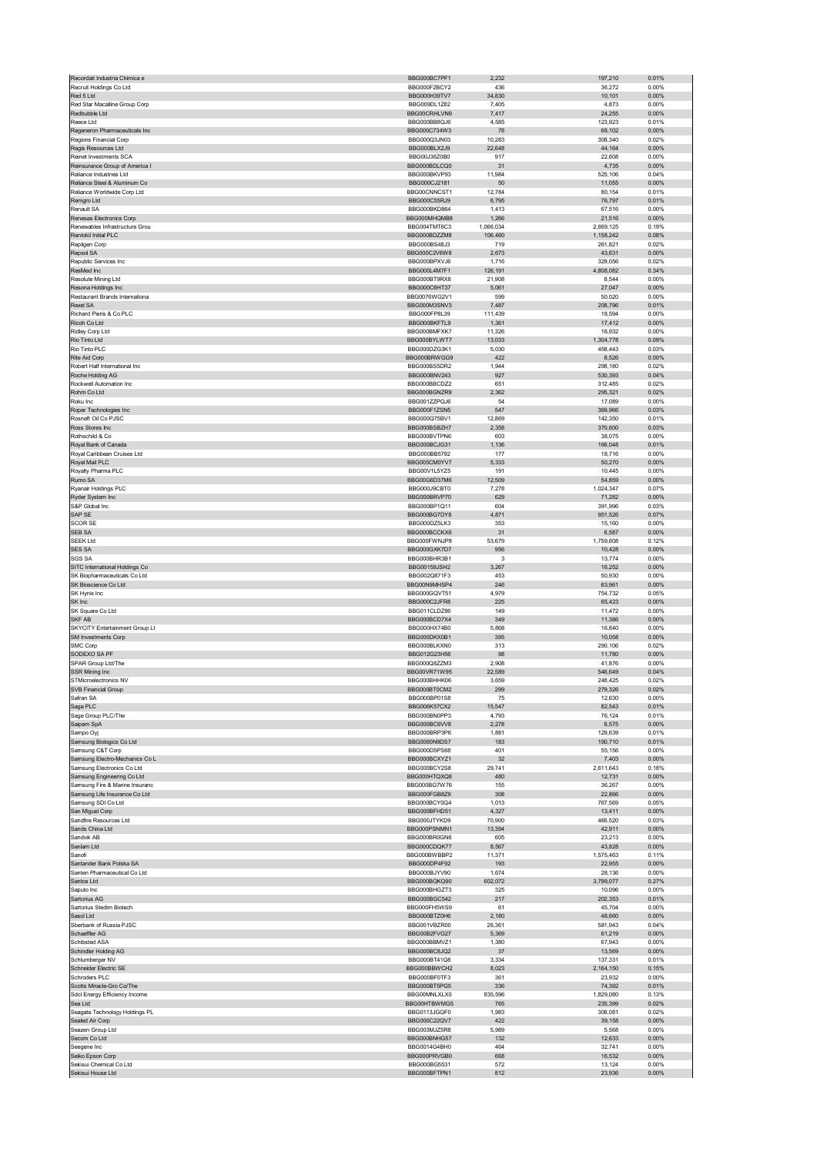| Recordati Industria Chimica e                         | BBG000BC7PF1                 | 2,232            | 197,210            | 0.01%          |
|-------------------------------------------------------|------------------------------|------------------|--------------------|----------------|
| Recruit Holdings Co Ltd                               | BBG000F2BCY2                 | 436              | 36,272             | 0.00%          |
| Red 5 Ltd                                             | BBG000H39TV7                 | 34,830           | 10,101             | 0.00%          |
| Red Star Macalline Group Corp                         | BBG009DL1Z82                 | 7,405            | 4,873              | 0.00%          |
| Redbubble Ltd                                         | BBG00CRHLVN9                 | 7,417            | 24,255             | 0.00%          |
| Reece Ltd                                             | BBG000BB8QJ6                 | 4,585            | 123,923            | 0.01%          |
| Regeneron Pharmaceuticals Inc                         | BBG000C734W3                 | 78               | 68,102             | 0.00%          |
| Regions Financial Corp<br>Regis Resources Ltd         | BBG000Q3JN03<br>BBG000BLX2J9 | 10,283<br>22,648 | 308,340<br>44,164  | 0.02%<br>0.00% |
| Reinet Investments SCA                                | BBG00J36Z0B0                 | 917              | 22,608             | 0.00%          |
| Reinsurance Group of America I                        | BBG000BDLCQ0                 | 31               | 4,735              | 0.00%          |
| Reliance Industries Ltd                               | BBG000BKVP93                 | 11,984           | 525,106            | 0.04%          |
| Reliance Steel & Aluminum Co                          | BBG000CJ2181                 | 50               | 11,055             | 0.00%          |
| Reliance Worldwide Corp Ltd                           | BBG00CNNCST1                 | 12,784           | 80,154             | 0.01%          |
| Remgro Ltd                                            | BBG000C55RJ9                 | 6,795            | 76,797             | 0.01%          |
| Renault SA                                            | BBG000BKD864                 | 1,413            | 67,516             | 0.00%          |
| Renesas Electronics Corp                              | BBG000MHQMB8                 | 1,266            | 21,516             | 0.00%          |
| Renewables Infrastructure Grou                        | BBG004TMT6C3                 | 1,066,034        | 2,669,125          | 0.19%          |
| Rentokil Initial PLC                                  | BBG000BDZZM8                 | 106,460          | 1,158,242          | 0.08%          |
| Repligen Corp                                         | BBG000BS48J3                 | 719              | 261,821            | 0.02%          |
| Repsol SA                                             | BBG000C2V6W8                 | 2,673            | 43,631             | 0.00%          |
| Republic Services Inc                                 | BBG000BPXVJ6                 | 1,716            | 329,056            | 0.02%          |
| ResMed Inc                                            | BBG000L4M7F1                 | 126,191          | 4,808,082          | 0.34%          |
| Resolute Mining Ltd                                   | BBG000BT9RX8                 | 21,908           | 8,544              | 0.00%          |
| Resona Holdings Inc<br>Restaurant Brands Internationa | BBG000C6HT37<br>BBG0076WG2V1 | 5,061<br>599     | 27,047<br>50,020   | 0.00%<br>0.00% |
| Rexel SA                                              | BBG000M3SNV3                 | 7,487            | 208,796            | 0.01%          |
| Richard Pieris & Co PLC                               | BBG000FP8L39                 | 111,439          | 18,594             | 0.00%          |
| Ricoh Co Ltd                                          | BBG000BKFTL9                 | 1,361            | 17,412             | 0.00%          |
| Ridley Corp Ltd                                       | BBG000BMFXK7                 | 11,326           | 16,932             | 0.00%          |
| Rio Tinto Ltd                                         | BBG000BYLWT7                 | 13,033           | 1,304,778          | 0.09%          |
| Rio Tinto PLC                                         | BBG000DZG3K1                 | 5,030            | 458,443            | 0.03%          |
| Rite Aid Corp                                         | BBG000BRWGG9                 | 422              | 8,526              | 0.00%          |
| Robert Half International Inc                         | BBG000BS5DR2                 | 1,944            | 298,180            | 0.02%          |
| Roche Holding AG                                      | BBG000BNV243                 | 927              | 530,393            | 0.04%          |
| Rockwell Automation Inc                               | BBG000BBCDZ2                 | 651              | 312,485            | 0.02%          |
| Rohm Co Ltd                                           | BBG000BGNZR9                 | 2,362            | 295,321            | 0.02%          |
| Roku Inc                                              | BBG001ZZPQJ6                 | 54               | 17,089             | 0.00%          |
| Roper Technologies Inc<br>Rosneft Oil Co PJSC         | BBG000F1ZSN5<br>BBG000Q75BV1 | 547<br>12,869    | 369,966<br>142,350 | 0.03%<br>0.01% |
| Ross Stores Inc                                       |                              | 2,358            | 370,600            | 0.03%          |
| Rothschild & Co                                       | BBG000BSBZH7<br>BBG000BVTPN6 | 603              | 38,075             | 0.00%          |
| Royal Bank of Canada                                  | BBG000BCJG31                 | 1,136            | 166,048            | 0.01%          |
| Royal Caribbean Cruises Ltd                           | BBG000BB5792                 | 177              | 18,716             | 0.00%          |
| Royal Mail PLC                                        | BBG005CM0YV7                 | 5,333            | 50,270             | 0.00%          |
| Royalty Pharma PLC                                    | BBG00V1L5YZ5                 | 191              | 10,445             | 0.00%          |
| Rumo SA                                               | BBG00G6D37M6                 | 12,509           | 54,859             | 0.00%          |
| Ryanair Holdings PLC                                  | BBG000J9CBT0                 | 7,278            | 1,024,347          | 0.07%          |
| Ryder System Inc                                      | BBG000BRVP70                 | 629              | 71,282             | 0.00%          |
| S&P Global Inc                                        | BBG000BP1Q11                 | 604              | 391,996            | 0.03%          |
| SAP SE                                                | BBG000BG7DY8                 | 4,871            | 951,526            | 0.07%          |
| <b>SCOR SE</b>                                        | BBG000DZ5LK3                 | 353              | 15,160             | 0.00%          |
| SEB SA                                                | BBG000BCCKX6                 | 31               | 6,587              | 0.00%          |
| <b>SEEK Ltd</b>                                       | BBG000FWNJP8                 | 53,679           | 1,759,608          | 0.12%          |
| <b>SES SA</b>                                         | BBG000GXK7D7                 | 956              | 10,428             | 0.00%          |
| <b>SGS SA</b>                                         | BBG000BHR3B1                 | 3                | 13,774             | 0.00%<br>0.00% |
| SITC International Holdings Co                        | BBG00159JSH2                 | 3,267            | 16,252             |                |
|                                                       |                              |                  |                    |                |
| SK Biopharmaceuticals Co Ltd                          | BBG002Q871F3                 | 453              | 50,930             | 0.00%          |
| SK Bioscience Co Ltd                                  | BBG00N9MHSP4                 | 246              | 63,961             | 0.00%          |
| SK Hynix Inc                                          | BBG000GQVT51                 | 4,979            | 754,732            | 0.05%          |
| SK Inc                                                | BBG000C2JFR8                 | 225              | 65,423             | 0.00%          |
| SK Square Co Ltd<br>SKF AB                            | BBG011CLDZ86<br>BBG000BCD7X4 | 149<br>349       | 11,472<br>11,386   | 0.00%<br>0.00% |
| SKYCITY Entertainment Group Lt                        | BBG000HX74B0                 | 5,868            | 16,840             | 0.00%          |
| SM Investments Corp                                   | BBG000DKX0B1                 | 395              | 10,058             | 0.00%          |
| SMC Corp                                              | BBG000BLKXN0                 | 313              | 290,106            | 0.02%          |
| SODEXO SA PF                                          | BBG012G23H56                 | 98               | 11,780             | 0.00%          |
| SPAR Group Ltd/The                                    | BBG000Q8ZZM3                 | 2,908            | 41,876             | 0.00%          |
| SSR Mining Inc                                        | BBG00VR71W95                 | 22,589           | 546,649            | 0.04%          |
| STMicroelectronics NV                                 | BBG000BHHK06                 | 3,659            | 248,425            | 0.02%          |
| SVB Financial Group                                   | BBG000BT0CM2                 | 299              | 279.326            | 0.02%          |
| Safran SA                                             | BBG000BP01S8                 | $75\,$           | 12,630             | 0.00%          |
| Saga PLC                                              | BBG006K57CX2                 | 15,547           | 82,543             | 0.01%          |
| Sage Group PLC/The                                    | BBG000BN0PP3<br>BBG000BC9VV8 | 4,793<br>2,278   | 76,124             | 0.01%<br>0.00% |
| Saipem SpA                                            | BBG000BRP3P6                 | 1,881            | 6,575<br>129,639   | 0.01%          |
| Sampo Oyj<br>Samsung Biologics Co Ltd                 | BBG0060N9DS7                 | 183              | 190,710            | 0.01%          |
| Samsung C&T Corp                                      | BBG000D5PS68                 | 401              | 55,156             | 0.00%          |
| Samsung Electro-Mechanics Co L                        | BBG000BCXYZ1                 | 32               | 7,403              | 0.00%          |
| Samsung Electronics Co Ltd                            | BBG000BCY2S8                 | 29,741           | 2,611,643          | 0.18%          |
| Samsung Engineering Co Ltd                            | BBG000HTQXQ8                 | 480              | 12,731             | 0.00%          |
| Samsung Fire & Marine Insuranc                        | BBG000BG7W76                 | 155              | 36,267             | 0.00%          |
| Samsung Life Insurance Co Ltd                         | BBG000FGB8Z9                 | 308<br>1,013     | 22,866             | 0.00%<br>0.05% |
| Samsung SDI Co Ltd                                    | BBG000BCY0Q4<br>BBG000BFHD51 |                  | 767,569            |                |
| San Miguel Corp<br>Sandfire Resources Ltd             | BBG000JTYKD9                 | 4,327<br>70,900  | 13,411<br>466,520  | 0.00%<br>0.03% |
| Sands China Ltd                                       | BBG000PSNMN1                 | 13,394           | 42,911             | 0.00%          |
| Sandvik AB                                            | BBG000BR0GN6                 | 605              | 23,213             | 0.00%          |
| Sanlam Ltd                                            | BBG000CDQK77                 | 8,567            | 43,828             | 0.00%          |
| Sanofi                                                | BBG000BWBBP2                 | 11,371           | 1,575,463          | 0.11%          |
| Santander Bank Polska SA                              | BBG000DP4F92                 | 193              | 22,955             | 0.00%          |
| Santen Pharmaceutical Co Ltd                          | BBG000BJYV90                 | 1,674            | 28,136             | 0.00%          |
| Santos Ltd                                            | BBG000BQKQ90                 | 602,072          | 3,799,077          | 0.27%          |
| Saputo Inc                                            | BBG000BHGZT3                 | 325              | 10,096             | 0.00%          |
| Sartorius AG                                          | BBG000BGC542                 | 217<br>61        | 202,353            | 0.01%          |
| Sartorius Stedim Biotech                              | BBG000FH5WS9                 |                  | 45,704             | 0.00%          |
| Sasol Ltd<br>Sberbank of Russia PJSC                  | BBG000BTZ0H6<br>BBG001VBZR00 | 2,180<br>26,361  | 48,660<br>581,943  | 0.00%<br>0.04% |
| Schaeffler AG                                         | BBG00B2FVG27                 | 5,369            | 61,219             | 0.00%          |
| <b>Schibsted ASA</b>                                  | BBG000BBMVZ1                 | 1,380            | 67,943             | 0.00%          |
| Schindler Holding AG                                  | BBG000BC8JQ2                 | 37               | 13,569             | 0.00%          |
| Schlumberger NV                                       | BBG000BT41Q8                 | 3,334            | 137,331            | 0.01%          |
| Schneider Electric SE                                 | BBG000BBWCH2                 | 8,023            | 2,164,150          | 0.15%          |
| Schroders PLC                                         | BBG000BF0TF3                 | 361              | 23,932             | 0.00%          |
| Scotts Miracle-Gro Co/The                             | BBG000BT5PG5                 | 336              | 74,392             | 0.01%          |
| Sdcl Energy Efficiency Income                         | BBG00MNLXLX0                 | 835,596          | 1,829,080          | 0.13%          |
| Sea Ltd                                               | BBG00HTBWMG5                 | 765              | 235,399            | 0.02%          |
| Seagate Technology Holdings PL                        | BBG0113JGQF0                 | 1,983            | 308,081            | 0.02%          |
| Sealed Air Corp                                       | BBG000C22QV7                 | 422              | 39,158             | 0.00%          |
| Seazen Group Ltd                                      | BBG003MJZ5R8                 | 5,989            | 5,568              | 0.00%          |
| Secom Co Ltd                                          | BBG000BNHG57                 | 132<br>464       | 12,633             | 0.00%          |
| Seegene Inc<br>Seiko Epson Corp                       | BBG0014G4BH0<br>BBG000PRVGB0 | 668              | 32,741<br>16,532   | 0.00%<br>0.00% |
| Sekisui Chemical Co Ltd<br>Sekisui House Ltd          | BBG000BG5531                 | 572<br>812       | 13,124             | 0.00%          |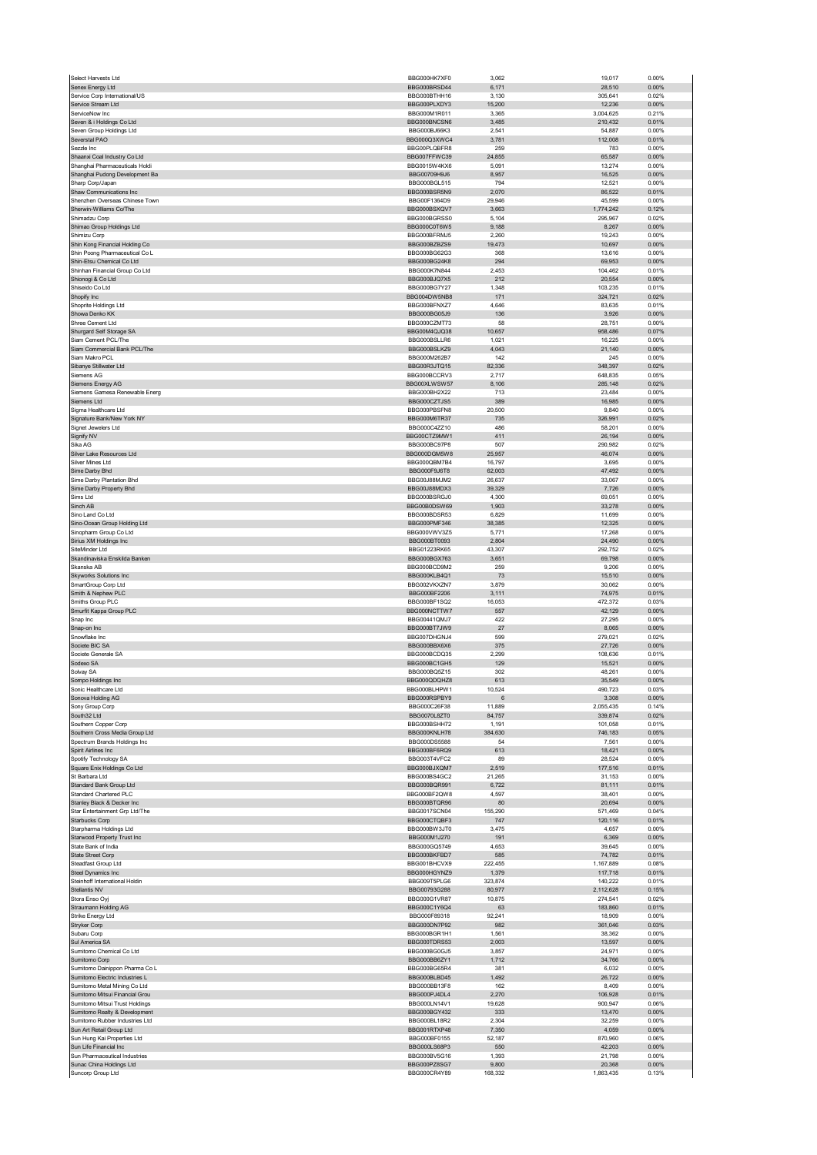|                                                       | BBG000HK7XF0                 | 3,062            | 19,017               | 0.00%             |
|-------------------------------------------------------|------------------------------|------------------|----------------------|-------------------|
| Senex Energy Ltd                                      | BBG000BRSD44                 | 6,171            | 28,510               | 0.00%             |
| Service Corp International/US                         | BBG000BTHH16                 | 3,130            | 305,641              | 0.02%             |
| Service Stream Ltd<br>ServiceNow Inc                  | BBG000PLXDY3                 | 15,200           | 12,236               | 0.00%             |
| Seven & i Holdings Co Ltd                             | BBG000M1R011<br>BBG000BNCSN6 | 3,365<br>3,485   | 3,004,625<br>210,432 | 0.21%<br>0.01%    |
| Seven Group Holdings Ltd                              | BBG000BJ66K3                 | 2,541            | 54,887               | 0.00%             |
| Severstal PAO                                         | BBG000Q3XWC4                 | 3,781            | 112,008              | 0.01%             |
| Sezzle Inc                                            | BBG00PLQBFR8                 | 259              | 783                  | 0.00%             |
| Shaanxi Coal Industry Co Ltd                          | BBG007FFWC39                 | 24,855           | 65,587               | 0.00%             |
| Shanghai Pharmaceuticals Holdi                        | BBG0015W4KX6                 | 5,091            | 13,274               | 0.00%             |
| Shanghai Pudong Development Ba                        | BBG00709H9J6                 | 8,957            | 16,525               | 0.00%             |
| Sharp Corp/Japan                                      | BBG000BGL515                 | 794              | 12,521               | 0.00%             |
| Shaw Communications Inc                               | BBG000BSR5N9                 | 2,070            | 86,522               | 0.01%             |
| Shenzhen Overseas Chinese Town                        | BBG00F1364D9                 | 29,946           | 45,599               | 0.00%             |
| Sherwin-Williams Co/The                               | BBG000BSXQV7                 | 3,663            | 1,774,242            | 0.12%             |
| Shimadzu Corp                                         | BBG000BGRSS0                 | 5,104            | 295,967              | 0.02%             |
| Shimao Group Holdings Ltd                             | BBG000C0T6W5<br>BBG000BFRMJ5 | 9,188            | 8,267                | 0.00%             |
| Shimizu Corp<br>Shin Kong Financial Holding Co        | BBG000BZBZS9                 | 2,260            | 19,243               | 0.00%<br>0.00%    |
| Shin Poong Pharmaceutical Co L                        | BBG000BG62G3                 | 19,473<br>368    | 10,697<br>13,616     | 0.00%             |
| Shin-Etsu Chemical Co Ltd                             | BBG000BG24K8                 | 294              | 69,953               | 0.00%             |
| Shinhan Financial Group Co Ltd                        | BBG000K7N844                 | 2,453            | 104,462              | 0.01%             |
| Shionogi & Co Ltd                                     | BBG000BJQ7X5                 | 212              | 20,554               | $0.00\%$          |
| Shiseido Co Ltd                                       | BBG000BG7Y27                 | 1,348            | 103,235              | 0.01%             |
| Shopify Inc                                           | BBG004DW5NB8                 | 171              | 324,721              | 0.02%             |
| Shoprite Holdings Ltd                                 | BBG000BFNXZ7                 | 4,646            | 83,635               | 0.01%             |
| Showa Denko KK                                        | BBG000BG05J9                 | 136              | 3,926                | 0.00%             |
| Shree Cement Ltd                                      | BBG000CZMT73                 | 58               | 28,751               | 0.00%             |
| Shurgard Self Storage SA                              | BBG00M4QJQ38                 | 10,657           | 958,486              | 0.07%             |
| Siam Cement PCL/The                                   | BBG000BSLLR6                 | 1,021            | 16,225               | 0.00%             |
| Siam Commercial Bank PCL/The                          | BBG000BSLKZ9                 | 4.043            | 21,140               | 0.00%             |
| Siam Makro PCL<br>Sibanye Stillwater Ltd              | BBG000M262B7<br>BBG00R3JTQ15 | 142<br>82,336    | 245<br>348,397       | 0.00%<br>0.02%    |
| Siemens AG                                            | BBG000BCCRV3                 | 2,717            | 648,835              | 0.05%             |
| Siemens Energy AG                                     | BBG00XLWSW57                 | 8,106            | 285,148              | 0.02%             |
| Siemens Gamesa Renewable Energ                        | BBG000BH2X22                 | 713              | 23,484               | 0.00%             |
| Siemens Ltd                                           | BBG000CZTJS5                 | 389              | 16,985               | $0.00\%$          |
| Sigma Healthcare Ltd                                  | BBG000PBSFN8                 | 20,500           | 9,840                | 0.00%             |
| Signature Bank/New York NY                            | BBG000M6TR37                 | 735              | 326,991              | 0.02%             |
| Signet Jewelers Ltd                                   | BBG000C4ZZ10                 | 486              | 58,201               | 0.00%             |
| Signify NV                                            | BBG00CTZ9MW1                 | 411              | 26,194               | 0.00%             |
| Sika AG                                               | BBG000BC97P8                 | 507              | 290,982              | 0.02%             |
| Silver Lake Resources Ltd                             | BBG000DGM5W8                 | 25,957           | 46,074               | 0.00%             |
| Silver Mines Ltd                                      | BBG000QBM7B4                 | 16,797           | 3,695                | 0.00%             |
| Sime Darby Bhd                                        | BBG000F9J6T8                 | 62,003           | 47,492               | 0.00%             |
| Sime Darby Plantation Bhd                             | BBG00J88MJM2                 | 26.637           | 33,067               | 0.00%             |
| Sime Darby Property Bhd                               | BBG00J88MDX3                 | 39,329           | 7,726                | 0.00%             |
| Sims Ltd                                              | BBG000BSRGJ0                 | 4,300            | 69,051               | 0.00%             |
| Sinch AB<br>Sino Land Co Ltd                          | BBG00B0DSW69<br>BBG000BDSR53 | 1,903<br>6,829   | 33,278<br>11,699     | $0.00\%$<br>0.00% |
| Sino-Ocean Group Holding Ltd                          | BBG000PMF346                 | 38,385           | 12,325               | 0.00%             |
| Sinopharm Group Co Ltd                                | BBG000VWV3Z5                 | 5,771            | 17,268               | 0.00%             |
| Sirius XM Holdings Inc                                | BBG000BT0093                 | 2,804            | 24,490               | 0.00%             |
| SiteMinder Ltd                                        | BBG01223RK65                 | 43,307           | 292,752              | 0.02%             |
| Skandinaviska Enskilda Banken                         | BBG000BGX763                 | 3,651            | 69,798               | $0.00\%$          |
| Skanska AB                                            | BBG000BCD9M2                 | 259              | 9,206                | 0.00%             |
| Skyworks Solutions Inc                                | BBG000KLB4Q1                 | 73               | 15,510               | 0.00%             |
| SmartGroup Corp Ltd                                   | BBG002VKXZN7                 | 3,879            | 30,062               | 0.00%             |
| Smith & Nephew PLC                                    | BBG000BF2206                 | 3,111            | 74,975               | 0.01%             |
| Smiths Group PLC                                      | BBG000BF1SQ2                 | 16,053           | 472,372              | 0.03%             |
| Smurfit Kappa Group PLC                               | BBG000NCTTW7                 | 557              | 42,129               | 0.00%             |
| Snap Inc                                              | BBG00441QMJ7                 | 422              | 27,295               | 0.00%             |
| Snap-on Inc                                           | BBG000BT7JW9                 | 27               | 8,065                | 0.00%             |
| Snowflake Inc                                         | BBG007DHGNJ4                 | 599              | 279,021              | 0.02%             |
| Societe BIC SA                                        | BBG000BBX6X6                 |                  | 27,726               | 0.00%             |
|                                                       |                              | 375              |                      |                   |
| Societe Generale SA                                   | BBG000BCDQ35                 | 2,299            | 108,636              | 0.01%             |
| Sodexo SA                                             | BBG000BC1GH5                 | 129              | 15,521               | 0.00%             |
| Solvay SA                                             | BBG000BQ5Z15                 | 302              | 48,261               | 0.00%             |
| Sompo Holdings Inc                                    | BBG000QDQHZ8                 | 613              | 35,549               | 0.00%             |
| Sonic Healthcare Ltd                                  | BBG000BLHPW1<br>BBG000RSPBY9 | 10.524<br>6      | 490.723              | 0.03%             |
| Sonova Holding AG<br>Sony Group Corp                  | BBG000C26F38                 | 11,889           | 3,308<br>2,055,435   | 0.00%<br>0.14%    |
| South32 Ltd                                           | BBG0070L8ZT0                 | 84,757           | 339,874              | 0.02%             |
| Southern Copper Corp                                  | BBG000BSHH72                 | 1,191            | 101,058              | 0.01%             |
| Southern Cross Media Group Ltd                        | BBG000KNLH78                 | 384,630          | 746,183              | 0.05%             |
| Spectrum Brands Holdings Inc                          | BBG000DS5588                 | 54               | 7,561                | 0.00%             |
| Spirit Airlines Inc                                   | BBG000BF6RQ9                 | 613              | 18,421               | 0.00%             |
| Spotify Technology SA                                 | BBG003T4VFC2                 | 89               | 28,524               | 0.00%             |
| Square Enix Holdings Co Ltd                           | BBG000BJXQM7                 | 2,519            | 177,516              | 0.01%             |
| St Barbara Ltd                                        | BBG000BS4GC2                 | 21,265           | 31,153               | 0.00%             |
| Standard Bank Group Ltd                               | BBG000BQR991                 | 6,722            | 81,111               | 0.01%             |
| Standard Chartered PLC<br>Stanley Black & Decker Inc  | BBG000BF2QW8<br>BBG000BTQR96 | 4,597<br>80      | 38,401<br>20,694     | 0.00%<br>$0.00\%$ |
| Star Entertainment Grp Ltd/The                        | BBG0017SCN04                 | 155,290          | 571,469              | 0.04%             |
| Starbucks Corp                                        | BBG000CTQBF3                 | 747              | 120,116              | 0.01%             |
| Starpharma Holdings Ltd                               | BBG000BW3JT0                 | 3,475            | 4,657                | 0.00%             |
| Starwood Property Trust Inc                           | BBG000M1J270                 | 191              | 6,369                | 0.00%             |
| State Bank of India                                   | BBG000GQ5749                 | 4,653            | 39,645               | 0.00%             |
| State Street Corp                                     | BBG000BKFBD7                 | 585              | 74,782               | 0.01%             |
| Steadfast Group Ltd                                   | BBG001BHCVX9                 | 222,455          | 1,167,889            | 0.08%             |
| Steel Dynamics Inc                                    | BBG000HGYNZ9                 | 1,379            | 117,718              | 0.01%             |
| Steinhoff International Holdin                        | BBG009T5PLG6                 | 323,874          | 140,222              | 0.01%             |
| Stellantis NV                                         | BBG00793G288                 | 80,977           | 2,112,628            | 0.15%             |
| Stora Enso Oyj<br><b>Straumann Holding AG</b>         | BBG000G1VR87<br>BBG000C1Y6Q4 | 10,875<br>63     | 274,541<br>183,860   | 0.02%<br>0.01%    |
| Strike Energy Ltd                                     | BBG000F89318                 | 92,241           | 18,909               | 0.00%             |
| Stryker Corp                                          | BBG000DN7P92                 | 982              | 361,046              | 0.03%             |
| Subaru Corp                                           | BBG000BGR1H1                 | 1,561            | 38,362               | 0.00%             |
| Sul America SA                                        | BBG000TDRS53                 | 2,003            | 13,597               | 0.00%             |
| Sumitomo Chemical Co Ltd                              | BBG000BG0GJ5                 | 3,857            | 24,971               | 0.00%             |
| Sumitomo Corp                                         | BBG000BB6ZY1                 | 1,712            | 34,766               | 0.00%             |
| Sumitomo Dainippon Pharma Co L                        | BBG000BG65R4                 | 381              | 6,032                | 0.00%             |
| Sumitomo Electric Industries L                        | BBG000BLBD45                 | 1,492            | 26,722               | 0.00%             |
| Sumitomo Metal Mining Co Ltd                          | BBG000BB13F8                 | 162              | 8,409                | 0.00%             |
| Sumitomo Mitsui Financial Grou                        | BBG000PJ4DL4                 | 2,270            | 106,928              | 0.01%             |
| Sumitomo Mitsui Trust Holdings                        | BBG000LN14V1                 | 19,628           | 900,947              | 0.06%             |
| Sumitomo Realty & Development                         | BBG000BGY432                 | 333              | 13,470               | $0.00\%$          |
| Sumitomo Rubber Industries Ltd                        | BBG000BL18R2                 | 2,304            | 32,259               | 0.00%             |
| Sun Art Retail Group Ltd                              | BBG001RTXP48                 | 7,350            | 4,059                | 0.00%             |
| Sun Hung Kai Properties Ltd<br>Sun Life Financial Inc | BBG000BF0155<br>BBG000LS68P3 | 52,187<br>550    | 870,960<br>42,203    | 0.06%<br>$0.00\%$ |
| Sun Pharmaceutical Industries                         | BBG000BV5G16                 | 1,393            | 21,798               | 0.00%             |
| Sunac China Holdings Ltd<br>Suncorp Group Ltd         | BBG000PZ8SG7<br>BBG000CR4Y89 | 9,800<br>168,332 | 20,368<br>1,863,435  | 0.00%<br>0.13%    |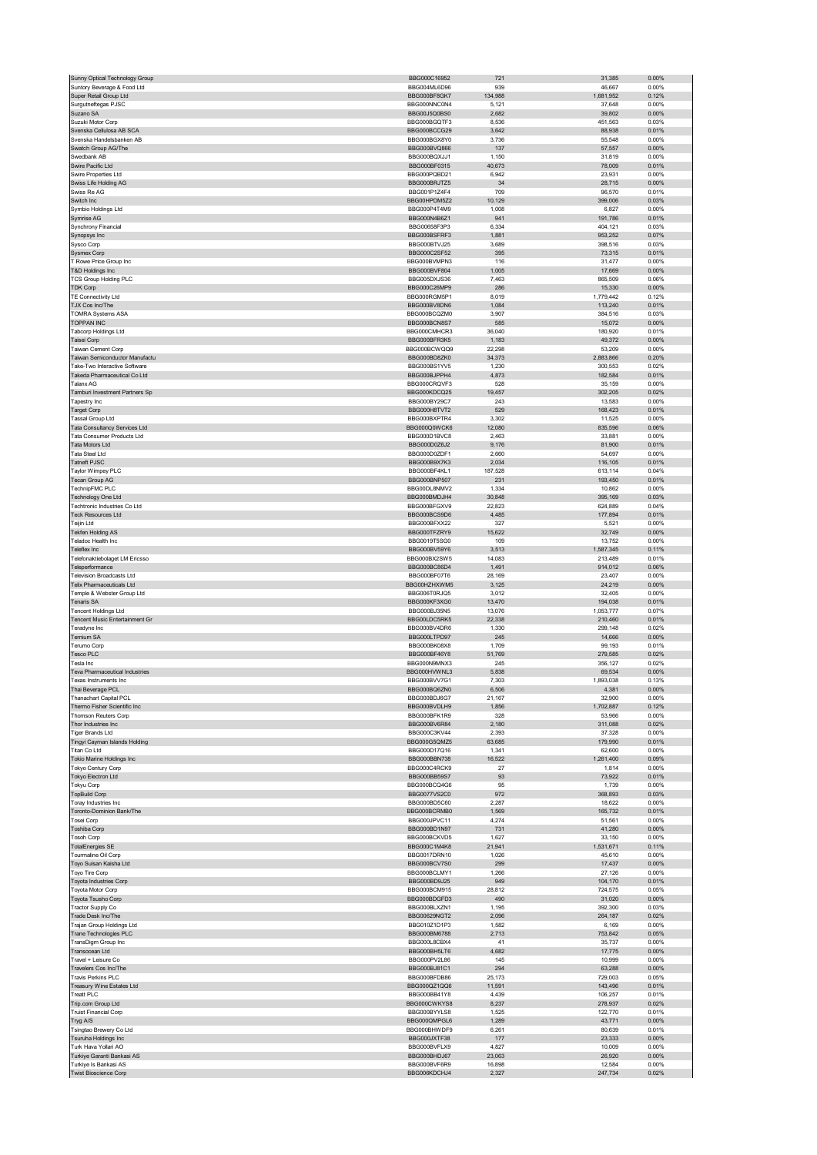| Sunny Optical Technology Group                                       | BBG000C16952                        | 721              | 31,385              | 0.00%          |
|----------------------------------------------------------------------|-------------------------------------|------------------|---------------------|----------------|
| Suntory Beverage & Food Ltd                                          | BBG004ML6D96                        | 939              | 46,667              | 0.00%          |
| Super Retail Group Ltd                                               | BBG000BF8GK7                        | 134,988          | 1,681,952           | 0.12%          |
| Surgutneftegas PJSC                                                  | BBG000NNC0N4                        | 5,121            | 37,648              | 0.00%          |
| Suzano SA<br>Suzuki Motor Corp                                       | BBG00J5Q0BS0<br>BBG000BGQTF3        | 2,682<br>8,536   | 39,802<br>451,563   | 0.00%<br>0.03% |
| Svenska Cellulosa AB SCA                                             | BBG000BCCG29                        | 3,642            | 88,938              | 0.01%          |
| Svenska Handelsbanken AB                                             | BBG000BGX8Y0                        | 3,736            | 55,548              | 0.00%          |
| Swatch Group AG/The                                                  | BBG000BVQ866                        | 137              | 57,557              | 0.00%          |
| Swedbank AB                                                          | BBG000BQXJJ1                        | 1,150            | 31,819              | 0.00%          |
| Swire Pacific Ltd                                                    | BBG000BF0315                        | 40,673           | 78,009              | 0.01%          |
| Swire Properties Ltd                                                 | BBG000PQBD21                        | 6,942            | 23,931              | 0.00%          |
| Swiss Life Holding AG                                                | BBG000BRJTZ5                        | 34               | 28,715              | 0.00%          |
| Swiss Re AG                                                          | BBG001P1Z4F4                        | 709              | 96,570              | 0.01%          |
| Switch Inc<br>Symbio Holdings Ltd                                    | BBG00HPDM5Z2<br>BBG000P4T4M9        | 10,129<br>1,008  | 399,006<br>6,827    | 0.03%<br>0.00% |
| Symrise AG                                                           | BBG000N4B6Z1                        | 941              | 191,786             | 0.01%          |
| Synchrony Financial                                                  | BBG00658F3P3                        | 6,334            | 404,121             | 0.03%          |
| Synopsys Inc                                                         | BBG000BSFRF3                        | 1,881            | 953,252             | 0.07%          |
| Sysco Corp                                                           | BBG000BTVJ25                        | 3,689            | 398,516             | 0.03%          |
| <b>Sysmex Corp</b>                                                   | BBG000C2SF52                        | 395              | 73,315              | 0.01%          |
| T Rowe Price Group Inc                                               | BBG000BVMPN3                        | 116              | 31,477              | 0.00%          |
| T&D Holdings Inc                                                     | BBG000BVF804<br>BBG005DXJS36        | 1,005<br>7,463   | 17,669<br>865,509   | 0.00%<br>0.06% |
| TCS Group Holding PLC<br><b>TDK Corp</b>                             | BBG000C26MP9                        | 286              | 15,330              | 0.00%          |
| TE Connectivity Ltd                                                  | BBG000RGM5P1                        | 8,019            | 1,779,442           | 0.12%          |
| TJX Cos Inc/The                                                      | BBG000BV8DN6                        | 1,084            | 113,240             | 0.01%          |
| TOMRA Systems ASA                                                    | BBG000BCQZM0                        | 3,907            | 384,516             | 0.03%          |
| TOPPAN INC                                                           | BBG000BCN8S7                        | 585              | 15,072              | 0.00%          |
| Tabcorp Holdings Ltd                                                 | BBG000CMHCR3                        | 36,040           | 180,920             | 0.01%          |
| Taisei Corp                                                          | BBG000BFR3K5                        | 1,183            | 49,372              | 0.00%          |
| Taiwan Cement Corp<br><b>Taiwan Semiconductor Manufactu</b>          | BBG000BCWQQ9<br>BBG000BD8ZK0        | 22,298<br>34,373 | 53,209<br>2,883,866 | 0.00%<br>0.20% |
| Take-Two Interactive Software                                        | BBG000BS1YV5                        | 1,230            | 300,553             | 0.02%          |
| Takeda Pharmaceutical Co Ltd                                         | BBG000BJPPH4                        | 4,873            | 182,584             | 0.01%          |
| Talanx AG                                                            | BBG000CRQVF3                        | 528              | 35,159              | 0.00%          |
| Tamburi Investment Partners Sp                                       | BBG000KDCQ25                        | 19,457           | 302,205             | 0.02%          |
| Tapestry Inc                                                         | BBG000BY29C7                        | 243              | 13,583              | 0.00%          |
| <b>Target Corp</b>                                                   | BBG000H8TVT2<br>BBG000BXPTR4        | 529              | 168,423             | 0.01%          |
| Tassal Group Ltd<br><b>Tata Consultancy Services Ltd</b>             | BBG000Q0WCK6                        | 3,302<br>12,080  | 11,525<br>835,596   | 0.00%<br>0.06% |
| <b>Tata Consumer Products Ltd</b>                                    | BBG000D1BVC8                        | 2,463            | 33,881              | 0.00%          |
| Tata Motors Ltd                                                      | BBG000D0Z6J2                        | 9,176            | 81,900              | 0.01%          |
| Tata Steel Ltd                                                       | BBG000D0ZDF1                        | 2,660            | 54,697              | 0.00%          |
| Tatneft PJSC                                                         | BBG000B9X7K3                        | 2,034            | 116,105             | 0.01%          |
| Taylor Wimpey PLC                                                    | BBG000BF4KL1                        | 187,528          | 613,114             | 0.04%          |
| Tecan Group AG                                                       | BBG000BNP507                        | 231              | 193,450             | 0.01%          |
| TechnipFMC PLC<br><b>Technology One Ltd</b>                          | BBG00DL8NMV2<br>BBG000BMDJH4        | 1,334<br>30,848  | 10,862<br>395,169   | 0.00%<br>0.03% |
| <b>Techtronic Industries Co Ltd</b>                                  | BBG000BFGXV9                        | 22,823           | 624,889             | 0.04%          |
| Teck Resources Ltd                                                   | BBG000BCS9D6                        | 4,485            | 177,894             | 0.01%          |
| Teijin Ltd                                                           | BBG000BFXX22                        | 327              | 5,521               | 0.00%          |
| Tekfen Holding AS                                                    | BBG000TFZRY9                        | 15,622           | 32,749              | 0.00%          |
| <b>Teladoc Health Inc</b>                                            | BBG0019T5SG0                        | 109              | 13,752              | 0.00%          |
| Teleflex Inc                                                         | BBG000BV59Y6<br>BBG000BX2SW5        | 3,513            | 1,587,345           | 0.11%          |
| Telefonaktiebolaget LM Ericsso                                       |                                     | 14,083           | 213,489             | 0.01%          |
|                                                                      |                                     |                  |                     |                |
| Teleperformance                                                      | BBG000BC86D4                        | 1,491            | 914,012             | 0.06%          |
| <b>Television Broadcasts Ltd</b><br><b>Telix Pharmaceuticals Ltd</b> | BBG000BF07T6<br>BBG00HZHXWM5        | 28,169<br>3,125  | 23,407<br>24,219    | 0.00%<br>0.00% |
| Temple & Webster Group Ltd                                           | BBG006T0RJQ5                        | 3,012            | 32,405              | 0.00%          |
| Tenaris SA                                                           | BBG000KF3XG0                        | 13,470           | 194,038             | 0.01%          |
| Tencent Holdings Ltd                                                 | BBG000BJ35N5                        | 13,076           | 1,053,777           | 0.07%          |
| Tencent Music Entertainment Gr                                       | BBG00LDC5RK5                        | 22,338           | 210,460             | 0.01%          |
| Teradyne Inc                                                         | BBG000BV4DR6                        | 1,330            | 299,148             | 0.02%          |
| Ternium SA                                                           | BBG000LTPD97                        | 245              | 14,666              | 0.00%          |
| Terumo Corp<br><b>Tesco PLC</b>                                      | BBG000BK08X8<br>BBG000BF46Y8        | 1,709<br>51,769  | 99,193<br>279,585   | 0.01%<br>0.02% |
| Tesla Inc                                                            | BBG000N9MNX3                        | 245              | 356,127             | 0.02%          |
| Teva Pharmaceutical Industries                                       | BBG000HVWNL3                        | 5,838            | 69,534              | 0.00%          |
| Texas Instruments Inc                                                | BBG000BVV7G1                        | 7,303            | 1,893,038           | 0.13%          |
| Thai Beverage PCL                                                    | BBG000BQ6ZN0                        | 6.506            | 4.381               | 0.00%          |
| Thanachart Capital PCL                                               | BBG000BDJ6G7                        | 21.167           | 32,900              | 0.00%          |
| Thermo Fisher Scientific Inc                                         | BBG000BVDLH9                        | 1,856            | 1,702,887           | 0.12%          |
| Thomson Reuters Corp<br>Thor Industries Inc                          | BBG000BFK1R9<br>BBG000BV6R84        | 328<br>2,180     | 53,966<br>311,088   | 0.00%<br>0.02% |
| Tiger Brands Ltd                                                     | BBG000C3KV44                        | 2,393            | 37,328              | 0.00%          |
| Tingyi Cayman Islands Holding                                        | BBG000G5QMZ5                        | 63,685           | 179,990             | 0.01%          |
| Titan Co Ltd                                                         | BBG000D17Q16                        | 1,341            | 62,600              | 0.00%          |
| Tokio Marine Holdings Inc                                            | BBG000BBN738                        | 16,522           | 1,261,400           | 0.09%          |
| Tokyo Century Corp                                                   | BBG000C4RCK9                        | 27               | 1,814               | 0.00%          |
| Tokyo Electron Ltd                                                   | BBG000BB59S7<br>BBG000BCQ4G6        | 93<br>95         | 73,922              | 0.01%<br>0.00% |
| Tokyu Corp<br><b>TopBuild Corp</b>                                   | BBG0077VS2C0                        | 972              | 1,739<br>368,893    | 0.03%          |
| Toray Industries Inc                                                 | BBG000BD5C60                        | 2,287            | 18,622              | 0.00%          |
| Toronto-Dominion Bank/The                                            | BBG000BCRMB0                        | 1,569            | 165,732             | 0.01%          |
| Tosei Corp                                                           | BBG000JPVC11                        | 4,274            | 51,561              | 0.00%          |
| Toshiba Corp                                                         | BBG000BD1N97                        | 731              | 41,280              | 0.00%          |
| Tosoh Corp<br><b>TotalEnergies SE</b>                                | BBG000BCKVD5<br><b>BBG000C1M4K8</b> | 1,627<br>21,941  | 33,150<br>1,531,671 | 0.00%<br>0.11% |
| Tourmaline Oil Corp                                                  | BBG0017DRN10                        | 1,026            | 45,610              | 0.00%          |
| Toyo Suisan Kaisha Ltd                                               | BBG000BCV7S0                        | 299              | 17,437              | 0.00%          |
| Toyo Tire Corp                                                       | BBG000BCLMY1                        | 1,266            | 27,126              | 0.00%          |
| Toyota Industries Corp                                               | BBG000BD9J25                        | 949              | 104,170             | 0.01%          |
| Toyota Motor Corp                                                    | BBG000BCM915                        | 28,812           | 724,575             | 0.05%          |
| Toyota Tsusho Corp<br>Tractor Supply Co                              | BBG000BDGFD3<br>BBG000BLXZN1        | 490<br>1,195     | 31,020<br>392,300   | 0.00%<br>0.03% |
| Trade Desk Inc/The                                                   | BBG00629NGT2                        | 2,096            | 264,187             | 0.02%          |
| Trajan Group Holdings Ltd                                            | BBG010Z1D1P3                        | 1,582            | 6,169               | 0.00%          |
| <b>Trane Technologies PLC</b>                                        | BBG000BM6788                        | 2,713            | 753,842             | 0.05%          |
| TransDigm Group Inc                                                  | BBG000L8CBX4                        | 41               | 35,737              | 0.00%          |
| Transocean Ltd                                                       | BBG000BH5LT6                        | 4,682            | 17,775              | 0.00%          |
| Travel + Leisure Co                                                  | BBG000PV2L86                        | 145              | 10,999              | 0.00%          |
| Travelers Cos Inc/The<br>Travis Perkins PLC                          | BBG000BJ81C1<br>BBG000BFDB86        | 294<br>25,173    | 63,288<br>729,003   | 0.00%<br>0.05% |
| Treasury Wine Estates Ltd                                            | BBG000QZ1QQ6                        | 11,591           | 143,496             | 0.01%          |
| Treatt PLC                                                           | BBG000BB41Y8                        | 4,439            | 106,257             | 0.01%          |
| Trip.com Group Ltd                                                   | BBG000CWKYS8                        | 8,237            | 278,937             | 0.02%          |
| <b>Truist Financial Corp</b>                                         | BBG000BYYLS8                        | 1,525            | 122,770             | 0.01%          |
| Tryg A/S                                                             | BBG000QMPGL6                        | 1,289            | 43,771              | 0.00%          |
| Tsingtao Brewery Co Ltd<br>Tsuruha Holdings Inc                      | BBG000BHWDF9<br>BBG000JXTF38        | 6,261<br>177     | 80,639<br>23,333    | 0.01%<br>0.00% |
| Turk Hava Yollari AO                                                 | BBG000BVFLX9                        | 4,827            | 10,009              | 0.00%          |
| Turkiye Garanti Bankasi AS                                           | BBG000BHDJ67                        | 23,063           | 26,920              | 0.00%          |
| Turkiye Is Bankasi AS<br>Twist Bioscience Corp                       | BBG000BVF6R9<br>BBG006KDCHJ4        | 16,898<br>2,327  | 12,584<br>247,734   | 0.00%<br>0.02% |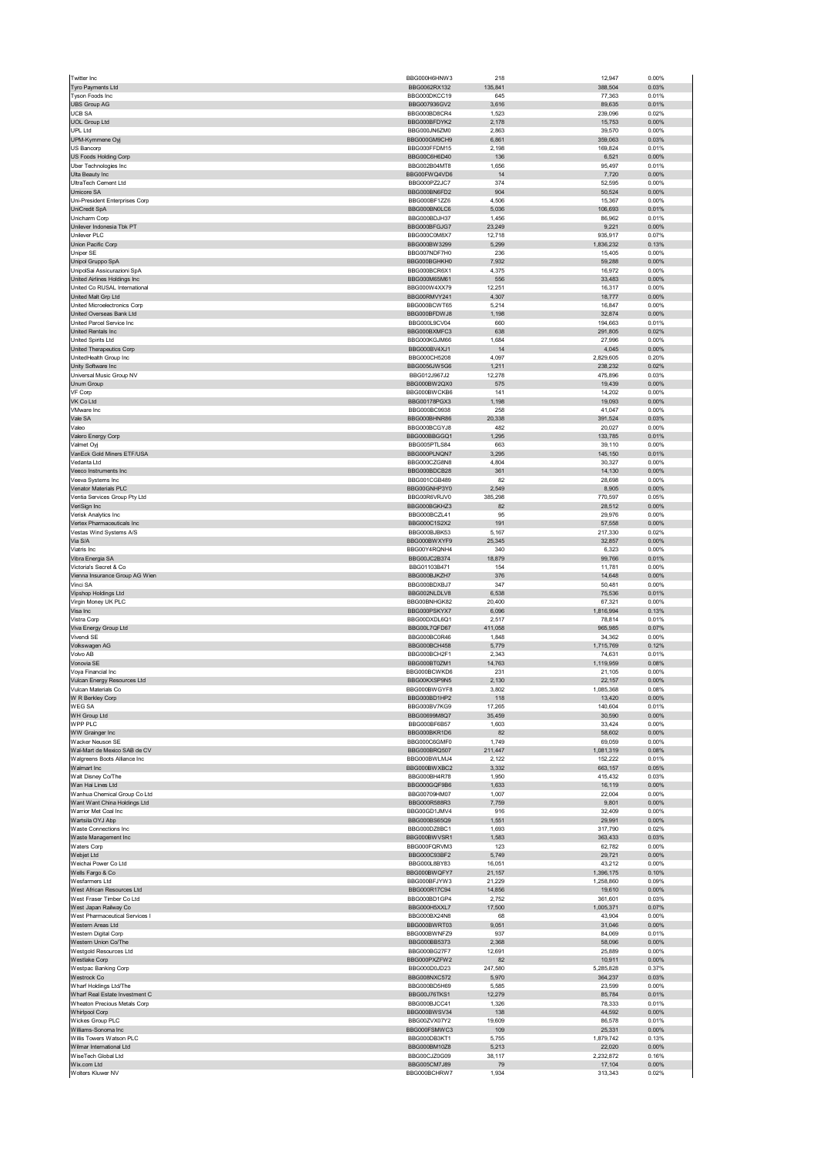| Tyro Payments Ltd<br>Tyson Foods Inc                     | BBG000H6HNW3                 | 218              | 12,947               | 0.00%          |
|----------------------------------------------------------|------------------------------|------------------|----------------------|----------------|
|                                                          | BBG0062RX132                 | 135,841          | 388,504              | 0.03%          |
|                                                          | BBG000DKCC19                 | 645              | 77,363               | 0.01%          |
| <b>UBS Group AG</b>                                      | BBG007936GV2                 | 3,616            | 89,635               | 0.01%          |
| <b>UCB SA</b><br><b>UOL Group Ltd</b>                    | BBG000BD8CR4                 | 1,523            | 239,096              | 0.02%          |
| UPL Ltd                                                  | BBG000BFDYK2<br>BBG000JN6ZM0 | 2,178<br>2,863   | 15,753<br>39,570     | 0.00%<br>0.00% |
| UPM-Kymmene Oyj                                          | BBG000GM9CH9                 | 6,861            | 359,063              | 0.03%          |
| US Bancorp                                               | BBG000FFDM15                 | 2,198            | 169,824              | 0.01%          |
| US Foods Holding Corp                                    | BBG00C6H6D40                 | 136              | 6,521                | 0.00%          |
| Uber Technologies Inc                                    | BBG002B04MT8                 | 1,656            | 95,497               | 0.01%          |
| Ulta Beauty Inc                                          | BBG00FWQ4VD6                 | 14               | 7,720                | 0.00%          |
| UltraTech Cement Ltd                                     | BBG000PZ2JC7                 | 374              | 52,595               | 0.00%          |
| <b>Umicore SA</b>                                        | BBG000BN6FD2                 | 904              | 50,524               | 0.00%          |
| Uni-President Enterprises Corp                           | BBG000BF1ZZ6                 | 4,506            | 15,367               | 0.00%          |
| UniCredit SpA                                            | BBG000BN0LC6                 | 5,036            | 106,693              | 0.01%          |
| Unicharm Corp<br>Unilever Indonesia Tbk PT               | BBG000BDJH37<br>BBG000BFGJG7 | 1,456<br>23,249  | 86,962<br>9,221      | 0.01%<br>0.00% |
| Unilever PLC                                             | BBG000C0M8X7                 | 12,718           | 935,917              | 0.07%          |
| Union Pacific Corp                                       | BBG000BW3299                 | 5,299            | 1,836,232            | 0.13%          |
| Uniper SE                                                | BBG007NDF7H0                 | 236              | 15,405               | 0.00%          |
| Unipol Gruppo SpA                                        | BBG000BGHKH0                 | 7,932            | 59,288               | 0.00%          |
| UnipolSai Assicurazioni SpA                              | BBG000BCR6X1                 | 4,375            | 16,972               | 0.00%          |
| United Airlines Holdings Inc                             | BBG000M65M61                 | 556              | 33,483               | 0.00%          |
| United Co RUSAL International                            | BBG000W4XX79                 | 12,251           | 16,317               | 0.00%          |
| United Malt Grp Ltd                                      | BBG00RMVY241                 | 4,307            | 18,777               | 0.00%          |
| United Microelectronics Corp<br>United Overseas Bank Ltd | BBG000BCWT65<br>BBG000BFDWJ8 | 5,214<br>1,198   | 16,847<br>32,874     | 0.00%<br>0.00% |
| United Parcel Service Inc                                | BBG000L9CV04                 | 660              | 194,663              | 0.01%          |
| United Rentals Inc                                       | BBG000BXMFC3                 | 638              | 291,805              | 0.02%          |
| <b>United Spirits Ltd</b>                                | BBG000KGJM66                 | 1,684            | 27,996               | 0.00%          |
| United Therapeutics Corp                                 | BBG000BV4XJ1                 | 14               | 4,045                | 0.00%          |
| UnitedHealth Group Inc                                   | BBG000CH5208                 | 4,097            | 2,829,605            | 0.20%          |
| Unity Software Inc                                       | BBG0056, IW5G6               | 1,211            | 238,232              | 0.02%          |
| Universal Music Group NV                                 | BBG012J967J2                 | 12,278           | 475,896              | 0.03%          |
| Unum Group                                               | BBG000BW2QX0                 | 575              | 19,439               | 0.00%          |
| VF Corp<br>VK Co Ltd                                     | BBG000BWCKB6<br>BBG00178PGX3 | 141<br>1,198     | 14,202<br>19,093     | 0.00%<br>0.00% |
| VMware Inc                                               | BBG000BC9938                 | 258              | 41,047               | 0.00%          |
| Vale SA                                                  | BBG000BHNR86                 | 20,338           | 391,524              | 0.03%          |
| Valeo                                                    | BBG000BCGYJ8                 | 482              | 20,027               | 0.00%          |
| Valero Energy Corp                                       | BBG000BBGGQ1                 | 1,295            | 133,785              | 0.01%          |
| Valmet Ovi                                               | BBG005PTLS84                 | 663              | 39,110               | 0.00%          |
| VanEck Gold Miners ETF/USA                               | BBG000PLNQN7                 | 3,295            | 145,150              | 0.01%          |
| Vedanta Ltd                                              | BBG000CZG8N8                 | 4,804            | 30,327               | 0.00%          |
| Veeco Instruments Inc                                    | BBG000BDCB28                 | 361              | 14,130               | 0.00%          |
| Veeva Systems Inc                                        | BBG001CGB489                 | 82               | 28,698               | 0.00%          |
| Venator Materials PLC<br>Ventia Services Group Pty Ltd   | BBG00GNHP3Y0                 | 2,549<br>385,298 | 8,905<br>770,597     | 0.00%<br>0.05% |
| VeriSign Inc                                             | BBG00R6VRJV0<br>BBG000BGKHZ3 | 82               | 28,512               | 0.00%          |
| Verisk Analytics Inc                                     | BBG000BCZL41                 | 95               | 29,976               | 0.00%          |
| Vertex Pharmaceuticals Inc                               | BBG000C1S2X2                 | 191              | 57,558               | 0.00%          |
| Vestas Wind Systems A/S                                  | BBG000BJBK53                 | 5,167            | 217,330              | 0.02%          |
| Via S/A                                                  | BBG000BWXYF9                 | 25,345           | 32,857               | 0.00%          |
| Viatris Inc.                                             | BBG00Y4RQNH4                 | 340              | 6,323                | 0.00%          |
| Vibra Energia SA                                         | BBG00JC2B374                 | 18,879           | 99,766               | 0.01%          |
| Victoria's Secret & Co<br>Vienna Insurance Group AG Wien | BBG01103B471<br>BBG000BJKZH7 | 154<br>376       | 11,781<br>14,648     | 0.00%<br>0.00% |
| Vinci SA                                                 | BBG000BDXBJ7                 | 347              | 50,481               | 0.00%          |
| Vipshop Holdings Ltd                                     | BBG002NLDLV8                 | 6,538            | 75,536               | 0.01%          |
| Virgin Money UK PLC                                      | BBG00BNHGK82                 | 20,400           | 67,321               | 0.00%          |
| Visa Inc                                                 | BBG000PSKYX7                 | 6,096            | 1,816,994            | 0.13%          |
| Vistra Corp                                              | BBG00DXDL6Q1                 | 2,517            | 78,814               | 0.01%          |
| Viva Energy Group Ltd                                    | BBG00L7QFD67                 | 411,058          | 965,985              | 0.07%          |
|                                                          |                              |                  | 34,362               | 0.00%          |
| Vivendi SE                                               | BBG000BC0R46                 | 1,848            |                      |                |
| Volkswagen AG                                            | BBG000BCH458                 | 5,779            | 1,715,769            | 0.12%          |
| Volvo AB                                                 | BBG000BCH2F1                 | 2,343            | 74,631               | 0.01%          |
| Vonovia SE                                               | BBG000BT0ZM1                 | 14,763           | 1,119,959            | 0.08%          |
| Voya Financial Inc<br>Vulcan Energy Resources Ltd        | BBG000BCWKD6<br>BBG00KXSP9N5 | 231<br>2,130     | 21,105<br>22,157     | 0.00%<br>0.00% |
| Vulcan Materials Co.                                     | BBG000BWGYF8                 | 3.802            | 085.368              | 0.08%          |
| W R Berkley Corp                                         | BBG000BD1HP2                 | 118              | 13,420               | 0.00%          |
| WEG SA                                                   | BBG000BV7KG9                 | 17,265           | 140,604              | 0.01%          |
| WH Group Ltd                                             | BBG00699M8Q7                 | 35,459           | 30,590               | 0.00%          |
| WPP PLC                                                  | BBG000BF6B57                 | 1,603            | 33,424               | 0.00%          |
| WW Grainger Inc                                          | BBG000BKR1D6                 | 82               | 58,602               | 0.00%          |
| Wacker Neuson SE<br>Wal-Mart de Mexico SAB de CV         | BBG000C6GMF0<br>BBG000BRQ507 | 1,749<br>211,447 | 69,059<br>1,081,319  | 0.00%<br>0.08% |
| Walgreens Boots Alliance Inc                             | BBG000BWLMJ4                 | 2,122            | 152,222              | 0.01%          |
| Walmart Inc                                              | BBG000BWXBC2                 | 3,332            | 663,157              | 0.05%          |
| Walt Disney Co/The                                       | BBG000BH4R78                 | 1,950            | 415,432              | 0.03%          |
| Wan Hai Lines Ltd                                        | BBG000GQF9B6                 | 1,633            | 16,119               | $0.00\%$       |
| Wanhua Chemical Group Co Ltd                             | BBG00709HM07                 | 1,007            | 22,004               | 0.00%          |
| Want Want China Holdings Ltd                             | BBG000R588R3                 | 7,759            | 9,801                | 0.00%          |
| Warrior Met Coal Inc                                     | BBG00GD1JMV4                 | 916              | 32,409               | 0.00%          |
| Wartsila OYJ Abp<br>Waste Connections Inc                | BBG000BS65Q9<br>BBG000DZ8BC1 | 1,551<br>1,693   | 29,991<br>317,790    | 0.00%<br>0.02% |
| Waste Management Inc                                     | BBG000BWVSR1                 | 1,583            | 363,433              | 0.03%          |
| <b>Waters Corp</b>                                       | BBG000FQRVM3                 | 123              | 62,782               | 0.00%          |
| Webjet Ltd                                               | BBG000C93BF2                 | 5,749            | 29,721               | 0.00%          |
| Weichai Power Co Ltd                                     | BBG000L8BY83                 | 16,051           | 43,212               | 0.00%          |
| Wells Fargo & Co                                         | BBG000BWQFY7                 | 21,157           | 1,396,175            | 0.10%          |
| Wesfarmers Ltd                                           | BBG000BFJYW3                 | 21,229           | 1,258,860            | 0.09%          |
| West African Resources Ltd                               | BBG000R17C94                 | 14,856           | 19,610               | 0.00%          |
| West Fraser Timber Co Ltd<br>West Japan Railway Co       | BBG000BD1GP4<br>BBG000H5XXL7 | 2,752<br>17,500  | 361,601<br>1,005,371 | 0.03%<br>0.07% |
| West Pharmaceutical Services I                           | BBG000BX24N8                 | 68               | 43,904               | 0.00%          |
| Western Areas Ltd                                        | BBG000BWRT03                 | 9,051            | 31,046               | 0.00%          |
| Western Digital Corp                                     | BBG000BWNFZ9                 | 937              | 84,069               | 0.01%          |
| Western Union Co/The                                     | BBG000BB5373                 | 2,368            | 58,096               | 0.00%          |
| Westgold Resources Ltd                                   | BBG000BG27F7                 | 12,691           | 25,889               | 0.00%          |
| Westlake Corp                                            | BBG000PXZFW2                 | 82               | 10,911               | 0.00%          |
| Westpac Banking Corp                                     | BBG000D0JD23                 | 247,580          | 5,285,828            | 0.37%          |
| Westrock Co                                              | BBG008NXC572                 | 5,970            | 364,237              | 0.03%          |
| Wharf Holdings Ltd/The<br>Wharf Real Estate Investment C | BBG000BD5H69<br>BBG00J76TKS1 | 5,585<br>12,279  | 23,599<br>85,784     | 0.00%<br>0.01% |
| Wheaton Precious Metals Corp                             | BBG000BJCC41                 | 1,326            | 78,333               | 0.01%          |
| <b>Whirlpool Corp</b>                                    | BBG000BWSV34                 | 138              | 44,592               | 0.00%          |
| Wickes Group PLC                                         | BBG00ZVX07Y2                 | 19,609           | 86,578               | 0.01%          |
| Williams-Sonoma Inc                                      | BBG000FSMWC3                 | 109              | 25,331               | 0.00%          |
| Willis Towers Watson PLC                                 | BBG000DB3KT1                 | 5,755            | 1,879,742            | 0.13%          |
| Wilmar International Ltd                                 | BBG000BM10Z8                 | 5,213            | 22,020               | 0.00%          |
| WiseTech Global Ltd<br>Wix.com Ltd                       | BBG00CJZ0G09<br>BBG005CM7J89 | 38,117<br>79     | 2,232,872<br>17,104  | 0.16%<br>0.00% |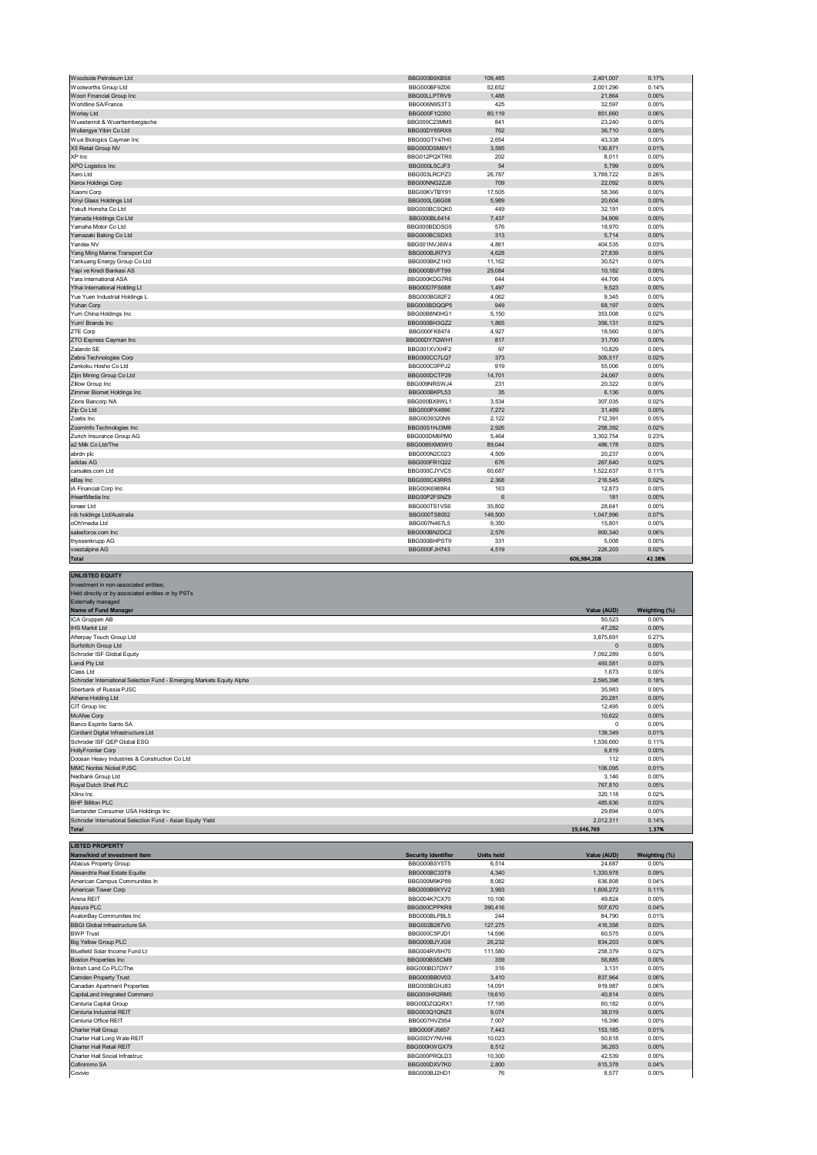| Woodside Petroleum Ltd                                                                                                                              | BBG000B9XBS6 | 109,485 | 2,401,007   | 0.17%         |
|-----------------------------------------------------------------------------------------------------------------------------------------------------|--------------|---------|-------------|---------------|
| Woolworths Group Ltd                                                                                                                                | BBG000BF9Z06 | 52,652  | 2,001,296   | 0.14%         |
| Woori Financial Group Inc                                                                                                                           | BBG00LLPTRV9 | 1,488   | 21,864      | 0.00%         |
| Worldline SA/France                                                                                                                                 | BBG006N9S3T3 | 425     | 32,597      | 0.00%         |
| Worley Ltd                                                                                                                                          | BBG000F1Q350 | 80,119  | 851,660     | 0.06%         |
|                                                                                                                                                     | BBG000C23MM5 | 841     |             |               |
| Wuestenrot & Wuerttembergische                                                                                                                      |              |         | 23,240      | 0.00%         |
| Wuliangye Yibin Co Ltd                                                                                                                              | BBG00DY65RX9 | 762     | 36,710      | 0.00%         |
| Wuxi Biologics Cayman Inc                                                                                                                           | BBG00GTY47H0 | 2,654   | 43,338      | 0.00%         |
| X5 Retail Group NV                                                                                                                                  | BBG000DSM6V1 | 3,595   | 130,871     | 0.01%         |
| XP Inc                                                                                                                                              | BBG012PQXTR0 | 202     | 8,011       | 0.00%         |
| XPO Logistics Inc                                                                                                                                   | BBG000L5CJF3 | 54      | 5,799       | 0.00%         |
| Xero Ltd                                                                                                                                            | BBG003LRCPZ3 | 26,787  | 3,788,722   | 0.26%         |
|                                                                                                                                                     | BBG00NNG2ZJ8 | 709     | 22,092      | 0.00%         |
| Xerox Holdings Corp                                                                                                                                 |              |         |             |               |
| Xiaomi Corp                                                                                                                                         | BBG00KVTBY91 | 17,505  | 58,366      | 0.00%         |
| Xinyi Glass Holdings Ltd                                                                                                                            | BBG000LG6G08 | 5,989   | 20,604      | 0.00%         |
| Yakult Honsha Co Ltd                                                                                                                                | BBG000BCSQK0 | 449     | 32,191      | 0.00%         |
| Yamada Holdings Co Ltd                                                                                                                              | BBG000BL6414 | 7,437   | 34,909      | 0.00%         |
| Yamaha Motor Co Ltd                                                                                                                                 | BBG000BDDSG5 | 576     | 18,970      | 0.00%         |
| Yamazaki Baking Co Ltd                                                                                                                              | BBG000BCSDX5 | 313     | 5,714       | 0.00%         |
| Yandex NV                                                                                                                                           | BBG001NVJ6W4 | 4,861   | 404,535     | 0.03%         |
|                                                                                                                                                     |              |         |             |               |
| Yang Ming Marine Transport Cor                                                                                                                      | BBG000BJR7Y3 | 4,628   | 27,839      | 0.00%         |
| Yankuang Energy Group Co Ltd                                                                                                                        | BBG000BKZ1H3 | 11,162  | 30,521      | 0.00%         |
| Yapi ve Kredi Bankasi AS                                                                                                                            | BBG000BVFT99 | 29,084  | 10,182      | 0.00%         |
| Yara International ASA                                                                                                                              | BBG000KDG7R6 | 644     | 44,706      | 0.00%         |
| Yihai International Holding Lt                                                                                                                      | BBG00D7FS688 | 1,497   | 9,523       | 0.00%         |
| Yue Yuen Industrial Holdings L                                                                                                                      | BBG000BG82F2 | 4,062   | 9,345       | 0.00%         |
| Yuhan Corp                                                                                                                                          | BBG000BDQQP5 | 949     | 68,197      | 0.00%         |
|                                                                                                                                                     |              |         |             |               |
| Yum China Holdings Inc                                                                                                                              | BBG00B8N0HG1 | 5,150   | 353,008     | 0.02%         |
| Yum! Brands Inc                                                                                                                                     | BBG000BH3GZ2 | 1,865   | 356,131     | 0.02%         |
| ZTE Corp                                                                                                                                            | BBG000FK8474 | 4,927   | 18,560      | 0.00%         |
| ZTO Express Cayman Inc                                                                                                                              | BBG00DY7QWH1 | 817     | 31,700      | 0.00%         |
| Zalando SE                                                                                                                                          | BBG001XVXHF2 | 97      | 10,829      | 0.00%         |
| Zebra Technologies Corp                                                                                                                             | BBG000CC7LQ7 | 373     | 305,517     | 0.02%         |
| Zenkoku Hosho Co Ltd                                                                                                                                | BBG000C0PPJ2 | 919     | 55,006      | 0.00%         |
|                                                                                                                                                     |              |         |             |               |
| Zijin Mining Group Co Ltd                                                                                                                           | BBG000DCTP29 | 14,701  | 24,067      | 0.00%         |
| Zillow Group Inc                                                                                                                                    | BBG009NRSWJ4 | 231     | 20,322      | 0.00%         |
| Zimmer Biomet Holdings Inc                                                                                                                          | BBG000BKPL53 | 35      | 6,136       | 0.00%         |
| Zions Bancorp NA                                                                                                                                    | BBG000BX9WL1 | 3,534   | 307,035     | 0.02%         |
| Zip Co Ltd                                                                                                                                          | BBG000PX4996 | 7,272   | 31,489      | 0.00%         |
| Zoetis Inc                                                                                                                                          | BBG0039320N9 | 2,122   | 712,391     | 0.05%         |
|                                                                                                                                                     |              |         |             |               |
| ZoomInfo Technologies Inc                                                                                                                           | BBG00S1HJ3M8 | 2,926   | 258,392     | 0.02%         |
| Zurich Insurance Group AG                                                                                                                           | BBG000DM6PM0 | 5,464   | 3,302,754   | 0.23%         |
| a2 Milk Co Ltd/The                                                                                                                                  | BBG0089XM0W0 | 89,044  | 486,178     | 0.03%         |
| abrdn plc                                                                                                                                           | BBG000N2C023 | 4,509   | 20,237      | 0.00%         |
| adidas AG                                                                                                                                           | BBG000FR1Q22 | 676     | 267,640     | 0.02%         |
| carsales.com Ltd                                                                                                                                    | BBG000CJYVC5 | 60,687  | 1,522,637   | 0.11%         |
|                                                                                                                                                     | BBG000C43RR5 | 2,368   | 216,545     | 0.02%         |
| eBay Inc                                                                                                                                            |              |         |             |               |
| iA Financial Corp Inc                                                                                                                               | BBG00K6988R4 | 163     | 12,873      | 0.00%         |
| iHeartMedia Inc                                                                                                                                     | BBG00P2FSNZ9 | 6       | 181         | 0.00%         |
| ioneer Ltd                                                                                                                                          | BBG000TS1VS6 | 35,802  | 28,641      | 0.00%         |
| nib holdings Ltd/Australia                                                                                                                          | BBG000TS8052 | 149,500 | 1,047,996   | 0.07%         |
| oOh!media Ltd                                                                                                                                       | BBG007N467L5 | 9,350   | 15,801      | 0.00%         |
| salesforce.com Inc                                                                                                                                  | BBG000BN2DC2 | 2,576   | 900,340     | 0.06%         |
| thyssenkrupp AG                                                                                                                                     | BBG000BHPST9 | 331     | 5,008       | 0.00%         |
| voestalpine AG                                                                                                                                      | BBG000FJH743 | 4,519   | 226,203     | 0.02%         |
|                                                                                                                                                     |              |         |             |               |
| Total                                                                                                                                               |              |         | 606,984,208 | 42.38%        |
| <b>UNLISTED EQUITY</b><br>Investment in non-associated entities;<br>Held directly or by associated entities or by PSTs<br><b>Externally managed</b> |              |         |             |               |
| Name of Fund Manager                                                                                                                                |              |         | Value (AUD) | Weighting (%) |
|                                                                                                                                                     |              |         |             |               |
| ICA Gruppen AB                                                                                                                                      |              |         | 50,523      | 0.00%         |
| IHS Markit Ltd                                                                                                                                      |              |         | 47,282      | 0.00%         |
| Afterpay Touch Group Ltd                                                                                                                            |              |         | 3,875,691   | 0.27%         |
| Surfstitch Group Ltd                                                                                                                                |              |         | $\Omega$    | 0.00%         |
| Schroder ISF Global Equity                                                                                                                          |              |         | 7,092,289   | 0.50%         |
|                                                                                                                                                     |              |         |             |               |

| Lendi Pty Ltd                                                         | 493,581    | 0.03% |
|-----------------------------------------------------------------------|------------|-------|
| Class Ltd                                                             | 1,673      | 0.00% |
| Schroder International Selection Fund - Emerging Markets Equity Alpha | 2,595,398  | 0.18% |
| Sberbank of Russia PJSC                                               | 35,983     | 0.00% |
| Athene Holding Ltd                                                    | 20,281     | 0.00% |
| CIT Group Inc                                                         | 12,495     | 0.00% |
| McAfee Corp                                                           | 10,622     | 0.00% |
| Banco Espirito Santo SA                                               | $^{\circ}$ | 0.00% |
| Cordiant Digital Infrastructure Ltd                                   | 139,349    | 0.01% |
| Schroder ISF QEP Global ESG                                           | 1,536,660  | 0.11% |
| HollyFrontier Corp                                                    | 9.819      | 0.00% |
| Doosan Heavy Industries & Construction Co Ltd                         | 112        | 0.00% |
| <b>MMC Norilsk Nickel PJSC</b>                                        | 106,095    | 0.01% |
| Nedbank Group Ltd                                                     | 3,146      | 0.00% |
| Royal Dutch Shell PLC                                                 | 767,810    | 0.05% |
| Xilinx Inc                                                            | 320,118    | 0.02% |
| <b>BHP Billiton PLC</b>                                               | 485,636    | 0.03% |
| Santander Consumer USA Holdings Inc                                   | 29,894     | 0.00% |
| Schroder International Selection Fund - Asian Equity Yield            | 2,012,311  | 0.14% |
| <b>Total</b>                                                          | 19,646,769 | 1.37% |

| <b>LISTED PROPERTY</b>               |                            |                   |             |               |
|--------------------------------------|----------------------------|-------------------|-------------|---------------|
| Name/kind of investment item         | <b>Security Identifier</b> | <b>Units held</b> | Value (AUD) | Weighting (%) |
| Abacus Property Group                | BBG000BSY5T5               | 6.514             | 24.687      | 0.00%         |
| Alexandria Real Estate Equitie       | BBG000BC33T9               | 4,340             | 1,330,978   | 0.09%         |
| American Campus Communities In       | BBG000M9KP89               | 8.082             | 636,808     | 0.04%         |
| American Tower Corp                  | BBG000B9XYV2               | 3,993             | 1,606,272   | 0.11%         |
| Arena REIT                           | BBG004K7CX70               | 10.106            | 49.824      | 0.00%         |
| Assura PLC                           | BBG000CPPKR9               | 390.416           | 507.670     | 0.04%         |
| AvalonBay Communities Inc            | BBG000BLPBL5               | 244               | 84.790      | 0.01%         |
| <b>BBGI Global Infrastructure SA</b> | BBG002B287V0               | 127,275           | 416.358     | 0.03%         |
| <b>BWP Trust</b>                     | BBG000C5PJD1               | 14,596            | 60.575      | 0.00%         |
| <b>Big Yellow Group PLC</b>          | BBG000BJYJG9               | 26,232            | 834.203     | 0.06%         |
| Bluefield Solar Income Fund Lt       | BBG004RV8H70               | 111.580           | 258,379     | 0.02%         |
| <b>Boston Properties Inc</b>         | BBG000BS5CM9               | 359               | 56,885      | 0.00%         |
| British Land Co PLC/The              | BBG000BD7DW7               | 316               | 3.131       | 0.00%         |
| Camden Property Trust                | BBG000BB0V03               | 3.410             | 837.964     | 0.06%         |
| Canadian Apartment Properties        | BBG000BGHJ83               | 14,091            | 919,987     | 0.06%         |
| CapitaLand Integrated Commerci       | BBG000HR2RM5               | 19,610            | 40.814      | 0.00%         |
| Centuria Capital Group               | BBG00DZQQRX1               | 17.195            | 60.182      | 0.00%         |
| Centuria Industrial REIT             | BBG003Q1QNZ5               | 9.074             | 38.019      | 0.00%         |
| Centuria Office REIT                 | BBG007HVZ954               | 7.007             | 16,396      | 0.00%         |
| Charter Hall Group                   | BBG000FJ5657               | 7.443             | 153,185     | 0.01%         |
| Charter Hall Long Wale REIT          | BBG00DY7NVH6               | 10.023            | 50.618      | 0.00%         |
| Charter Hall Retail REIT             | BBG000KWGX79               | 8.512             | 36.263      | 0.00%         |
| Charter Hall Social Infrastruc       | BBG000PRQLD3               | 10,300            | 42,539      | 0.00%         |
| Cofinimmo SA                         | BBG000DXV7K0               | 2,800             | 615,378     | 0.04%         |
| Covivio                              | BBG000BJ2HD1               | 76                | 8.577       | 0.00%         |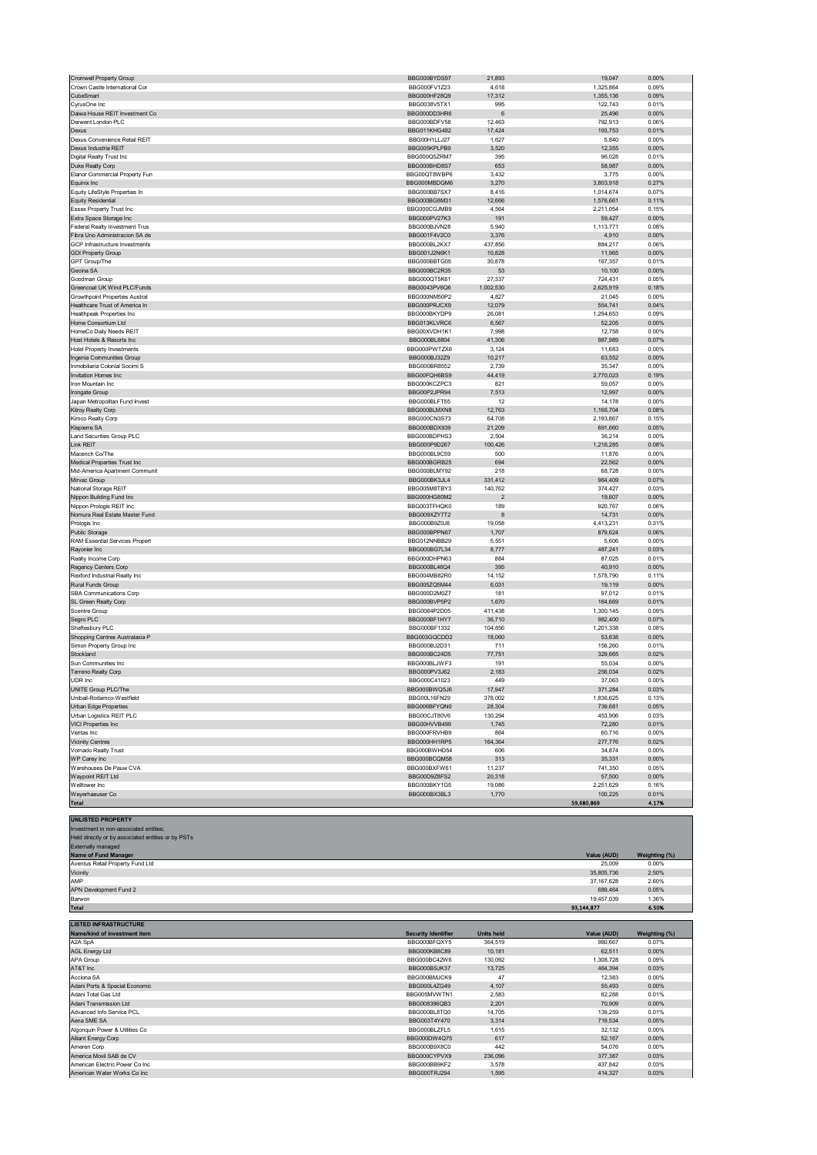| Cromwell Property Group                                        | BBG000BYDS97                               | 21,893                       | 19,047                 | 0.00%                  |
|----------------------------------------------------------------|--------------------------------------------|------------------------------|------------------------|------------------------|
| Crown Castle International Cor                                 | BBG000FV1Z23                               | 4,618                        | 1,325,864              | 0.09%                  |
| CubeSmart                                                      | BBG000HF28Q9                               | 17,312                       | 1,355,136              | 0.09%                  |
| CyrusOne Inc                                                   | BBG0038V5TX1                               | 995                          | 122,743                | 0.01%                  |
| Daiwa House REIT Investment Co                                 | BBG000DD3HR6                               | $\,6$                        | 25,496                 | 0.00%                  |
| Derwent London PLC                                             | BBG000BDFV58                               | 12,463                       | 792,913                | 0.06%                  |
| Dexus                                                          | <b>BBG011KHG482</b>                        | 17,424                       | 193,753                | 0.01%                  |
| Dexus Convenience Retail REIT<br>Dexus Industria REIT          | BBG00H1LLJ27<br>BBG005KPLPB9               | 1,627<br>3,520               | 5,840<br>12,355        | 0.00%<br>0.00%         |
| Digital Realty Trust Inc                                       | BBG000Q5ZRM7                               | 395                          | 96,028                 | 0.01%                  |
| Duke Realty Corp                                               | BBG000BHD8S7                               | 653                          | 58,987                 | 0.00%                  |
| Elanor Commercial Property Fun                                 | BBG00QT8WBP6                               | 3,432                        | 3,775                  | 0.00%                  |
| Equinix Inc                                                    | BBG000MBDGM6                               | 3,270                        | 3,803,918              | 0.27%                  |
| Equity LifeStyle Properties In                                 | BBG000BB7SX7                               | 8,416                        | 1,014,674              | 0.07%                  |
| <b>Equity Residential</b>                                      | BBG000BG8M31                               | 12,666                       | 1,576,661              | 0.11%                  |
| Essex Property Trust Inc                                       | BBG000CGJMB9                               | 4,564                        | 2,211,054              | 0.15%                  |
| Extra Space Storage Inc                                        | BBG000PV27K3                               | 191                          | 59,427                 | 0.00%                  |
| Federal Realty Investment Trus                                 | BBG000BJVN28                               | 5,940                        | 1,113,771              | 0.08%                  |
| Fibra Uno Administracion SA de                                 | BBG001F4V2C0                               | 3,376                        | 4,910                  | 0.00%                  |
| GCP Infrastructure Investments                                 | BBG000BL2KX7                               | 437,856                      | 884,217                | 0.06%                  |
| <b>GDI Property Group</b>                                      | BBG001J2N6K1                               | 10,828                       | 11,965                 | 0.00%                  |
| GPT Group/The                                                  | BBG000BBTG05                               | 30,878                       | 167,357                | 0.01%                  |
| Gecina SA                                                      | BBG000BC2R35                               | 53                           | 10,100                 | 0.00%                  |
| Goodman Group                                                  | BBG000QT5K61                               | 27,337                       | 724,431                | 0.05%                  |
| Greencoat UK Wind PLC/Funds                                    | BBG0043PV6Q6                               | 1,002,530                    | 2,625,919              | 0.18%                  |
| <b>Growthpoint Properties Austral</b>                          | BBG000NM50P2                               | 4,827                        | 21,045                 | 0.00%                  |
| Healthcare Trust of America In                                 | BBG000PRJCX9                               | 12,079                       | 554,741                | 0.04%                  |
| Healthpeak Properties Inc                                      | BBG000BKYDP9                               | 26,081                       | 1,294,653              | 0.09%                  |
| Home Consortium Ltd                                            | BBG013KLVRC6                               | 6,567                        | 52,205                 | 0.00%                  |
| HomeCo Daily Needs REIT<br>Host Hotels & Resorts Inc           | BBG00XVDH1K1<br>BBG000BL8804               | 7,998<br>41,306              | 12,758                 | 0.00%<br>0.07%         |
|                                                                | BBG000PWTZX6                               |                              | 987,989                | 0.00%                  |
| <b>Hotel Property Investments</b><br>Ingenia Communities Group | BBG000BJ32Z9                               | 3,124<br>10,217              | 11,683<br>63,552       | 0.00%                  |
| Inmobiliaria Colonial Socimi S                                 | BBG000BR8552                               | 2,739                        | 35,347                 | 0.00%                  |
| Invitation Homes Inc                                           | BBG00FQH6BS9                               | 44,419                       | 2,770,023              | 0.19%                  |
| Iron Mountain Inc                                              | BBG000KCZPC3                               | 821                          | 59,057                 | 0.00%                  |
| Irongate Group                                                 | BBG00P2JPR94                               | 7,513                        | 12,997                 | 0.00%                  |
| Japan Metropolitan Fund Invest                                 | BBG000BLFT55                               | 12                           | 14,178                 | 0.00%                  |
| Kilroy Realty Corp                                             | BBG000BLMXN8                               | 12,763                       | 1,166,704              | 0.08%                  |
| Kimco Realty Corp                                              | BBG000CN3S73                               | 64,708                       | 2,193,867              | 0.15%                  |
| Klepierre SA                                                   | BBG000BDX939                               | 21,209                       | 691,660                | 0.05%                  |
| Land Securities Group PLC                                      | BBG000BDPHS3                               | 2,504                        | 36,214                 | 0.00%                  |
| Link REIT                                                      | BBG000P9D267                               | 100,426                      | 1,216,285              | 0.08%                  |
| Macerich Co/The                                                | BBG000BL9C59                               | 500                          | 11,876                 | 0.00%                  |
| Medical Properties Trust Inc                                   | BBG000BGRB25                               | 694                          | 22,562                 | 0.00%                  |
| Mid-America Apartment Communit                                 | BBG000BLMY92                               | 218                          | 68,728                 | 0.00%                  |
| Mirvac Group                                                   | BBG000BK3JL4                               | 331,412                      | 964,409                | 0.07%                  |
| National Storage REIT                                          | BBG005M8TBY3                               | 140,762                      | 374,427                | 0.03%                  |
| Nippon Building Fund Inc                                       | BBG000HG80M2                               | $\overline{c}$               | 19,607                 | 0.00%                  |
| Nippon Prologis REIT Inc                                       | BBG003TFHQK0                               | 189                          | 920,767                | 0.06%                  |
| Nomura Real Estate Master Fund                                 | BBG009XZY7T2                               | 8                            | 14,731                 | 0.00%                  |
| Prologis Inc                                                   | BBG000B9Z0J8                               | 19,058                       | 4,413,231              | 0.31%                  |
| Public Storage                                                 | BBG000BPPN67                               | 1,707                        | 879,624                | 0.06%                  |
| RAM Essential Services Propert                                 | BBG012NNBB29                               | 5,551                        | 5,606                  | 0.00%                  |
| Rayonier Inc                                                   | BBG000BG7L34                               | 8,777                        | 487,241                | 0.03%                  |
| Realty Income Corp                                             | BBG000DHPN63                               | 884                          | 87,025                 | 0.01%                  |
|                                                                |                                            |                              |                        |                        |
| Regency Centers Corp                                           | BBG000BL46Q4                               | 395                          | 40,910                 | 0.00%                  |
| Rexford Industrial Realty Inc                                  | BBG004MB82R0                               | 14,152                       | 1,578,790              | 0.11%                  |
| Rural Funds Group                                              | BBG005ZQ5M44                               | 6,031                        | 19,119                 | 0.00%                  |
| SBA Communications Corp                                        | BBG000D2M0Z7                               | 181                          | 97,012                 | 0.01%                  |
| SL Green Realty Corp                                           | BBG000BVP5P2                               | 1,670                        | 164,669                | 0.01%                  |
| Scentre Group                                                  | BBG0064P2D05                               | 411,438                      | 1,300,145              | 0.09%                  |
| Segro PLC                                                      | BBG000BF1HY7                               | 36,710                       | 982,400                | 0.07%                  |
| Shaftesbury PLC                                                | BBG000BF1332                               | 104,856                      | 1,201,338              | 0.08%                  |
| Shopping Centres Australasia P                                 | BBG003GQCDD2                               | 18,060                       | 53,638                 | 0.00%                  |
| Simon Property Group Inc                                       | BBG000BJ2D31                               | 711                          | 156,260                | 0.01%                  |
| Stockland                                                      | BBG000BC24D5                               | 77,751                       | 329,665                | 0.02%                  |
| Sun Communities Inc                                            | BBG000BLJWF3                               | 191                          | 55,034                 | 0.00%                  |
| Terreno Realty Corp                                            | BBG000PV3J62                               | 2,183                        | 256,034                | 0.02%                  |
| UDR Inc<br>UNITE Group PLC/The                                 | BBG000C41023<br>BBG000BWQ5J6               | 449<br>17,947                | 37,063<br>371,284      | 0.00%<br>0.03%         |
| Unibail-Rodamco-Westfield                                      | BBG00L16FN29                               | 378,002                      | 1,836,625              | 0.13%                  |
| Urban Edge Properties                                          | BBG006BFYQN0                               | 28,304                       | 739,681                | 0.05%                  |
| Urban Logistics REIT PLC                                       | BBG00CJT80V6                               | 130,294                      | 453,906                | 0.03%                  |
| VICI Properties Inc                                            | BBG00HVVB499                               | 1,745                        | 72,280                 | 0.01%                  |
| Ventas Inc                                                     | BBG000FRVHB9                               | 864                          | 60,716                 | 0.00%                  |
| <b>Vicinity Centres</b>                                        | BBG000HH1RP5                               | 164,364                      | 277,776                | 0.02%                  |
| Vornado Realty Trust                                           | BBG000BWHD54                               | 606                          | 34,874                 | 0.00%                  |
| WP Carey Inc                                                   | BBG000BCQM58                               | 313                          | 35,331                 | $0.00\%$               |
| Warehouses De Pauw CVA                                         | BBG000BXFW61                               | 11,237                       | 741,350                | 0.05%                  |
| Waypoint REIT Ltd                                              | BBG00D9Z8FS2                               | 20,318                       | 57,500                 | 0.00%                  |
| Welltower Inc                                                  | BBG000BKY1G5                               | 19,086                       | 2,251,629              | 0.16%                  |
| Weyerhaeuser Co                                                | BBG000BX3BL3                               | 1,770                        | 100,225                | 0.01%                  |
| Total                                                          |                                            |                              | 59,680,869             | 4.17%                  |
| <b>UNLISTED PROPERTY</b>                                       |                                            |                              |                        |                        |
| Investment in non-associated entities;                         |                                            |                              |                        |                        |
| Held directly or by associated entities or by PSTs             |                                            |                              |                        |                        |
| Externally managed                                             |                                            |                              |                        |                        |
| Name of Fund Manager                                           |                                            |                              | Value (AUD)            | Weighting (%)          |
| Aventus Retail Property Fund Ltd                               |                                            |                              | 25,009                 | 0.00%                  |
| Vicinity                                                       |                                            |                              | 35,805,736             | 2.50%                  |
| AMP                                                            |                                            |                              | 37, 167, 628           | 2.60%                  |
| APN Development Fund 2                                         |                                            |                              | 689,464                | 0.05%                  |
| Barwon                                                         |                                            |                              | 19,457,039             | 1.36%                  |
| Total                                                          |                                            |                              | 93,144,877             | 6.50%                  |
|                                                                |                                            |                              |                        |                        |
| <b>LISTED INFRASTRUCTURE</b>                                   |                                            |                              |                        |                        |
| Name/kind of investment item<br>A2A SpA                        | <b>Security Identifier</b><br>BBG000BFQXY5 | <b>Units held</b><br>364,519 | Value (AUD)<br>980,667 | Weighting (%)<br>0.07% |
|                                                                | BBG000KB8C89                               | 10,181                       | 62,511                 | 0.00%                  |
| <b>AGL Energy Ltd</b>                                          | BBG000BC42W6                               |                              |                        | 0.09%                  |
| APA Group                                                      | BBG000BSJK37                               | 130,092<br>13,725            | 1,308,728<br>464,394   | 0.03%                  |
| AT&T Inc<br>Acciona SA                                         | BBG000BMJCK9                               | 47                           | 12,383                 | 0.00%                  |
| Adani Ports & Special Economic                                 | BBG000L4ZG49                               | 4,107                        | 55,493                 | 0.00%                  |
| Adani Total Gas Ltd                                            | BBG005MVWTN1                               | 2,583                        | 82,288                 | 0.01%                  |
| Adani Transmission Ltd                                         | BBG008396QB3                               | 2,201                        | 70,909                 | 0.00%                  |
| Advanced Info Service PCL                                      | BBG000BL8TQ0                               | 14,705                       | 139,259                | 0.01%                  |
| Aena SME SA                                                    | BBG003T4Y470                               | 3,314                        | 719,534                | 0.05%                  |
| Algonquin Power & Utilities Co                                 | BBG000BLZFL5                               | 1,615                        | 32,132                 | 0.00%                  |
| Alliant Energy Corp                                            | BBG000DW4Q75                               | 617                          | 52,167                 | 0.00%                  |
| Ameren Corp                                                    | BBG000B9X8C0                               | 442                          | 54,076                 | 0.00%                  |
| America Movil SAB de CV                                        | BBG000CYPVX9                               | 236,096                      | 377,387                | 0.03%                  |
| American Electric Power Co Inc<br>American Water Works Co Inc  | BBG000BB9KF2<br>BBG000TRJ294               | 3,578<br>1,595               | 437,842<br>414,327     | 0.03%<br>0.03%         |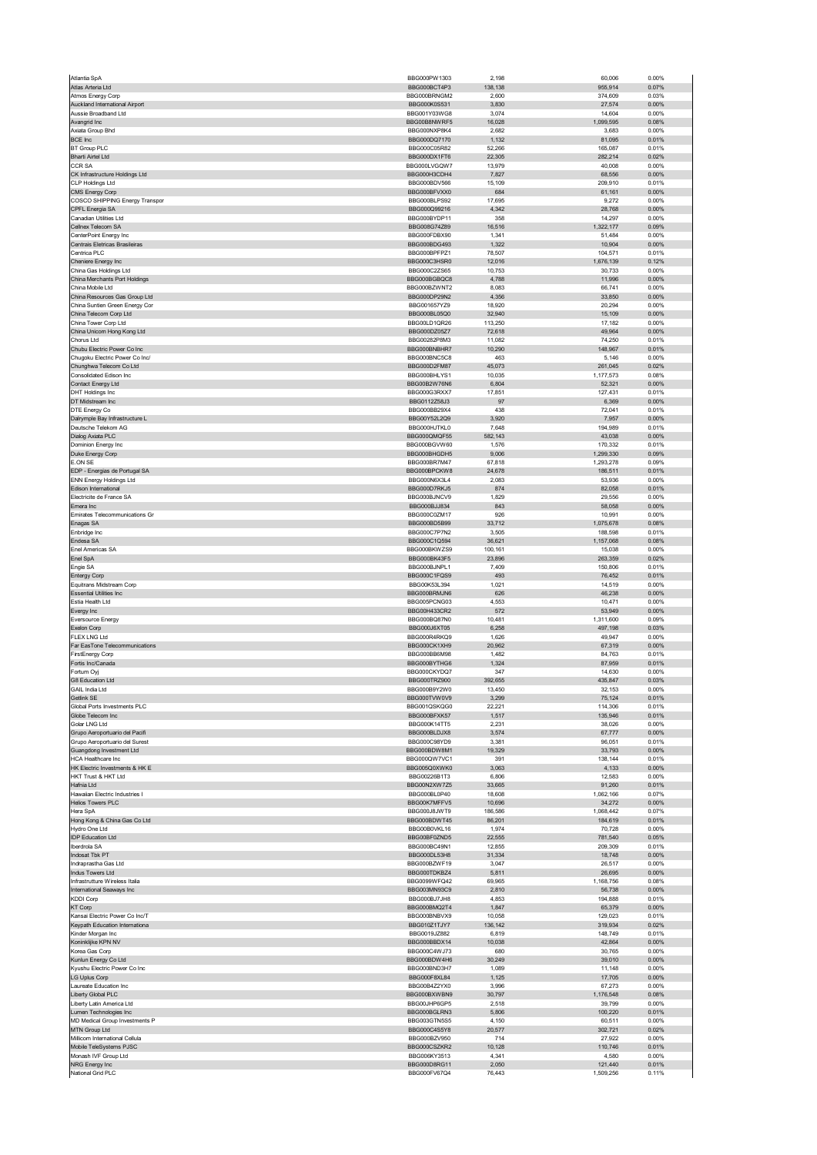| Atlantia SpA                                                     | BBG000PW1303                 | 2,198             | 60,006               | 0.00%             |
|------------------------------------------------------------------|------------------------------|-------------------|----------------------|-------------------|
| Atlas Arteria Ltd                                                | BBG000BCT4P3                 | 138,138           | 955,914              | 0.07%             |
| Atmos Energy Corp                                                | BBG000BRNGM2                 | 2,600             | 374,609              | 0.03%             |
| Auckland International Airport                                   | BBG000K0S531<br>BBG001Y03WG8 | 3,830             | 27,574               | 0.00%             |
| Aussie Broadband Ltd<br>Avangrid Inc                             | BBG00B8NWRF5                 | 3,074<br>16,028   | 14,604<br>1,099,595  | 0.00%<br>0.08%    |
| Axiata Group Bhd                                                 | BBG000NXP8K4                 | 2,682             | 3,683                | 0.00%             |
| <b>BCE Inc</b>                                                   | BBG000DQ7170                 | 1,132             | 81,095               | 0.01%             |
| <b>BT Group PLC</b>                                              | BBG000C05R82                 | 52,266            | 165,087              | 0.01%             |
| <b>Bharti Airtel Ltd</b>                                         | BBG000DX1FT6                 | 22,305            | 282,214              | 0.02%             |
| <b>CCR SA</b>                                                    | BBG000LVGQW7                 | 13,979            | 40,008               | 0.00%             |
| CK Infrastructure Holdings Ltd                                   | BBG000H3CDH4                 | 7,827             | 68,556               | 0.00%             |
| <b>CLP Holdings Ltd</b>                                          | BBG000BDV566                 | 15,109            | 209,910              | 0.01%             |
| <b>CMS Energy Corp</b>                                           | BBG000BFVXX0                 | 684               | 61,161               | 0.00%             |
| COSCO SHIPPING Energy Transpor                                   | BBG000BLPS92                 | 17,695            | 9,272                | 0.00%             |
| CPFL Energia SA<br>Canadian Utilities Ltd                        | BBG000Q99216<br>BBG000BYDP11 | 4,342<br>358      | 28,768<br>14,297     | 0.00%<br>0.00%    |
| Cellnex Telecom SA                                               | BBG008G74Z89                 | 16,516            | 1,322,177            | 0.09%             |
| CenterPoint Energy Inc                                           | BBG000FDBX90                 | 1,341             | 51,484               | 0.00%             |
| Centrais Eletricas Brasileiras                                   | BBG000BDG493                 | 1,322             | 10,904               | 0.00%             |
| Centrica PLC                                                     | BBG000BPFPZ1                 | 78,507            | 104,571              | 0.01%             |
| Cheniere Energy Inc                                              | BBG000C3HSR0                 | 12,016            | 1,676,139            | 0.12%             |
| China Gas Holdings Ltd                                           | BBG000C2ZS65                 | 10,753            | 30,733               | 0.00%             |
| China Merchants Port Holdings                                    | BBG000BGBQC8                 | 4,788             | 11,996               | 0.00%             |
| China Mobile Ltd                                                 | BBG000BZWNT2                 | 8,083             | 66,741               | 0.00%             |
| China Resources Gas Group Ltd<br>China Suntien Green Energy Cor  | BBG000DP29N2<br>BBG001657YZ9 | 4,356<br>18,920   | 33,850<br>20,294     | 0.00%<br>0.00%    |
| China Telecom Corp Ltd                                           | BBG000BL05Q0                 | 32,940            | 15,109               | 0.00%             |
| China Tower Corp Ltd                                             | BBG00LD1QR26                 | 113,250           | 17,182               | 0.00%             |
| China Unicom Hong Kong Ltd                                       | BBG000DZ05Z7                 | 72,618            | 49,964               | 0.00%             |
| Chorus Ltd                                                       | BBG00282P8M3                 | 11,082            | 74,250               | 0.01%             |
| Chubu Electric Power Co Inc                                      | BBG000BNBHR7                 | 10,290            | 148,967              | 0.01%             |
| Chugoku Electric Power Co Inc/                                   | BBG000BNC5C8                 | 463               | 5,146                | 0.00%             |
| Chunghwa Telecom Co Ltd                                          | BBG000D2FM87                 | 45,073            | 261,045              | 0.02%             |
| Consolidated Edison Inc                                          | BBG000BHLYS1                 | 10,035            | 1,177,573            | 0.08%             |
| Contact Energy Ltd                                               | BBG00B2W76N6                 | 6,804             | 52,321               | 0.00%             |
| <b>DHT Holdings Inc</b><br>DT Midstream Inc                      | BBG000G3RXX7<br>BBG0112Z58J3 | 17,851<br>97      | 127,431<br>6,369     | 0.01%<br>$0.00\%$ |
| DTE Energy Co                                                    | BBG000BB29X4                 | 438               | 72,041               | 0.01%             |
| Dalrymple Bay Infrastructure L                                   | BBG00Y52L2Q9                 | 3,920             | 7,957                | 0.00%             |
| Deutsche Telekom AG                                              | BBG000HJTKL0                 | 7,648             | 194,989              | 0.01%             |
| Dialog Axiata PLC                                                | BBG000QMQF55                 | 582,143           | 43,038               | 0.00%             |
| Dominion Energy Inc                                              | BBG000BGVW60                 | 1.576             | 170,332              | 0.01%             |
| Duke Energy Corp                                                 | BBG000BHGDH5                 | 9,006             | 1,299,330            | 0.09%             |
| E.ON SE                                                          | BBG000BR7M47                 | 67,818            | 1,293,278            | 0.09%             |
| EDP - Energias de Portugal SA                                    | BBG000BPCKW8                 | 24,678            | 186,511              | 0.01%             |
| <b>ENN Energy Holdings Ltd</b>                                   | BBG000N6X3L4                 | 2.083             | 53,936               | 0.00%             |
| Edison International<br>Electricite de France SA                 | BBG000D7RKJ5<br>BBG000BJNCV9 | 874<br>1,829      | 82,058<br>29,556     | 0.01%<br>0.00%    |
| Emera Inc                                                        | BBG000BJJ834                 | 843               | 58,058               | $0.00\%$          |
| Emirates Telecommunications Gr                                   | BBG000C0ZM17                 | 926               | 10,991               | 0.00%             |
| Enagas SA                                                        | BBG000BD5B99                 | 33,712            | 1,075,678            | 0.08%             |
| Enbridge Inc                                                     | BBG000C7P7N2                 | 3,505             | 188,598              | 0.01%             |
| Endesa SA                                                        | BBG000C1Q594                 | 36,621            | 1,157,068            | 0.08%             |
| Enel Americas SA                                                 | BBG000BKWZS9                 | 100,161           | 15,038               | 0.00%             |
| Enel SpA                                                         | BBG000BK43F5                 | 23,896            | 263,359              | 0.02%             |
| Engie SA<br><b>Entergy Corp</b>                                  | BBG000BJNPL1<br>BBG000C1FQS9 | 7,409<br>493      | 150,806              | 0.01%<br>0.01%    |
|                                                                  |                              |                   |                      |                   |
|                                                                  |                              |                   | 76,452               |                   |
| Equitrans Midstream Corp                                         | BBG00K53L394                 | 1,021             | 14,519               | 0.00%             |
| <b>Essential Utilities Inc</b>                                   | BBG000BRMJN6                 | 626               | 46,238               | 0.00%             |
| Estia Health Ltd                                                 | BBG005PCNG03                 | 4,553             | 10,471               | 0.00%             |
| Evergy Inc<br><b>Eversource Energy</b>                           | BBG00H433CR2<br>BBG000BQ87N0 | 572<br>10,481     | 53,949<br>1,311,600  | 0.00%<br>0.09%    |
| Exelon Corp                                                      | BBG000J6XT05                 | 6.258             | 497,198              | 0.03%             |
| <b>FLEX LNG Ltd</b>                                              | BBG000R4RKQ9                 | 1,626             | 49,947               | 0.00%             |
| Far EasTone Telecommunications                                   | BBG000CK1XH9                 | 20,962            | 67,319               | 0.00%             |
| <b>FirstEnergy Corp</b>                                          | BBG000BB6M98                 | 1,482             | 84,763               | 0.01%             |
| Fortis Inc/Canada                                                | BBG000BYTHG6                 | 1,324             | 87,959               | 0.01%             |
| Fortum Oyj                                                       | BBG000CKYDQ7                 | 347               | 14,630               | 0.00%             |
| G8 Education Ltd<br><b>GAIL India Ltd</b>                        | BBG000TRZ900<br>BBG000B9Y2W0 | 392,655<br>13,450 | 435,847<br>32.153    | 0.03%<br>0.00%    |
| Getlink SE                                                       | BBG000TVW0V9                 | 3,299             | 75,124               | 0.01%             |
| Global Ports Investments PLC                                     | BBG001QSKQG0                 | 22,221            | 114,306              | 0.01%             |
| Globe Telecom Inc                                                | BBG000BFXK57                 | 1,517             | 135,946              | 0.01%             |
| Golar LNG Ltd                                                    | BBG000K14TT5                 | 2,231             | 38,026               | 0.00%             |
| Grupo Aeroportuario del Pacifi                                   | BBG000BLD.IX8                | 3,574             | 67,777               | 0.00%             |
| Grupo Aeroportuario del Surest                                   | BBG000C98YD9                 | 3,381             | 96,051               | 0.01%             |
| Guangdong Investment Ltd                                         | BBG000BDW8M1<br>BBG000QW7VC1 | 19,329            | 33,793               | 0.00%             |
| HCA Healthcare Inc<br>HK Electric Investments & HK E             | BBG005Q0XWK0                 | 391<br>3,063      | 138,144<br>4,133     | 0.01%<br>0.00%    |
| HKT Trust & HKT Ltd                                              | BBG00226B1T3                 | 6,806             | 12,583               | 0.00%             |
| Hafnia Ltd                                                       | BBG00N2XW7Z5                 | 33,665            | 91,260               | 0.01%             |
| Hawaiian Electric Industries I                                   | BBG000BL0P40                 | 18,608            | 1,062,166            | 0.07%             |
| <b>Helios Towers PLC</b>                                         | BBG00K7MFFV5                 | 10,696            | 34,272               | $0.00\%$          |
| Hera SpA                                                         | BBG000J8JWT9                 | 186,586           | 1,068,442            | 0.07%             |
| Hong Kong & China Gas Co Ltd                                     | BBG000BDWT45                 | 86,201            | 184,619              | 0.01%             |
| Hydro One Ltd<br><b>IDP Education Ltd</b>                        | BBG00B0VKL16<br>BBG00BF0ZND5 | 1,974<br>22,555   | 70,728<br>781,540    | 0.00%<br>0.05%    |
| Iberdrola SA                                                     | BBG000BC49N1                 | 12,855            | 209,309              | 0.01%             |
| Indosat Tbk PT                                                   | BBG000DL53H8                 | 31,334            | 18,748               | 0.00%             |
| Indraprastha Gas Ltd                                             | BBG000BZWF19                 | 3,047             | 26,517               | 0.00%             |
| Indus Towers Ltd                                                 | BBG000TDKBZ4                 | 5,811             | 26,695               | $0.00\%$          |
| Infrastrutture Wireless Italia                                   | BBG0099WFQ42                 | 69.965            | 1,168,756            | 0.08%             |
| International Seaways Inc                                        | BBG003MN93C9                 | 2,810             | 56,738               | 0.00%             |
| <b>KDDI Corp</b>                                                 | BBG000BJ7JH8                 | 4,853             | 194,888              | 0.01%             |
| <b>KT Corp</b>                                                   | BBG000BMQ2T4                 | 1,847             | 65,379               | 0.00%<br>0.01%    |
| Kansai Electric Power Co Inc/T<br>Keypath Education Internationa | BBG000BNBVX9<br>BBG010Z1TJY7 | 10,058<br>136,142 | 129,023<br>319,934   | 0.02%             |
| Kinder Morgan Inc                                                | BBG0019JZ882                 | 6,819             | 148,749              | 0.01%             |
| Koninklijke KPN NV                                               | BBG000BBDX14                 | 10,038            | 42,864               | $0.00\%$          |
| Korea Gas Corp                                                   | BBG000C4WJ73                 | 680               | 30,765               | 0.00%             |
| Kunlun Energy Co Ltd                                             | BBG000BDW4H6                 | 30,249            | 39,010               | 0.00%             |
| Kyushu Electric Power Co Inc                                     | BBG000BND3H7                 | 1,089             | 11,148               | 0.00%             |
| LG Uplus Corp                                                    | BBG000F8XL84                 | 1,125             | 17,705               | 0.00%             |
| Laureate Education Inc                                           | BBG00B4Z2YX0                 | 3.996             | 67,273               | 0.00%             |
| Liberty Global PLC                                               | BBG000BXWBN9                 | 30,797            | 1,176,548            | 0.08%             |
| Liberty Latin America Ltd<br>umen Technologies Inc               | BBG00JHP6GP5<br>BBG000BGLRN3 | 2,518<br>5,806    | 39,799<br>100,220    | 0.00%<br>0.01%    |
| MD Medical Group Investments P                                   | BBG003GTN5S5                 | 4,150             | 60,511               | 0.00%             |
| MTN Group Ltd                                                    | BBG000C4S5Y8                 | 20,577            | 302,721              | 0.02%             |
| Millicom International Cellula                                   | BBG000BZV950                 | 714               | 27,922               | 0.00%             |
| Mobile TeleSystems PJSC                                          | BBG000CSZKR2                 | 10,128            | 110,746              | 0.01%             |
| Monash IVF Group Ltd                                             | BBG006KY3513                 | 4,341             | 4,580                | 0.00%             |
| NRG Energy Inc<br>National Grid PLC                              | BBG000D8RG11<br>BBG000FV67Q4 | 2.050<br>76,443   | 121,440<br>1,509,256 | 0.01%<br>0.11%    |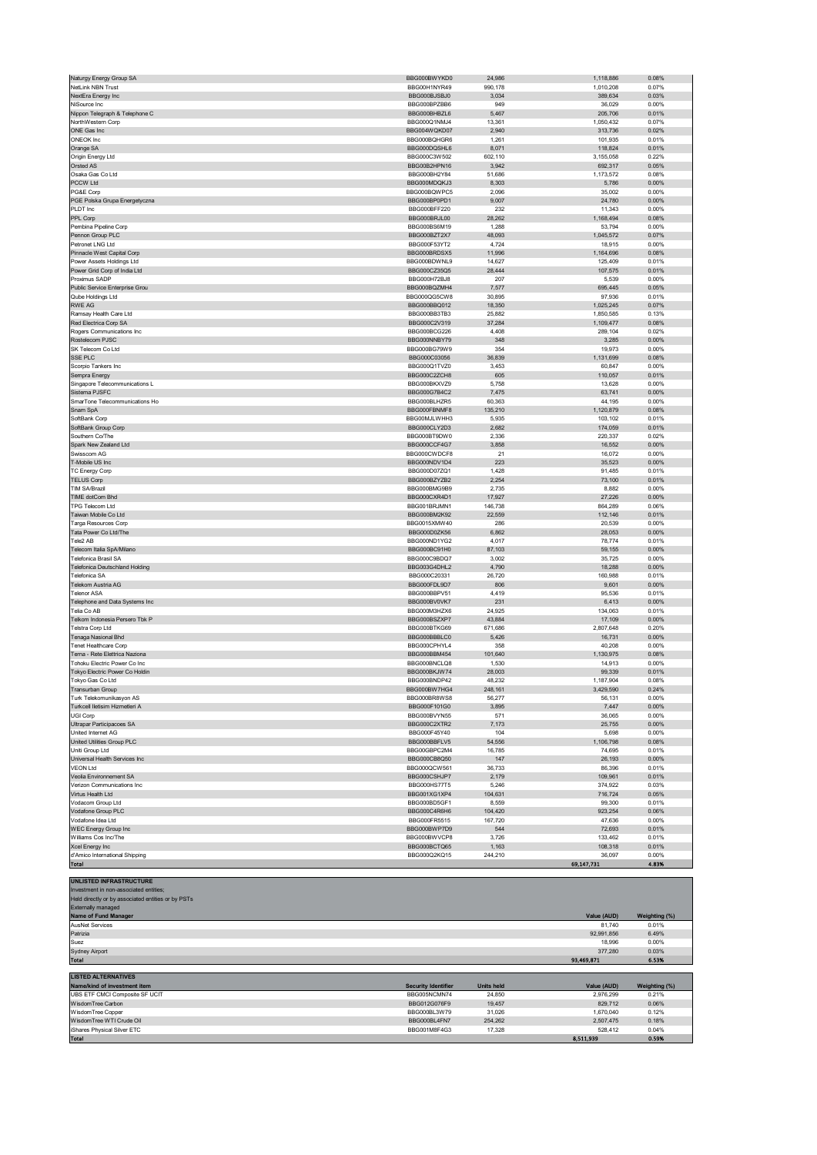| Naturgy Energy Group SA                                                   | BBG000BWYKD0               | 24,986            | 1,118,886            | 0.08%          |
|---------------------------------------------------------------------------|----------------------------|-------------------|----------------------|----------------|
| NetLink NBN Trust                                                         | BBG00H1NYR49               | 990,178           | 1,010,208            | 0.07%          |
| NextEra Energy Inc                                                        | BBG000BJSBJ0               | 3,034             | 389,634              | 0.03%          |
| NiSource Inc                                                              | BBG000BPZBB6               | 949               | 36,029               | 0.00%          |
| Nippon Telegraph & Telephone C                                            | BBG000BHBZL6               | 5,467             | 205,706              | 0.01%          |
| NorthWestern Corp                                                         | BBG000Q1NMJ4               | 13,361            | 1,050,432            | 0.07%          |
| ONE Gas Inc                                                               | BBG004WQKD07               | 2,940             | 313,736              | 0.02%          |
| ONEOK Inc                                                                 | BBG000BQHGR6               | 1,261             | 101,935              | 0.01%          |
| Orange SA                                                                 | BBG000DQSHL6               | 8,071             | 118,824              | 0.01%          |
| Origin Energy Ltd                                                         | BBG000C3W502               | 602,110           | 3,155,058            | 0.22%          |
| Orsted AS                                                                 | BBG00B2HPN16               | 3,942             | 692,317              | 0.05%          |
| Osaka Gas Co Ltd                                                          | BBG000BH2Y84               | 51,686            | 1,173,572            | 0.08%          |
| PCCW Ltd                                                                  | BBG000MDQKJ3               | 8,303             | 5,786                | 0.00%          |
| PG&E Corp                                                                 | BBG000BQWPC5               | 2,096             | 35,002               | 0.00%          |
| PGE Polska Grupa Energetyczna                                             | BBG000BP0PD1               | 9,007             | 24,780               | 0.00%          |
| PLDT Inc                                                                  | BBG000BFF220               | 232               | 11,343               | 0.00%          |
| PPL Corp                                                                  | BBG000BRJL00               | 28,262            | 1,168,494            | 0.08%          |
| Pembina Pipeline Corp                                                     | BBG000BS6M19               | 1,288             | 53,794               | 0.00%          |
| Pennon Group PLC                                                          | BBG000BZT2X7               | 48,093            | 1,045,572            | 0.07%          |
| Petronet LNG Ltd                                                          | BBG000F53YT2               | 4,724             | 18,915               | 0.00%          |
| Pinnacle West Capital Corp                                                | BBG000BRDSX5               | 11,996            | 1,164,696            | 0.08%          |
| Power Assets Holdings Ltd                                                 | BBG000BDWNL9               | 14,627            | 125,409              | 0.01%          |
| Power Grid Corp of India Ltd                                              | BBG000CZ35Q5               | 28,444            | 107,575              | 0.01%          |
| Proximus SADP                                                             | BBG000H72BJ8               | 207               | 5,539                | 0.00%          |
| Public Service Enterprise Grou                                            | BBG000BQZMH4               | 7,577             | 695,445              | 0.05%          |
| Qube Holdings Ltd                                                         | BBG000QG5CW8               | 30,895            | 97,936               | 0.01%          |
| RWE AG                                                                    | BBG000BBQ012               | 18,350            | 1,025,245            | 0.07%          |
| Ramsay Health Care Ltd                                                    | BBG000BB3TB3               | 25,882            | 1,850,585            | 0.13%          |
| Red Electrica Corp SA                                                     | BBG000C2V319               | 37,284            | 1,109,477            | 0.08%          |
| Rogers Communications Inc.                                                | BBG000BCG226               | 4,408             | 289,104              | 0.02%          |
| Rostelecom PJSC                                                           | BBG000NNBY79               | 348               | 3,285                | 0.00%          |
| SK Telecom Co Ltd                                                         | BBG000BG79W9               | 354               | 19,973               | 0.00%          |
| SSE PLC                                                                   | BBG000C03056               | 36,839            | 1,131,699            | 0.08%          |
| Scorpio Tankers Inc                                                       | BBG000Q1TVZ0               | 3,453             | 60,847               | 0.00%          |
| Sempra Energy                                                             | BBG000C2ZCH8               | 605               | 110,057              | 0.01%          |
| Singapore Telecommunications L                                            | BBG000BKXVZ9               | 5,758             | 13,628               | 0.00%          |
| Sistema PJSFC                                                             | BBG000G7B4C2               | 7,475             | 63,741               | 0.00%          |
| SmarTone Telecommunications Ho                                            | BBG000BLHZR5               | 60,363            | 44,195               | 0.00%          |
| Snam SpA                                                                  | BBG000FBNMF8               | 135,210           | 1,120,879            | 0.08%          |
| SoftBank Corp                                                             | BBG00MJLWHH3               | 5,935             | 103,102              | 0.01%          |
| SoftBank Group Corp                                                       | BBG000CLY2D3               | 2,682             | 174,059              | 0.01%          |
| Southern Co/The                                                           | BBG000BT9DW0               | 2,336             | 220,337              | 0.02%          |
| Spark New Zealand Ltd                                                     | BBG000CCF4G7               | 3,858             | 16,552               | 0.00%          |
| Swisscom AG                                                               | BBG000CWDCF8               | 21                | 16,072               | 0.00%          |
| T-Mobile US Inc                                                           | BBG000NDV1D4               | 223               | 35,523               | 0.00%          |
| TC Energy Corp                                                            | BBG000D07ZQ1               | 1,428             | 91,485               | 0.01%          |
| <b>TELUS Corp</b>                                                         | BBG000BZYZB2               | 2,254             | 73,100               | 0.01%          |
| TIM SA/Brazil                                                             | BBG000BMG9B9               | 2,735             | 8,882                | 0.00%          |
| TIME dotCom Bhd                                                           | BBG000CXR4D1               | 17,927            | 27,226               | 0.00%          |
| TPG Telecom Ltd                                                           | BBG001BRJMN1               | 146,738           | 864,289              | 0.06%          |
| Taiwan Mobile Co Ltd                                                      | BBG000BM2K92               | 22,559            | 112,146              | 0.01%          |
| Targa Resources Corp                                                      | BBG0015XMW40               | 286               | 20,539               | 0.00%          |
| Tata Power Co Ltd/The                                                     | BBG000D0ZK56               | 6,862             | 28,053               | 0.00%          |
| Tele2 AB                                                                  | BBG000ND1YG2               | 4,017             | 78,774               | 0.01%          |
| Telecom Italia SpA/Milano                                                 | BBG000BC91H0               | 87,103            | 59,155               | 0.00%          |
| Telefonica Brasil SA                                                      | BBG000C9BDQ7               | 3,002             | 35,725               | 0.00%          |
|                                                                           |                            |                   |                      |                |
|                                                                           |                            |                   |                      |                |
| Telefonica Deutschland Holding                                            | BBG003G4DHL2               | 4,790             | 18,288               | 0.00%          |
| Telefonica SA                                                             | BBG000C20331               | 26,720            | 160,988              | 0.01%          |
| Telekom Austria AG                                                        | BBG000FDL9D7               | 806               | 9,601                | 0.00%          |
| <b>Telenor ASA</b>                                                        | BBG000BBPV51               | 4,419             | 95,536               | 0.01%          |
| Telephone and Data Systems Inc                                            | BBG000BV0VK7               | 231               | 6,413                | 0.00%          |
| Telia Co AB                                                               | BBG000M3HZX6               | 24,925            | 134,063              | 0.01%          |
| Telkom Indonesia Persero Tbk P                                            | BBG000BSZXP7               | 43,884            | 17,109               | 0.00%          |
| Telstra Corp I td                                                         | BBG000BTKG69               | 671,686           | 2,807,648            | 0.20%          |
| Tenaga Nasional Bhd                                                       | BBG000BBBLC0               | 5,426             | 16,731               | 0.00%          |
| Tenet Healthcare Corp                                                     | BBG000CPHYL4               | 358               | 40,208               | 0.00%          |
| Terna - Rete Elettrica Naziona                                            | BBG000BBM454               | 101,640           | 1,130,975            | 0.08%          |
| Tohoku Electric Power Co Inc                                              | BBG000BNCLQ8               | 1.530             | 14,913               | 0.00%          |
| Tokyo Electric Power Co Holdin                                            | BBG000BKJW74               | 28,003            | 99,339               | 0.01%          |
| Tokyo Gas Co Ltd                                                          | BBG000BNDP42               | 48,232            | 1,187,904            | 0.08%          |
| Transurban Group                                                          | BBG000BW7HG4               | 248,161           | 3,429,590            | 0.24%          |
| Turk Telekomunikasyon AS                                                  | BBG000BR8WS8               | 56,277            | 56,131               | 0.00%          |
| Turkcell Iletisim Hizmetleri A                                            | BBG000F101G0               | 3,895             | 7,447                | 0.00%          |
| UGI Corp                                                                  | BBG000BVYN55               | 571               | 36,065               | 0.00%          |
| Ultrapar Participacoes SA                                                 | BBG000C2XTR2               | 7,173             | 25,755               | 0.00%          |
| United Internet AG                                                        | BBG000F45Y40               | 104               | 5,698                | 0.00%          |
| United Utilities Group PLC                                                | BBG000BBFLV5               | 54,556            | 1,106,798            | 0.08%          |
| Uniti Group Ltd                                                           | BBG00GBPC2M4               | 16,785            | 74,695               | 0.01%          |
| Universal Health Services Inc                                             | BBG000CB8Q50               | 147               | 26,193               | 0.00%          |
| <b>VEON Ltd</b>                                                           | BBG000QCW561               | 36,733            | 86,396               | 0.01%          |
| Veolia Environnement SA                                                   | BBG000CSHJP7               | 2,179             | 109,961              | 0.01%          |
| Verizon Communications Inc                                                | BBG000HS77T5               | 5,246             | 374,922              | 0.03%          |
| Virtus Health Ltd                                                         | BBG001XG1XP4               | 104,631           | 716,724              | 0.05%          |
| Vodacom Group Ltd                                                         | BBG000BD5GF1               | 8,559             | 99,300               | 0.01%          |
|                                                                           | BBG000C4R6H6               | 104.420           | 923.254              | 0.06%          |
|                                                                           | BBG000FR5515               | 167,720           | 47,636               | 0.00%          |
| WEC Energy Group Inc                                                      | BBG000BWP7D9               | 544               | 72,693               | 0.01%          |
| Williams Cos Inc/The                                                      | BBG000BWVCP8               | 3,726             | 133,462              | 0.01%          |
| Xcel Energy Inc                                                           | BBG000BCTQ65               | 1,163             | 108,318              | 0.01%          |
| d'Amico International Shipping                                            | BBG000Q2KQ15               | 244,210           | 36,097               | 0.00%          |
| Total                                                                     |                            |                   | 69,147,731           | 4.83%          |
|                                                                           |                            |                   |                      |                |
| <b>UNLISTED INFRASTRUCTURE</b>                                            |                            |                   |                      |                |
| Investment in non-associated entities;                                    |                            |                   |                      |                |
| Held directly or by associated entities or by PSTs                        |                            |                   |                      |                |
| Externally managed                                                        |                            |                   |                      |                |
| Name of Fund Manager                                                      |                            |                   | Value (AUD)          | Weighting (%)  |
| <b>AusNet Services</b>                                                    |                            |                   | 81,740               | 0.01%          |
| Patrizia                                                                  |                            |                   | 92,991,856           | 6.49%          |
| Suez                                                                      |                            |                   | 18,996               | 0.00%          |
| Sydney Airport                                                            |                            |                   | 377,280              | 0.03%          |
| Total                                                                     |                            |                   | 93,469,871           | 6.53%          |
|                                                                           |                            |                   |                      |                |
| <b>LISTED ALTERNATIVES</b>                                                |                            |                   |                      |                |
| Name/kind of investment item                                              | <b>Security Identifier</b> | <b>Units held</b> | Value (AUD)          | Weighting (%)  |
| Vodafone Group PLC<br>Vodafone Idea Ltd<br>UBS ETF CMCI Composite SF UCIT | BBG005NCMN74               | 24,850            | 2,976,299            | 0.21%          |
| WisdomTree Carbon                                                         | BBG012G076F9               | 19,457            | 829,712              | 0.06%          |
| WisdomTree Copper                                                         | BBG000BL3W79               | 31,026            | 1,670,040            | 0.12%          |
| WisdomTree WTI Crude Oil                                                  | BBG000BL4FN7               | 254,262           | 2,507,475            | 0.18%          |
| iShares Physical Silver ETC<br><b>Total</b>                               | BBG001M8F4G3               | 17,328            | 528,412<br>8,511,939 | 0.04%<br>0.59% |